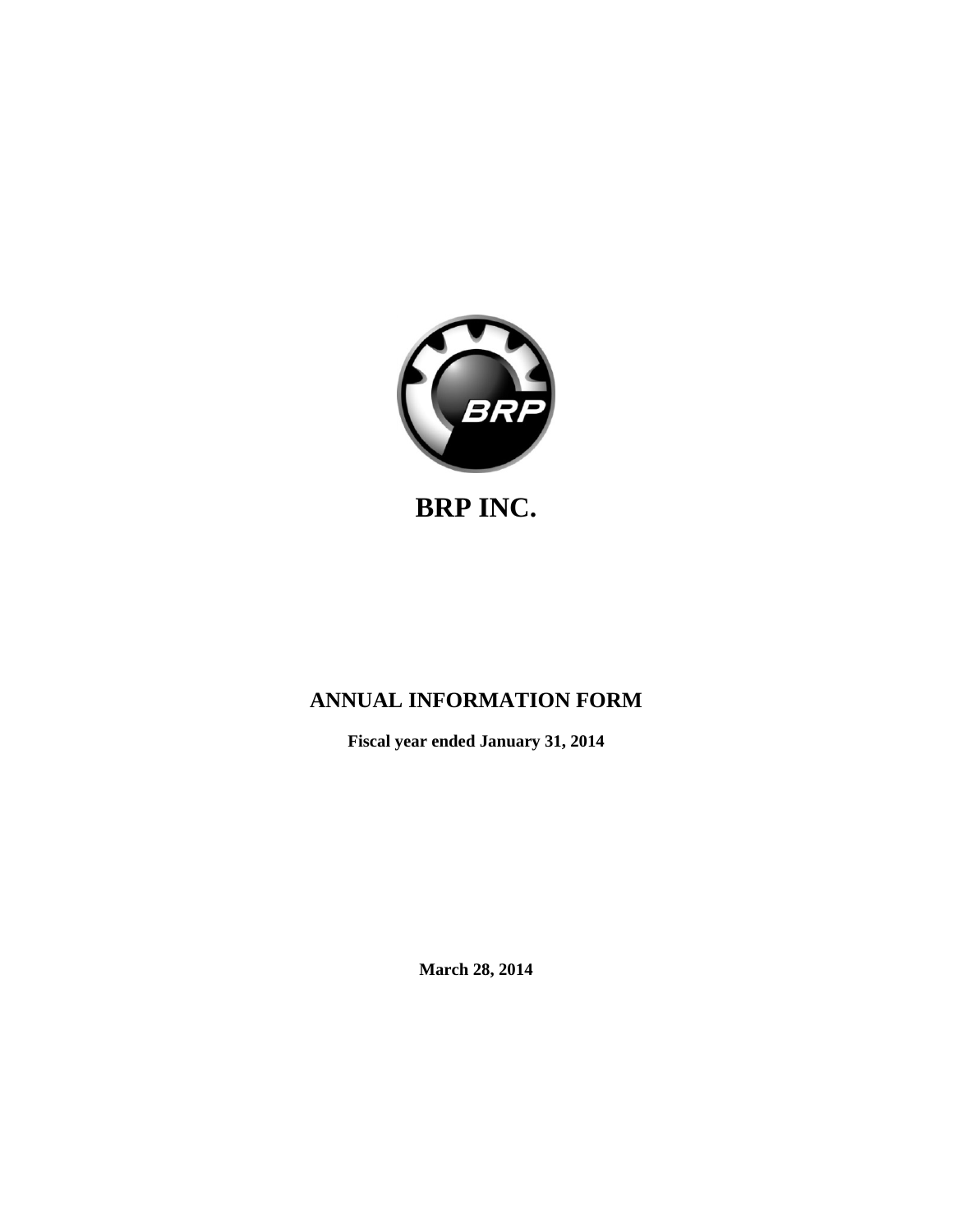

# **BRP INC.**

# **ANNUAL INFORMATION FORM**

**Fiscal year ended January 31, 2014**

**March 28, 2014**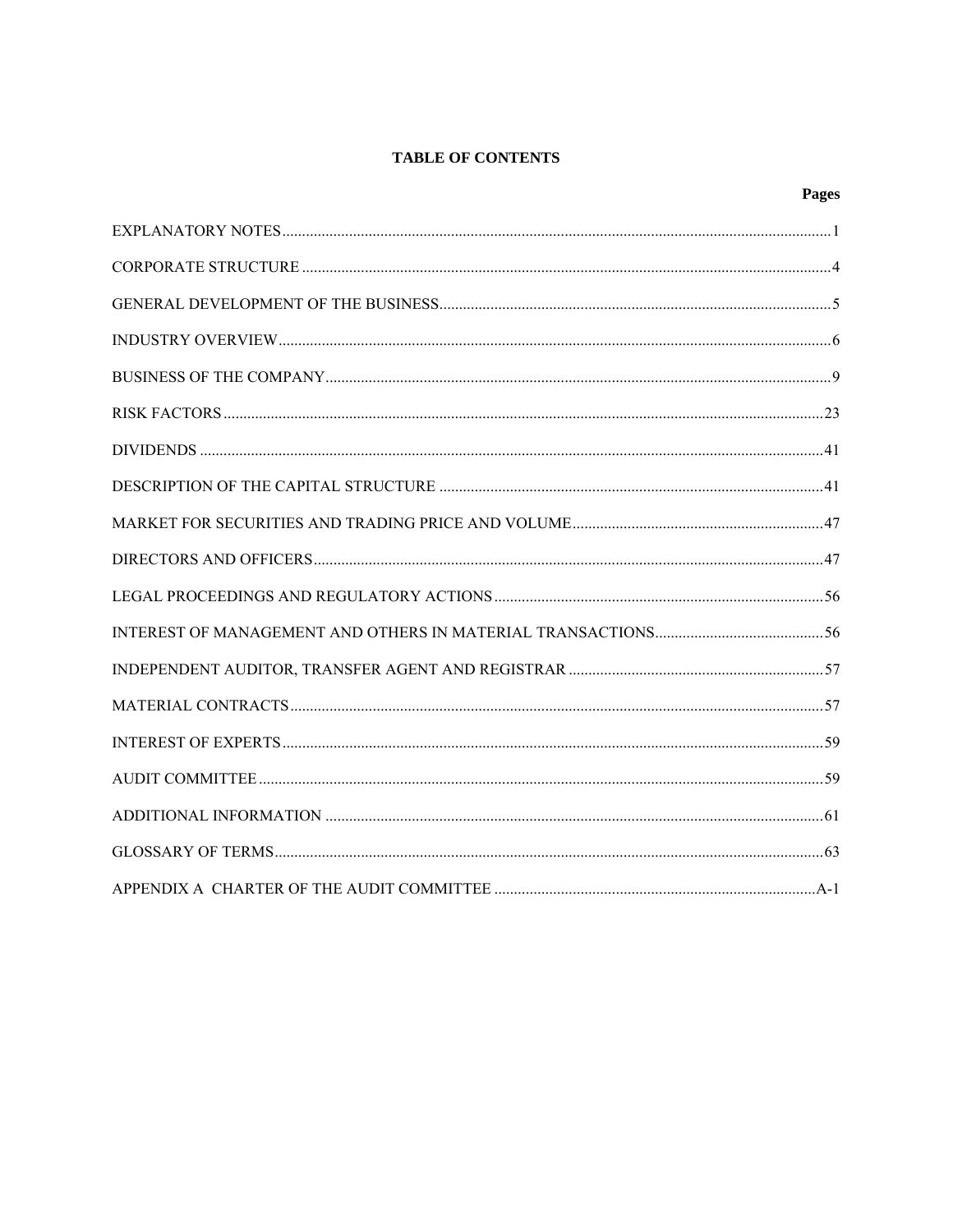# **TABLE OF CONTENTS**

| Pages |
|-------|
|       |
|       |
|       |
|       |
|       |
|       |
|       |
|       |
|       |
|       |
|       |
|       |
|       |
|       |
|       |
|       |
|       |
|       |
|       |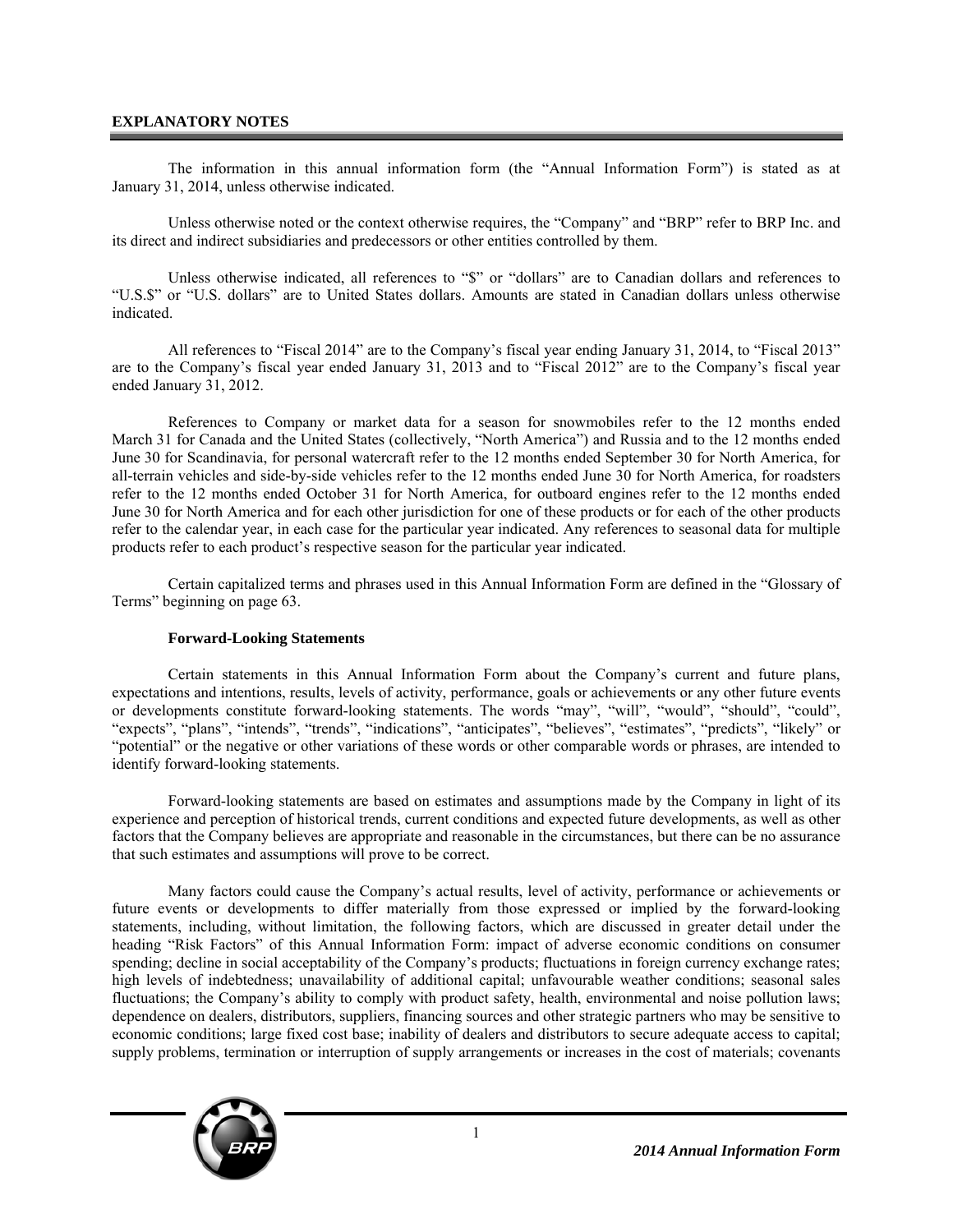# **EXPLANATORY NOTES**

The information in this annual information form (the "Annual Information Form") is stated as at January 31, 2014, unless otherwise indicated.

Unless otherwise noted or the context otherwise requires, the "Company" and "BRP" refer to BRP Inc. and its direct and indirect subsidiaries and predecessors or other entities controlled by them.

Unless otherwise indicated, all references to "\$" or "dollars" are to Canadian dollars and references to "U.S.\$" or "U.S. dollars" are to United States dollars. Amounts are stated in Canadian dollars unless otherwise indicated.

All references to "Fiscal 2014" are to the Company's fiscal year ending January 31, 2014, to "Fiscal 2013" are to the Company's fiscal year ended January 31, 2013 and to "Fiscal 2012" are to the Company's fiscal year ended January 31, 2012.

References to Company or market data for a season for snowmobiles refer to the 12 months ended March 31 for Canada and the United States (collectively, "North America") and Russia and to the 12 months ended June 30 for Scandinavia, for personal watercraft refer to the 12 months ended September 30 for North America, for all-terrain vehicles and side-by-side vehicles refer to the 12 months ended June 30 for North America, for roadsters refer to the 12 months ended October 31 for North America, for outboard engines refer to the 12 months ended June 30 for North America and for each other jurisdiction for one of these products or for each of the other products refer to the calendar year, in each case for the particular year indicated. Any references to seasonal data for multiple products refer to each product's respective season for the particular year indicated.

Certain capitalized terms and phrases used in this Annual Information Form are defined in the "Glossary of Terms" beginning on page 63.

#### **Forward-Looking Statements**

Certain statements in this Annual Information Form about the Company's current and future plans, expectations and intentions, results, levels of activity, performance, goals or achievements or any other future events or developments constitute forward-looking statements. The words "may", "will", "would", "should", "could", "expects", "plans", "intends", "trends", "indications", "anticipates", "believes", "estimates", "predicts", "likely" or "potential" or the negative or other variations of these words or other comparable words or phrases, are intended to identify forward-looking statements.

Forward-looking statements are based on estimates and assumptions made by the Company in light of its experience and perception of historical trends, current conditions and expected future developments, as well as other factors that the Company believes are appropriate and reasonable in the circumstances, but there can be no assurance that such estimates and assumptions will prove to be correct.

Many factors could cause the Company's actual results, level of activity, performance or achievements or future events or developments to differ materially from those expressed or implied by the forward-looking statements, including, without limitation, the following factors, which are discussed in greater detail under the heading "Risk Factors" of this Annual Information Form: impact of adverse economic conditions on consumer spending; decline in social acceptability of the Company's products; fluctuations in foreign currency exchange rates; high levels of indebtedness; unavailability of additional capital; unfavourable weather conditions; seasonal sales fluctuations; the Company's ability to comply with product safety, health, environmental and noise pollution laws; dependence on dealers, distributors, suppliers, financing sources and other strategic partners who may be sensitive to economic conditions; large fixed cost base; inability of dealers and distributors to secure adequate access to capital; supply problems, termination or interruption of supply arrangements or increases in the cost of materials; covenants

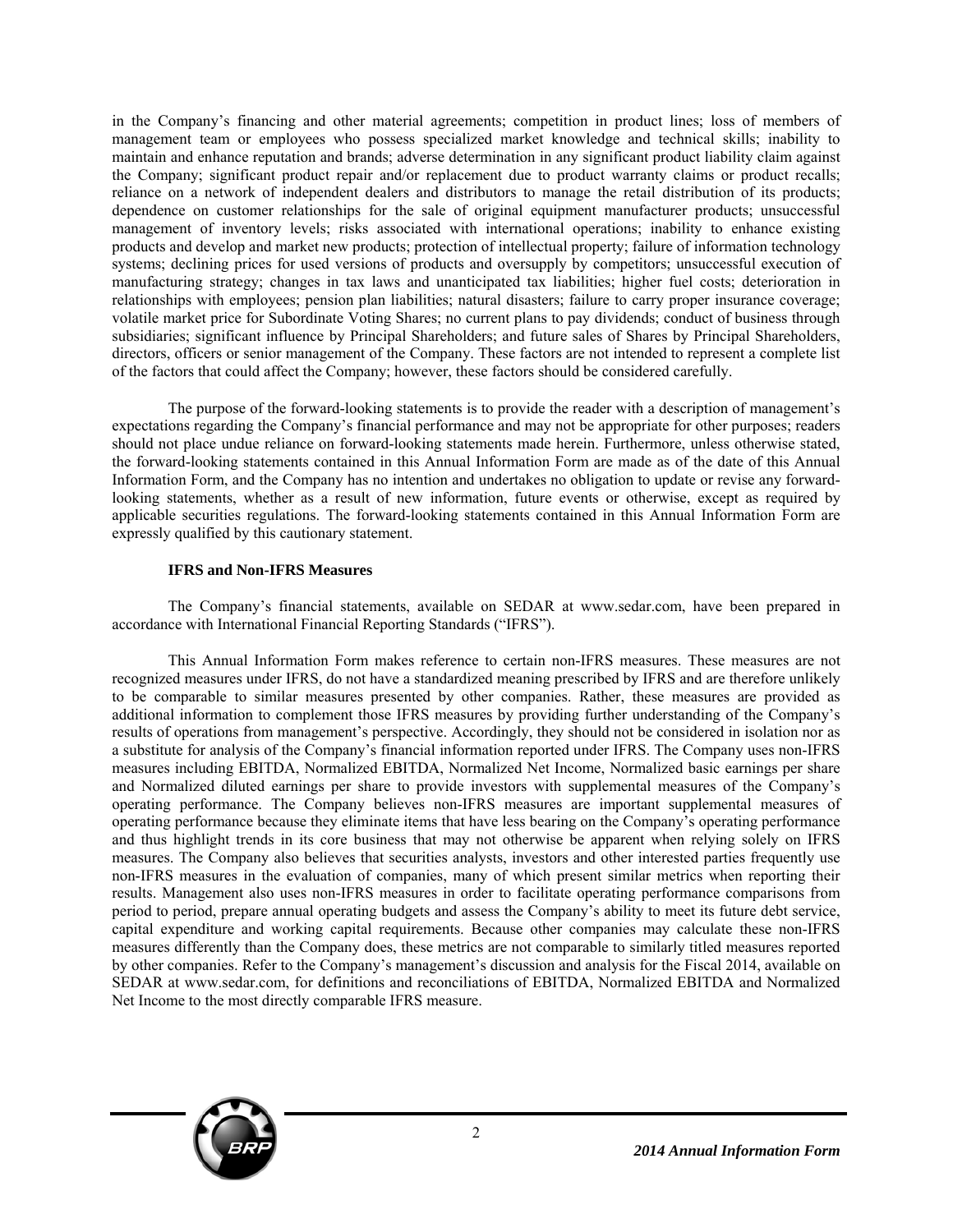in the Company's financing and other material agreements; competition in product lines; loss of members of management team or employees who possess specialized market knowledge and technical skills; inability to maintain and enhance reputation and brands; adverse determination in any significant product liability claim against the Company; significant product repair and/or replacement due to product warranty claims or product recalls; reliance on a network of independent dealers and distributors to manage the retail distribution of its products; dependence on customer relationships for the sale of original equipment manufacturer products; unsuccessful management of inventory levels; risks associated with international operations; inability to enhance existing products and develop and market new products; protection of intellectual property; failure of information technology systems; declining prices for used versions of products and oversupply by competitors; unsuccessful execution of manufacturing strategy; changes in tax laws and unanticipated tax liabilities; higher fuel costs; deterioration in relationships with employees; pension plan liabilities; natural disasters; failure to carry proper insurance coverage; volatile market price for Subordinate Voting Shares; no current plans to pay dividends; conduct of business through subsidiaries; significant influence by Principal Shareholders; and future sales of Shares by Principal Shareholders, directors, officers or senior management of the Company. These factors are not intended to represent a complete list of the factors that could affect the Company; however, these factors should be considered carefully.

The purpose of the forward-looking statements is to provide the reader with a description of management's expectations regarding the Company's financial performance and may not be appropriate for other purposes; readers should not place undue reliance on forward-looking statements made herein. Furthermore, unless otherwise stated, the forward-looking statements contained in this Annual Information Form are made as of the date of this Annual Information Form, and the Company has no intention and undertakes no obligation to update or revise any forwardlooking statements, whether as a result of new information, future events or otherwise, except as required by applicable securities regulations. The forward-looking statements contained in this Annual Information Form are expressly qualified by this cautionary statement.

#### **IFRS and Non-IFRS Measures**

The Company's financial statements, available on SEDAR at www.sedar.com, have been prepared in accordance with International Financial Reporting Standards ("IFRS").

This Annual Information Form makes reference to certain non-IFRS measures. These measures are not recognized measures under IFRS, do not have a standardized meaning prescribed by IFRS and are therefore unlikely to be comparable to similar measures presented by other companies. Rather, these measures are provided as additional information to complement those IFRS measures by providing further understanding of the Company's results of operations from management's perspective. Accordingly, they should not be considered in isolation nor as a substitute for analysis of the Company's financial information reported under IFRS. The Company uses non-IFRS measures including EBITDA, Normalized EBITDA, Normalized Net Income, Normalized basic earnings per share and Normalized diluted earnings per share to provide investors with supplemental measures of the Company's operating performance. The Company believes non-IFRS measures are important supplemental measures of operating performance because they eliminate items that have less bearing on the Company's operating performance and thus highlight trends in its core business that may not otherwise be apparent when relying solely on IFRS measures. The Company also believes that securities analysts, investors and other interested parties frequently use non-IFRS measures in the evaluation of companies, many of which present similar metrics when reporting their results. Management also uses non-IFRS measures in order to facilitate operating performance comparisons from period to period, prepare annual operating budgets and assess the Company's ability to meet its future debt service, capital expenditure and working capital requirements. Because other companies may calculate these non-IFRS measures differently than the Company does, these metrics are not comparable to similarly titled measures reported by other companies. Refer to the Company's management's discussion and analysis for the Fiscal 2014, available on SEDAR at www.sedar.com, for definitions and reconciliations of EBITDA, Normalized EBITDA and Normalized Net Income to the most directly comparable IFRS measure.

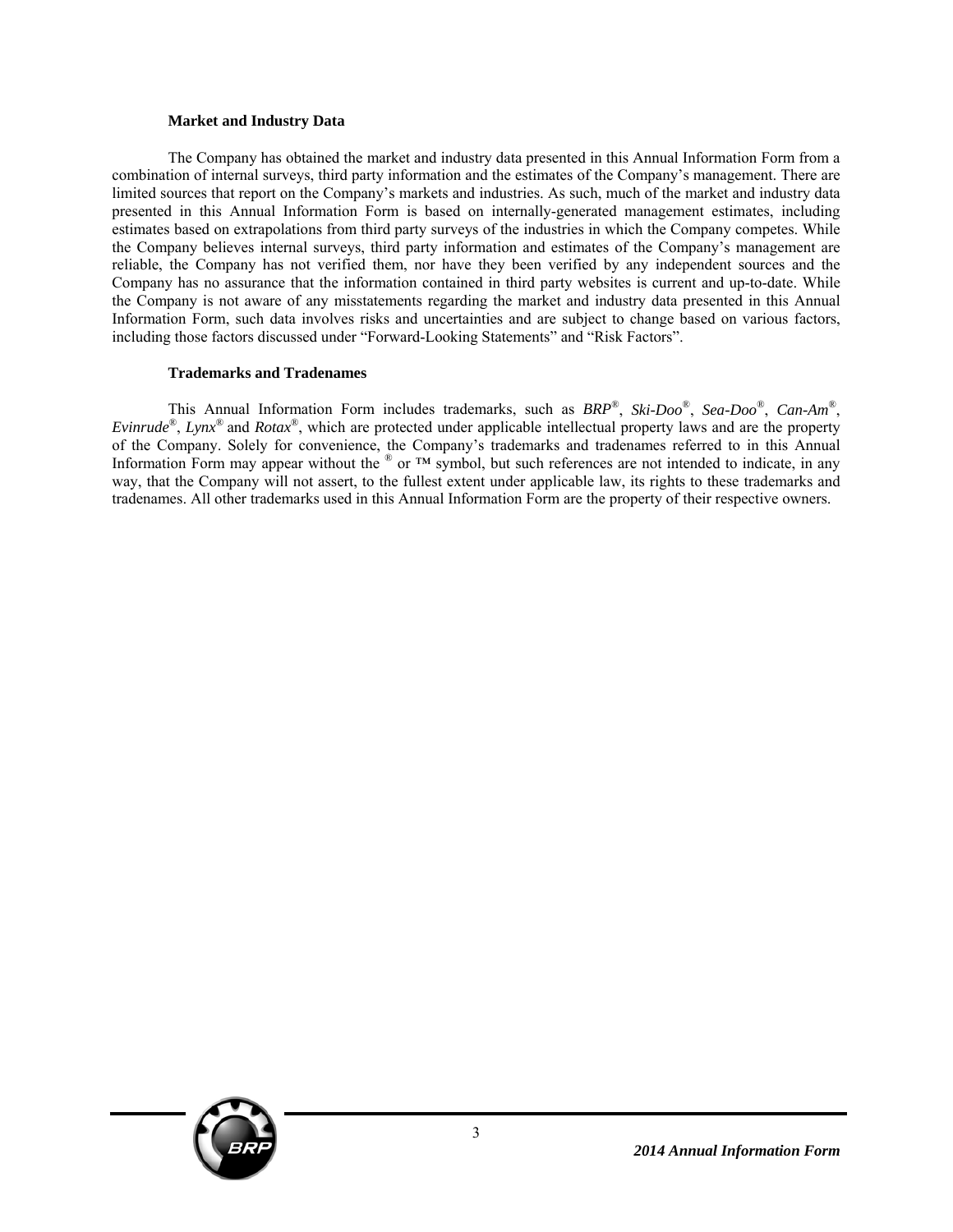#### **Market and Industry Data**

The Company has obtained the market and industry data presented in this Annual Information Form from a combination of internal surveys, third party information and the estimates of the Company's management. There are limited sources that report on the Company's markets and industries. As such, much of the market and industry data presented in this Annual Information Form is based on internally-generated management estimates, including estimates based on extrapolations from third party surveys of the industries in which the Company competes. While the Company believes internal surveys, third party information and estimates of the Company's management are reliable, the Company has not verified them, nor have they been verified by any independent sources and the Company has no assurance that the information contained in third party websites is current and up-to-date. While the Company is not aware of any misstatements regarding the market and industry data presented in this Annual Information Form, such data involves risks and uncertainties and are subject to change based on various factors, including those factors discussed under "Forward-Looking Statements" and "Risk Factors".

#### **Trademarks and Tradenames**

This Annual Information Form includes trademarks, such as *BRP*®, *Ski-Doo*®, *Sea-Doo*®, *Can-Am*®, *Evinrude*®, *Lynx*® and *Rotax*®, which are protected under applicable intellectual property laws and are the property of the Company. Solely for convenience, the Company's trademarks and tradenames referred to in this Annual Information Form may appear without the  $^{\circ}$  or  $^{TM}$  symbol, but such references are not intended to indicate, in any way, that the Company will not assert, to the fullest extent under applicable law, its rights to these trademarks and tradenames. All other trademarks used in this Annual Information Form are the property of their respective owners.

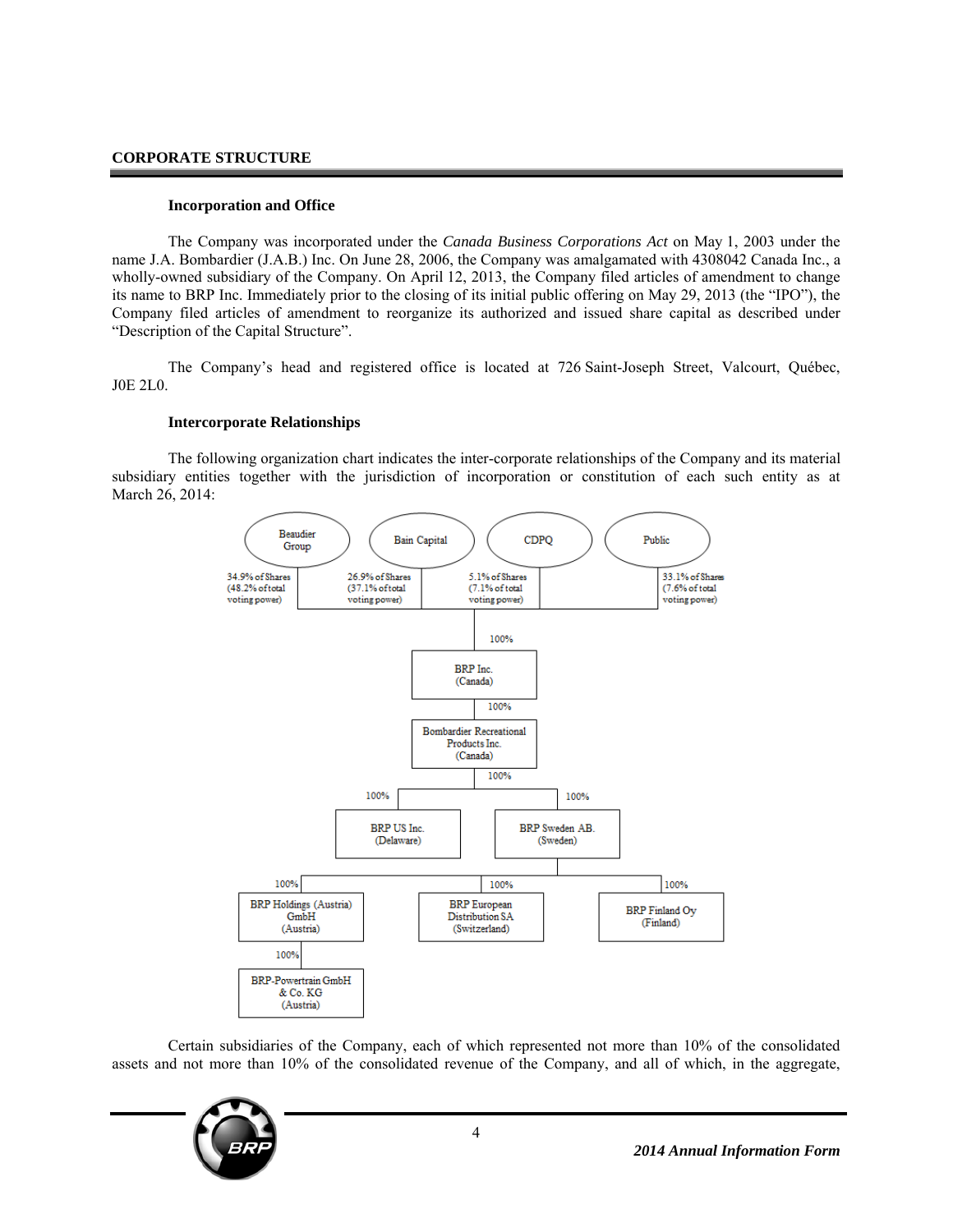#### **CORPORATE STRUCTURE**

#### **Incorporation and Office**

The Company was incorporated under the *Canada Business Corporations Act* on May 1, 2003 under the name J.A. Bombardier (J.A.B.) Inc. On June 28, 2006, the Company was amalgamated with 4308042 Canada Inc., a wholly-owned subsidiary of the Company. On April 12, 2013, the Company filed articles of amendment to change its name to BRP Inc. Immediately prior to the closing of its initial public offering on May 29, 2013 (the "IPO"), the Company filed articles of amendment to reorganize its authorized and issued share capital as described under "Description of the Capital Structure".

The Company's head and registered office is located at 726 Saint-Joseph Street, Valcourt, Québec, J0E 2L0.

#### **Intercorporate Relationships**

The following organization chart indicates the inter-corporate relationships of the Company and its material subsidiary entities together with the jurisdiction of incorporation or constitution of each such entity as at March 26, 2014:



Certain subsidiaries of the Company, each of which represented not more than 10% of the consolidated assets and not more than 10% of the consolidated revenue of the Company, and all of which, in the aggregate,

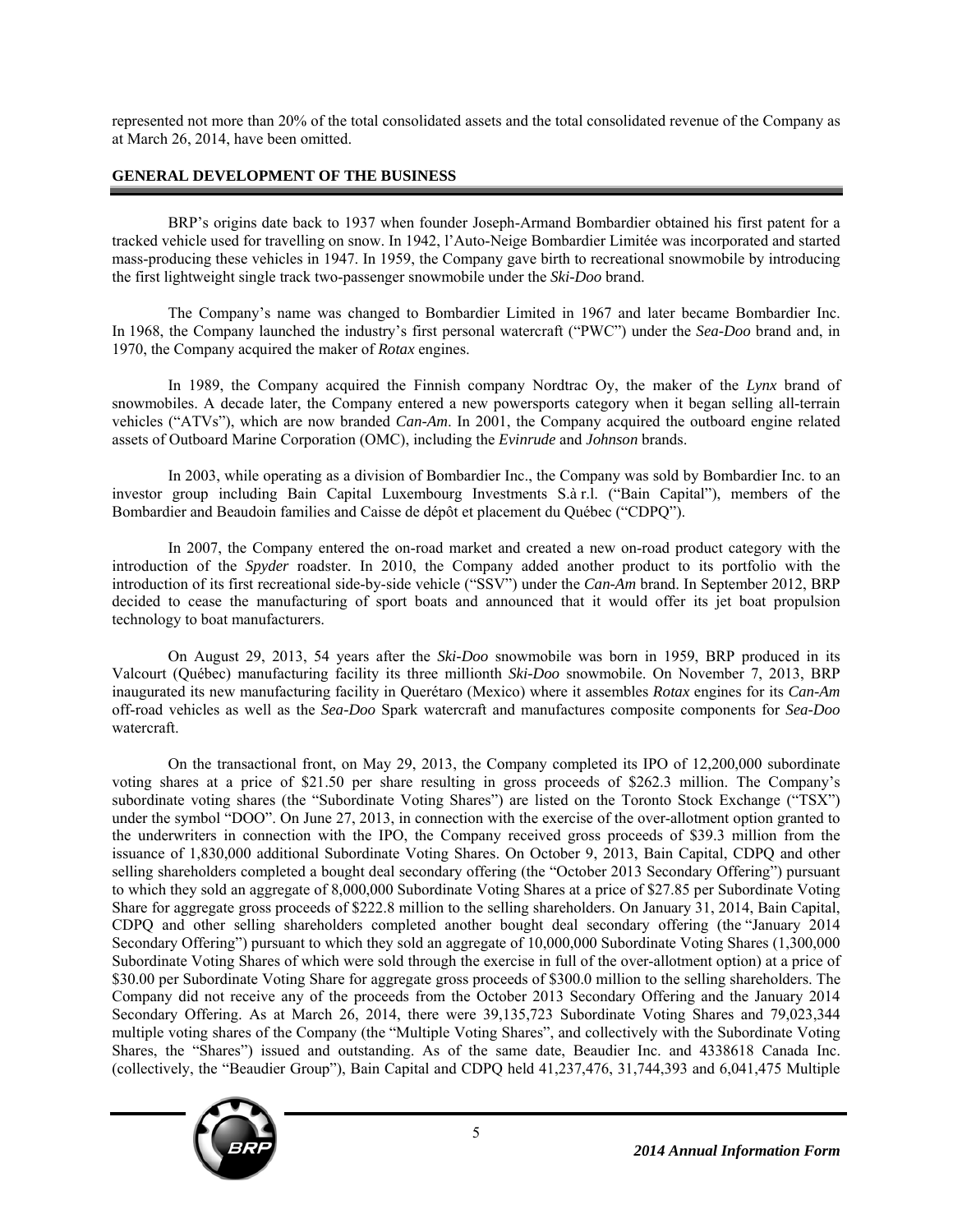represented not more than 20% of the total consolidated assets and the total consolidated revenue of the Company as at March 26, 2014, have been omitted.

# **GENERAL DEVELOPMENT OF THE BUSINESS**

BRP's origins date back to 1937 when founder Joseph-Armand Bombardier obtained his first patent for a tracked vehicle used for travelling on snow. In 1942, l'Auto-Neige Bombardier Limitée was incorporated and started mass-producing these vehicles in 1947. In 1959, the Company gave birth to recreational snowmobile by introducing the first lightweight single track two-passenger snowmobile under the *Ski-Doo* brand.

The Company's name was changed to Bombardier Limited in 1967 and later became Bombardier Inc. In 1968, the Company launched the industry's first personal watercraft ("PWC") under the *Sea-Doo* brand and, in 1970, the Company acquired the maker of *Rotax* engines.

In 1989, the Company acquired the Finnish company Nordtrac Oy, the maker of the *Lynx* brand of snowmobiles. A decade later, the Company entered a new powersports category when it began selling all-terrain vehicles ("ATVs"), which are now branded *Can-Am*. In 2001, the Company acquired the outboard engine related assets of Outboard Marine Corporation (OMC), including the *Evinrude* and *Johnson* brands.

In 2003, while operating as a division of Bombardier Inc., the Company was sold by Bombardier Inc. to an investor group including Bain Capital Luxembourg Investments S.à r.l. ("Bain Capital"), members of the Bombardier and Beaudoin families and Caisse de dépôt et placement du Québec ("CDPQ").

In 2007, the Company entered the on-road market and created a new on-road product category with the introduction of the *Spyder* roadster. In 2010, the Company added another product to its portfolio with the introduction of its first recreational side-by-side vehicle ("SSV") under the *Can-Am* brand. In September 2012, BRP decided to cease the manufacturing of sport boats and announced that it would offer its jet boat propulsion technology to boat manufacturers.

On August 29, 2013, 54 years after the *Ski-Doo* snowmobile was born in 1959, BRP produced in its Valcourt (Québec) manufacturing facility its three millionth *Ski-Doo* snowmobile. On November 7, 2013, BRP inaugurated its new manufacturing facility in Querétaro (Mexico) where it assembles *Rotax* engines for its *Can-Am* off-road vehicles as well as the *Sea-Doo* Spark watercraft and manufactures composite components for *Sea-Doo* watercraft.

On the transactional front, on May 29, 2013, the Company completed its IPO of 12,200,000 subordinate voting shares at a price of \$21.50 per share resulting in gross proceeds of \$262.3 million. The Company's subordinate voting shares (the "Subordinate Voting Shares") are listed on the Toronto Stock Exchange ("TSX") under the symbol "DOO". On June 27, 2013, in connection with the exercise of the over-allotment option granted to the underwriters in connection with the IPO, the Company received gross proceeds of \$39.3 million from the issuance of 1,830,000 additional Subordinate Voting Shares. On October 9, 2013, Bain Capital, CDPQ and other selling shareholders completed a bought deal secondary offering (the "October 2013 Secondary Offering") pursuant to which they sold an aggregate of 8,000,000 Subordinate Voting Shares at a price of \$27.85 per Subordinate Voting Share for aggregate gross proceeds of \$222.8 million to the selling shareholders. On January 31, 2014, Bain Capital, CDPQ and other selling shareholders completed another bought deal secondary offering (the "January 2014 Secondary Offering") pursuant to which they sold an aggregate of 10,000,000 Subordinate Voting Shares (1,300,000 Subordinate Voting Shares of which were sold through the exercise in full of the over-allotment option) at a price of \$30.00 per Subordinate Voting Share for aggregate gross proceeds of \$300.0 million to the selling shareholders. The Company did not receive any of the proceeds from the October 2013 Secondary Offering and the January 2014 Secondary Offering. As at March 26, 2014, there were 39,135,723 Subordinate Voting Shares and 79,023,344 multiple voting shares of the Company (the "Multiple Voting Shares", and collectively with the Subordinate Voting Shares, the "Shares") issued and outstanding. As of the same date, Beaudier Inc. and 4338618 Canada Inc. (collectively, the "Beaudier Group"), Bain Capital and CDPQ held 41,237,476, 31,744,393 and 6,041,475 Multiple

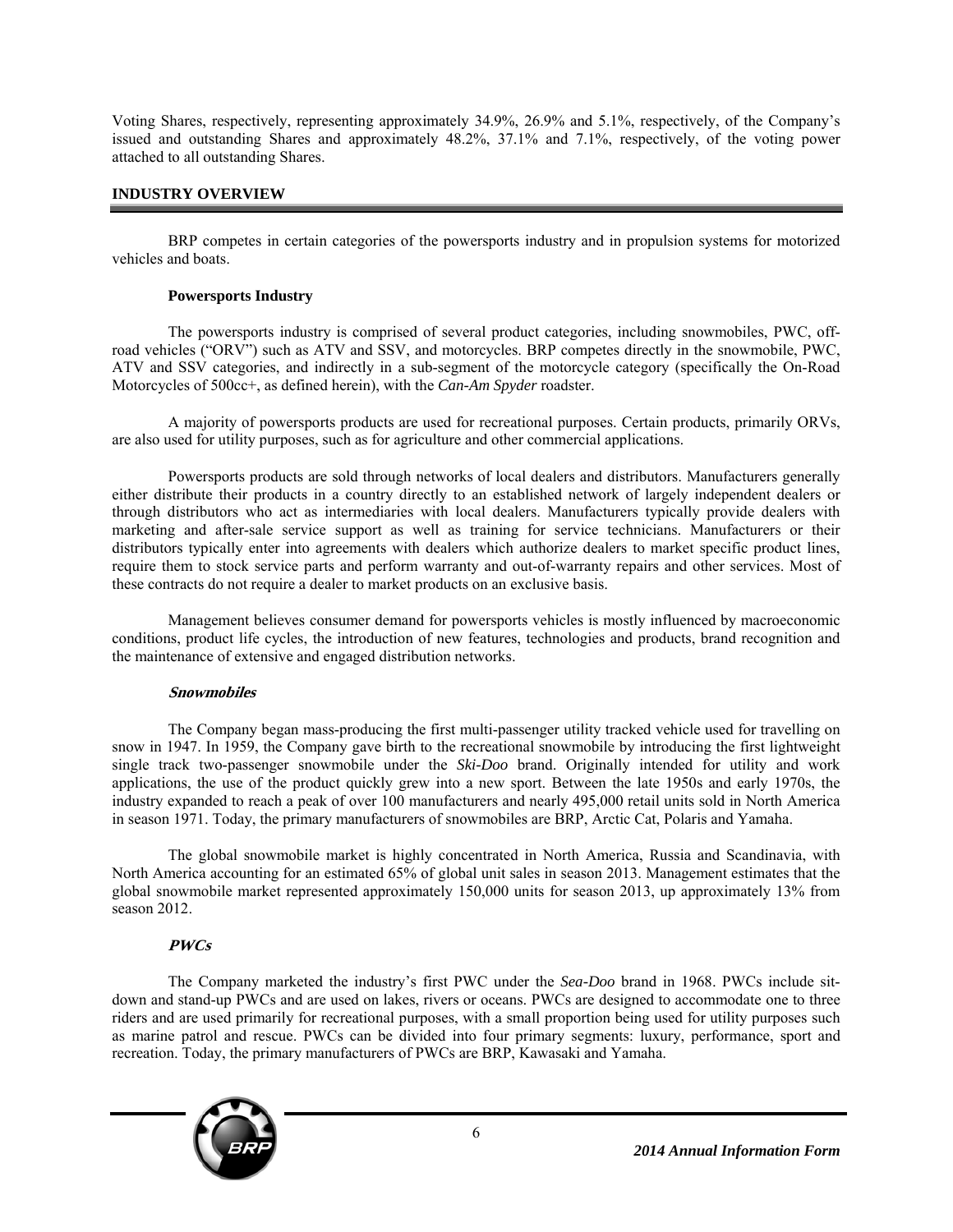Voting Shares, respectively, representing approximately 34.9%, 26.9% and 5.1%, respectively, of the Company's issued and outstanding Shares and approximately 48.2%, 37.1% and 7.1%, respectively, of the voting power attached to all outstanding Shares.

# **INDUSTRY OVERVIEW**

BRP competes in certain categories of the powersports industry and in propulsion systems for motorized vehicles and boats.

#### **Powersports Industry**

The powersports industry is comprised of several product categories, including snowmobiles, PWC, offroad vehicles ("ORV") such as ATV and SSV, and motorcycles. BRP competes directly in the snowmobile, PWC, ATV and SSV categories, and indirectly in a sub-segment of the motorcycle category (specifically the On-Road Motorcycles of 500cc+, as defined herein), with the *Can-Am Spyder* roadster.

A majority of powersports products are used for recreational purposes. Certain products, primarily ORVs, are also used for utility purposes, such as for agriculture and other commercial applications.

Powersports products are sold through networks of local dealers and distributors. Manufacturers generally either distribute their products in a country directly to an established network of largely independent dealers or through distributors who act as intermediaries with local dealers. Manufacturers typically provide dealers with marketing and after-sale service support as well as training for service technicians. Manufacturers or their distributors typically enter into agreements with dealers which authorize dealers to market specific product lines, require them to stock service parts and perform warranty and out-of-warranty repairs and other services. Most of these contracts do not require a dealer to market products on an exclusive basis.

Management believes consumer demand for powersports vehicles is mostly influenced by macroeconomic conditions, product life cycles, the introduction of new features, technologies and products, brand recognition and the maintenance of extensive and engaged distribution networks.

#### **Snowmobiles**

The Company began mass-producing the first multi-passenger utility tracked vehicle used for travelling on snow in 1947. In 1959, the Company gave birth to the recreational snowmobile by introducing the first lightweight single track two-passenger snowmobile under the *Ski-Doo* brand. Originally intended for utility and work applications, the use of the product quickly grew into a new sport. Between the late 1950s and early 1970s, the industry expanded to reach a peak of over 100 manufacturers and nearly 495,000 retail units sold in North America in season 1971. Today, the primary manufacturers of snowmobiles are BRP, Arctic Cat, Polaris and Yamaha.

The global snowmobile market is highly concentrated in North America, Russia and Scandinavia, with North America accounting for an estimated 65% of global unit sales in season 2013. Management estimates that the global snowmobile market represented approximately 150,000 units for season 2013, up approximately 13% from season 2012.

#### **PWCs**

The Company marketed the industry's first PWC under the *Sea-Doo* brand in 1968. PWCs include sitdown and stand-up PWCs and are used on lakes, rivers or oceans. PWCs are designed to accommodate one to three riders and are used primarily for recreational purposes, with a small proportion being used for utility purposes such as marine patrol and rescue. PWCs can be divided into four primary segments: luxury, performance, sport and recreation. Today, the primary manufacturers of PWCs are BRP, Kawasaki and Yamaha.

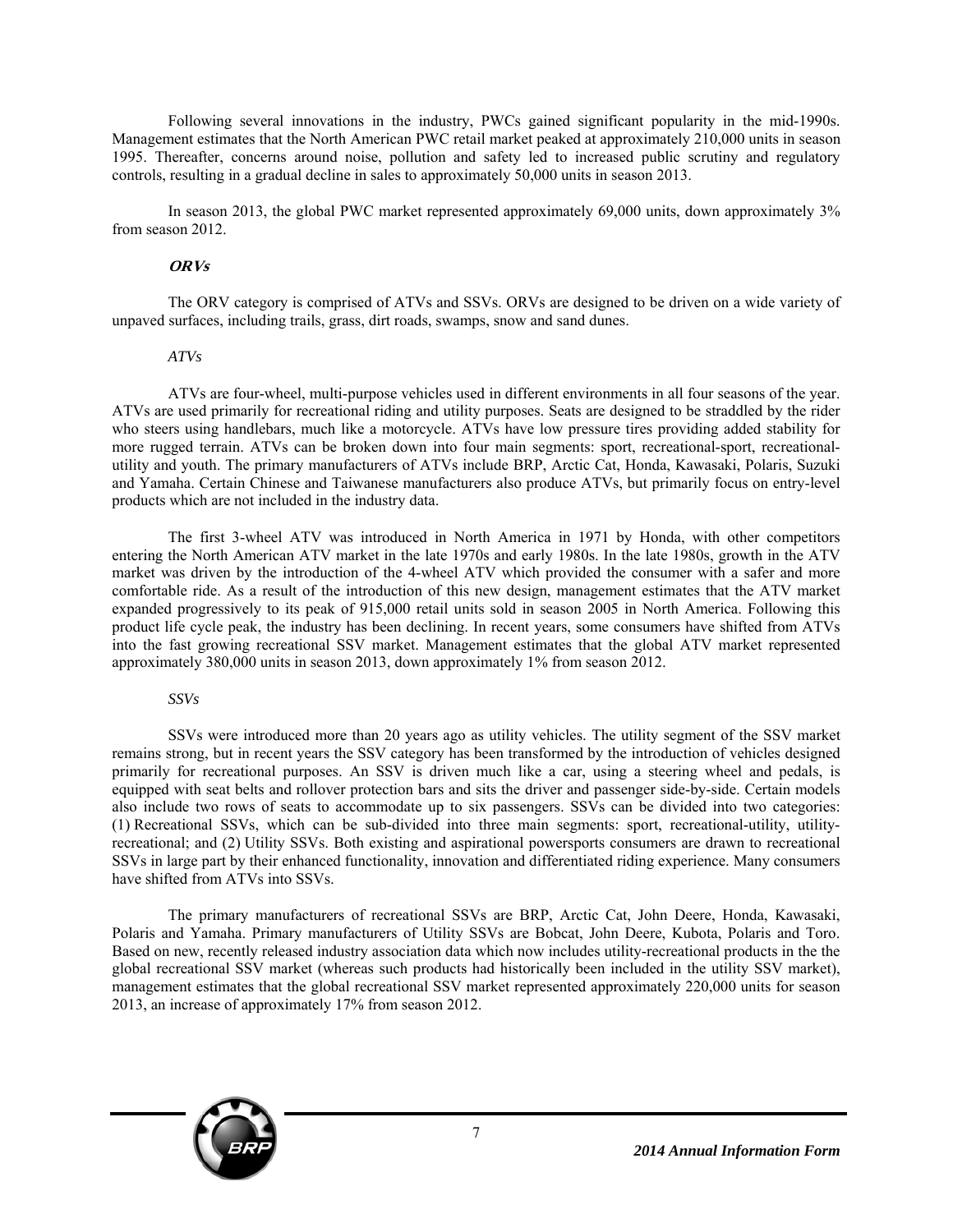Following several innovations in the industry, PWCs gained significant popularity in the mid-1990s. Management estimates that the North American PWC retail market peaked at approximately 210,000 units in season 1995. Thereafter, concerns around noise, pollution and safety led to increased public scrutiny and regulatory controls, resulting in a gradual decline in sales to approximately 50,000 units in season 2013.

In season 2013, the global PWC market represented approximately 69,000 units, down approximately 3% from season 2012.

#### **ORVs**

The ORV category is comprised of ATVs and SSVs. ORVs are designed to be driven on a wide variety of unpaved surfaces, including trails, grass, dirt roads, swamps, snow and sand dunes.

#### *ATVs*

ATVs are four-wheel, multi-purpose vehicles used in different environments in all four seasons of the year. ATVs are used primarily for recreational riding and utility purposes. Seats are designed to be straddled by the rider who steers using handlebars, much like a motorcycle. ATVs have low pressure tires providing added stability for more rugged terrain. ATVs can be broken down into four main segments: sport, recreational-sport, recreationalutility and youth. The primary manufacturers of ATVs include BRP, Arctic Cat, Honda, Kawasaki, Polaris, Suzuki and Yamaha. Certain Chinese and Taiwanese manufacturers also produce ATVs, but primarily focus on entry-level products which are not included in the industry data.

The first 3-wheel ATV was introduced in North America in 1971 by Honda, with other competitors entering the North American ATV market in the late 1970s and early 1980s. In the late 1980s, growth in the ATV market was driven by the introduction of the 4-wheel ATV which provided the consumer with a safer and more comfortable ride. As a result of the introduction of this new design, management estimates that the ATV market expanded progressively to its peak of 915,000 retail units sold in season 2005 in North America. Following this product life cycle peak, the industry has been declining. In recent years, some consumers have shifted from ATVs into the fast growing recreational SSV market. Management estimates that the global ATV market represented approximately 380,000 units in season 2013, down approximately 1% from season 2012.

#### *SSVs*

SSVs were introduced more than 20 years ago as utility vehicles. The utility segment of the SSV market remains strong, but in recent years the SSV category has been transformed by the introduction of vehicles designed primarily for recreational purposes. An SSV is driven much like a car, using a steering wheel and pedals, is equipped with seat belts and rollover protection bars and sits the driver and passenger side-by-side. Certain models also include two rows of seats to accommodate up to six passengers. SSVs can be divided into two categories: (1) Recreational SSVs, which can be sub-divided into three main segments: sport, recreational-utility, utilityrecreational; and (2) Utility SSVs. Both existing and aspirational powersports consumers are drawn to recreational SSVs in large part by their enhanced functionality, innovation and differentiated riding experience. Many consumers have shifted from ATVs into SSVs.

The primary manufacturers of recreational SSVs are BRP, Arctic Cat, John Deere, Honda, Kawasaki, Polaris and Yamaha. Primary manufacturers of Utility SSVs are Bobcat, John Deere, Kubota, Polaris and Toro. Based on new, recently released industry association data which now includes utility-recreational products in the the global recreational SSV market (whereas such products had historically been included in the utility SSV market), management estimates that the global recreational SSV market represented approximately 220,000 units for season 2013, an increase of approximately 17% from season 2012.

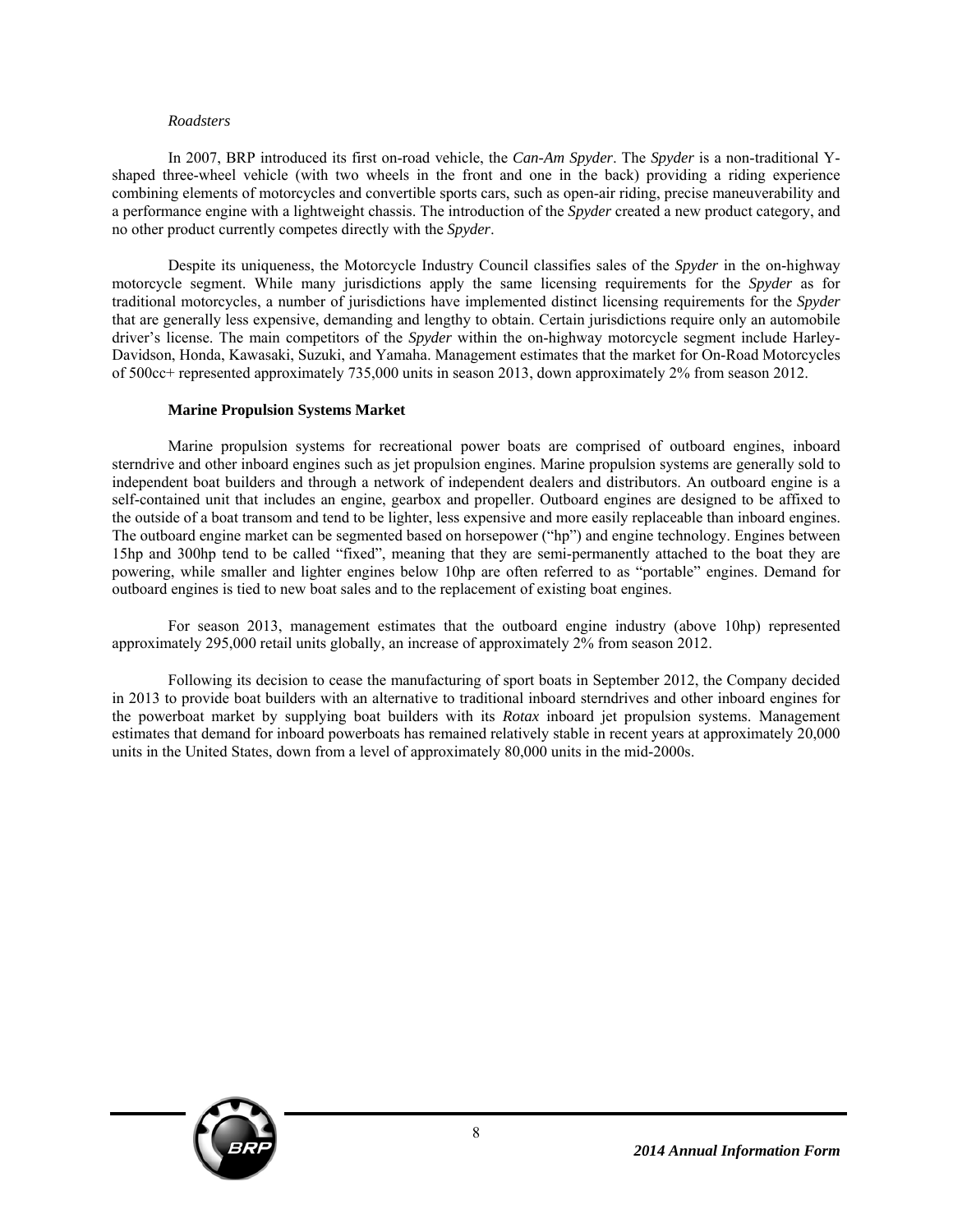#### *Roadsters*

In 2007, BRP introduced its first on-road vehicle, the *Can-Am Spyder*. The *Spyder* is a non-traditional Yshaped three-wheel vehicle (with two wheels in the front and one in the back) providing a riding experience combining elements of motorcycles and convertible sports cars, such as open-air riding, precise maneuverability and a performance engine with a lightweight chassis. The introduction of the *Spyder* created a new product category, and no other product currently competes directly with the *Spyder*.

Despite its uniqueness, the Motorcycle Industry Council classifies sales of the *Spyder* in the on-highway motorcycle segment. While many jurisdictions apply the same licensing requirements for the *Spyder* as for traditional motorcycles, a number of jurisdictions have implemented distinct licensing requirements for the *Spyder* that are generally less expensive, demanding and lengthy to obtain. Certain jurisdictions require only an automobile driver's license. The main competitors of the *Spyder* within the on-highway motorcycle segment include Harley-Davidson, Honda, Kawasaki, Suzuki, and Yamaha. Management estimates that the market for On-Road Motorcycles of 500cc+ represented approximately 735,000 units in season 2013, down approximately 2% from season 2012.

#### **Marine Propulsion Systems Market**

Marine propulsion systems for recreational power boats are comprised of outboard engines, inboard sterndrive and other inboard engines such as jet propulsion engines. Marine propulsion systems are generally sold to independent boat builders and through a network of independent dealers and distributors. An outboard engine is a self-contained unit that includes an engine, gearbox and propeller. Outboard engines are designed to be affixed to the outside of a boat transom and tend to be lighter, less expensive and more easily replaceable than inboard engines. The outboard engine market can be segmented based on horsepower ("hp") and engine technology. Engines between 15hp and 300hp tend to be called "fixed", meaning that they are semi-permanently attached to the boat they are powering, while smaller and lighter engines below 10hp are often referred to as "portable" engines. Demand for outboard engines is tied to new boat sales and to the replacement of existing boat engines.

For season 2013, management estimates that the outboard engine industry (above 10hp) represented approximately 295,000 retail units globally, an increase of approximately 2% from season 2012.

Following its decision to cease the manufacturing of sport boats in September 2012, the Company decided in 2013 to provide boat builders with an alternative to traditional inboard sterndrives and other inboard engines for the powerboat market by supplying boat builders with its *Rotax* inboard jet propulsion systems. Management estimates that demand for inboard powerboats has remained relatively stable in recent years at approximately 20,000 units in the United States, down from a level of approximately 80,000 units in the mid-2000s.

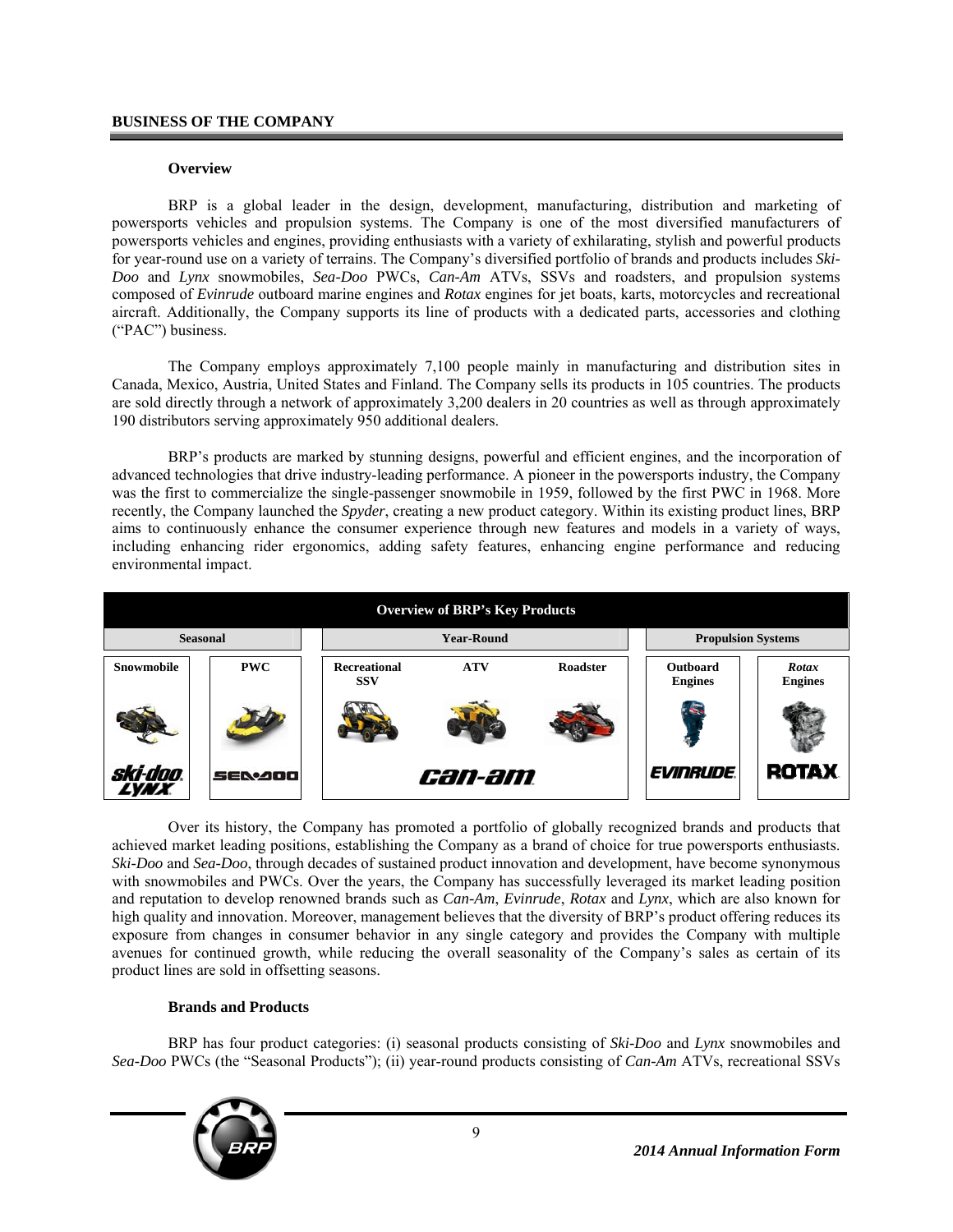#### **BUSINESS OF THE COMPANY**

#### **Overview**

BRP is a global leader in the design, development, manufacturing, distribution and marketing of powersports vehicles and propulsion systems. The Company is one of the most diversified manufacturers of powersports vehicles and engines, providing enthusiasts with a variety of exhilarating, stylish and powerful products for year-round use on a variety of terrains. The Company's diversified portfolio of brands and products includes *Ski-Doo* and *Lynx* snowmobiles, *Sea-Doo* PWCs, *Can-Am* ATVs, SSVs and roadsters, and propulsion systems composed of *Evinrude* outboard marine engines and *Rotax* engines for jet boats, karts, motorcycles and recreational aircraft. Additionally, the Company supports its line of products with a dedicated parts, accessories and clothing ("PAC") business.

The Company employs approximately 7,100 people mainly in manufacturing and distribution sites in Canada, Mexico, Austria, United States and Finland. The Company sells its products in 105 countries. The products are sold directly through a network of approximately 3,200 dealers in 20 countries as well as through approximately 190 distributors serving approximately 950 additional dealers.

BRP's products are marked by stunning designs, powerful and efficient engines, and the incorporation of advanced technologies that drive industry-leading performance. A pioneer in the powersports industry, the Company was the first to commercialize the single-passenger snowmobile in 1959, followed by the first PWC in 1968. More recently, the Company launched the *Spyder*, creating a new product category. Within its existing product lines, BRP aims to continuously enhance the consumer experience through new features and models in a variety of ways, including enhancing rider ergonomics, adding safety features, enhancing engine performance and reducing environmental impact.



Over its history, the Company has promoted a portfolio of globally recognized brands and products that achieved market leading positions, establishing the Company as a brand of choice for true powersports enthusiasts. *Ski-Doo* and *Sea-Doo*, through decades of sustained product innovation and development, have become synonymous with snowmobiles and PWCs. Over the years, the Company has successfully leveraged its market leading position and reputation to develop renowned brands such as *Can-Am*, *Evinrude*, *Rotax* and *Lynx*, which are also known for high quality and innovation. Moreover, management believes that the diversity of BRP's product offering reduces its exposure from changes in consumer behavior in any single category and provides the Company with multiple avenues for continued growth, while reducing the overall seasonality of the Company's sales as certain of its product lines are sold in offsetting seasons.

#### **Brands and Products**

BRP has four product categories: (i) seasonal products consisting of *Ski-Doo* and *Lynx* snowmobiles and *Sea-Doo* PWCs (the "Seasonal Products"); (ii) year-round products consisting of *Can-Am* ATVs, recreational SSVs

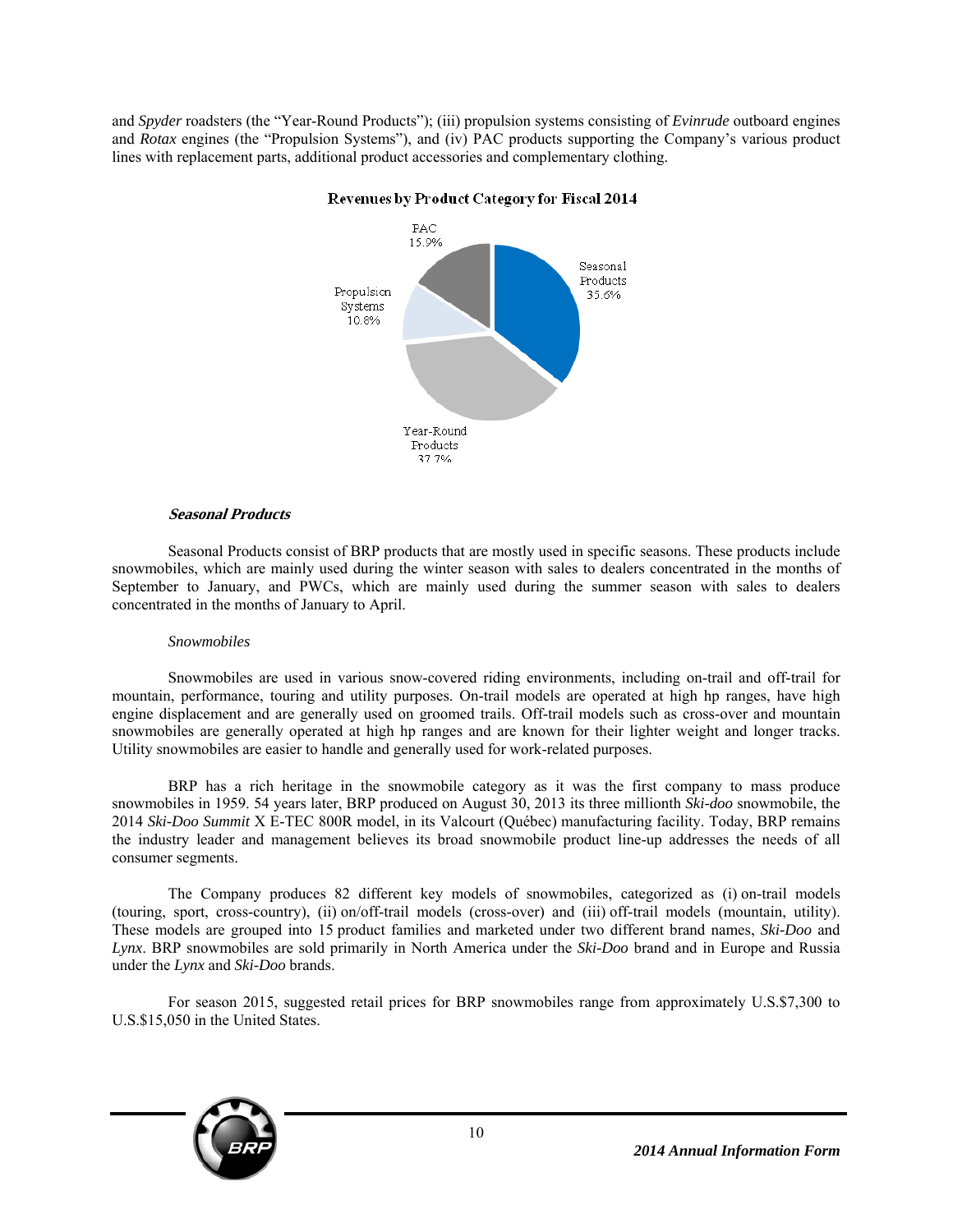and *Spyder* roadsters (the "Year-Round Products"); (iii) propulsion systems consisting of *Evinrude* outboard engines and *Rotax* engines (the "Propulsion Systems"), and (iv) PAC products supporting the Company's various product lines with replacement parts, additional product accessories and complementary clothing.



# Revenues by Product Category for Fiscal 2014

# **Seasonal Products**

Seasonal Products consist of BRP products that are mostly used in specific seasons. These products include snowmobiles, which are mainly used during the winter season with sales to dealers concentrated in the months of September to January, and PWCs, which are mainly used during the summer season with sales to dealers concentrated in the months of January to April.

#### *Snowmobiles*

Snowmobiles are used in various snow-covered riding environments, including on-trail and off-trail for mountain, performance, touring and utility purposes. On-trail models are operated at high hp ranges, have high engine displacement and are generally used on groomed trails. Off-trail models such as cross-over and mountain snowmobiles are generally operated at high hp ranges and are known for their lighter weight and longer tracks. Utility snowmobiles are easier to handle and generally used for work-related purposes.

BRP has a rich heritage in the snowmobile category as it was the first company to mass produce snowmobiles in 1959. 54 years later, BRP produced on August 30, 2013 its three millionth *Ski-doo* snowmobile, the 2014 *Ski-Doo Summit* X E-TEC 800R model, in its Valcourt (Québec) manufacturing facility. Today, BRP remains the industry leader and management believes its broad snowmobile product line-up addresses the needs of all consumer segments.

The Company produces 82 different key models of snowmobiles, categorized as (i) on-trail models (touring, sport, cross-country), (ii) on/off-trail models (cross-over) and (iii) off-trail models (mountain, utility). These models are grouped into 15 product families and marketed under two different brand names, *Ski-Doo* and *Lynx*. BRP snowmobiles are sold primarily in North America under the *Ski-Doo* brand and in Europe and Russia under the *Lynx* and *Ski-Doo* brands.

For season 2015, suggested retail prices for BRP snowmobiles range from approximately U.S.\$7,300 to U.S.\$15,050 in the United States.

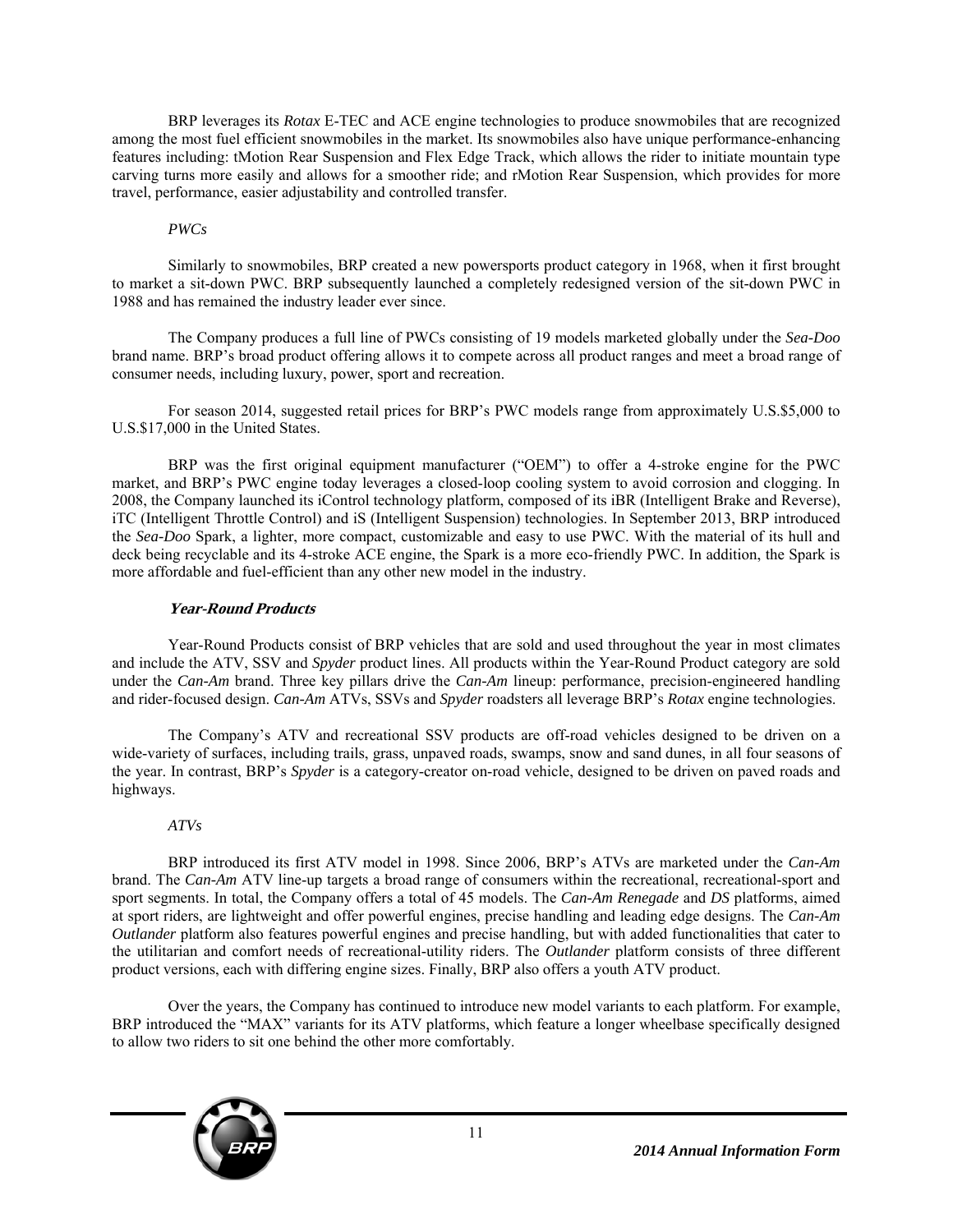BRP leverages its *Rotax* E-TEC and ACE engine technologies to produce snowmobiles that are recognized among the most fuel efficient snowmobiles in the market. Its snowmobiles also have unique performance-enhancing features including: tMotion Rear Suspension and Flex Edge Track, which allows the rider to initiate mountain type carving turns more easily and allows for a smoother ride; and rMotion Rear Suspension, which provides for more travel, performance, easier adjustability and controlled transfer.

# *PWCs*

Similarly to snowmobiles, BRP created a new powersports product category in 1968, when it first brought to market a sit-down PWC. BRP subsequently launched a completely redesigned version of the sit-down PWC in 1988 and has remained the industry leader ever since.

The Company produces a full line of PWCs consisting of 19 models marketed globally under the *Sea-Doo* brand name. BRP's broad product offering allows it to compete across all product ranges and meet a broad range of consumer needs, including luxury, power, sport and recreation.

For season 2014, suggested retail prices for BRP's PWC models range from approximately U.S.\$5,000 to U.S.\$17,000 in the United States.

BRP was the first original equipment manufacturer ("OEM") to offer a 4-stroke engine for the PWC market, and BRP's PWC engine today leverages a closed-loop cooling system to avoid corrosion and clogging. In 2008, the Company launched its iControl technology platform, composed of its iBR (Intelligent Brake and Reverse), iTC (Intelligent Throttle Control) and iS (Intelligent Suspension) technologies. In September 2013, BRP introduced the *Sea-Doo* Spark, a lighter, more compact, customizable and easy to use PWC. With the material of its hull and deck being recyclable and its 4-stroke ACE engine, the Spark is a more eco-friendly PWC. In addition, the Spark is more affordable and fuel-efficient than any other new model in the industry.

# **Year-Round Products**

Year-Round Products consist of BRP vehicles that are sold and used throughout the year in most climates and include the ATV, SSV and *Spyder* product lines. All products within the Year-Round Product category are sold under the *Can-Am* brand. Three key pillars drive the *Can-Am* lineup: performance, precision-engineered handling and rider-focused design. *Can-Am* ATVs, SSVs and *Spyder* roadsters all leverage BRP's *Rotax* engine technologies.

The Company's ATV and recreational SSV products are off-road vehicles designed to be driven on a wide-variety of surfaces, including trails, grass, unpaved roads, swamps, snow and sand dunes, in all four seasons of the year. In contrast, BRP's *Spyder* is a category-creator on-road vehicle, designed to be driven on paved roads and highways.

# *ATVs*

BRP introduced its first ATV model in 1998. Since 2006, BRP's ATVs are marketed under the *Can-Am* brand. The *Can-Am* ATV line-up targets a broad range of consumers within the recreational, recreational-sport and sport segments. In total, the Company offers a total of 45 models. The *Can-Am Renegade* and *DS* platforms, aimed at sport riders, are lightweight and offer powerful engines, precise handling and leading edge designs. The *Can-Am Outlander* platform also features powerful engines and precise handling, but with added functionalities that cater to the utilitarian and comfort needs of recreational-utility riders. The *Outlander* platform consists of three different product versions, each with differing engine sizes. Finally, BRP also offers a youth ATV product.

Over the years, the Company has continued to introduce new model variants to each platform. For example, BRP introduced the "MAX" variants for its ATV platforms, which feature a longer wheelbase specifically designed to allow two riders to sit one behind the other more comfortably.

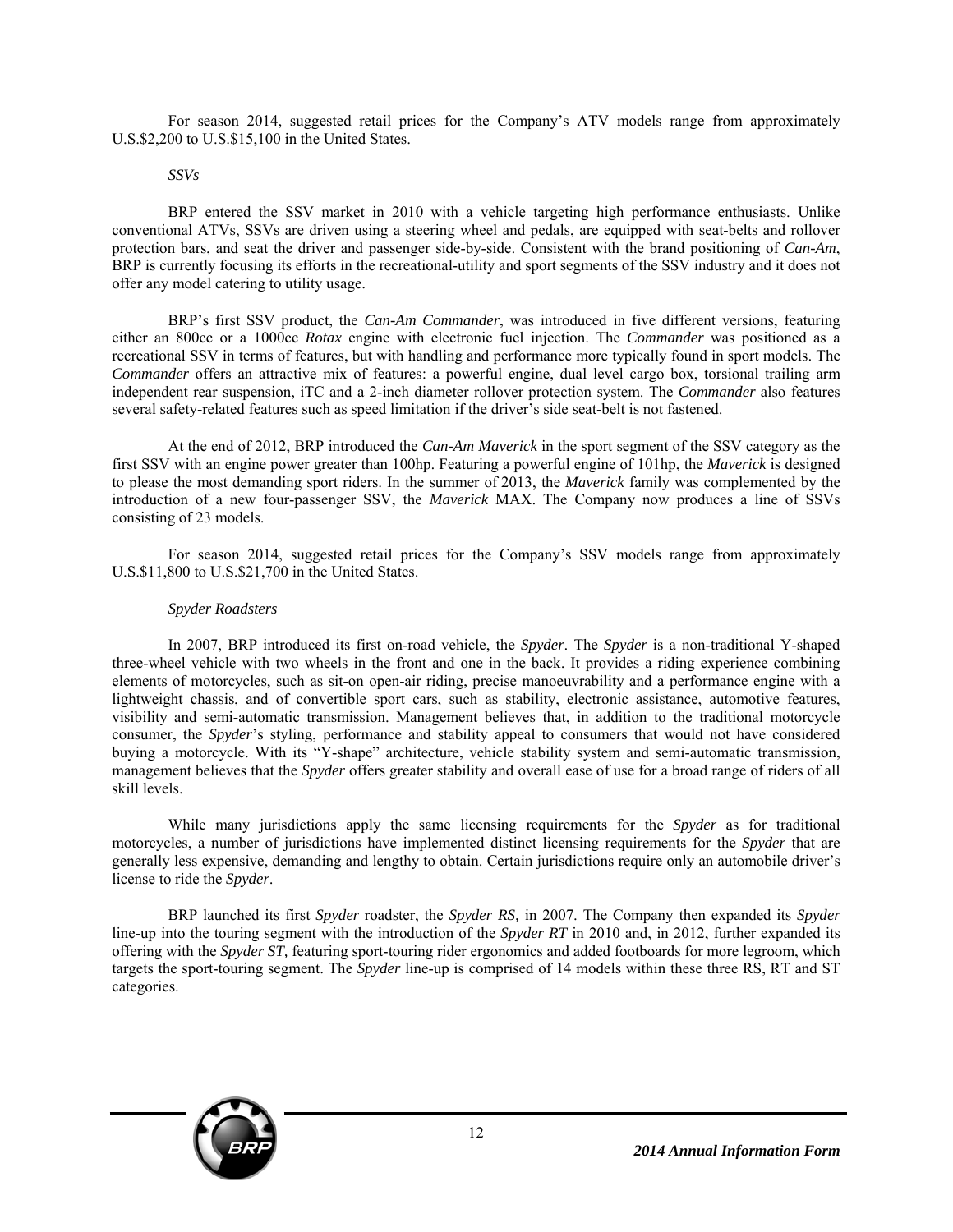For season 2014, suggested retail prices for the Company's ATV models range from approximately U.S.\$2,200 to U.S.\$15,100 in the United States.

#### *SSVs*

BRP entered the SSV market in 2010 with a vehicle targeting high performance enthusiasts. Unlike conventional ATVs, SSVs are driven using a steering wheel and pedals, are equipped with seat-belts and rollover protection bars, and seat the driver and passenger side-by-side. Consistent with the brand positioning of *Can-Am*, BRP is currently focusing its efforts in the recreational-utility and sport segments of the SSV industry and it does not offer any model catering to utility usage.

BRP's first SSV product, the *Can-Am Commander*, was introduced in five different versions, featuring either an 800cc or a 1000cc *Rotax* engine with electronic fuel injection. The *Commander* was positioned as a recreational SSV in terms of features, but with handling and performance more typically found in sport models. The *Commander* offers an attractive mix of features: a powerful engine, dual level cargo box, torsional trailing arm independent rear suspension, iTC and a 2-inch diameter rollover protection system. The *Commander* also features several safety-related features such as speed limitation if the driver's side seat-belt is not fastened.

At the end of 2012, BRP introduced the *Can-Am Maverick* in the sport segment of the SSV category as the first SSV with an engine power greater than 100hp. Featuring a powerful engine of 101hp, the *Maverick* is designed to please the most demanding sport riders. In the summer of 2013, the *Maverick* family was complemented by the introduction of a new four-passenger SSV, the *Maverick* MAX. The Company now produces a line of SSVs consisting of 23 models.

For season 2014, suggested retail prices for the Company's SSV models range from approximately U.S.\$11,800 to U.S.\$21,700 in the United States.

#### *Spyder Roadsters*

In 2007, BRP introduced its first on-road vehicle, the *Spyder*. The *Spyder* is a non-traditional Y-shaped three-wheel vehicle with two wheels in the front and one in the back. It provides a riding experience combining elements of motorcycles, such as sit-on open-air riding, precise manoeuvrability and a performance engine with a lightweight chassis, and of convertible sport cars, such as stability, electronic assistance, automotive features, visibility and semi-automatic transmission. Management believes that, in addition to the traditional motorcycle consumer, the *Spyder*'s styling, performance and stability appeal to consumers that would not have considered buying a motorcycle. With its "Y-shape" architecture, vehicle stability system and semi-automatic transmission, management believes that the *Spyder* offers greater stability and overall ease of use for a broad range of riders of all skill levels.

While many jurisdictions apply the same licensing requirements for the *Spyder* as for traditional motorcycles, a number of jurisdictions have implemented distinct licensing requirements for the *Spyder* that are generally less expensive, demanding and lengthy to obtain. Certain jurisdictions require only an automobile driver's license to ride the *Spyder*.

BRP launched its first *Spyder* roadster, the *Spyder RS,* in 2007. The Company then expanded its *Spyder* line-up into the touring segment with the introduction of the *Spyder RT* in 2010 and, in 2012, further expanded its offering with the *Spyder ST,* featuring sport-touring rider ergonomics and added footboards for more legroom, which targets the sport-touring segment. The *Spyder* line-up is comprised of 14 models within these three RS, RT and ST categories.

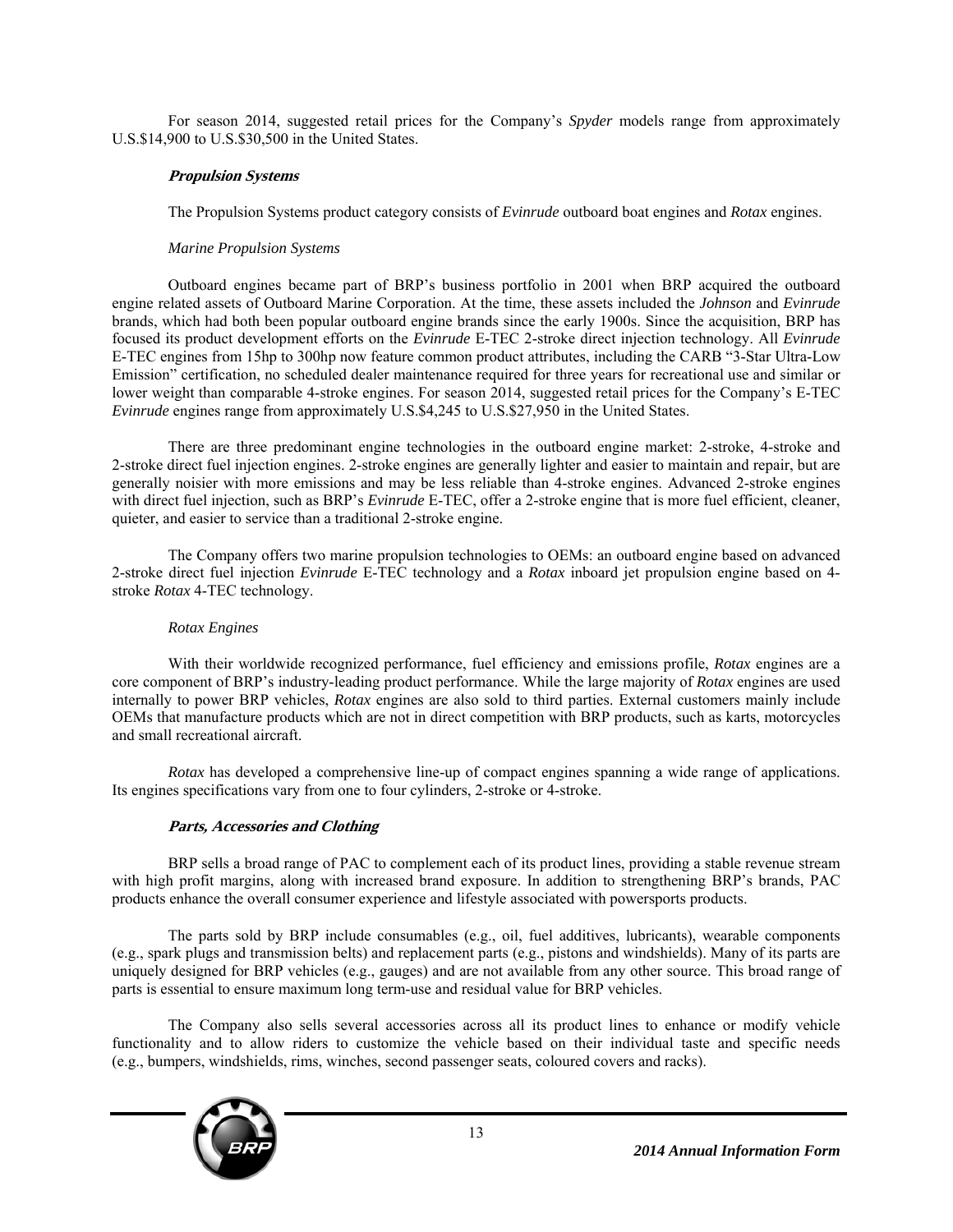For season 2014, suggested retail prices for the Company's *Spyder* models range from approximately U.S.\$14,900 to U.S.\$30,500 in the United States.

# **Propulsion Systems**

The Propulsion Systems product category consists of *Evinrude* outboard boat engines and *Rotax* engines.

# *Marine Propulsion Systems*

Outboard engines became part of BRP's business portfolio in 2001 when BRP acquired the outboard engine related assets of Outboard Marine Corporation. At the time, these assets included the *Johnson* and *Evinrude* brands, which had both been popular outboard engine brands since the early 1900s. Since the acquisition, BRP has focused its product development efforts on the *Evinrude* E-TEC 2-stroke direct injection technology. All *Evinrude* E-TEC engines from 15hp to 300hp now feature common product attributes, including the CARB "3-Star Ultra-Low Emission" certification, no scheduled dealer maintenance required for three years for recreational use and similar or lower weight than comparable 4-stroke engines. For season 2014, suggested retail prices for the Company's E-TEC *Evinrude* engines range from approximately U.S.\$4,245 to U.S.\$27,950 in the United States.

There are three predominant engine technologies in the outboard engine market: 2-stroke, 4-stroke and 2-stroke direct fuel injection engines. 2-stroke engines are generally lighter and easier to maintain and repair, but are generally noisier with more emissions and may be less reliable than 4-stroke engines. Advanced 2-stroke engines with direct fuel injection, such as BRP's *Evinrude* E-TEC, offer a 2-stroke engine that is more fuel efficient, cleaner, quieter, and easier to service than a traditional 2-stroke engine.

The Company offers two marine propulsion technologies to OEMs: an outboard engine based on advanced 2-stroke direct fuel injection *Evinrude* E-TEC technology and a *Rotax* inboard jet propulsion engine based on 4 stroke *Rotax* 4-TEC technology.

#### *Rotax Engines*

With their worldwide recognized performance, fuel efficiency and emissions profile, *Rotax* engines are a core component of BRP's industry-leading product performance. While the large majority of *Rotax* engines are used internally to power BRP vehicles, *Rotax* engines are also sold to third parties. External customers mainly include OEMs that manufacture products which are not in direct competition with BRP products, such as karts, motorcycles and small recreational aircraft.

*Rotax* has developed a comprehensive line-up of compact engines spanning a wide range of applications. Its engines specifications vary from one to four cylinders, 2-stroke or 4-stroke.

# **Parts, Accessories and Clothing**

BRP sells a broad range of PAC to complement each of its product lines, providing a stable revenue stream with high profit margins, along with increased brand exposure. In addition to strengthening BRP's brands, PAC products enhance the overall consumer experience and lifestyle associated with powersports products.

The parts sold by BRP include consumables (e.g., oil, fuel additives, lubricants), wearable components (e.g., spark plugs and transmission belts) and replacement parts (e.g., pistons and windshields). Many of its parts are uniquely designed for BRP vehicles (e.g., gauges) and are not available from any other source. This broad range of parts is essential to ensure maximum long term-use and residual value for BRP vehicles.

The Company also sells several accessories across all its product lines to enhance or modify vehicle functionality and to allow riders to customize the vehicle based on their individual taste and specific needs (e.g., bumpers, windshields, rims, winches, second passenger seats, coloured covers and racks).

13

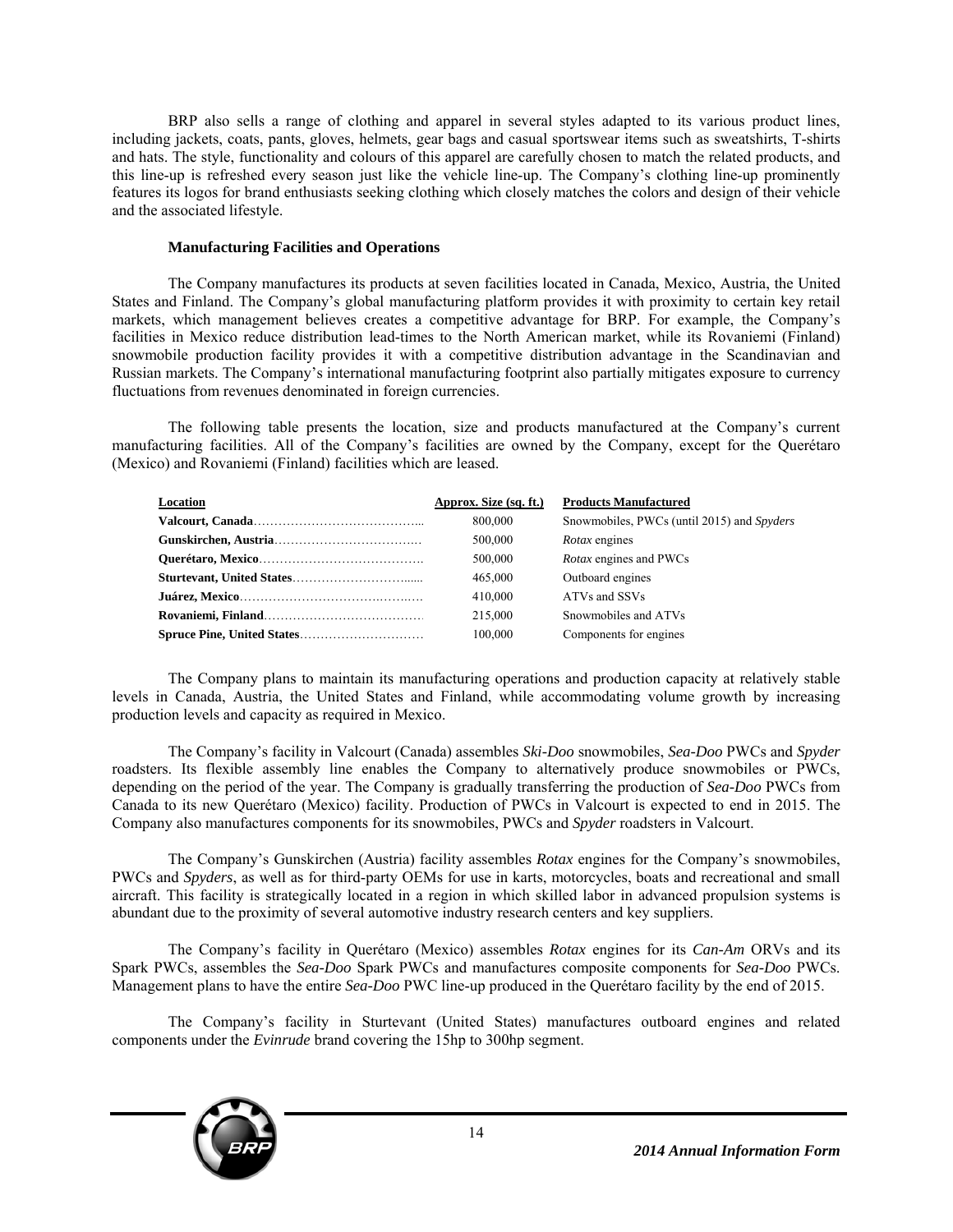BRP also sells a range of clothing and apparel in several styles adapted to its various product lines, including jackets, coats, pants, gloves, helmets, gear bags and casual sportswear items such as sweatshirts, T-shirts and hats. The style, functionality and colours of this apparel are carefully chosen to match the related products, and this line-up is refreshed every season just like the vehicle line-up. The Company's clothing line-up prominently features its logos for brand enthusiasts seeking clothing which closely matches the colors and design of their vehicle and the associated lifestyle.

#### **Manufacturing Facilities and Operations**

The Company manufactures its products at seven facilities located in Canada, Mexico, Austria, the United States and Finland. The Company's global manufacturing platform provides it with proximity to certain key retail markets, which management believes creates a competitive advantage for BRP. For example, the Company's facilities in Mexico reduce distribution lead-times to the North American market, while its Rovaniemi (Finland) snowmobile production facility provides it with a competitive distribution advantage in the Scandinavian and Russian markets. The Company's international manufacturing footprint also partially mitigates exposure to currency fluctuations from revenues denominated in foreign currencies.

The following table presents the location, size and products manufactured at the Company's current manufacturing facilities. All of the Company's facilities are owned by the Company, except for the Querétaro (Mexico) and Rovaniemi (Finland) facilities which are leased.

| <b>Location</b> | Approx. Size (sq. ft.) | <b>Products Manufactured</b>               |
|-----------------|------------------------|--------------------------------------------|
|                 | 800,000                | Snowmobiles, PWCs (until 2015) and Spyders |
|                 | 500,000                | <i>Rotax</i> engines                       |
|                 | 500,000                | <i>Rotax</i> engines and PWCs              |
|                 | 465,000                | Outboard engines                           |
|                 | 410,000                | ATVs and SSVs                              |
|                 | 215,000                | Snowmobiles and ATVs                       |
|                 | 100,000                | Components for engines                     |

The Company plans to maintain its manufacturing operations and production capacity at relatively stable levels in Canada, Austria, the United States and Finland, while accommodating volume growth by increasing production levels and capacity as required in Mexico.

The Company's facility in Valcourt (Canada) assembles *Ski-Doo* snowmobiles, *Sea-Doo* PWCs and *Spyder* roadsters. Its flexible assembly line enables the Company to alternatively produce snowmobiles or PWCs, depending on the period of the year. The Company is gradually transferring the production of *Sea-Doo* PWCs from Canada to its new Querétaro (Mexico) facility. Production of PWCs in Valcourt is expected to end in 2015. The Company also manufactures components for its snowmobiles, PWCs and *Spyder* roadsters in Valcourt.

The Company's Gunskirchen (Austria) facility assembles *Rotax* engines for the Company's snowmobiles, PWCs and *Spyders*, as well as for third-party OEMs for use in karts, motorcycles, boats and recreational and small aircraft. This facility is strategically located in a region in which skilled labor in advanced propulsion systems is abundant due to the proximity of several automotive industry research centers and key suppliers.

The Company's facility in Querétaro (Mexico) assembles *Rotax* engines for its *Can-Am* ORVs and its Spark PWCs, assembles the *Sea-Doo* Spark PWCs and manufactures composite components for *Sea-Doo* PWCs. Management plans to have the entire *Sea-Doo* PWC line-up produced in the Querétaro facility by the end of 2015.

The Company's facility in Sturtevant (United States) manufactures outboard engines and related components under the *Evinrude* brand covering the 15hp to 300hp segment.

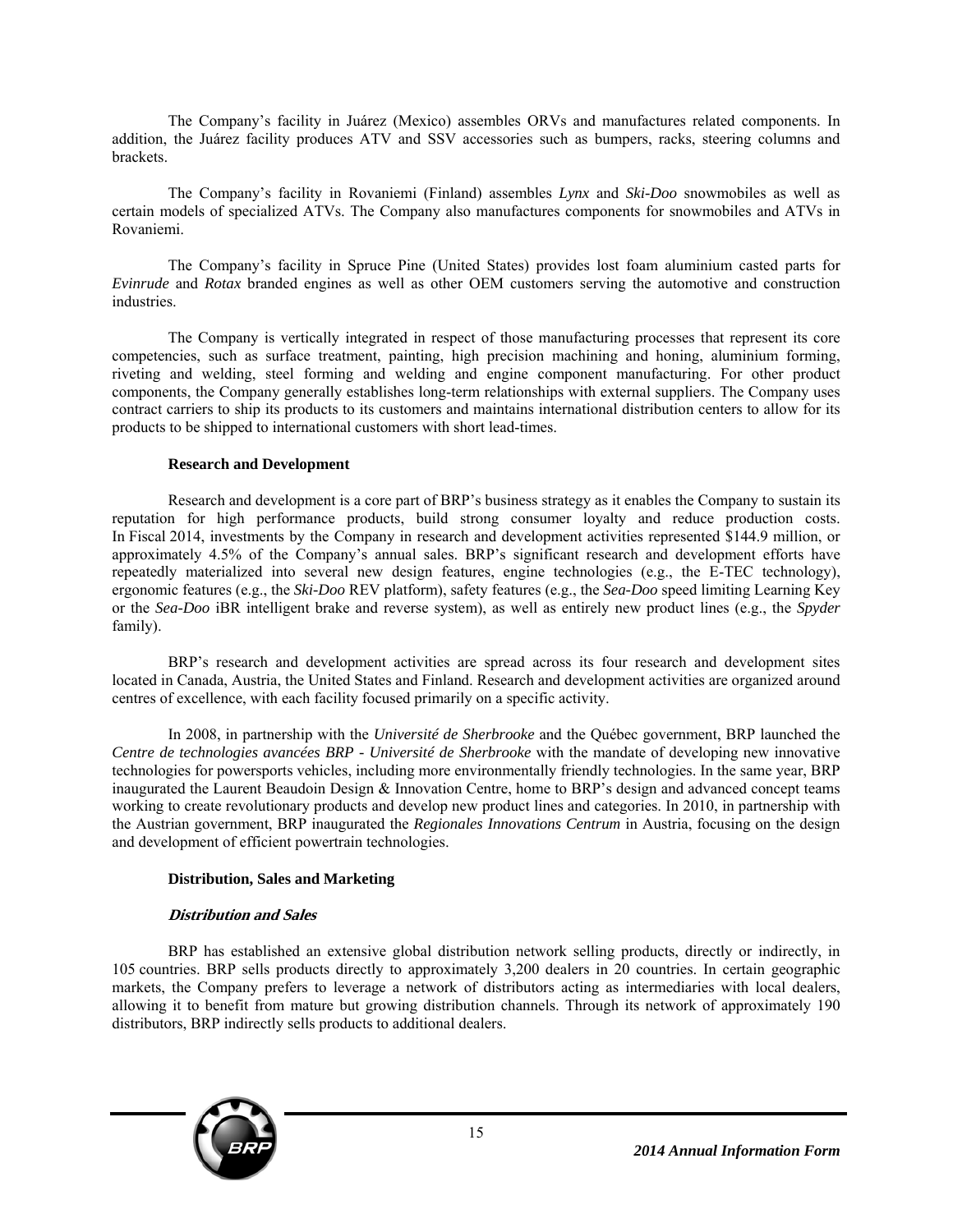The Company's facility in Juárez (Mexico) assembles ORVs and manufactures related components. In addition, the Juárez facility produces ATV and SSV accessories such as bumpers, racks, steering columns and brackets.

The Company's facility in Rovaniemi (Finland) assembles *Lynx* and *Ski-Doo* snowmobiles as well as certain models of specialized ATVs. The Company also manufactures components for snowmobiles and ATVs in Rovaniemi.

The Company's facility in Spruce Pine (United States) provides lost foam aluminium casted parts for *Evinrude* and *Rotax* branded engines as well as other OEM customers serving the automotive and construction industries.

The Company is vertically integrated in respect of those manufacturing processes that represent its core competencies, such as surface treatment, painting, high precision machining and honing, aluminium forming, riveting and welding, steel forming and welding and engine component manufacturing. For other product components, the Company generally establishes long-term relationships with external suppliers. The Company uses contract carriers to ship its products to its customers and maintains international distribution centers to allow for its products to be shipped to international customers with short lead-times.

#### **Research and Development**

Research and development is a core part of BRP's business strategy as it enables the Company to sustain its reputation for high performance products, build strong consumer loyalty and reduce production costs. In Fiscal 2014, investments by the Company in research and development activities represented \$144.9 million, or approximately 4.5% of the Company's annual sales. BRP's significant research and development efforts have repeatedly materialized into several new design features, engine technologies (e.g., the E-TEC technology), ergonomic features (e.g., the *Ski-Doo* REV platform), safety features (e.g., the *Sea-Doo* speed limiting Learning Key or the *Sea-Doo* iBR intelligent brake and reverse system), as well as entirely new product lines (e.g., the *Spyder* family).

BRP's research and development activities are spread across its four research and development sites located in Canada, Austria, the United States and Finland. Research and development activities are organized around centres of excellence, with each facility focused primarily on a specific activity.

In 2008, in partnership with the *Université de Sherbrooke* and the Québec government, BRP launched the *Centre de technologies avancées BRP - Université de Sherbrooke* with the mandate of developing new innovative technologies for powersports vehicles, including more environmentally friendly technologies. In the same year, BRP inaugurated the Laurent Beaudoin Design & Innovation Centre, home to BRP's design and advanced concept teams working to create revolutionary products and develop new product lines and categories. In 2010, in partnership with the Austrian government, BRP inaugurated the *Regionales Innovations Centrum* in Austria, focusing on the design and development of efficient powertrain technologies.

#### **Distribution, Sales and Marketing**

#### **Distribution and Sales**

BRP has established an extensive global distribution network selling products, directly or indirectly, in 105 countries. BRP sells products directly to approximately 3,200 dealers in 20 countries. In certain geographic markets, the Company prefers to leverage a network of distributors acting as intermediaries with local dealers, allowing it to benefit from mature but growing distribution channels. Through its network of approximately 190 distributors, BRP indirectly sells products to additional dealers.

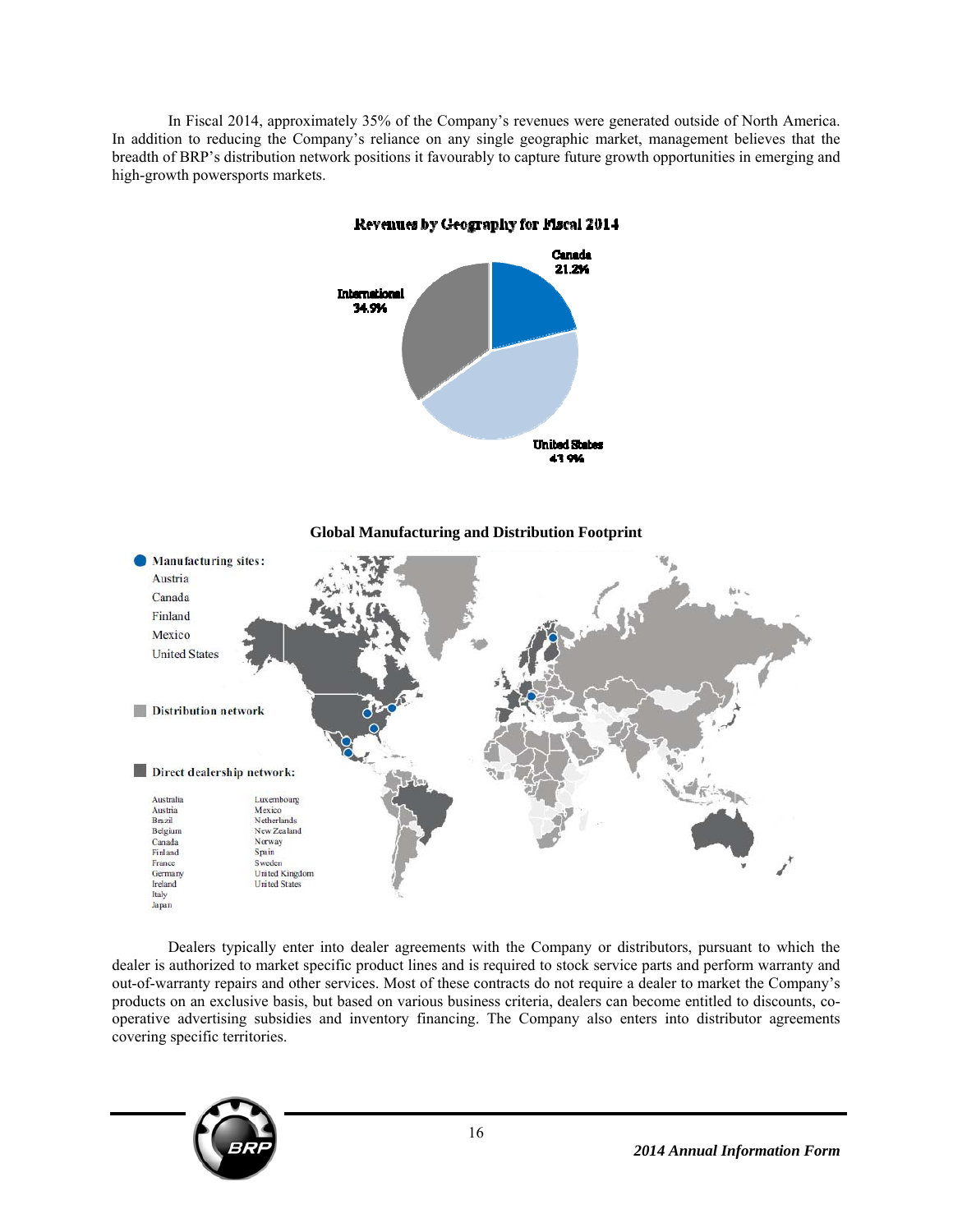In Fiscal 2014, approximately 35% of the Company's revenues were generated outside of North America. In addition to reducing the Company's reliance on any single geographic market, management believes that the breadth of BRP's distribution network positions it favourably to capture future growth opportunities in emerging and high-growth powersports markets.



Dealers typically enter into dealer agreements with the Company or distributors, pursuant to which the dealer is authorized to market specific product lines and is required to stock service parts and perform warranty and out-of-warranty repairs and other services. Most of these contracts do not require a dealer to market the Company's products on an exclusive basis, but based on various business criteria, dealers can become entitled to discounts, cooperative advertising subsidies and inventory financing. The Company also enters into distributor agreements covering specific territories.

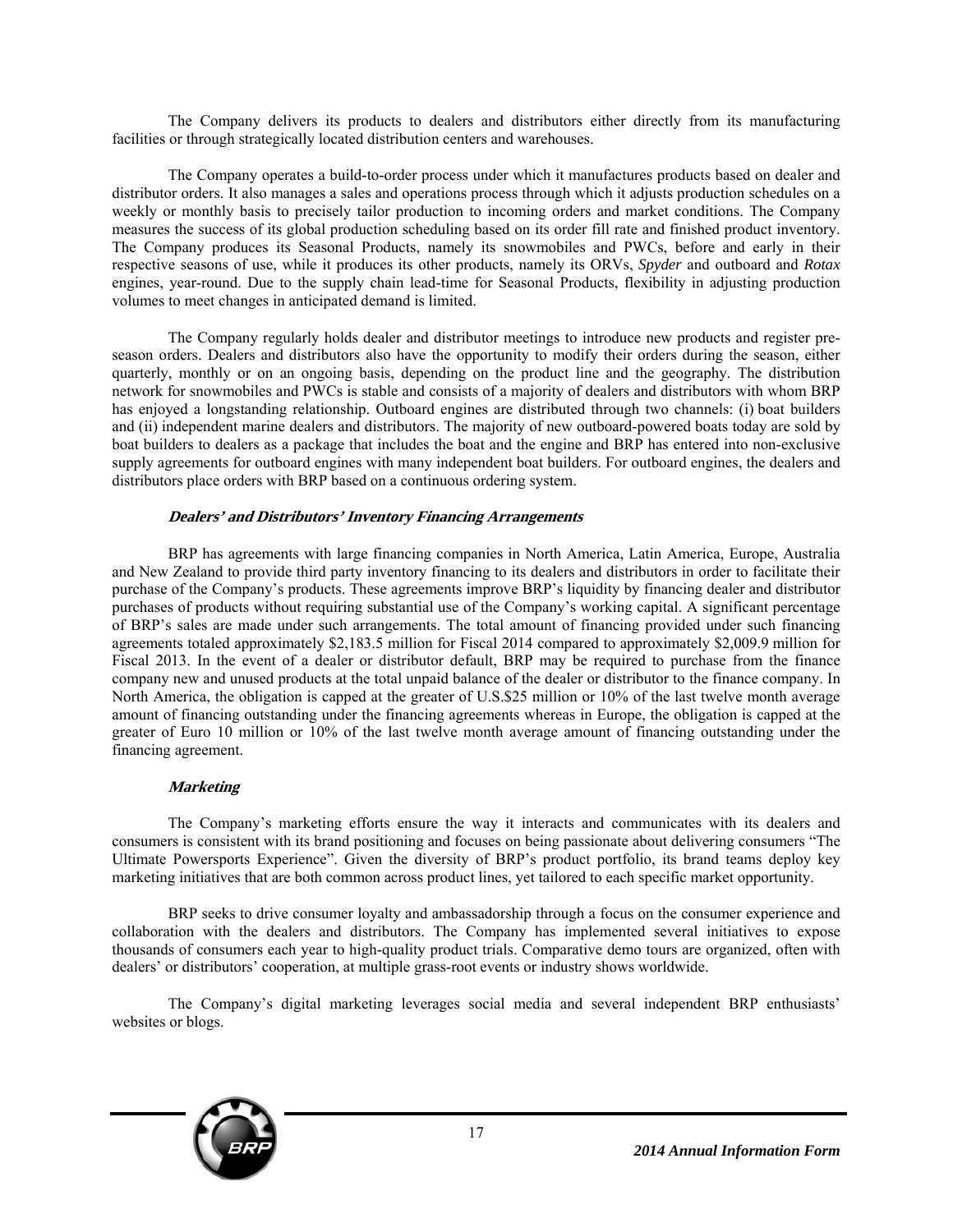The Company delivers its products to dealers and distributors either directly from its manufacturing facilities or through strategically located distribution centers and warehouses.

The Company operates a build-to-order process under which it manufactures products based on dealer and distributor orders. It also manages a sales and operations process through which it adjusts production schedules on a weekly or monthly basis to precisely tailor production to incoming orders and market conditions. The Company measures the success of its global production scheduling based on its order fill rate and finished product inventory. The Company produces its Seasonal Products, namely its snowmobiles and PWCs, before and early in their respective seasons of use, while it produces its other products, namely its ORVs, *Spyder* and outboard and *Rotax*  engines, year-round. Due to the supply chain lead-time for Seasonal Products, flexibility in adjusting production volumes to meet changes in anticipated demand is limited.

The Company regularly holds dealer and distributor meetings to introduce new products and register preseason orders. Dealers and distributors also have the opportunity to modify their orders during the season, either quarterly, monthly or on an ongoing basis, depending on the product line and the geography. The distribution network for snowmobiles and PWCs is stable and consists of a majority of dealers and distributors with whom BRP has enjoyed a longstanding relationship. Outboard engines are distributed through two channels: (i) boat builders and (ii) independent marine dealers and distributors. The majority of new outboard-powered boats today are sold by boat builders to dealers as a package that includes the boat and the engine and BRP has entered into non-exclusive supply agreements for outboard engines with many independent boat builders. For outboard engines, the dealers and distributors place orders with BRP based on a continuous ordering system.

#### **Dealers' and Distributors' Inventory Financing Arrangements**

BRP has agreements with large financing companies in North America, Latin America, Europe, Australia and New Zealand to provide third party inventory financing to its dealers and distributors in order to facilitate their purchase of the Company's products. These agreements improve BRP's liquidity by financing dealer and distributor purchases of products without requiring substantial use of the Company's working capital. A significant percentage of BRP's sales are made under such arrangements. The total amount of financing provided under such financing agreements totaled approximately \$2,183.5 million for Fiscal 2014 compared to approximately \$2,009.9 million for Fiscal 2013. In the event of a dealer or distributor default, BRP may be required to purchase from the finance company new and unused products at the total unpaid balance of the dealer or distributor to the finance company. In North America, the obligation is capped at the greater of U.S.\$25 million or 10% of the last twelve month average amount of financing outstanding under the financing agreements whereas in Europe, the obligation is capped at the greater of Euro 10 million or 10% of the last twelve month average amount of financing outstanding under the financing agreement.

#### **Marketing**

The Company's marketing efforts ensure the way it interacts and communicates with its dealers and consumers is consistent with its brand positioning and focuses on being passionate about delivering consumers "The Ultimate Powersports Experience". Given the diversity of BRP's product portfolio, its brand teams deploy key marketing initiatives that are both common across product lines, yet tailored to each specific market opportunity.

BRP seeks to drive consumer loyalty and ambassadorship through a focus on the consumer experience and collaboration with the dealers and distributors. The Company has implemented several initiatives to expose thousands of consumers each year to high-quality product trials. Comparative demo tours are organized, often with dealers' or distributors' cooperation, at multiple grass-root events or industry shows worldwide.

The Company's digital marketing leverages social media and several independent BRP enthusiasts' websites or blogs.

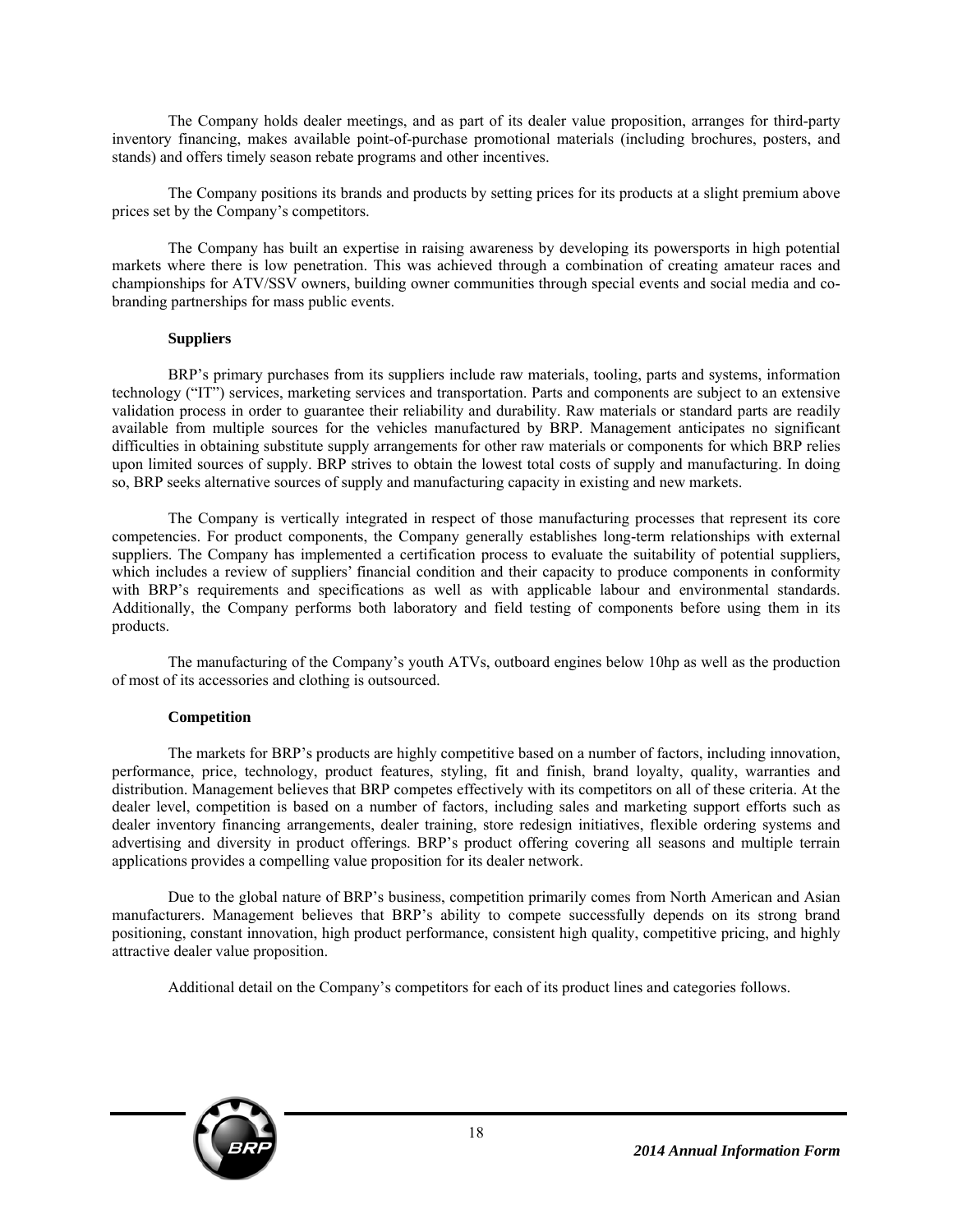The Company holds dealer meetings, and as part of its dealer value proposition, arranges for third-party inventory financing, makes available point-of-purchase promotional materials (including brochures, posters, and stands) and offers timely season rebate programs and other incentives.

The Company positions its brands and products by setting prices for its products at a slight premium above prices set by the Company's competitors.

The Company has built an expertise in raising awareness by developing its powersports in high potential markets where there is low penetration. This was achieved through a combination of creating amateur races and championships for ATV/SSV owners, building owner communities through special events and social media and cobranding partnerships for mass public events.

#### **Suppliers**

BRP's primary purchases from its suppliers include raw materials, tooling, parts and systems, information technology ("IT") services, marketing services and transportation. Parts and components are subject to an extensive validation process in order to guarantee their reliability and durability. Raw materials or standard parts are readily available from multiple sources for the vehicles manufactured by BRP. Management anticipates no significant difficulties in obtaining substitute supply arrangements for other raw materials or components for which BRP relies upon limited sources of supply. BRP strives to obtain the lowest total costs of supply and manufacturing. In doing so, BRP seeks alternative sources of supply and manufacturing capacity in existing and new markets.

The Company is vertically integrated in respect of those manufacturing processes that represent its core competencies. For product components, the Company generally establishes long-term relationships with external suppliers. The Company has implemented a certification process to evaluate the suitability of potential suppliers, which includes a review of suppliers' financial condition and their capacity to produce components in conformity with BRP's requirements and specifications as well as with applicable labour and environmental standards. Additionally, the Company performs both laboratory and field testing of components before using them in its products.

The manufacturing of the Company's youth ATVs, outboard engines below 10hp as well as the production of most of its accessories and clothing is outsourced.

#### **Competition**

The markets for BRP's products are highly competitive based on a number of factors, including innovation, performance, price, technology, product features, styling, fit and finish, brand loyalty, quality, warranties and distribution. Management believes that BRP competes effectively with its competitors on all of these criteria. At the dealer level, competition is based on a number of factors, including sales and marketing support efforts such as dealer inventory financing arrangements, dealer training, store redesign initiatives, flexible ordering systems and advertising and diversity in product offerings. BRP's product offering covering all seasons and multiple terrain applications provides a compelling value proposition for its dealer network.

Due to the global nature of BRP's business, competition primarily comes from North American and Asian manufacturers. Management believes that BRP's ability to compete successfully depends on its strong brand positioning, constant innovation, high product performance, consistent high quality, competitive pricing, and highly attractive dealer value proposition.

Additional detail on the Company's competitors for each of its product lines and categories follows.

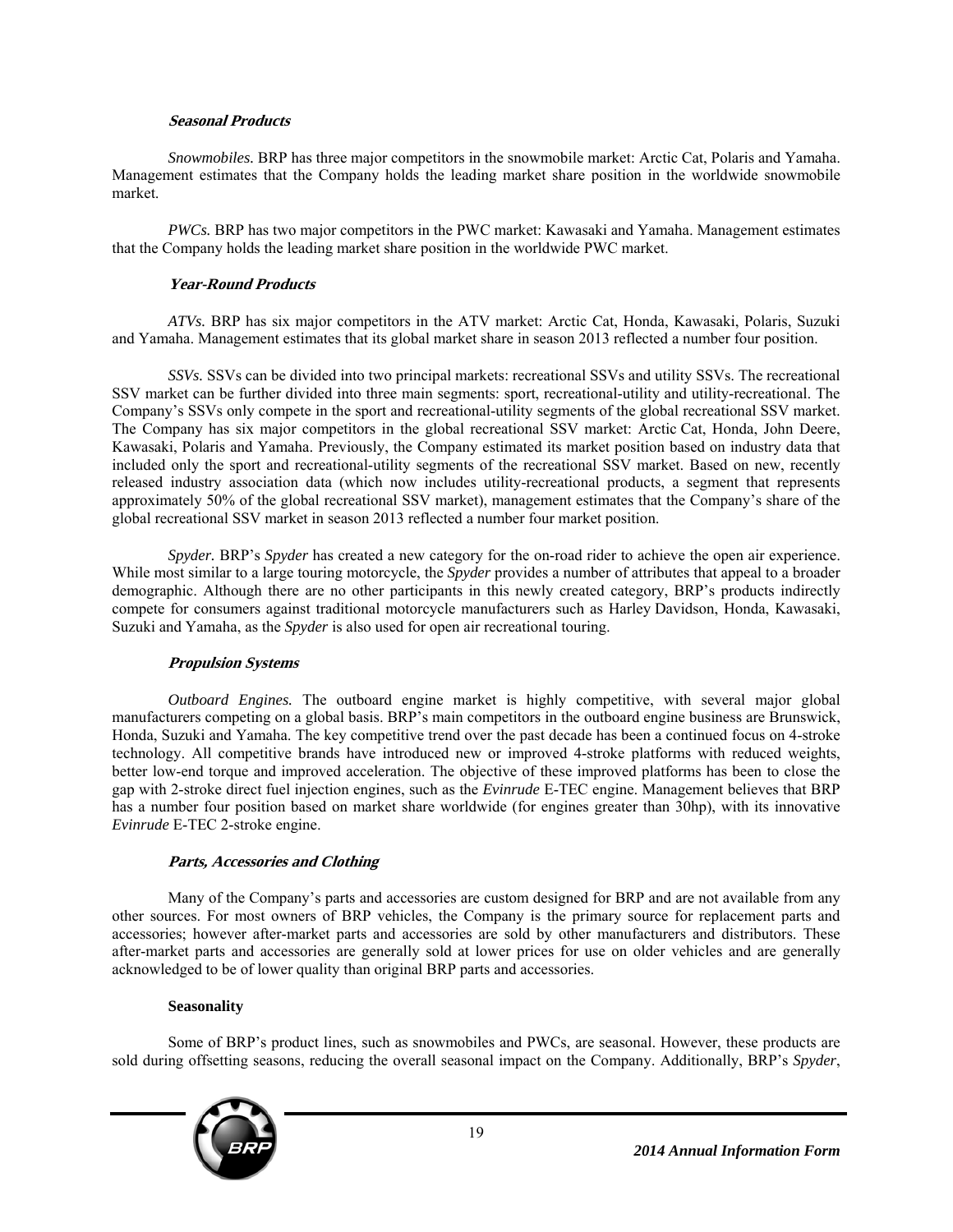#### **Seasonal Products**

*Snowmobiles.* BRP has three major competitors in the snowmobile market: Arctic Cat, Polaris and Yamaha. Management estimates that the Company holds the leading market share position in the worldwide snowmobile market.

*PWCs.* BRP has two major competitors in the PWC market: Kawasaki and Yamaha. Management estimates that the Company holds the leading market share position in the worldwide PWC market.

#### **Year-Round Products**

*ATVs.* BRP has six major competitors in the ATV market: Arctic Cat, Honda, Kawasaki, Polaris, Suzuki and Yamaha. Management estimates that its global market share in season 2013 reflected a number four position.

*SSVs.* SSVs can be divided into two principal markets: recreational SSVs and utility SSVs. The recreational SSV market can be further divided into three main segments: sport, recreational-utility and utility-recreational. The Company's SSVs only compete in the sport and recreational-utility segments of the global recreational SSV market. The Company has six major competitors in the global recreational SSV market: Arctic Cat, Honda, John Deere, Kawasaki, Polaris and Yamaha. Previously, the Company estimated its market position based on industry data that included only the sport and recreational-utility segments of the recreational SSV market. Based on new, recently released industry association data (which now includes utility-recreational products, a segment that represents approximately 50% of the global recreational SSV market), management estimates that the Company's share of the global recreational SSV market in season 2013 reflected a number four market position.

*Spyder.* BRP's *Spyder* has created a new category for the on-road rider to achieve the open air experience. While most similar to a large touring motorcycle, the *Spyder* provides a number of attributes that appeal to a broader demographic. Although there are no other participants in this newly created category, BRP's products indirectly compete for consumers against traditional motorcycle manufacturers such as Harley Davidson, Honda, Kawasaki, Suzuki and Yamaha, as the *Spyder* is also used for open air recreational touring.

#### **Propulsion Systems**

*Outboard Engines.* The outboard engine market is highly competitive, with several major global manufacturers competing on a global basis. BRP's main competitors in the outboard engine business are Brunswick, Honda, Suzuki and Yamaha. The key competitive trend over the past decade has been a continued focus on 4-stroke technology. All competitive brands have introduced new or improved 4-stroke platforms with reduced weights, better low-end torque and improved acceleration. The objective of these improved platforms has been to close the gap with 2-stroke direct fuel injection engines, such as the *Evinrude* E-TEC engine. Management believes that BRP has a number four position based on market share worldwide (for engines greater than 30hp), with its innovative *Evinrude* E-TEC 2-stroke engine.

#### **Parts, Accessories and Clothing**

Many of the Company's parts and accessories are custom designed for BRP and are not available from any other sources. For most owners of BRP vehicles, the Company is the primary source for replacement parts and accessories; however after-market parts and accessories are sold by other manufacturers and distributors. These after-market parts and accessories are generally sold at lower prices for use on older vehicles and are generally acknowledged to be of lower quality than original BRP parts and accessories.

#### **Seasonality**

Some of BRP's product lines, such as snowmobiles and PWCs, are seasonal. However, these products are sold during offsetting seasons, reducing the overall seasonal impact on the Company. Additionally, BRP's *Spyder*,

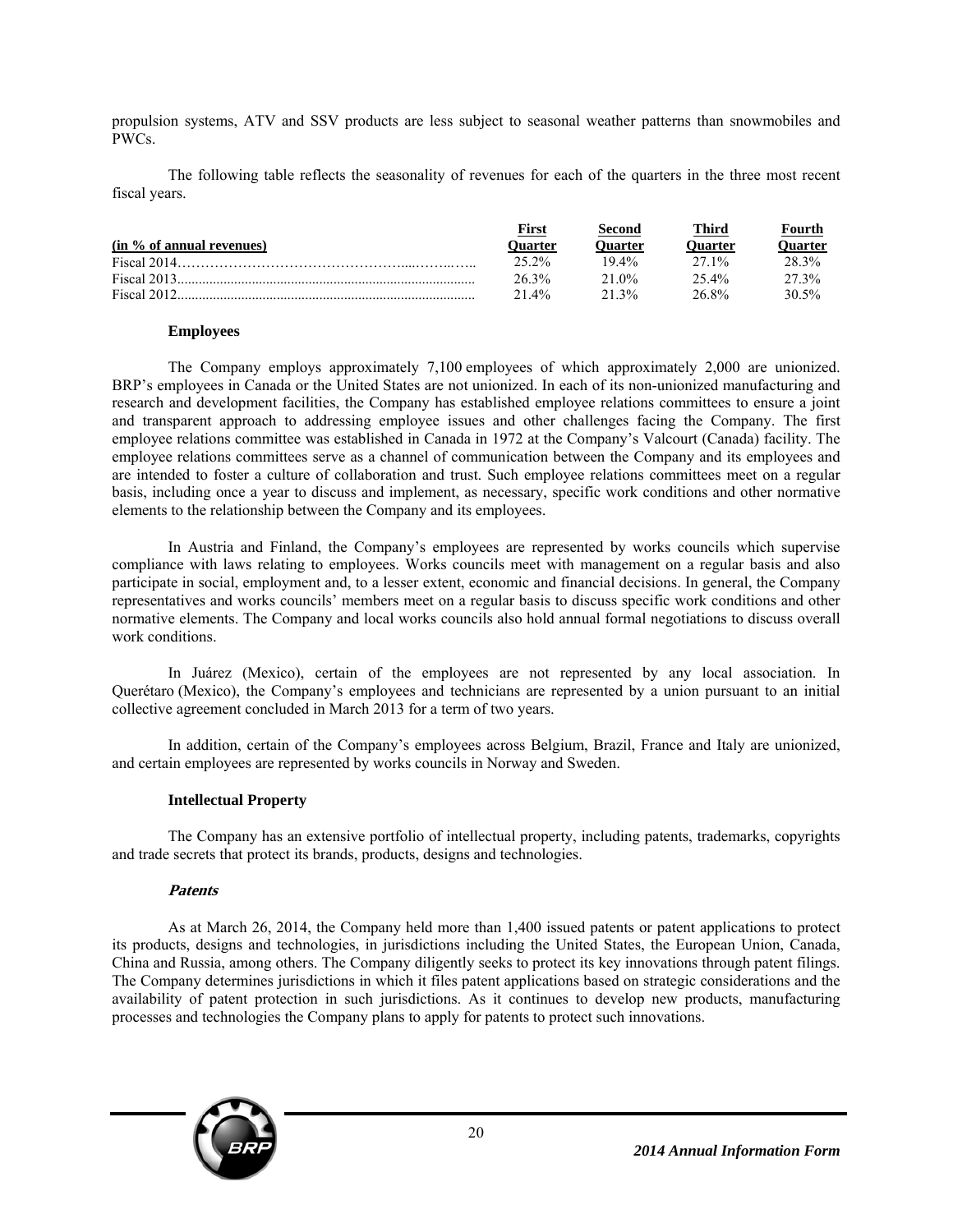propulsion systems, ATV and SSV products are less subject to seasonal weather patterns than snowmobiles and PWCs.

The following table reflects the seasonality of revenues for each of the quarters in the three most recent fiscal years.

|                           | First          | Second   | Third    | Fourth  |
|---------------------------|----------------|----------|----------|---------|
| (in % of annual revenues) | <b>Ouarter</b> | Duarter) | Ouarter) | Ouarter |
|                           | 25.2%          | $19.4\%$ | 271%     | 28.3%   |
|                           | 26.3%          | 21.0%    | 25.4%    | 27.3%   |
|                           | $21.4\%$       | 21.3%    | 26.8%    | 30.5%   |

#### **Employees**

The Company employs approximately 7,100 employees of which approximately 2,000 are unionized. BRP's employees in Canada or the United States are not unionized. In each of its non-unionized manufacturing and research and development facilities, the Company has established employee relations committees to ensure a joint and transparent approach to addressing employee issues and other challenges facing the Company. The first employee relations committee was established in Canada in 1972 at the Company's Valcourt (Canada) facility. The employee relations committees serve as a channel of communication between the Company and its employees and are intended to foster a culture of collaboration and trust. Such employee relations committees meet on a regular basis, including once a year to discuss and implement, as necessary, specific work conditions and other normative elements to the relationship between the Company and its employees.

In Austria and Finland, the Company's employees are represented by works councils which supervise compliance with laws relating to employees. Works councils meet with management on a regular basis and also participate in social, employment and, to a lesser extent, economic and financial decisions. In general, the Company representatives and works councils' members meet on a regular basis to discuss specific work conditions and other normative elements. The Company and local works councils also hold annual formal negotiations to discuss overall work conditions.

In Juárez (Mexico), certain of the employees are not represented by any local association. In Querétaro (Mexico), the Company's employees and technicians are represented by a union pursuant to an initial collective agreement concluded in March 2013 for a term of two years.

In addition, certain of the Company's employees across Belgium, Brazil, France and Italy are unionized, and certain employees are represented by works councils in Norway and Sweden.

#### **Intellectual Property**

The Company has an extensive portfolio of intellectual property, including patents, trademarks, copyrights and trade secrets that protect its brands, products, designs and technologies.

#### **Patents**

As at March 26, 2014, the Company held more than 1,400 issued patents or patent applications to protect its products, designs and technologies, in jurisdictions including the United States, the European Union, Canada, China and Russia, among others. The Company diligently seeks to protect its key innovations through patent filings. The Company determines jurisdictions in which it files patent applications based on strategic considerations and the availability of patent protection in such jurisdictions. As it continues to develop new products, manufacturing processes and technologies the Company plans to apply for patents to protect such innovations.

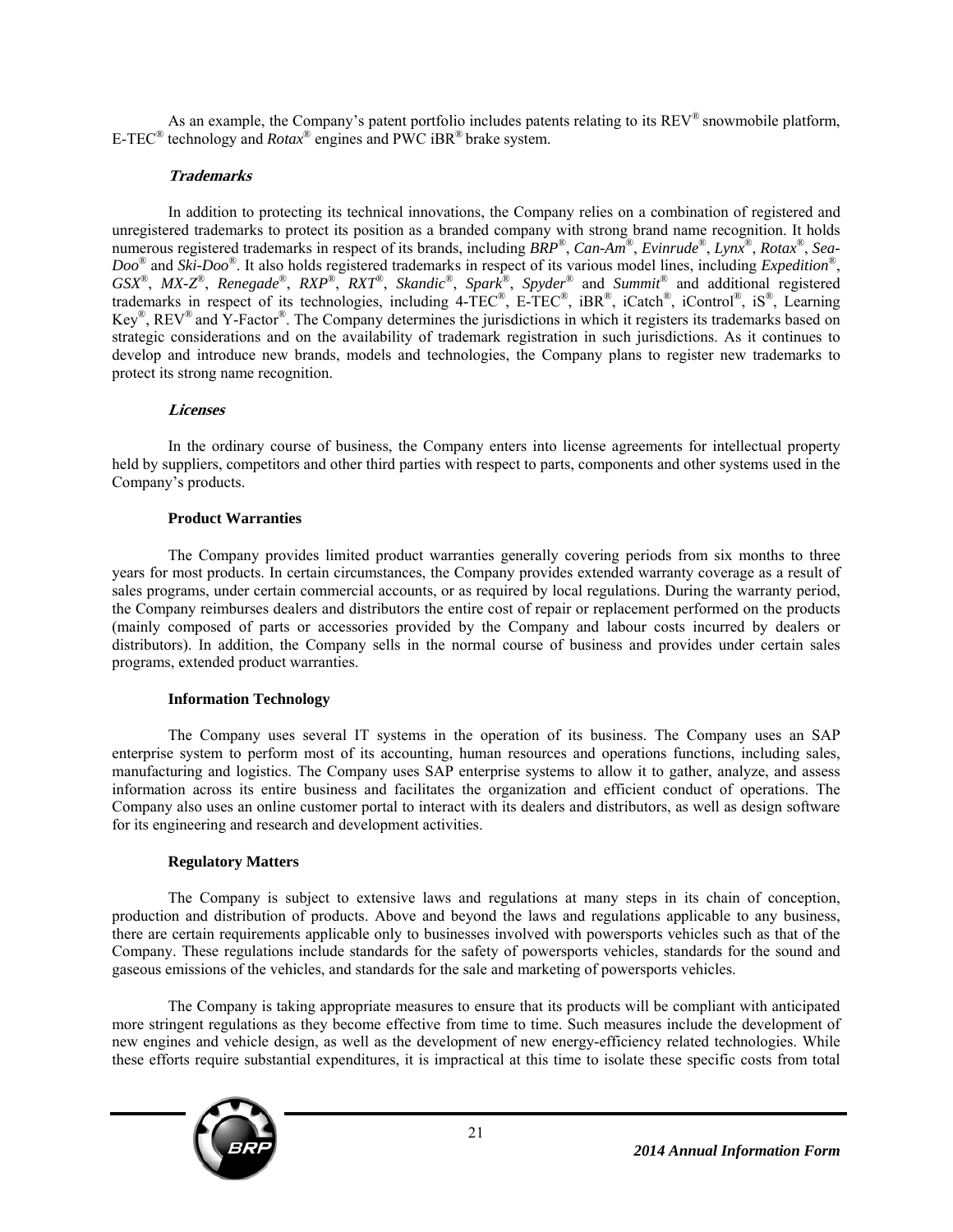As an example, the Company's patent portfolio includes patents relating to its  $REV^{\circledR}$  snowmobile platform, E-TEC® technology and *Rotax*® engines and PWC iBR® brake system.

# **Trademarks**

In addition to protecting its technical innovations, the Company relies on a combination of registered and unregistered trademarks to protect its position as a branded company with strong brand name recognition. It holds numerous registered trademarks in respect of its brands, including *BRP*®, *Can-Am*®, *Evinrude*®, *Lynx*®, *Rotax*®, *Sea-Doo*® and *Ski-Doo*®. It also holds registered trademarks in respect of its various model lines, including *Expedition*®, *GSX*®, *MX-Z*®, *Renegade*®, *RXP*®, *RXT*®, *Skandic*®, *Spark*®, *Spyder*® and *Summit*® and additional registered trademarks in respect of its technologies, including 4-TEC®, E-TEC®, iBR®, iCatch®, iControl®, iS®, Learning Key®, REV® and Y-Factor®. The Company determines the jurisdictions in which it registers its trademarks based on strategic considerations and on the availability of trademark registration in such jurisdictions. As it continues to develop and introduce new brands, models and technologies, the Company plans to register new trademarks to protect its strong name recognition.

# **Licenses**

In the ordinary course of business, the Company enters into license agreements for intellectual property held by suppliers, competitors and other third parties with respect to parts, components and other systems used in the Company's products.

# **Product Warranties**

The Company provides limited product warranties generally covering periods from six months to three years for most products. In certain circumstances, the Company provides extended warranty coverage as a result of sales programs, under certain commercial accounts, or as required by local regulations. During the warranty period, the Company reimburses dealers and distributors the entire cost of repair or replacement performed on the products (mainly composed of parts or accessories provided by the Company and labour costs incurred by dealers or distributors). In addition, the Company sells in the normal course of business and provides under certain sales programs, extended product warranties.

# **Information Technology**

The Company uses several IT systems in the operation of its business. The Company uses an SAP enterprise system to perform most of its accounting, human resources and operations functions, including sales, manufacturing and logistics. The Company uses SAP enterprise systems to allow it to gather, analyze, and assess information across its entire business and facilitates the organization and efficient conduct of operations. The Company also uses an online customer portal to interact with its dealers and distributors, as well as design software for its engineering and research and development activities.

#### **Regulatory Matters**

The Company is subject to extensive laws and regulations at many steps in its chain of conception, production and distribution of products. Above and beyond the laws and regulations applicable to any business, there are certain requirements applicable only to businesses involved with powersports vehicles such as that of the Company. These regulations include standards for the safety of powersports vehicles, standards for the sound and gaseous emissions of the vehicles, and standards for the sale and marketing of powersports vehicles.

The Company is taking appropriate measures to ensure that its products will be compliant with anticipated more stringent regulations as they become effective from time to time. Such measures include the development of new engines and vehicle design, as well as the development of new energy-efficiency related technologies. While these efforts require substantial expenditures, it is impractical at this time to isolate these specific costs from total

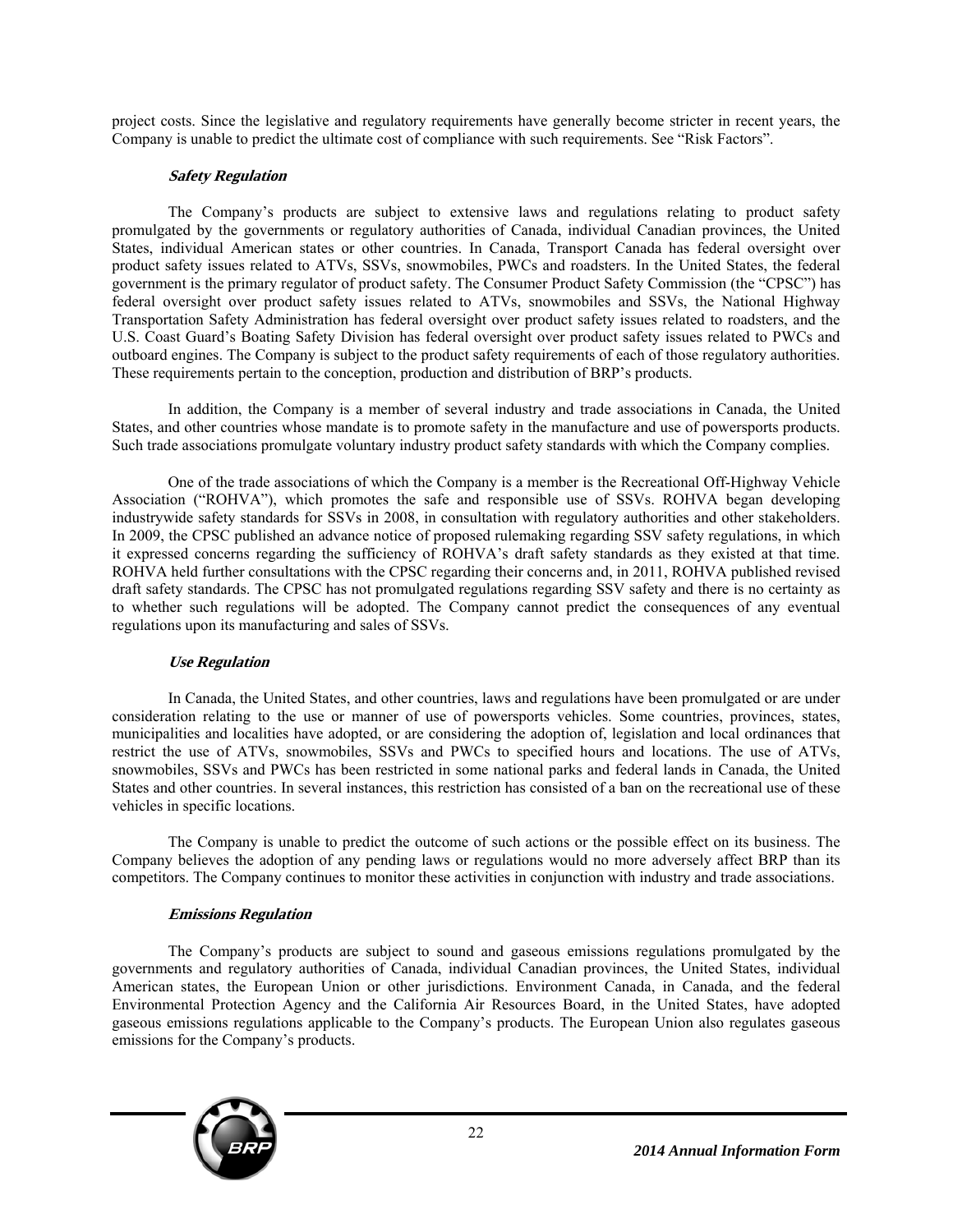project costs. Since the legislative and regulatory requirements have generally become stricter in recent years, the Company is unable to predict the ultimate cost of compliance with such requirements. See "Risk Factors".

# **Safety Regulation**

The Company's products are subject to extensive laws and regulations relating to product safety promulgated by the governments or regulatory authorities of Canada, individual Canadian provinces, the United States, individual American states or other countries. In Canada, Transport Canada has federal oversight over product safety issues related to ATVs, SSVs, snowmobiles, PWCs and roadsters. In the United States, the federal government is the primary regulator of product safety. The Consumer Product Safety Commission (the "CPSC") has federal oversight over product safety issues related to ATVs, snowmobiles and SSVs, the National Highway Transportation Safety Administration has federal oversight over product safety issues related to roadsters, and the U.S. Coast Guard's Boating Safety Division has federal oversight over product safety issues related to PWCs and outboard engines. The Company is subject to the product safety requirements of each of those regulatory authorities. These requirements pertain to the conception, production and distribution of BRP's products.

In addition, the Company is a member of several industry and trade associations in Canada, the United States, and other countries whose mandate is to promote safety in the manufacture and use of powersports products. Such trade associations promulgate voluntary industry product safety standards with which the Company complies.

One of the trade associations of which the Company is a member is the Recreational Off-Highway Vehicle Association ("ROHVA"), which promotes the safe and responsible use of SSVs. ROHVA began developing industrywide safety standards for SSVs in 2008, in consultation with regulatory authorities and other stakeholders. In 2009, the CPSC published an advance notice of proposed rulemaking regarding SSV safety regulations, in which it expressed concerns regarding the sufficiency of ROHVA's draft safety standards as they existed at that time. ROHVA held further consultations with the CPSC regarding their concerns and, in 2011, ROHVA published revised draft safety standards. The CPSC has not promulgated regulations regarding SSV safety and there is no certainty as to whether such regulations will be adopted. The Company cannot predict the consequences of any eventual regulations upon its manufacturing and sales of SSVs.

#### **Use Regulation**

In Canada, the United States, and other countries, laws and regulations have been promulgated or are under consideration relating to the use or manner of use of powersports vehicles. Some countries, provinces, states, municipalities and localities have adopted, or are considering the adoption of, legislation and local ordinances that restrict the use of ATVs, snowmobiles, SSVs and PWCs to specified hours and locations. The use of ATVs, snowmobiles, SSVs and PWCs has been restricted in some national parks and federal lands in Canada, the United States and other countries. In several instances, this restriction has consisted of a ban on the recreational use of these vehicles in specific locations.

The Company is unable to predict the outcome of such actions or the possible effect on its business. The Company believes the adoption of any pending laws or regulations would no more adversely affect BRP than its competitors. The Company continues to monitor these activities in conjunction with industry and trade associations.

# **Emissions Regulation**

The Company's products are subject to sound and gaseous emissions regulations promulgated by the governments and regulatory authorities of Canada, individual Canadian provinces, the United States, individual American states, the European Union or other jurisdictions. Environment Canada, in Canada, and the federal Environmental Protection Agency and the California Air Resources Board, in the United States, have adopted gaseous emissions regulations applicable to the Company's products. The European Union also regulates gaseous emissions for the Company's products.

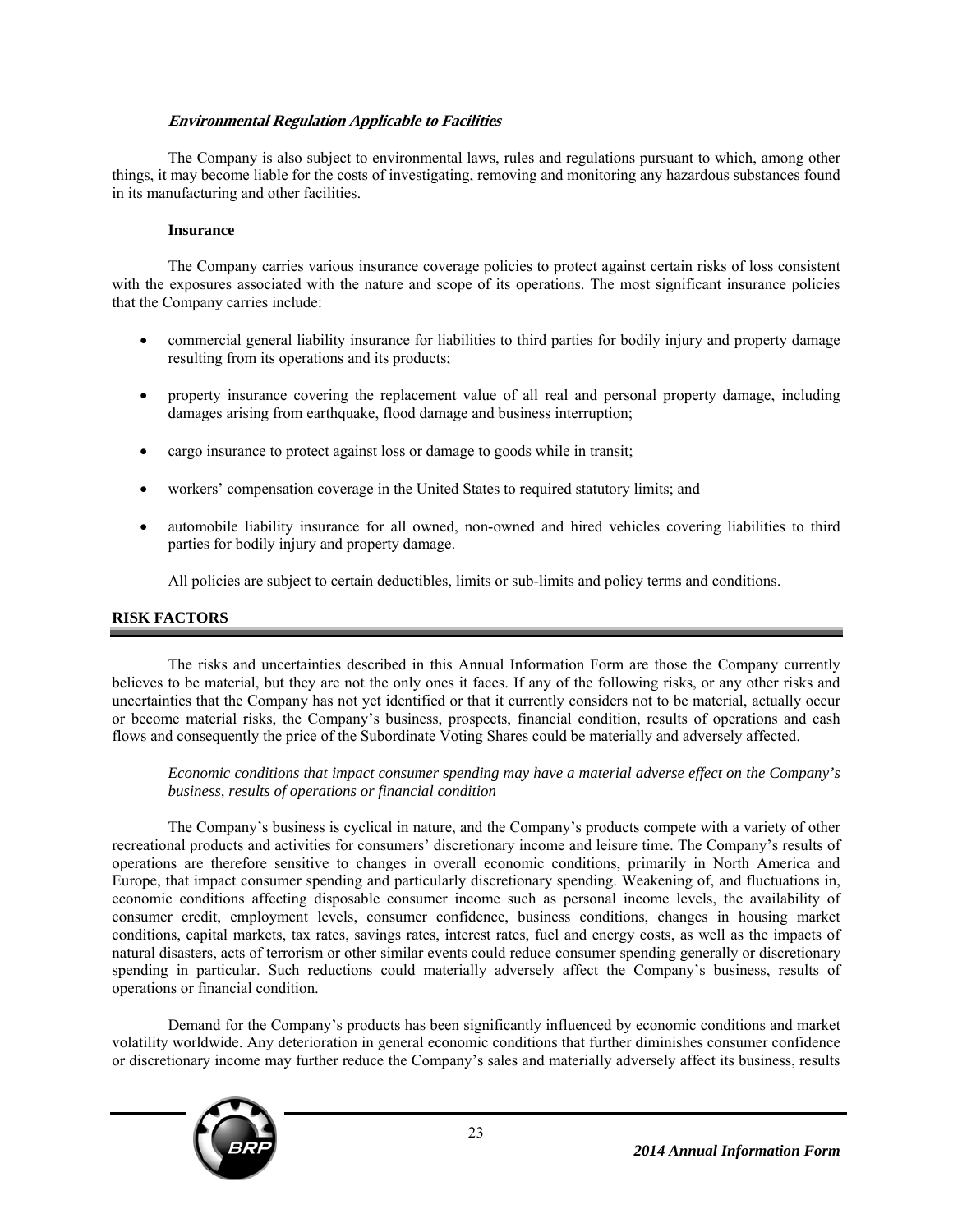# **Environmental Regulation Applicable to Facilities**

The Company is also subject to environmental laws, rules and regulations pursuant to which, among other things, it may become liable for the costs of investigating, removing and monitoring any hazardous substances found in its manufacturing and other facilities.

#### **Insurance**

The Company carries various insurance coverage policies to protect against certain risks of loss consistent with the exposures associated with the nature and scope of its operations. The most significant insurance policies that the Company carries include:

- commercial general liability insurance for liabilities to third parties for bodily injury and property damage resulting from its operations and its products;
- property insurance covering the replacement value of all real and personal property damage, including damages arising from earthquake, flood damage and business interruption;
- cargo insurance to protect against loss or damage to goods while in transit;
- workers' compensation coverage in the United States to required statutory limits; and
- automobile liability insurance for all owned, non-owned and hired vehicles covering liabilities to third parties for bodily injury and property damage.

All policies are subject to certain deductibles, limits or sub-limits and policy terms and conditions.

# **RISK FACTORS**

The risks and uncertainties described in this Annual Information Form are those the Company currently believes to be material, but they are not the only ones it faces. If any of the following risks, or any other risks and uncertainties that the Company has not yet identified or that it currently considers not to be material, actually occur or become material risks, the Company's business, prospects, financial condition, results of operations and cash flows and consequently the price of the Subordinate Voting Shares could be materially and adversely affected.

*Economic conditions that impact consumer spending may have a material adverse effect on the Company's business, results of operations or financial condition* 

The Company's business is cyclical in nature, and the Company's products compete with a variety of other recreational products and activities for consumers' discretionary income and leisure time. The Company's results of operations are therefore sensitive to changes in overall economic conditions, primarily in North America and Europe, that impact consumer spending and particularly discretionary spending. Weakening of, and fluctuations in, economic conditions affecting disposable consumer income such as personal income levels, the availability of consumer credit, employment levels, consumer confidence, business conditions, changes in housing market conditions, capital markets, tax rates, savings rates, interest rates, fuel and energy costs, as well as the impacts of natural disasters, acts of terrorism or other similar events could reduce consumer spending generally or discretionary spending in particular. Such reductions could materially adversely affect the Company's business, results of operations or financial condition.

Demand for the Company's products has been significantly influenced by economic conditions and market volatility worldwide. Any deterioration in general economic conditions that further diminishes consumer confidence or discretionary income may further reduce the Company's sales and materially adversely affect its business, results

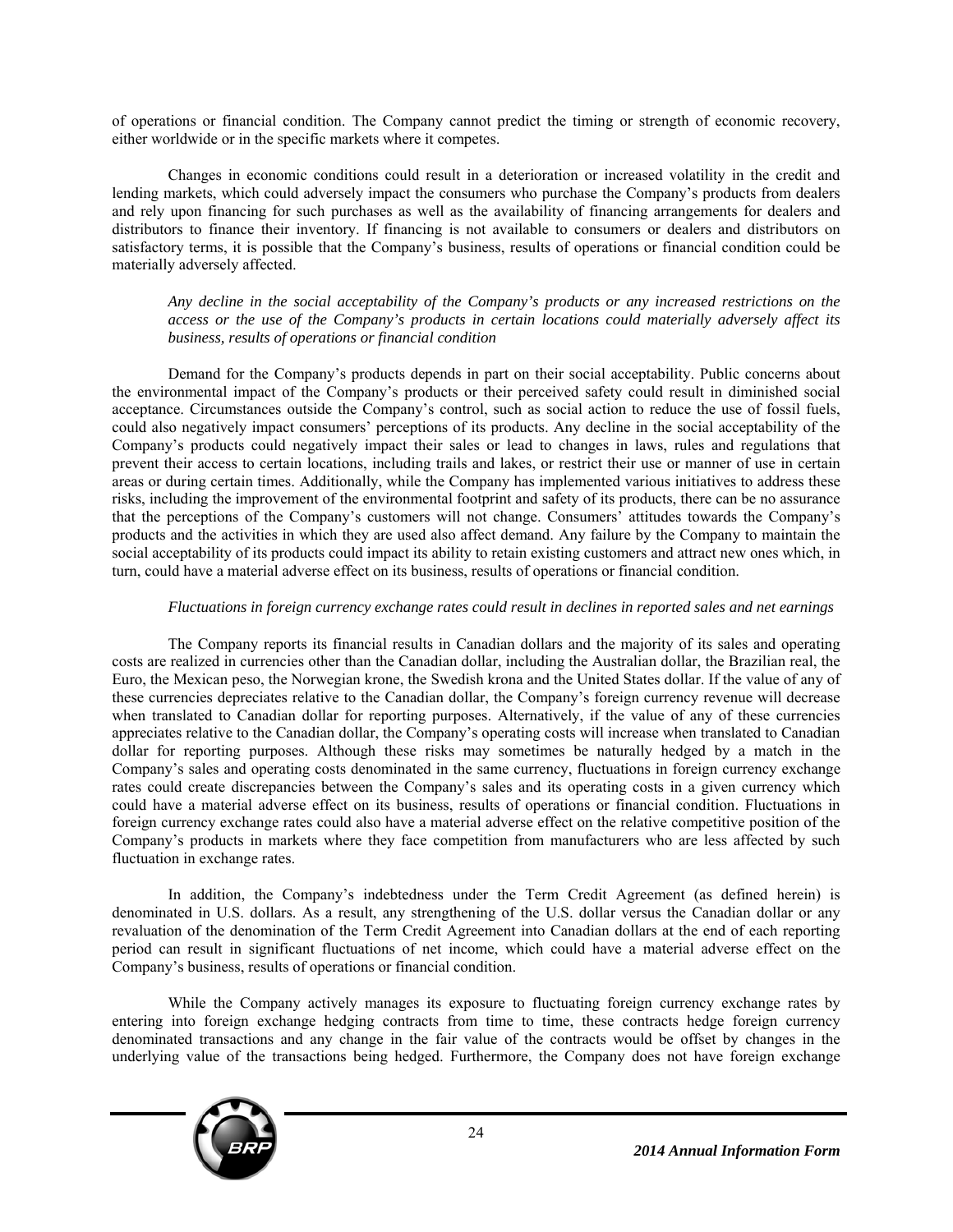of operations or financial condition. The Company cannot predict the timing or strength of economic recovery, either worldwide or in the specific markets where it competes.

Changes in economic conditions could result in a deterioration or increased volatility in the credit and lending markets, which could adversely impact the consumers who purchase the Company's products from dealers and rely upon financing for such purchases as well as the availability of financing arrangements for dealers and distributors to finance their inventory. If financing is not available to consumers or dealers and distributors on satisfactory terms, it is possible that the Company's business, results of operations or financial condition could be materially adversely affected.

*Any decline in the social acceptability of the Company's products or any increased restrictions on the access or the use of the Company's products in certain locations could materially adversely affect its business, results of operations or financial condition* 

Demand for the Company's products depends in part on their social acceptability. Public concerns about the environmental impact of the Company's products or their perceived safety could result in diminished social acceptance. Circumstances outside the Company's control, such as social action to reduce the use of fossil fuels, could also negatively impact consumers' perceptions of its products. Any decline in the social acceptability of the Company's products could negatively impact their sales or lead to changes in laws, rules and regulations that prevent their access to certain locations, including trails and lakes, or restrict their use or manner of use in certain areas or during certain times. Additionally, while the Company has implemented various initiatives to address these risks, including the improvement of the environmental footprint and safety of its products, there can be no assurance that the perceptions of the Company's customers will not change. Consumers' attitudes towards the Company's products and the activities in which they are used also affect demand. Any failure by the Company to maintain the social acceptability of its products could impact its ability to retain existing customers and attract new ones which, in turn, could have a material adverse effect on its business, results of operations or financial condition.

#### *Fluctuations in foreign currency exchange rates could result in declines in reported sales and net earnings*

The Company reports its financial results in Canadian dollars and the majority of its sales and operating costs are realized in currencies other than the Canadian dollar, including the Australian dollar, the Brazilian real, the Euro, the Mexican peso, the Norwegian krone, the Swedish krona and the United States dollar. If the value of any of these currencies depreciates relative to the Canadian dollar, the Company's foreign currency revenue will decrease when translated to Canadian dollar for reporting purposes. Alternatively, if the value of any of these currencies appreciates relative to the Canadian dollar, the Company's operating costs will increase when translated to Canadian dollar for reporting purposes. Although these risks may sometimes be naturally hedged by a match in the Company's sales and operating costs denominated in the same currency, fluctuations in foreign currency exchange rates could create discrepancies between the Company's sales and its operating costs in a given currency which could have a material adverse effect on its business, results of operations or financial condition. Fluctuations in foreign currency exchange rates could also have a material adverse effect on the relative competitive position of the Company's products in markets where they face competition from manufacturers who are less affected by such fluctuation in exchange rates.

In addition, the Company's indebtedness under the Term Credit Agreement (as defined herein) is denominated in U.S. dollars. As a result, any strengthening of the U.S. dollar versus the Canadian dollar or any revaluation of the denomination of the Term Credit Agreement into Canadian dollars at the end of each reporting period can result in significant fluctuations of net income, which could have a material adverse effect on the Company's business, results of operations or financial condition.

While the Company actively manages its exposure to fluctuating foreign currency exchange rates by entering into foreign exchange hedging contracts from time to time, these contracts hedge foreign currency denominated transactions and any change in the fair value of the contracts would be offset by changes in the underlying value of the transactions being hedged. Furthermore, the Company does not have foreign exchange

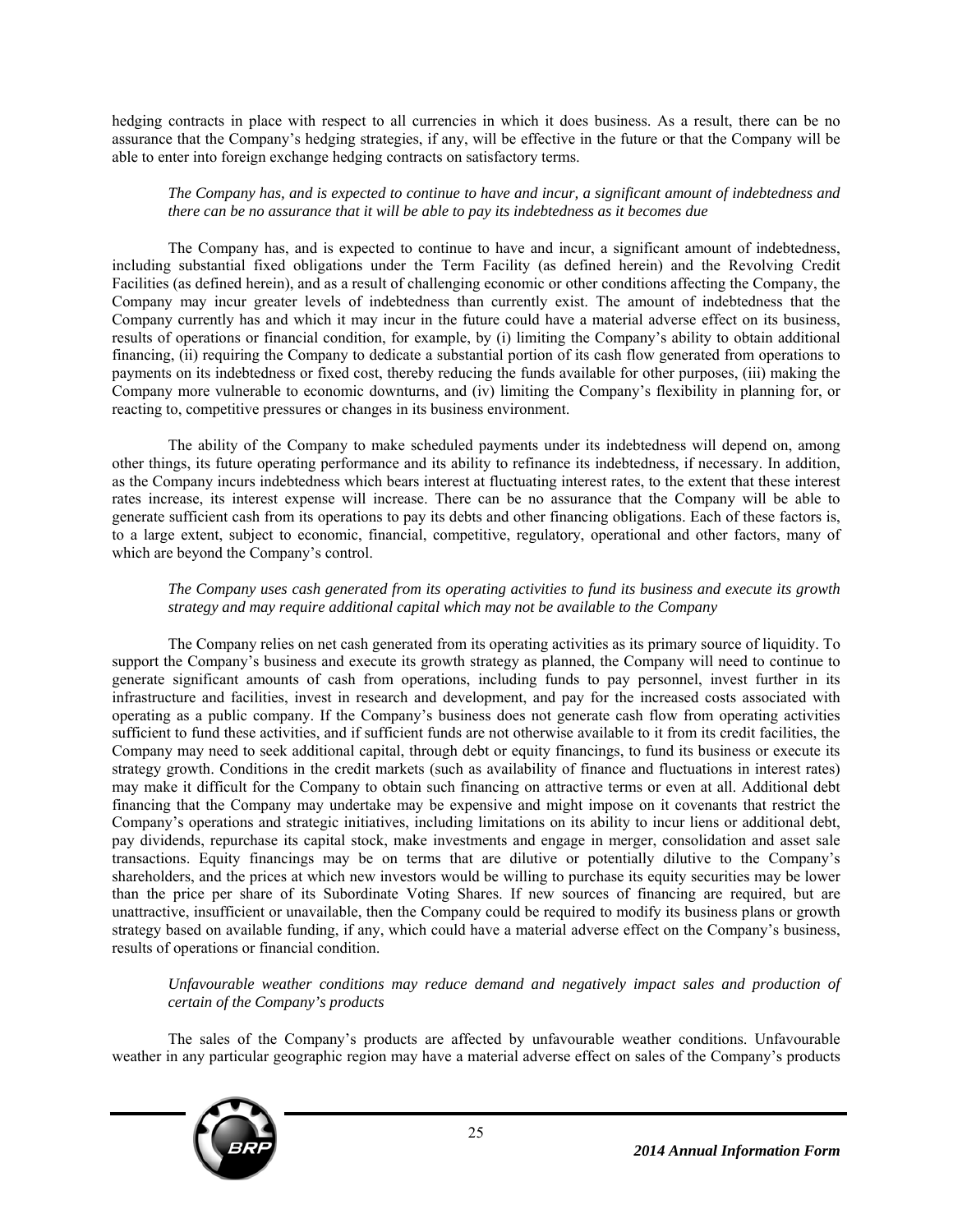hedging contracts in place with respect to all currencies in which it does business. As a result, there can be no assurance that the Company's hedging strategies, if any, will be effective in the future or that the Company will be able to enter into foreign exchange hedging contracts on satisfactory terms.

# *The Company has, and is expected to continue to have and incur, a significant amount of indebtedness and there can be no assurance that it will be able to pay its indebtedness as it becomes due*

The Company has, and is expected to continue to have and incur, a significant amount of indebtedness, including substantial fixed obligations under the Term Facility (as defined herein) and the Revolving Credit Facilities (as defined herein), and as a result of challenging economic or other conditions affecting the Company, the Company may incur greater levels of indebtedness than currently exist. The amount of indebtedness that the Company currently has and which it may incur in the future could have a material adverse effect on its business, results of operations or financial condition, for example, by (i) limiting the Company's ability to obtain additional financing, (ii) requiring the Company to dedicate a substantial portion of its cash flow generated from operations to payments on its indebtedness or fixed cost, thereby reducing the funds available for other purposes, (iii) making the Company more vulnerable to economic downturns, and (iv) limiting the Company's flexibility in planning for, or reacting to, competitive pressures or changes in its business environment.

The ability of the Company to make scheduled payments under its indebtedness will depend on, among other things, its future operating performance and its ability to refinance its indebtedness, if necessary. In addition, as the Company incurs indebtedness which bears interest at fluctuating interest rates, to the extent that these interest rates increase, its interest expense will increase. There can be no assurance that the Company will be able to generate sufficient cash from its operations to pay its debts and other financing obligations. Each of these factors is, to a large extent, subject to economic, financial, competitive, regulatory, operational and other factors, many of which are beyond the Company's control.

#### *The Company uses cash generated from its operating activities to fund its business and execute its growth strategy and may require additional capital which may not be available to the Company*

The Company relies on net cash generated from its operating activities as its primary source of liquidity. To support the Company's business and execute its growth strategy as planned, the Company will need to continue to generate significant amounts of cash from operations, including funds to pay personnel, invest further in its infrastructure and facilities, invest in research and development, and pay for the increased costs associated with operating as a public company. If the Company's business does not generate cash flow from operating activities sufficient to fund these activities, and if sufficient funds are not otherwise available to it from its credit facilities, the Company may need to seek additional capital, through debt or equity financings, to fund its business or execute its strategy growth. Conditions in the credit markets (such as availability of finance and fluctuations in interest rates) may make it difficult for the Company to obtain such financing on attractive terms or even at all. Additional debt financing that the Company may undertake may be expensive and might impose on it covenants that restrict the Company's operations and strategic initiatives, including limitations on its ability to incur liens or additional debt, pay dividends, repurchase its capital stock, make investments and engage in merger, consolidation and asset sale transactions. Equity financings may be on terms that are dilutive or potentially dilutive to the Company's shareholders, and the prices at which new investors would be willing to purchase its equity securities may be lower than the price per share of its Subordinate Voting Shares. If new sources of financing are required, but are unattractive, insufficient or unavailable, then the Company could be required to modify its business plans or growth strategy based on available funding, if any, which could have a material adverse effect on the Company's business, results of operations or financial condition.

*Unfavourable weather conditions may reduce demand and negatively impact sales and production of certain of the Company's products* 

The sales of the Company's products are affected by unfavourable weather conditions. Unfavourable weather in any particular geographic region may have a material adverse effect on sales of the Company's products

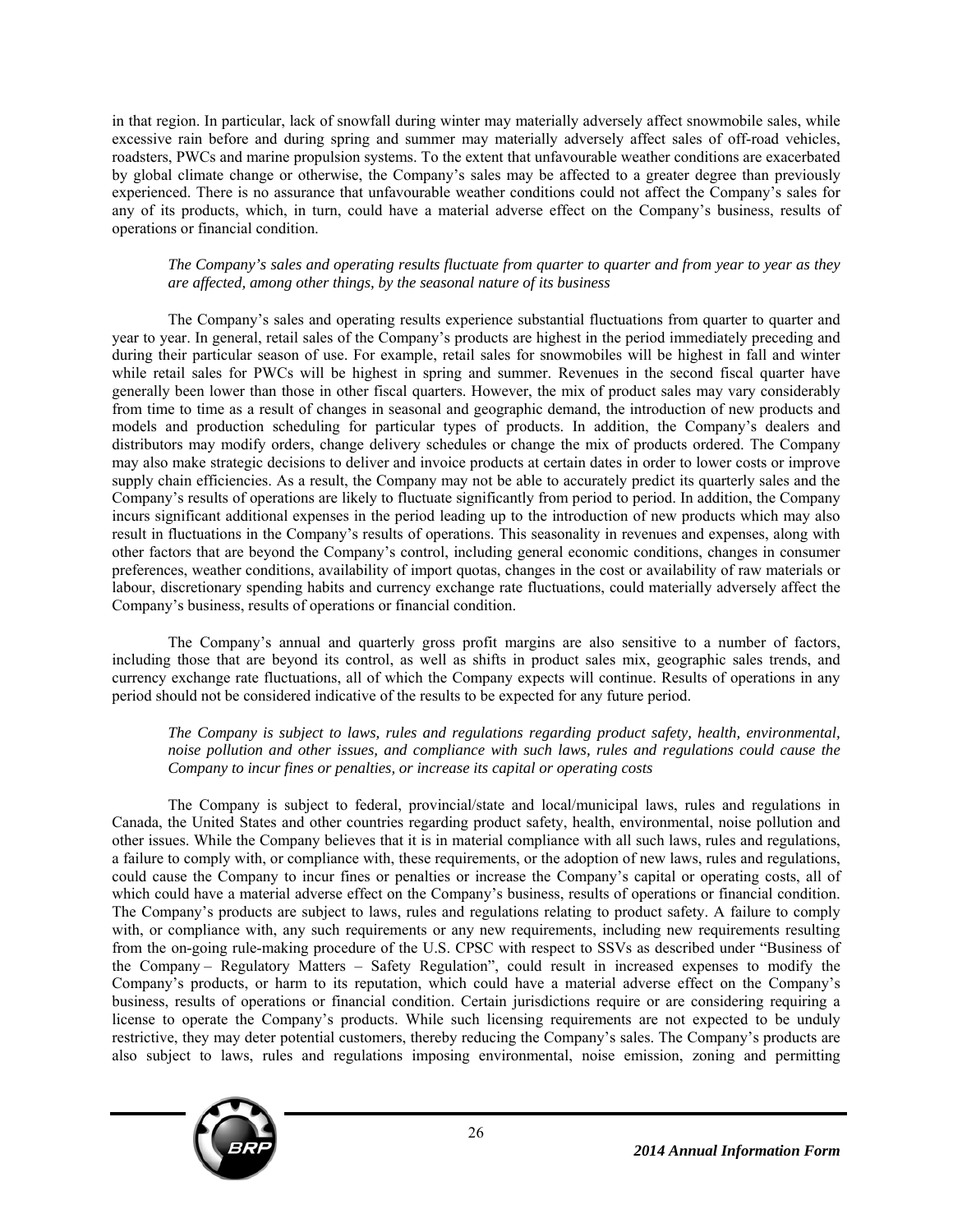in that region. In particular, lack of snowfall during winter may materially adversely affect snowmobile sales, while excessive rain before and during spring and summer may materially adversely affect sales of off-road vehicles, roadsters, PWCs and marine propulsion systems. To the extent that unfavourable weather conditions are exacerbated by global climate change or otherwise, the Company's sales may be affected to a greater degree than previously experienced. There is no assurance that unfavourable weather conditions could not affect the Company's sales for any of its products, which, in turn, could have a material adverse effect on the Company's business, results of operations or financial condition.

#### *The Company's sales and operating results fluctuate from quarter to quarter and from year to year as they are affected, among other things, by the seasonal nature of its business*

The Company's sales and operating results experience substantial fluctuations from quarter to quarter and year to year. In general, retail sales of the Company's products are highest in the period immediately preceding and during their particular season of use. For example, retail sales for snowmobiles will be highest in fall and winter while retail sales for PWCs will be highest in spring and summer. Revenues in the second fiscal quarter have generally been lower than those in other fiscal quarters. However, the mix of product sales may vary considerably from time to time as a result of changes in seasonal and geographic demand, the introduction of new products and models and production scheduling for particular types of products. In addition, the Company's dealers and distributors may modify orders, change delivery schedules or change the mix of products ordered. The Company may also make strategic decisions to deliver and invoice products at certain dates in order to lower costs or improve supply chain efficiencies. As a result, the Company may not be able to accurately predict its quarterly sales and the Company's results of operations are likely to fluctuate significantly from period to period. In addition, the Company incurs significant additional expenses in the period leading up to the introduction of new products which may also result in fluctuations in the Company's results of operations. This seasonality in revenues and expenses, along with other factors that are beyond the Company's control, including general economic conditions, changes in consumer preferences, weather conditions, availability of import quotas, changes in the cost or availability of raw materials or labour, discretionary spending habits and currency exchange rate fluctuations, could materially adversely affect the Company's business, results of operations or financial condition.

The Company's annual and quarterly gross profit margins are also sensitive to a number of factors, including those that are beyond its control, as well as shifts in product sales mix, geographic sales trends, and currency exchange rate fluctuations, all of which the Company expects will continue. Results of operations in any period should not be considered indicative of the results to be expected for any future period.

#### *The Company is subject to laws, rules and regulations regarding product safety, health, environmental, noise pollution and other issues, and compliance with such laws, rules and regulations could cause the Company to incur fines or penalties, or increase its capital or operating costs*

The Company is subject to federal, provincial/state and local/municipal laws, rules and regulations in Canada, the United States and other countries regarding product safety, health, environmental, noise pollution and other issues. While the Company believes that it is in material compliance with all such laws, rules and regulations, a failure to comply with, or compliance with, these requirements, or the adoption of new laws, rules and regulations, could cause the Company to incur fines or penalties or increase the Company's capital or operating costs, all of which could have a material adverse effect on the Company's business, results of operations or financial condition. The Company's products are subject to laws, rules and regulations relating to product safety. A failure to comply with, or compliance with, any such requirements or any new requirements, including new requirements resulting from the on-going rule-making procedure of the U.S. CPSC with respect to SSVs as described under "Business of the Company – Regulatory Matters – Safety Regulation", could result in increased expenses to modify the Company's products, or harm to its reputation, which could have a material adverse effect on the Company's business, results of operations or financial condition. Certain jurisdictions require or are considering requiring a license to operate the Company's products. While such licensing requirements are not expected to be unduly restrictive, they may deter potential customers, thereby reducing the Company's sales. The Company's products are also subject to laws, rules and regulations imposing environmental, noise emission, zoning and permitting

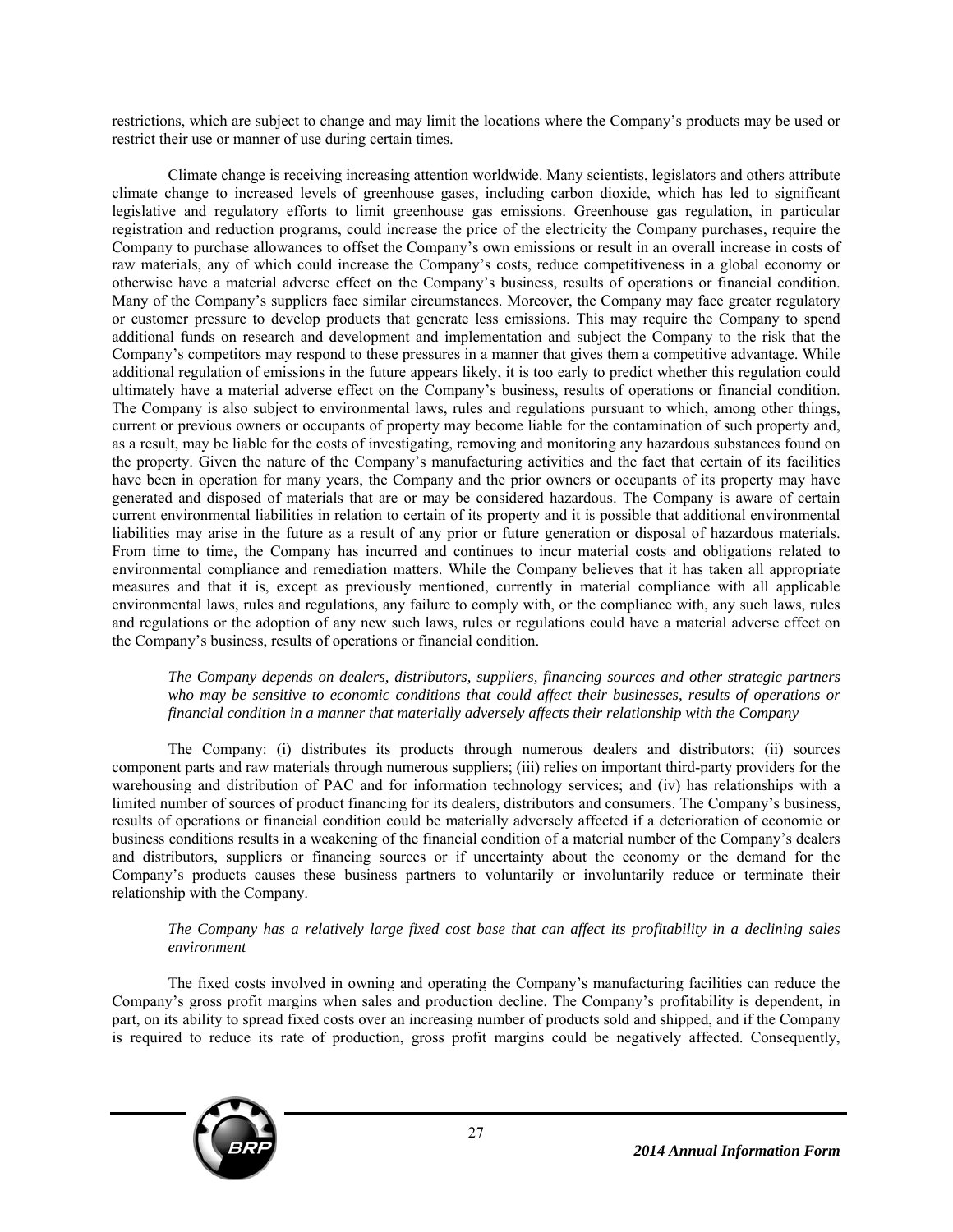restrictions, which are subject to change and may limit the locations where the Company's products may be used or restrict their use or manner of use during certain times.

Climate change is receiving increasing attention worldwide. Many scientists, legislators and others attribute climate change to increased levels of greenhouse gases, including carbon dioxide, which has led to significant legislative and regulatory efforts to limit greenhouse gas emissions. Greenhouse gas regulation, in particular registration and reduction programs, could increase the price of the electricity the Company purchases, require the Company to purchase allowances to offset the Company's own emissions or result in an overall increase in costs of raw materials, any of which could increase the Company's costs, reduce competitiveness in a global economy or otherwise have a material adverse effect on the Company's business, results of operations or financial condition. Many of the Company's suppliers face similar circumstances. Moreover, the Company may face greater regulatory or customer pressure to develop products that generate less emissions. This may require the Company to spend additional funds on research and development and implementation and subject the Company to the risk that the Company's competitors may respond to these pressures in a manner that gives them a competitive advantage. While additional regulation of emissions in the future appears likely, it is too early to predict whether this regulation could ultimately have a material adverse effect on the Company's business, results of operations or financial condition. The Company is also subject to environmental laws, rules and regulations pursuant to which, among other things, current or previous owners or occupants of property may become liable for the contamination of such property and, as a result, may be liable for the costs of investigating, removing and monitoring any hazardous substances found on the property. Given the nature of the Company's manufacturing activities and the fact that certain of its facilities have been in operation for many years, the Company and the prior owners or occupants of its property may have generated and disposed of materials that are or may be considered hazardous. The Company is aware of certain current environmental liabilities in relation to certain of its property and it is possible that additional environmental liabilities may arise in the future as a result of any prior or future generation or disposal of hazardous materials. From time to time, the Company has incurred and continues to incur material costs and obligations related to environmental compliance and remediation matters. While the Company believes that it has taken all appropriate measures and that it is, except as previously mentioned, currently in material compliance with all applicable environmental laws, rules and regulations, any failure to comply with, or the compliance with, any such laws, rules and regulations or the adoption of any new such laws, rules or regulations could have a material adverse effect on the Company's business, results of operations or financial condition.

*The Company depends on dealers, distributors, suppliers, financing sources and other strategic partners who may be sensitive to economic conditions that could affect their businesses, results of operations or financial condition in a manner that materially adversely affects their relationship with the Company* 

The Company: (i) distributes its products through numerous dealers and distributors; (ii) sources component parts and raw materials through numerous suppliers; (iii) relies on important third-party providers for the warehousing and distribution of PAC and for information technology services; and (iv) has relationships with a limited number of sources of product financing for its dealers, distributors and consumers. The Company's business, results of operations or financial condition could be materially adversely affected if a deterioration of economic or business conditions results in a weakening of the financial condition of a material number of the Company's dealers and distributors, suppliers or financing sources or if uncertainty about the economy or the demand for the Company's products causes these business partners to voluntarily or involuntarily reduce or terminate their relationship with the Company.

#### *The Company has a relatively large fixed cost base that can affect its profitability in a declining sales environment*

The fixed costs involved in owning and operating the Company's manufacturing facilities can reduce the Company's gross profit margins when sales and production decline. The Company's profitability is dependent, in part, on its ability to spread fixed costs over an increasing number of products sold and shipped, and if the Company is required to reduce its rate of production, gross profit margins could be negatively affected. Consequently,

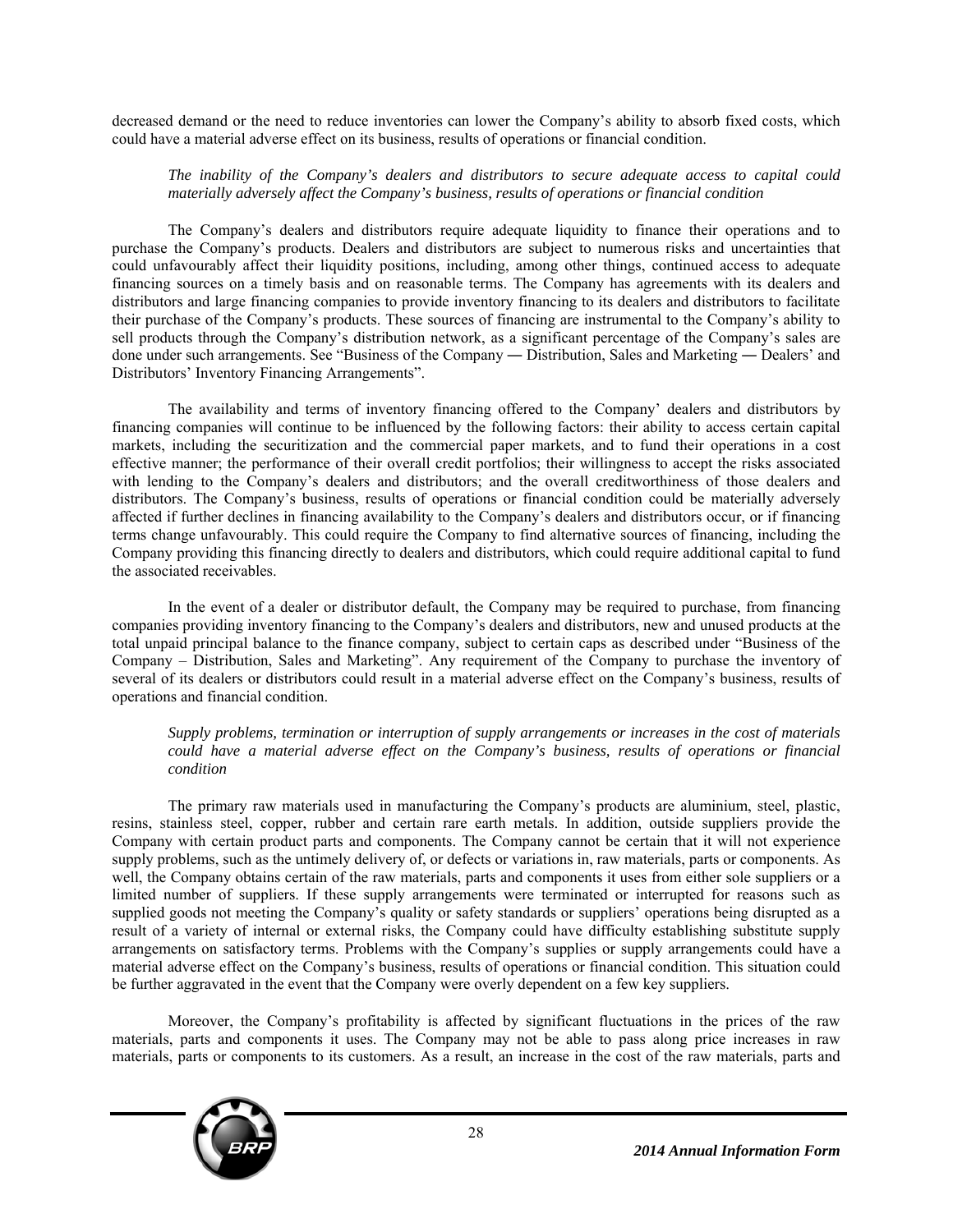decreased demand or the need to reduce inventories can lower the Company's ability to absorb fixed costs, which could have a material adverse effect on its business, results of operations or financial condition.

# *The inability of the Company's dealers and distributors to secure adequate access to capital could materially adversely affect the Company's business, results of operations or financial condition*

The Company's dealers and distributors require adequate liquidity to finance their operations and to purchase the Company's products. Dealers and distributors are subject to numerous risks and uncertainties that could unfavourably affect their liquidity positions, including, among other things, continued access to adequate financing sources on a timely basis and on reasonable terms. The Company has agreements with its dealers and distributors and large financing companies to provide inventory financing to its dealers and distributors to facilitate their purchase of the Company's products. These sources of financing are instrumental to the Company's ability to sell products through the Company's distribution network, as a significant percentage of the Company's sales are done under such arrangements. See "Business of the Company — Distribution, Sales and Marketing — Dealers' and Distributors' Inventory Financing Arrangements".

The availability and terms of inventory financing offered to the Company' dealers and distributors by financing companies will continue to be influenced by the following factors: their ability to access certain capital markets, including the securitization and the commercial paper markets, and to fund their operations in a cost effective manner; the performance of their overall credit portfolios; their willingness to accept the risks associated with lending to the Company's dealers and distributors; and the overall creditworthiness of those dealers and distributors. The Company's business, results of operations or financial condition could be materially adversely affected if further declines in financing availability to the Company's dealers and distributors occur, or if financing terms change unfavourably. This could require the Company to find alternative sources of financing, including the Company providing this financing directly to dealers and distributors, which could require additional capital to fund the associated receivables.

In the event of a dealer or distributor default, the Company may be required to purchase, from financing companies providing inventory financing to the Company's dealers and distributors, new and unused products at the total unpaid principal balance to the finance company, subject to certain caps as described under "Business of the Company – Distribution, Sales and Marketing". Any requirement of the Company to purchase the inventory of several of its dealers or distributors could result in a material adverse effect on the Company's business, results of operations and financial condition.

# *Supply problems, termination or interruption of supply arrangements or increases in the cost of materials could have a material adverse effect on the Company's business, results of operations or financial condition*

The primary raw materials used in manufacturing the Company's products are aluminium, steel, plastic, resins, stainless steel, copper, rubber and certain rare earth metals. In addition, outside suppliers provide the Company with certain product parts and components. The Company cannot be certain that it will not experience supply problems, such as the untimely delivery of, or defects or variations in, raw materials, parts or components. As well, the Company obtains certain of the raw materials, parts and components it uses from either sole suppliers or a limited number of suppliers. If these supply arrangements were terminated or interrupted for reasons such as supplied goods not meeting the Company's quality or safety standards or suppliers' operations being disrupted as a result of a variety of internal or external risks, the Company could have difficulty establishing substitute supply arrangements on satisfactory terms. Problems with the Company's supplies or supply arrangements could have a material adverse effect on the Company's business, results of operations or financial condition. This situation could be further aggravated in the event that the Company were overly dependent on a few key suppliers.

Moreover, the Company's profitability is affected by significant fluctuations in the prices of the raw materials, parts and components it uses. The Company may not be able to pass along price increases in raw materials, parts or components to its customers. As a result, an increase in the cost of the raw materials, parts and

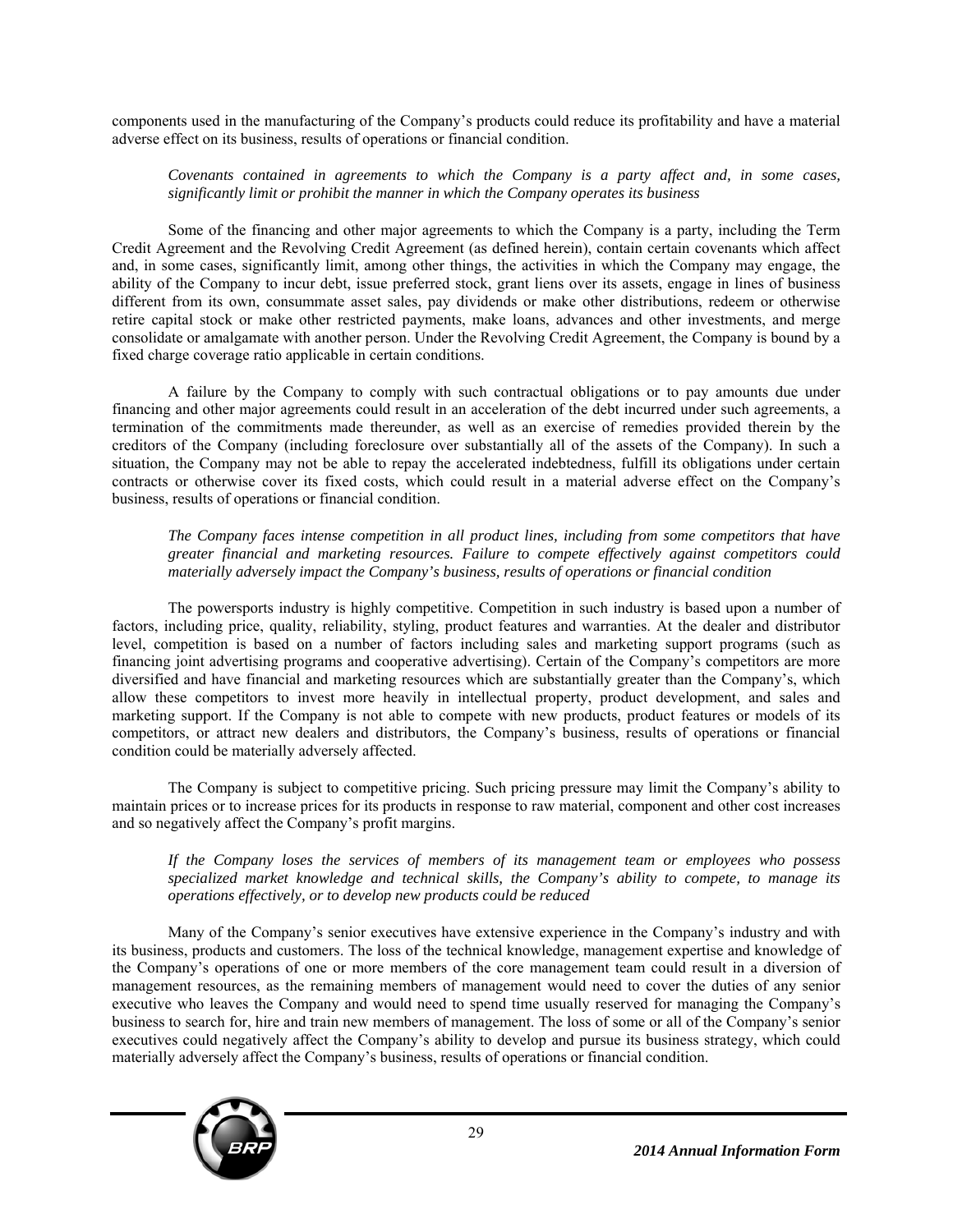components used in the manufacturing of the Company's products could reduce its profitability and have a material adverse effect on its business, results of operations or financial condition.

*Covenants contained in agreements to which the Company is a party affect and, in some cases, significantly limit or prohibit the manner in which the Company operates its business* 

Some of the financing and other major agreements to which the Company is a party, including the Term Credit Agreement and the Revolving Credit Agreement (as defined herein), contain certain covenants which affect and, in some cases, significantly limit, among other things, the activities in which the Company may engage, the ability of the Company to incur debt, issue preferred stock, grant liens over its assets, engage in lines of business different from its own, consummate asset sales, pay dividends or make other distributions, redeem or otherwise retire capital stock or make other restricted payments, make loans, advances and other investments, and merge consolidate or amalgamate with another person. Under the Revolving Credit Agreement, the Company is bound by a fixed charge coverage ratio applicable in certain conditions.

A failure by the Company to comply with such contractual obligations or to pay amounts due under financing and other major agreements could result in an acceleration of the debt incurred under such agreements, a termination of the commitments made thereunder, as well as an exercise of remedies provided therein by the creditors of the Company (including foreclosure over substantially all of the assets of the Company). In such a situation, the Company may not be able to repay the accelerated indebtedness, fulfill its obligations under certain contracts or otherwise cover its fixed costs, which could result in a material adverse effect on the Company's business, results of operations or financial condition.

*The Company faces intense competition in all product lines, including from some competitors that have greater financial and marketing resources. Failure to compete effectively against competitors could materially adversely impact the Company's business, results of operations or financial condition* 

The powersports industry is highly competitive. Competition in such industry is based upon a number of factors, including price, quality, reliability, styling, product features and warranties. At the dealer and distributor level, competition is based on a number of factors including sales and marketing support programs (such as financing joint advertising programs and cooperative advertising). Certain of the Company's competitors are more diversified and have financial and marketing resources which are substantially greater than the Company's, which allow these competitors to invest more heavily in intellectual property, product development, and sales and marketing support. If the Company is not able to compete with new products, product features or models of its competitors, or attract new dealers and distributors, the Company's business, results of operations or financial condition could be materially adversely affected.

The Company is subject to competitive pricing. Such pricing pressure may limit the Company's ability to maintain prices or to increase prices for its products in response to raw material, component and other cost increases and so negatively affect the Company's profit margins.

*If the Company loses the services of members of its management team or employees who possess specialized market knowledge and technical skills, the Company's ability to compete, to manage its operations effectively, or to develop new products could be reduced* 

Many of the Company's senior executives have extensive experience in the Company's industry and with its business, products and customers. The loss of the technical knowledge, management expertise and knowledge of the Company's operations of one or more members of the core management team could result in a diversion of management resources, as the remaining members of management would need to cover the duties of any senior executive who leaves the Company and would need to spend time usually reserved for managing the Company's business to search for, hire and train new members of management. The loss of some or all of the Company's senior executives could negatively affect the Company's ability to develop and pursue its business strategy, which could materially adversely affect the Company's business, results of operations or financial condition.

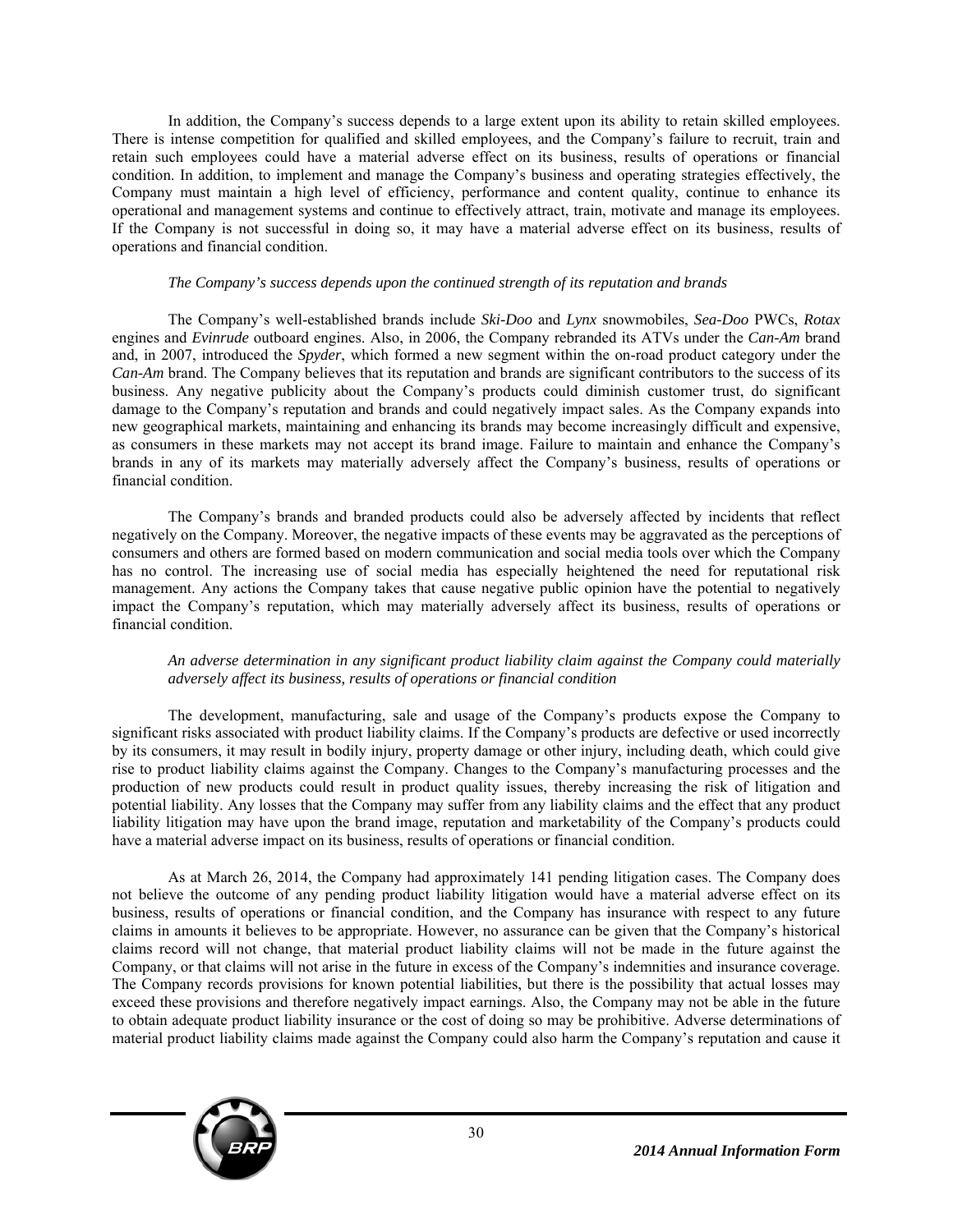In addition, the Company's success depends to a large extent upon its ability to retain skilled employees. There is intense competition for qualified and skilled employees, and the Company's failure to recruit, train and retain such employees could have a material adverse effect on its business, results of operations or financial condition. In addition, to implement and manage the Company's business and operating strategies effectively, the Company must maintain a high level of efficiency, performance and content quality, continue to enhance its operational and management systems and continue to effectively attract, train, motivate and manage its employees. If the Company is not successful in doing so, it may have a material adverse effect on its business, results of operations and financial condition.

#### *The Company's success depends upon the continued strength of its reputation and brands*

The Company's well-established brands include *Ski-Doo* and *Lynx* snowmobiles, *Sea-Doo* PWCs, *Rotax* engines and *Evinrude* outboard engines. Also, in 2006, the Company rebranded its ATVs under the *Can-Am* brand and, in 2007, introduced the *Spyder*, which formed a new segment within the on-road product category under the *Can-Am* brand. The Company believes that its reputation and brands are significant contributors to the success of its business. Any negative publicity about the Company's products could diminish customer trust, do significant damage to the Company's reputation and brands and could negatively impact sales. As the Company expands into new geographical markets, maintaining and enhancing its brands may become increasingly difficult and expensive, as consumers in these markets may not accept its brand image. Failure to maintain and enhance the Company's brands in any of its markets may materially adversely affect the Company's business, results of operations or financial condition.

The Company's brands and branded products could also be adversely affected by incidents that reflect negatively on the Company. Moreover, the negative impacts of these events may be aggravated as the perceptions of consumers and others are formed based on modern communication and social media tools over which the Company has no control. The increasing use of social media has especially heightened the need for reputational risk management. Any actions the Company takes that cause negative public opinion have the potential to negatively impact the Company's reputation, which may materially adversely affect its business, results of operations or financial condition.

#### *An adverse determination in any significant product liability claim against the Company could materially adversely affect its business, results of operations or financial condition*

The development, manufacturing, sale and usage of the Company's products expose the Company to significant risks associated with product liability claims. If the Company's products are defective or used incorrectly by its consumers, it may result in bodily injury, property damage or other injury, including death, which could give rise to product liability claims against the Company. Changes to the Company's manufacturing processes and the production of new products could result in product quality issues, thereby increasing the risk of litigation and potential liability. Any losses that the Company may suffer from any liability claims and the effect that any product liability litigation may have upon the brand image, reputation and marketability of the Company's products could have a material adverse impact on its business, results of operations or financial condition.

As at March 26, 2014, the Company had approximately 141 pending litigation cases. The Company does not believe the outcome of any pending product liability litigation would have a material adverse effect on its business, results of operations or financial condition, and the Company has insurance with respect to any future claims in amounts it believes to be appropriate. However, no assurance can be given that the Company's historical claims record will not change, that material product liability claims will not be made in the future against the Company, or that claims will not arise in the future in excess of the Company's indemnities and insurance coverage. The Company records provisions for known potential liabilities, but there is the possibility that actual losses may exceed these provisions and therefore negatively impact earnings. Also, the Company may not be able in the future to obtain adequate product liability insurance or the cost of doing so may be prohibitive. Adverse determinations of material product liability claims made against the Company could also harm the Company's reputation and cause it

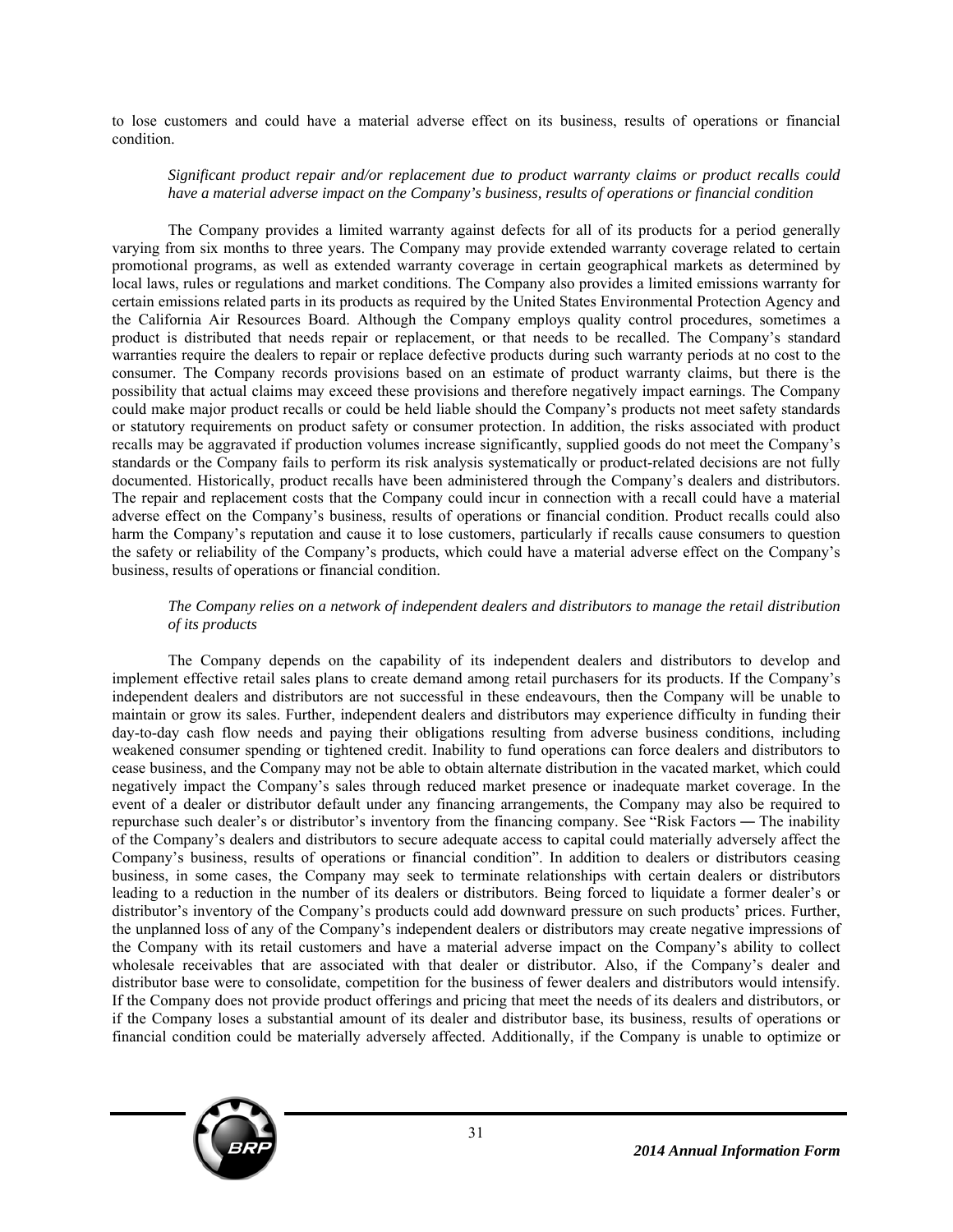to lose customers and could have a material adverse effect on its business, results of operations or financial condition.

#### *Significant product repair and/or replacement due to product warranty claims or product recalls could have a material adverse impact on the Company's business, results of operations or financial condition*

The Company provides a limited warranty against defects for all of its products for a period generally varying from six months to three years. The Company may provide extended warranty coverage related to certain promotional programs, as well as extended warranty coverage in certain geographical markets as determined by local laws, rules or regulations and market conditions. The Company also provides a limited emissions warranty for certain emissions related parts in its products as required by the United States Environmental Protection Agency and the California Air Resources Board. Although the Company employs quality control procedures, sometimes a product is distributed that needs repair or replacement, or that needs to be recalled. The Company's standard warranties require the dealers to repair or replace defective products during such warranty periods at no cost to the consumer. The Company records provisions based on an estimate of product warranty claims, but there is the possibility that actual claims may exceed these provisions and therefore negatively impact earnings. The Company could make major product recalls or could be held liable should the Company's products not meet safety standards or statutory requirements on product safety or consumer protection. In addition, the risks associated with product recalls may be aggravated if production volumes increase significantly, supplied goods do not meet the Company's standards or the Company fails to perform its risk analysis systematically or product-related decisions are not fully documented. Historically, product recalls have been administered through the Company's dealers and distributors. The repair and replacement costs that the Company could incur in connection with a recall could have a material adverse effect on the Company's business, results of operations or financial condition. Product recalls could also harm the Company's reputation and cause it to lose customers, particularly if recalls cause consumers to question the safety or reliability of the Company's products, which could have a material adverse effect on the Company's business, results of operations or financial condition.

# *The Company relies on a network of independent dealers and distributors to manage the retail distribution of its products*

The Company depends on the capability of its independent dealers and distributors to develop and implement effective retail sales plans to create demand among retail purchasers for its products. If the Company's independent dealers and distributors are not successful in these endeavours, then the Company will be unable to maintain or grow its sales. Further, independent dealers and distributors may experience difficulty in funding their day-to-day cash flow needs and paying their obligations resulting from adverse business conditions, including weakened consumer spending or tightened credit. Inability to fund operations can force dealers and distributors to cease business, and the Company may not be able to obtain alternate distribution in the vacated market, which could negatively impact the Company's sales through reduced market presence or inadequate market coverage. In the event of a dealer or distributor default under any financing arrangements, the Company may also be required to repurchase such dealer's or distributor's inventory from the financing company. See "Risk Factors ― The inability of the Company's dealers and distributors to secure adequate access to capital could materially adversely affect the Company's business, results of operations or financial condition". In addition to dealers or distributors ceasing business, in some cases, the Company may seek to terminate relationships with certain dealers or distributors leading to a reduction in the number of its dealers or distributors. Being forced to liquidate a former dealer's or distributor's inventory of the Company's products could add downward pressure on such products' prices. Further, the unplanned loss of any of the Company's independent dealers or distributors may create negative impressions of the Company with its retail customers and have a material adverse impact on the Company's ability to collect wholesale receivables that are associated with that dealer or distributor. Also, if the Company's dealer and distributor base were to consolidate, competition for the business of fewer dealers and distributors would intensify. If the Company does not provide product offerings and pricing that meet the needs of its dealers and distributors, or if the Company loses a substantial amount of its dealer and distributor base, its business, results of operations or financial condition could be materially adversely affected. Additionally, if the Company is unable to optimize or

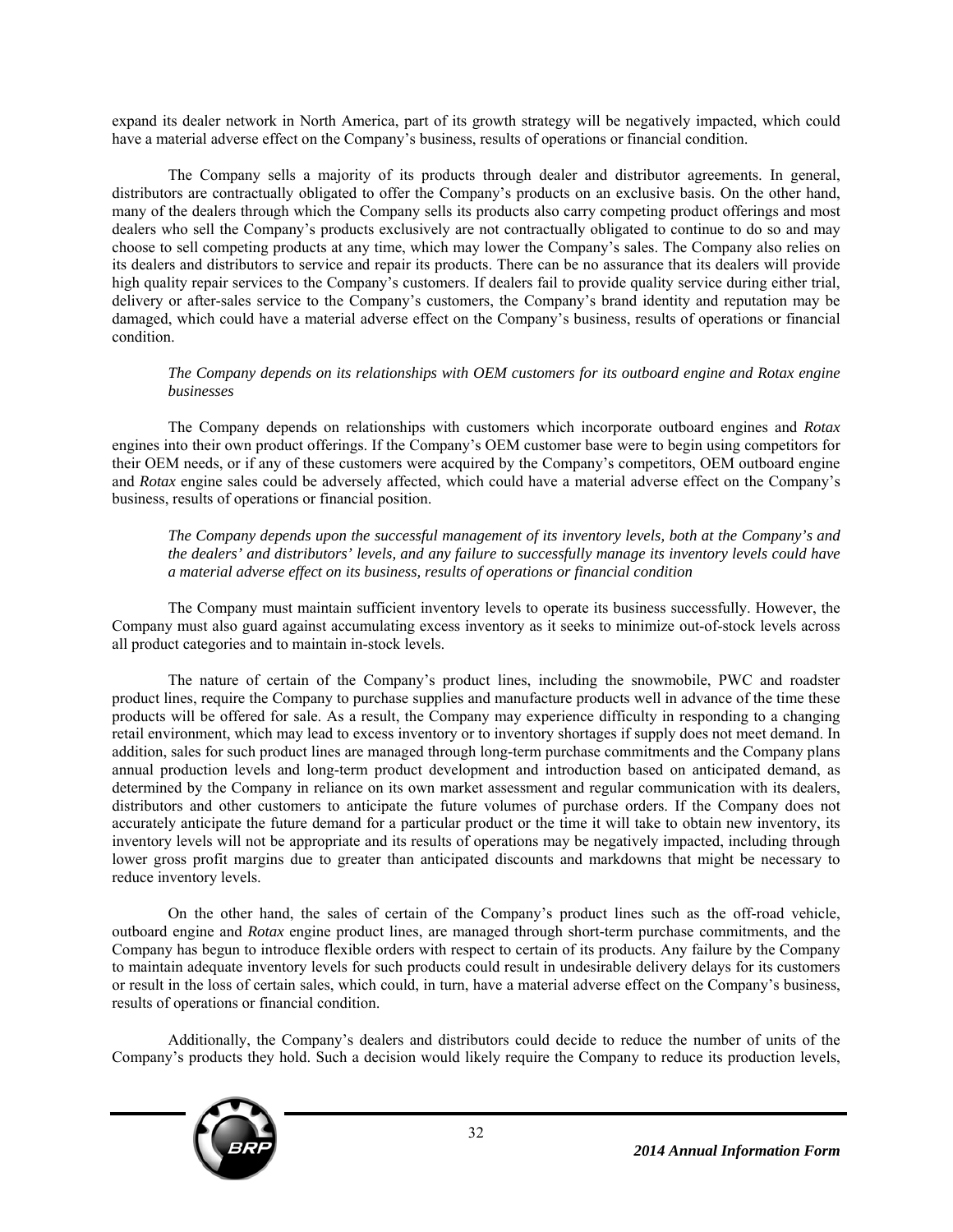expand its dealer network in North America, part of its growth strategy will be negatively impacted, which could have a material adverse effect on the Company's business, results of operations or financial condition.

The Company sells a majority of its products through dealer and distributor agreements. In general, distributors are contractually obligated to offer the Company's products on an exclusive basis. On the other hand, many of the dealers through which the Company sells its products also carry competing product offerings and most dealers who sell the Company's products exclusively are not contractually obligated to continue to do so and may choose to sell competing products at any time, which may lower the Company's sales. The Company also relies on its dealers and distributors to service and repair its products. There can be no assurance that its dealers will provide high quality repair services to the Company's customers. If dealers fail to provide quality service during either trial, delivery or after-sales service to the Company's customers, the Company's brand identity and reputation may be damaged, which could have a material adverse effect on the Company's business, results of operations or financial condition.

# *The Company depends on its relationships with OEM customers for its outboard engine and Rotax engine businesses*

The Company depends on relationships with customers which incorporate outboard engines and *Rotax* engines into their own product offerings. If the Company's OEM customer base were to begin using competitors for their OEM needs, or if any of these customers were acquired by the Company's competitors, OEM outboard engine and *Rotax* engine sales could be adversely affected, which could have a material adverse effect on the Company's business, results of operations or financial position.

*The Company depends upon the successful management of its inventory levels, both at the Company's and the dealers' and distributors' levels, and any failure to successfully manage its inventory levels could have a material adverse effect on its business, results of operations or financial condition* 

The Company must maintain sufficient inventory levels to operate its business successfully. However, the Company must also guard against accumulating excess inventory as it seeks to minimize out-of-stock levels across all product categories and to maintain in-stock levels.

The nature of certain of the Company's product lines, including the snowmobile, PWC and roadster product lines, require the Company to purchase supplies and manufacture products well in advance of the time these products will be offered for sale. As a result, the Company may experience difficulty in responding to a changing retail environment, which may lead to excess inventory or to inventory shortages if supply does not meet demand. In addition, sales for such product lines are managed through long-term purchase commitments and the Company plans annual production levels and long-term product development and introduction based on anticipated demand, as determined by the Company in reliance on its own market assessment and regular communication with its dealers, distributors and other customers to anticipate the future volumes of purchase orders. If the Company does not accurately anticipate the future demand for a particular product or the time it will take to obtain new inventory, its inventory levels will not be appropriate and its results of operations may be negatively impacted, including through lower gross profit margins due to greater than anticipated discounts and markdowns that might be necessary to reduce inventory levels.

On the other hand, the sales of certain of the Company's product lines such as the off-road vehicle, outboard engine and *Rotax* engine product lines, are managed through short-term purchase commitments, and the Company has begun to introduce flexible orders with respect to certain of its products. Any failure by the Company to maintain adequate inventory levels for such products could result in undesirable delivery delays for its customers or result in the loss of certain sales, which could, in turn, have a material adverse effect on the Company's business, results of operations or financial condition.

Additionally, the Company's dealers and distributors could decide to reduce the number of units of the Company's products they hold. Such a decision would likely require the Company to reduce its production levels,

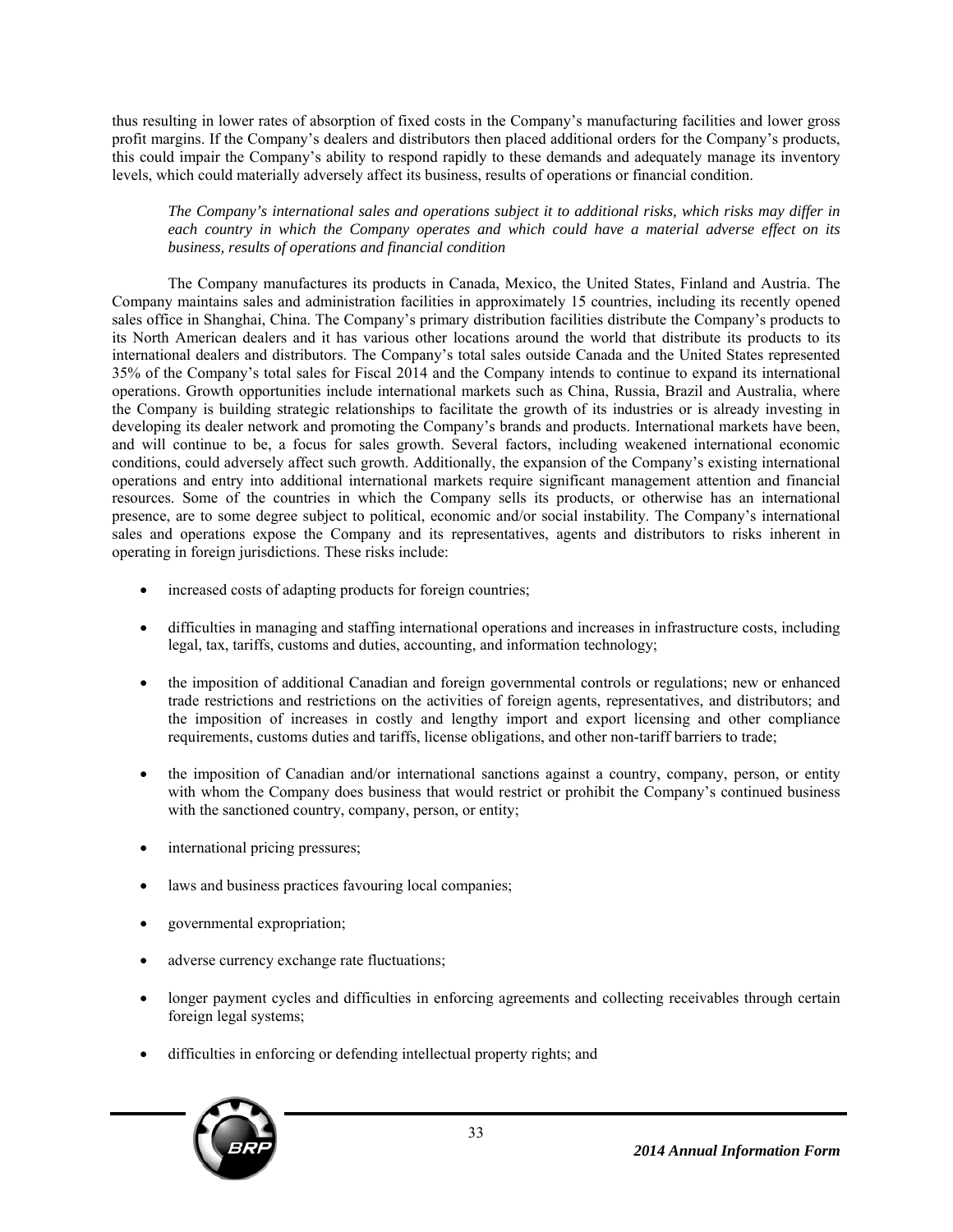thus resulting in lower rates of absorption of fixed costs in the Company's manufacturing facilities and lower gross profit margins. If the Company's dealers and distributors then placed additional orders for the Company's products, this could impair the Company's ability to respond rapidly to these demands and adequately manage its inventory levels, which could materially adversely affect its business, results of operations or financial condition.

*The Company's international sales and operations subject it to additional risks, which risks may differ in each country in which the Company operates and which could have a material adverse effect on its business, results of operations and financial condition* 

The Company manufactures its products in Canada, Mexico, the United States, Finland and Austria. The Company maintains sales and administration facilities in approximately 15 countries, including its recently opened sales office in Shanghai, China. The Company's primary distribution facilities distribute the Company's products to its North American dealers and it has various other locations around the world that distribute its products to its international dealers and distributors. The Company's total sales outside Canada and the United States represented 35% of the Company's total sales for Fiscal 2014 and the Company intends to continue to expand its international operations. Growth opportunities include international markets such as China, Russia, Brazil and Australia, where the Company is building strategic relationships to facilitate the growth of its industries or is already investing in developing its dealer network and promoting the Company's brands and products. International markets have been, and will continue to be, a focus for sales growth. Several factors, including weakened international economic conditions, could adversely affect such growth. Additionally, the expansion of the Company's existing international operations and entry into additional international markets require significant management attention and financial resources. Some of the countries in which the Company sells its products, or otherwise has an international presence, are to some degree subject to political, economic and/or social instability. The Company's international sales and operations expose the Company and its representatives, agents and distributors to risks inherent in operating in foreign jurisdictions. These risks include:

- increased costs of adapting products for foreign countries;
- difficulties in managing and staffing international operations and increases in infrastructure costs, including legal, tax, tariffs, customs and duties, accounting, and information technology;
- the imposition of additional Canadian and foreign governmental controls or regulations; new or enhanced trade restrictions and restrictions on the activities of foreign agents, representatives, and distributors; and the imposition of increases in costly and lengthy import and export licensing and other compliance requirements, customs duties and tariffs, license obligations, and other non-tariff barriers to trade;
- the imposition of Canadian and/or international sanctions against a country, company, person, or entity with whom the Company does business that would restrict or prohibit the Company's continued business with the sanctioned country, company, person, or entity;
- international pricing pressures;
- laws and business practices favouring local companies;
- governmental expropriation;
- adverse currency exchange rate fluctuations;
- longer payment cycles and difficulties in enforcing agreements and collecting receivables through certain foreign legal systems;
- difficulties in enforcing or defending intellectual property rights; and

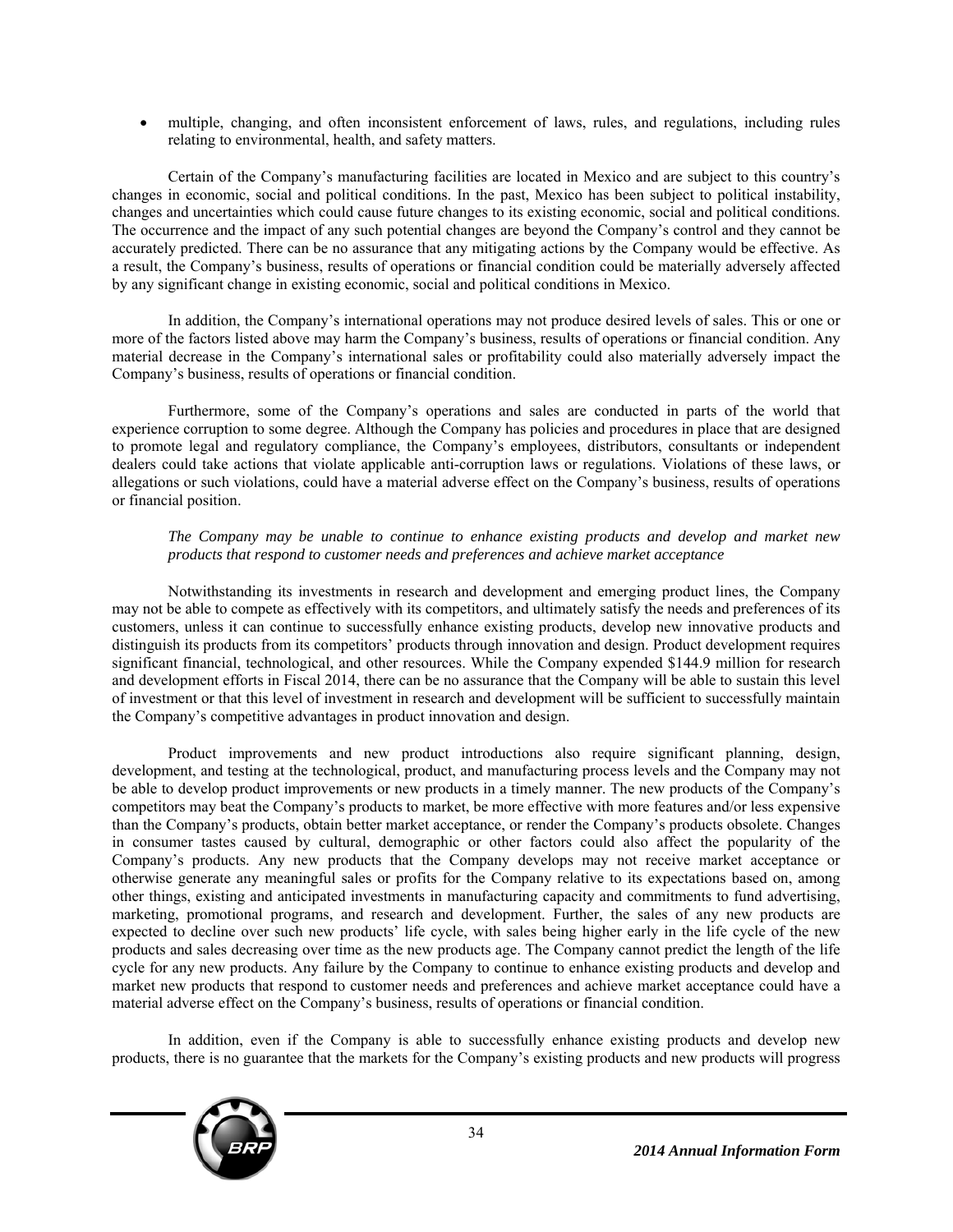multiple, changing, and often inconsistent enforcement of laws, rules, and regulations, including rules relating to environmental, health, and safety matters.

Certain of the Company's manufacturing facilities are located in Mexico and are subject to this country's changes in economic, social and political conditions. In the past, Mexico has been subject to political instability, changes and uncertainties which could cause future changes to its existing economic, social and political conditions. The occurrence and the impact of any such potential changes are beyond the Company's control and they cannot be accurately predicted. There can be no assurance that any mitigating actions by the Company would be effective. As a result, the Company's business, results of operations or financial condition could be materially adversely affected by any significant change in existing economic, social and political conditions in Mexico.

In addition, the Company's international operations may not produce desired levels of sales. This or one or more of the factors listed above may harm the Company's business, results of operations or financial condition. Any material decrease in the Company's international sales or profitability could also materially adversely impact the Company's business, results of operations or financial condition.

Furthermore, some of the Company's operations and sales are conducted in parts of the world that experience corruption to some degree. Although the Company has policies and procedures in place that are designed to promote legal and regulatory compliance, the Company's employees, distributors, consultants or independent dealers could take actions that violate applicable anti-corruption laws or regulations. Violations of these laws, or allegations or such violations, could have a material adverse effect on the Company's business, results of operations or financial position.

# *The Company may be unable to continue to enhance existing products and develop and market new products that respond to customer needs and preferences and achieve market acceptance*

Notwithstanding its investments in research and development and emerging product lines, the Company may not be able to compete as effectively with its competitors, and ultimately satisfy the needs and preferences of its customers, unless it can continue to successfully enhance existing products, develop new innovative products and distinguish its products from its competitors' products through innovation and design. Product development requires significant financial, technological, and other resources. While the Company expended \$144.9 million for research and development efforts in Fiscal 2014, there can be no assurance that the Company will be able to sustain this level of investment or that this level of investment in research and development will be sufficient to successfully maintain the Company's competitive advantages in product innovation and design.

Product improvements and new product introductions also require significant planning, design, development, and testing at the technological, product, and manufacturing process levels and the Company may not be able to develop product improvements or new products in a timely manner. The new products of the Company's competitors may beat the Company's products to market, be more effective with more features and/or less expensive than the Company's products, obtain better market acceptance, or render the Company's products obsolete. Changes in consumer tastes caused by cultural, demographic or other factors could also affect the popularity of the Company's products. Any new products that the Company develops may not receive market acceptance or otherwise generate any meaningful sales or profits for the Company relative to its expectations based on, among other things, existing and anticipated investments in manufacturing capacity and commitments to fund advertising, marketing, promotional programs, and research and development. Further, the sales of any new products are expected to decline over such new products' life cycle, with sales being higher early in the life cycle of the new products and sales decreasing over time as the new products age. The Company cannot predict the length of the life cycle for any new products. Any failure by the Company to continue to enhance existing products and develop and market new products that respond to customer needs and preferences and achieve market acceptance could have a material adverse effect on the Company's business, results of operations or financial condition.

In addition, even if the Company is able to successfully enhance existing products and develop new products, there is no guarantee that the markets for the Company's existing products and new products will progress

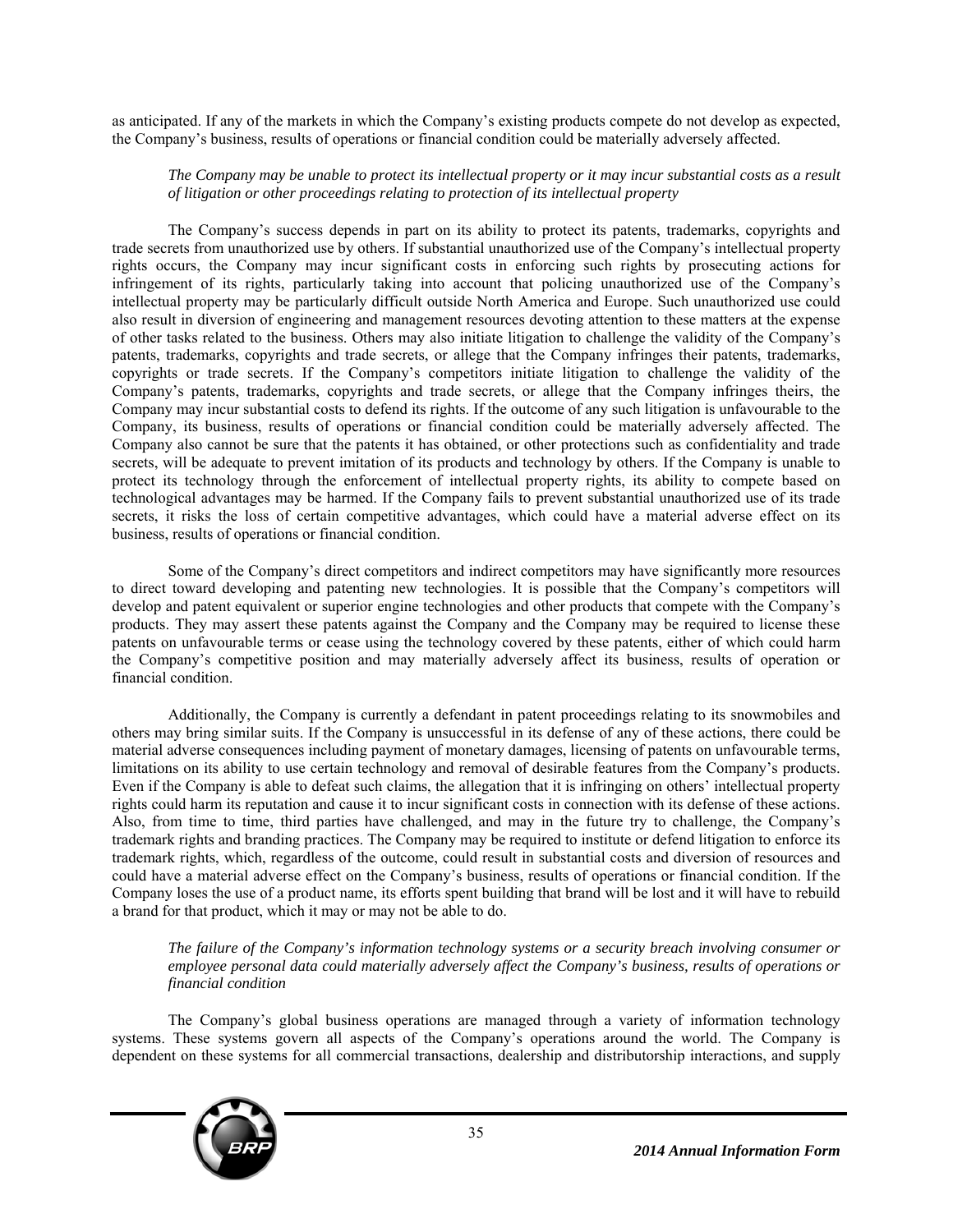as anticipated. If any of the markets in which the Company's existing products compete do not develop as expected, the Company's business, results of operations or financial condition could be materially adversely affected.

### *The Company may be unable to protect its intellectual property or it may incur substantial costs as a result of litigation or other proceedings relating to protection of its intellectual property*

The Company's success depends in part on its ability to protect its patents, trademarks, copyrights and trade secrets from unauthorized use by others. If substantial unauthorized use of the Company's intellectual property rights occurs, the Company may incur significant costs in enforcing such rights by prosecuting actions for infringement of its rights, particularly taking into account that policing unauthorized use of the Company's intellectual property may be particularly difficult outside North America and Europe. Such unauthorized use could also result in diversion of engineering and management resources devoting attention to these matters at the expense of other tasks related to the business. Others may also initiate litigation to challenge the validity of the Company's patents, trademarks, copyrights and trade secrets, or allege that the Company infringes their patents, trademarks, copyrights or trade secrets. If the Company's competitors initiate litigation to challenge the validity of the Company's patents, trademarks, copyrights and trade secrets, or allege that the Company infringes theirs, the Company may incur substantial costs to defend its rights. If the outcome of any such litigation is unfavourable to the Company, its business, results of operations or financial condition could be materially adversely affected. The Company also cannot be sure that the patents it has obtained, or other protections such as confidentiality and trade secrets, will be adequate to prevent imitation of its products and technology by others. If the Company is unable to protect its technology through the enforcement of intellectual property rights, its ability to compete based on technological advantages may be harmed. If the Company fails to prevent substantial unauthorized use of its trade secrets, it risks the loss of certain competitive advantages, which could have a material adverse effect on its business, results of operations or financial condition.

Some of the Company's direct competitors and indirect competitors may have significantly more resources to direct toward developing and patenting new technologies. It is possible that the Company's competitors will develop and patent equivalent or superior engine technologies and other products that compete with the Company's products. They may assert these patents against the Company and the Company may be required to license these patents on unfavourable terms or cease using the technology covered by these patents, either of which could harm the Company's competitive position and may materially adversely affect its business, results of operation or financial condition.

Additionally, the Company is currently a defendant in patent proceedings relating to its snowmobiles and others may bring similar suits. If the Company is unsuccessful in its defense of any of these actions, there could be material adverse consequences including payment of monetary damages, licensing of patents on unfavourable terms, limitations on its ability to use certain technology and removal of desirable features from the Company's products. Even if the Company is able to defeat such claims, the allegation that it is infringing on others' intellectual property rights could harm its reputation and cause it to incur significant costs in connection with its defense of these actions. Also, from time to time, third parties have challenged, and may in the future try to challenge, the Company's trademark rights and branding practices. The Company may be required to institute or defend litigation to enforce its trademark rights, which, regardless of the outcome, could result in substantial costs and diversion of resources and could have a material adverse effect on the Company's business, results of operations or financial condition. If the Company loses the use of a product name, its efforts spent building that brand will be lost and it will have to rebuild a brand for that product, which it may or may not be able to do.

*The failure of the Company's information technology systems or a security breach involving consumer or employee personal data could materially adversely affect the Company's business, results of operations or financial condition* 

The Company's global business operations are managed through a variety of information technology systems. These systems govern all aspects of the Company's operations around the world. The Company is dependent on these systems for all commercial transactions, dealership and distributorship interactions, and supply

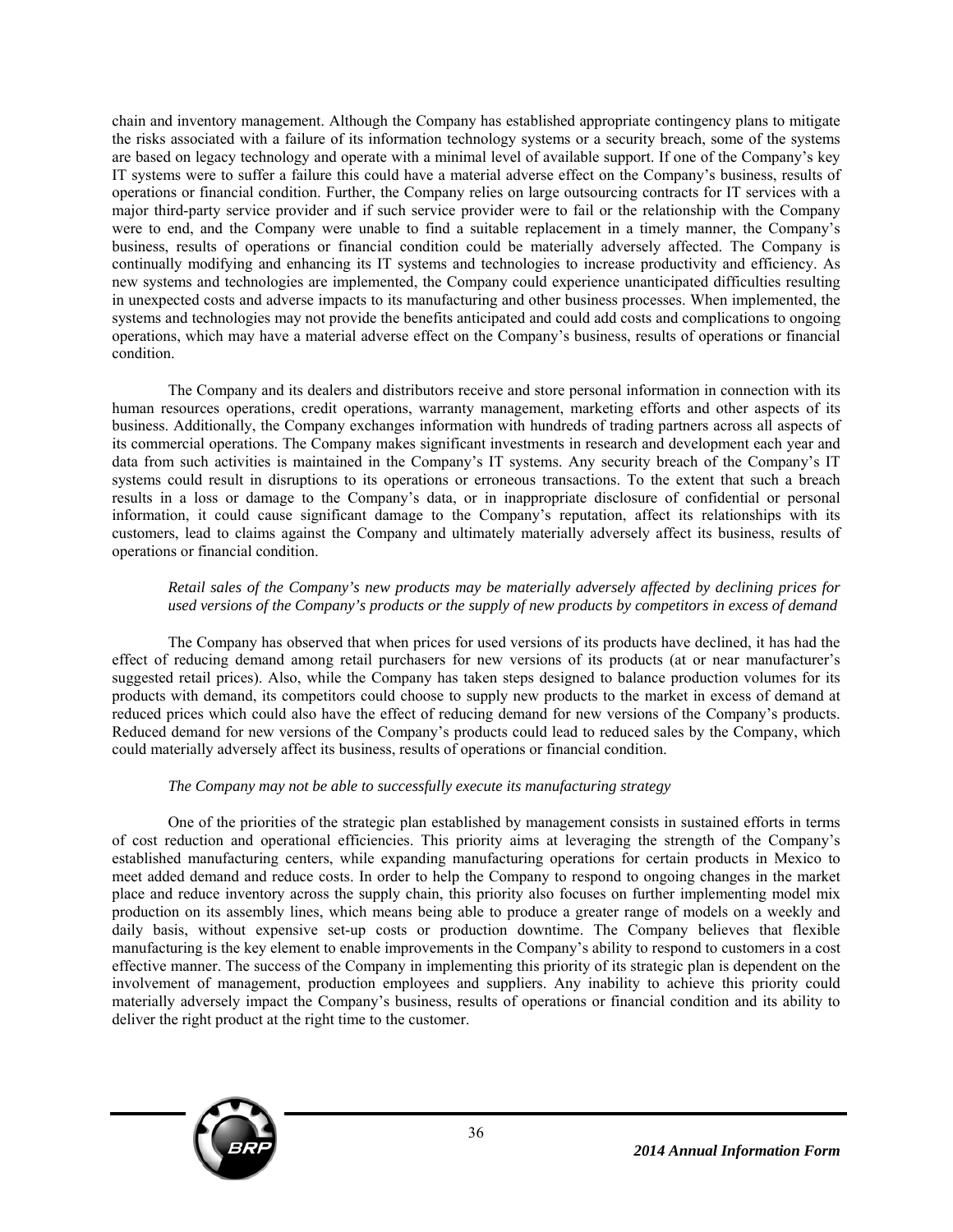chain and inventory management. Although the Company has established appropriate contingency plans to mitigate the risks associated with a failure of its information technology systems or a security breach, some of the systems are based on legacy technology and operate with a minimal level of available support. If one of the Company's key IT systems were to suffer a failure this could have a material adverse effect on the Company's business, results of operations or financial condition. Further, the Company relies on large outsourcing contracts for IT services with a major third-party service provider and if such service provider were to fail or the relationship with the Company were to end, and the Company were unable to find a suitable replacement in a timely manner, the Company's business, results of operations or financial condition could be materially adversely affected. The Company is continually modifying and enhancing its IT systems and technologies to increase productivity and efficiency. As new systems and technologies are implemented, the Company could experience unanticipated difficulties resulting in unexpected costs and adverse impacts to its manufacturing and other business processes. When implemented, the systems and technologies may not provide the benefits anticipated and could add costs and complications to ongoing operations, which may have a material adverse effect on the Company's business, results of operations or financial condition.

The Company and its dealers and distributors receive and store personal information in connection with its human resources operations, credit operations, warranty management, marketing efforts and other aspects of its business. Additionally, the Company exchanges information with hundreds of trading partners across all aspects of its commercial operations. The Company makes significant investments in research and development each year and data from such activities is maintained in the Company's IT systems. Any security breach of the Company's IT systems could result in disruptions to its operations or erroneous transactions. To the extent that such a breach results in a loss or damage to the Company's data, or in inappropriate disclosure of confidential or personal information, it could cause significant damage to the Company's reputation, affect its relationships with its customers, lead to claims against the Company and ultimately materially adversely affect its business, results of operations or financial condition.

### *Retail sales of the Company's new products may be materially adversely affected by declining prices for used versions of the Company's products or the supply of new products by competitors in excess of demand*

The Company has observed that when prices for used versions of its products have declined, it has had the effect of reducing demand among retail purchasers for new versions of its products (at or near manufacturer's suggested retail prices). Also, while the Company has taken steps designed to balance production volumes for its products with demand, its competitors could choose to supply new products to the market in excess of demand at reduced prices which could also have the effect of reducing demand for new versions of the Company's products. Reduced demand for new versions of the Company's products could lead to reduced sales by the Company, which could materially adversely affect its business, results of operations or financial condition.

### *The Company may not be able to successfully execute its manufacturing strategy*

One of the priorities of the strategic plan established by management consists in sustained efforts in terms of cost reduction and operational efficiencies. This priority aims at leveraging the strength of the Company's established manufacturing centers, while expanding manufacturing operations for certain products in Mexico to meet added demand and reduce costs. In order to help the Company to respond to ongoing changes in the market place and reduce inventory across the supply chain, this priority also focuses on further implementing model mix production on its assembly lines, which means being able to produce a greater range of models on a weekly and daily basis, without expensive set-up costs or production downtime. The Company believes that flexible manufacturing is the key element to enable improvements in the Company's ability to respond to customers in a cost effective manner. The success of the Company in implementing this priority of its strategic plan is dependent on the involvement of management, production employees and suppliers. Any inability to achieve this priority could materially adversely impact the Company's business, results of operations or financial condition and its ability to deliver the right product at the right time to the customer.

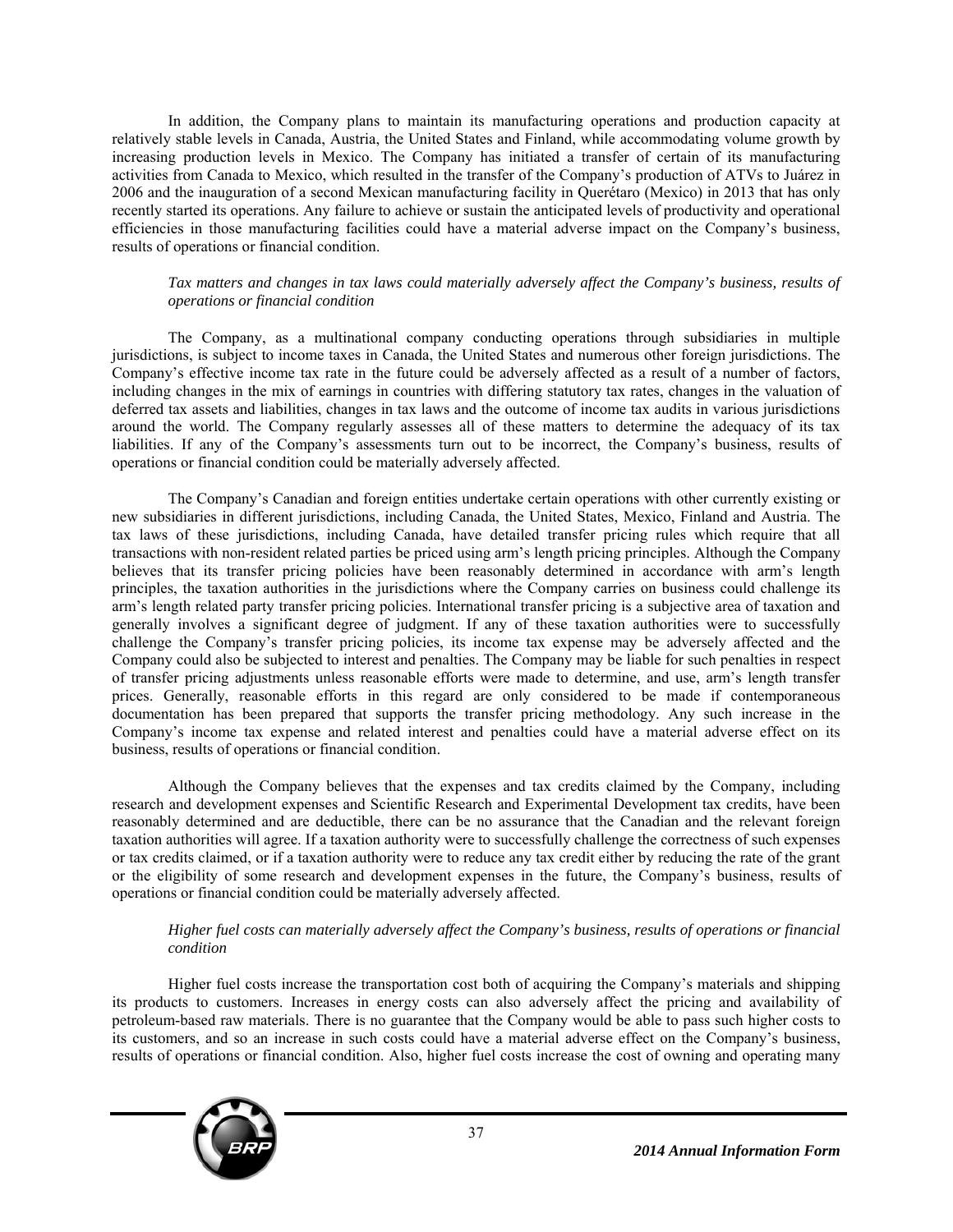In addition, the Company plans to maintain its manufacturing operations and production capacity at relatively stable levels in Canada, Austria, the United States and Finland, while accommodating volume growth by increasing production levels in Mexico. The Company has initiated a transfer of certain of its manufacturing activities from Canada to Mexico, which resulted in the transfer of the Company's production of ATVs to Juárez in 2006 and the inauguration of a second Mexican manufacturing facility in Querétaro (Mexico) in 2013 that has only recently started its operations. Any failure to achieve or sustain the anticipated levels of productivity and operational efficiencies in those manufacturing facilities could have a material adverse impact on the Company's business, results of operations or financial condition.

### *Tax matters and changes in tax laws could materially adversely affect the Company's business, results of operations or financial condition*

The Company, as a multinational company conducting operations through subsidiaries in multiple jurisdictions, is subject to income taxes in Canada, the United States and numerous other foreign jurisdictions. The Company's effective income tax rate in the future could be adversely affected as a result of a number of factors, including changes in the mix of earnings in countries with differing statutory tax rates, changes in the valuation of deferred tax assets and liabilities, changes in tax laws and the outcome of income tax audits in various jurisdictions around the world. The Company regularly assesses all of these matters to determine the adequacy of its tax liabilities. If any of the Company's assessments turn out to be incorrect, the Company's business, results of operations or financial condition could be materially adversely affected.

The Company's Canadian and foreign entities undertake certain operations with other currently existing or new subsidiaries in different jurisdictions, including Canada, the United States, Mexico, Finland and Austria. The tax laws of these jurisdictions, including Canada, have detailed transfer pricing rules which require that all transactions with non-resident related parties be priced using arm's length pricing principles. Although the Company believes that its transfer pricing policies have been reasonably determined in accordance with arm's length principles, the taxation authorities in the jurisdictions where the Company carries on business could challenge its arm's length related party transfer pricing policies. International transfer pricing is a subjective area of taxation and generally involves a significant degree of judgment. If any of these taxation authorities were to successfully challenge the Company's transfer pricing policies, its income tax expense may be adversely affected and the Company could also be subjected to interest and penalties. The Company may be liable for such penalties in respect of transfer pricing adjustments unless reasonable efforts were made to determine, and use, arm's length transfer prices. Generally, reasonable efforts in this regard are only considered to be made if contemporaneous documentation has been prepared that supports the transfer pricing methodology. Any such increase in the Company's income tax expense and related interest and penalties could have a material adverse effect on its business, results of operations or financial condition.

Although the Company believes that the expenses and tax credits claimed by the Company, including research and development expenses and Scientific Research and Experimental Development tax credits, have been reasonably determined and are deductible, there can be no assurance that the Canadian and the relevant foreign taxation authorities will agree. If a taxation authority were to successfully challenge the correctness of such expenses or tax credits claimed, or if a taxation authority were to reduce any tax credit either by reducing the rate of the grant or the eligibility of some research and development expenses in the future, the Company's business, results of operations or financial condition could be materially adversely affected.

### *Higher fuel costs can materially adversely affect the Company's business, results of operations or financial condition*

Higher fuel costs increase the transportation cost both of acquiring the Company's materials and shipping its products to customers. Increases in energy costs can also adversely affect the pricing and availability of petroleum-based raw materials. There is no guarantee that the Company would be able to pass such higher costs to its customers, and so an increase in such costs could have a material adverse effect on the Company's business, results of operations or financial condition. Also, higher fuel costs increase the cost of owning and operating many

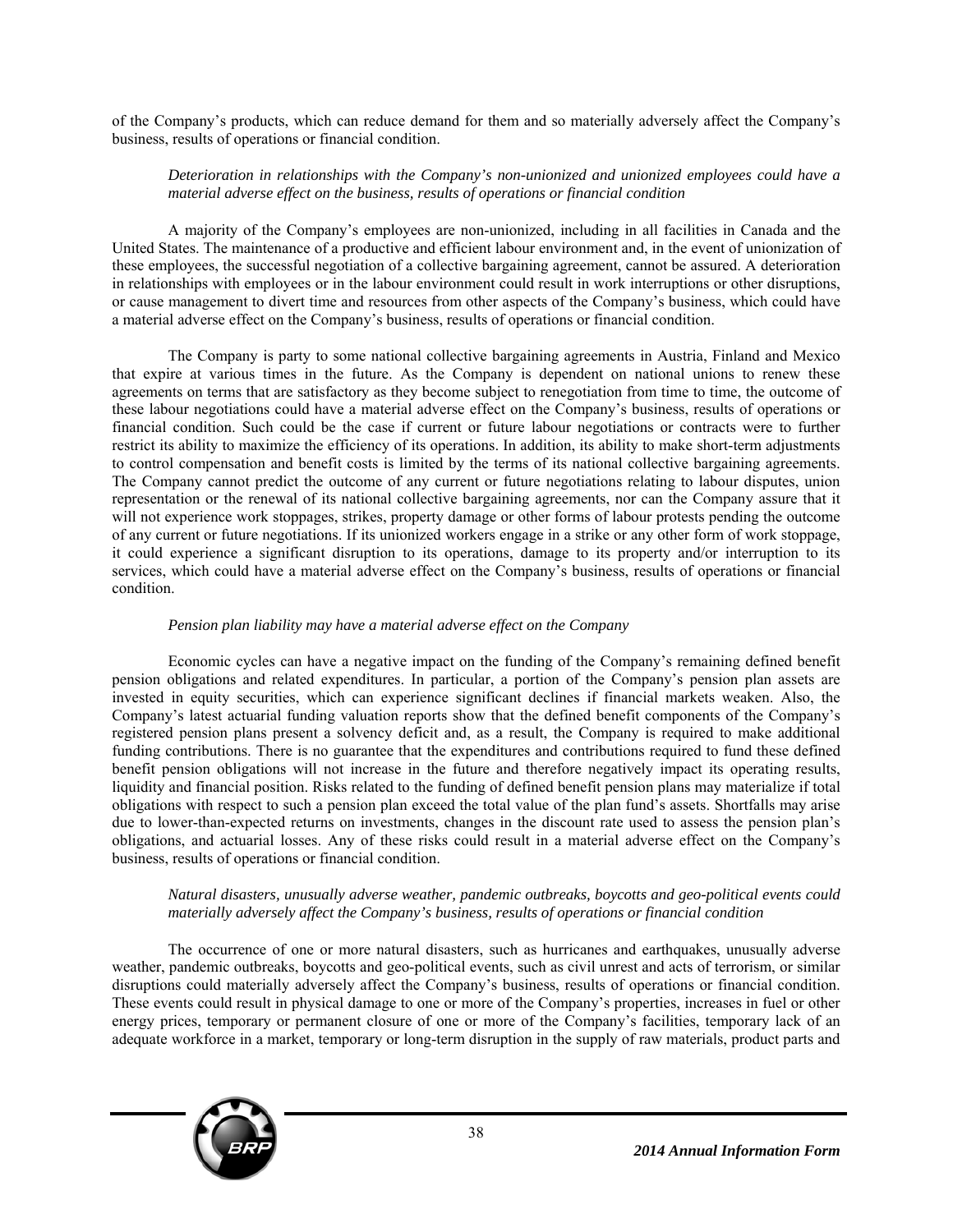of the Company's products, which can reduce demand for them and so materially adversely affect the Company's business, results of operations or financial condition.

### *Deterioration in relationships with the Company's non-unionized and unionized employees could have a material adverse effect on the business, results of operations or financial condition*

A majority of the Company's employees are non-unionized, including in all facilities in Canada and the United States. The maintenance of a productive and efficient labour environment and, in the event of unionization of these employees, the successful negotiation of a collective bargaining agreement, cannot be assured. A deterioration in relationships with employees or in the labour environment could result in work interruptions or other disruptions, or cause management to divert time and resources from other aspects of the Company's business, which could have a material adverse effect on the Company's business, results of operations or financial condition.

The Company is party to some national collective bargaining agreements in Austria, Finland and Mexico that expire at various times in the future. As the Company is dependent on national unions to renew these agreements on terms that are satisfactory as they become subject to renegotiation from time to time, the outcome of these labour negotiations could have a material adverse effect on the Company's business, results of operations or financial condition. Such could be the case if current or future labour negotiations or contracts were to further restrict its ability to maximize the efficiency of its operations. In addition, its ability to make short-term adjustments to control compensation and benefit costs is limited by the terms of its national collective bargaining agreements. The Company cannot predict the outcome of any current or future negotiations relating to labour disputes, union representation or the renewal of its national collective bargaining agreements, nor can the Company assure that it will not experience work stoppages, strikes, property damage or other forms of labour protests pending the outcome of any current or future negotiations. If its unionized workers engage in a strike or any other form of work stoppage, it could experience a significant disruption to its operations, damage to its property and/or interruption to its services, which could have a material adverse effect on the Company's business, results of operations or financial condition.

## *Pension plan liability may have a material adverse effect on the Company*

Economic cycles can have a negative impact on the funding of the Company's remaining defined benefit pension obligations and related expenditures. In particular, a portion of the Company's pension plan assets are invested in equity securities, which can experience significant declines if financial markets weaken. Also, the Company's latest actuarial funding valuation reports show that the defined benefit components of the Company's registered pension plans present a solvency deficit and, as a result, the Company is required to make additional funding contributions. There is no guarantee that the expenditures and contributions required to fund these defined benefit pension obligations will not increase in the future and therefore negatively impact its operating results, liquidity and financial position. Risks related to the funding of defined benefit pension plans may materialize if total obligations with respect to such a pension plan exceed the total value of the plan fund's assets. Shortfalls may arise due to lower-than-expected returns on investments, changes in the discount rate used to assess the pension plan's obligations, and actuarial losses. Any of these risks could result in a material adverse effect on the Company's business, results of operations or financial condition.

### *Natural disasters, unusually adverse weather, pandemic outbreaks, boycotts and geo-political events could materially adversely affect the Company's business, results of operations or financial condition*

The occurrence of one or more natural disasters, such as hurricanes and earthquakes, unusually adverse weather, pandemic outbreaks, boycotts and geo-political events, such as civil unrest and acts of terrorism, or similar disruptions could materially adversely affect the Company's business, results of operations or financial condition. These events could result in physical damage to one or more of the Company's properties, increases in fuel or other energy prices, temporary or permanent closure of one or more of the Company's facilities, temporary lack of an adequate workforce in a market, temporary or long-term disruption in the supply of raw materials, product parts and

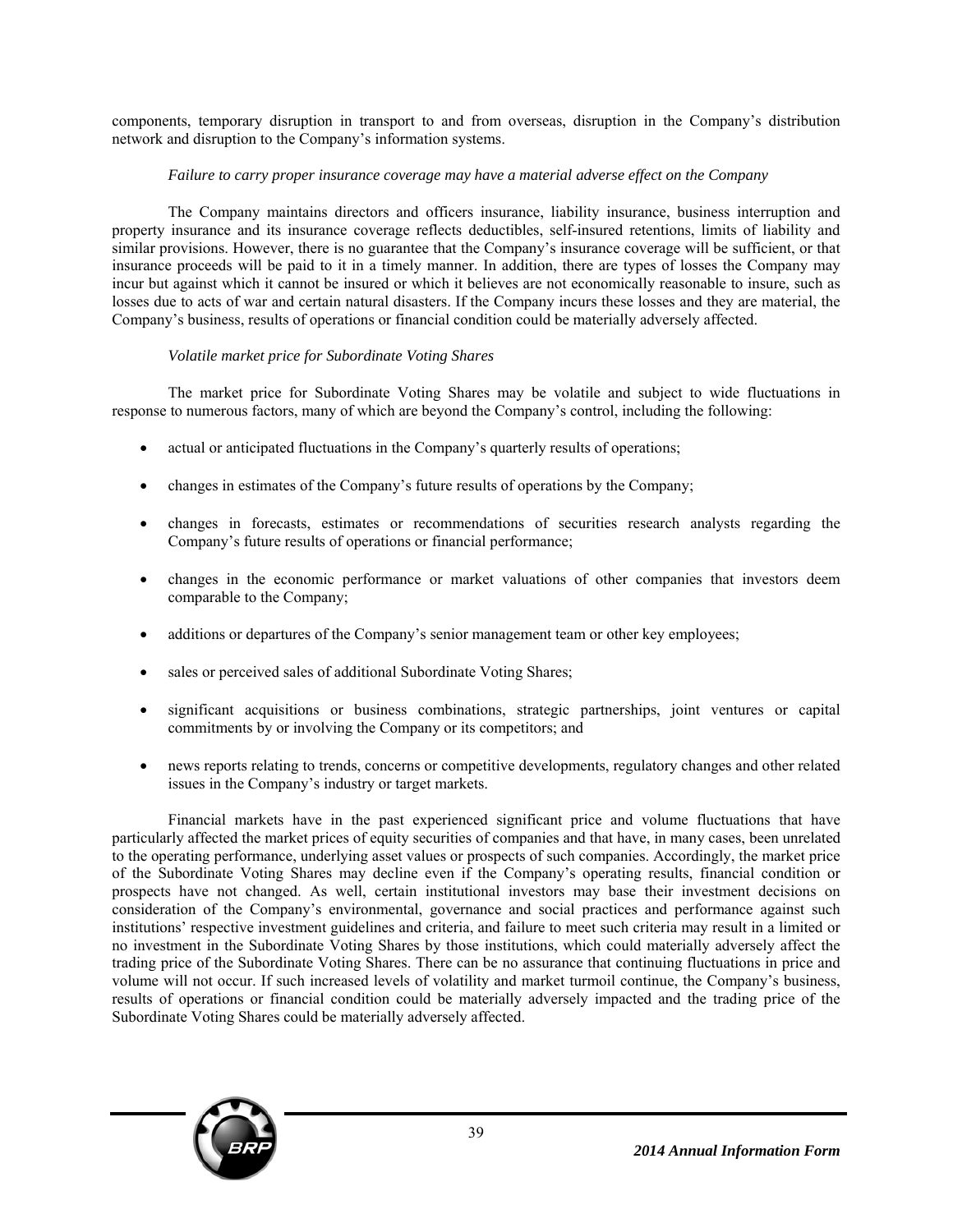components, temporary disruption in transport to and from overseas, disruption in the Company's distribution network and disruption to the Company's information systems.

### *Failure to carry proper insurance coverage may have a material adverse effect on the Company*

The Company maintains directors and officers insurance, liability insurance, business interruption and property insurance and its insurance coverage reflects deductibles, self-insured retentions, limits of liability and similar provisions. However, there is no guarantee that the Company's insurance coverage will be sufficient, or that insurance proceeds will be paid to it in a timely manner. In addition, there are types of losses the Company may incur but against which it cannot be insured or which it believes are not economically reasonable to insure, such as losses due to acts of war and certain natural disasters. If the Company incurs these losses and they are material, the Company's business, results of operations or financial condition could be materially adversely affected.

### *Volatile market price for Subordinate Voting Shares*

The market price for Subordinate Voting Shares may be volatile and subject to wide fluctuations in response to numerous factors, many of which are beyond the Company's control, including the following:

- actual or anticipated fluctuations in the Company's quarterly results of operations;
- changes in estimates of the Company's future results of operations by the Company;
- changes in forecasts, estimates or recommendations of securities research analysts regarding the Company's future results of operations or financial performance;
- changes in the economic performance or market valuations of other companies that investors deem comparable to the Company;
- additions or departures of the Company's senior management team or other key employees;
- sales or perceived sales of additional Subordinate Voting Shares;
- significant acquisitions or business combinations, strategic partnerships, joint ventures or capital commitments by or involving the Company or its competitors; and
- news reports relating to trends, concerns or competitive developments, regulatory changes and other related issues in the Company's industry or target markets.

Financial markets have in the past experienced significant price and volume fluctuations that have particularly affected the market prices of equity securities of companies and that have, in many cases, been unrelated to the operating performance, underlying asset values or prospects of such companies. Accordingly, the market price of the Subordinate Voting Shares may decline even if the Company's operating results, financial condition or prospects have not changed. As well, certain institutional investors may base their investment decisions on consideration of the Company's environmental, governance and social practices and performance against such institutions' respective investment guidelines and criteria, and failure to meet such criteria may result in a limited or no investment in the Subordinate Voting Shares by those institutions, which could materially adversely affect the trading price of the Subordinate Voting Shares. There can be no assurance that continuing fluctuations in price and volume will not occur. If such increased levels of volatility and market turmoil continue, the Company's business, results of operations or financial condition could be materially adversely impacted and the trading price of the Subordinate Voting Shares could be materially adversely affected.

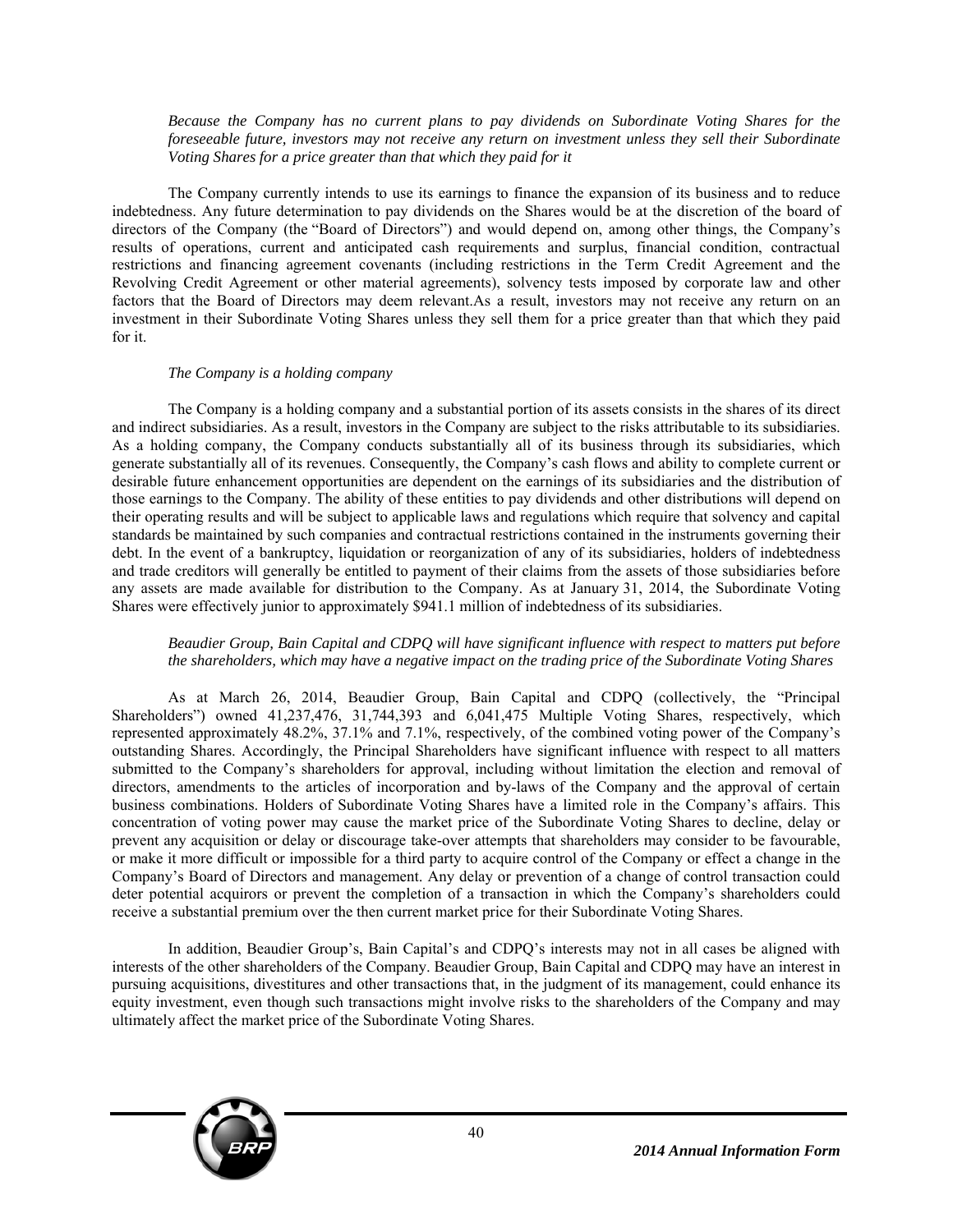*Because the Company has no current plans to pay dividends on Subordinate Voting Shares for the foreseeable future, investors may not receive any return on investment unless they sell their Subordinate Voting Shares for a price greater than that which they paid for it* 

The Company currently intends to use its earnings to finance the expansion of its business and to reduce indebtedness. Any future determination to pay dividends on the Shares would be at the discretion of the board of directors of the Company (the "Board of Directors") and would depend on, among other things, the Company's results of operations, current and anticipated cash requirements and surplus, financial condition, contractual restrictions and financing agreement covenants (including restrictions in the Term Credit Agreement and the Revolving Credit Agreement or other material agreements), solvency tests imposed by corporate law and other factors that the Board of Directors may deem relevant.As a result, investors may not receive any return on an investment in their Subordinate Voting Shares unless they sell them for a price greater than that which they paid for it.

### *The Company is a holding company*

The Company is a holding company and a substantial portion of its assets consists in the shares of its direct and indirect subsidiaries. As a result, investors in the Company are subject to the risks attributable to its subsidiaries. As a holding company, the Company conducts substantially all of its business through its subsidiaries, which generate substantially all of its revenues. Consequently, the Company's cash flows and ability to complete current or desirable future enhancement opportunities are dependent on the earnings of its subsidiaries and the distribution of those earnings to the Company. The ability of these entities to pay dividends and other distributions will depend on their operating results and will be subject to applicable laws and regulations which require that solvency and capital standards be maintained by such companies and contractual restrictions contained in the instruments governing their debt. In the event of a bankruptcy, liquidation or reorganization of any of its subsidiaries, holders of indebtedness and trade creditors will generally be entitled to payment of their claims from the assets of those subsidiaries before any assets are made available for distribution to the Company. As at January 31, 2014, the Subordinate Voting Shares were effectively junior to approximately \$941.1 million of indebtedness of its subsidiaries.

### *Beaudier Group, Bain Capital and CDPQ will have significant influence with respect to matters put before the shareholders, which may have a negative impact on the trading price of the Subordinate Voting Shares*

As at March 26, 2014, Beaudier Group, Bain Capital and CDPQ (collectively, the "Principal Shareholders") owned 41,237,476, 31,744,393 and 6,041,475 Multiple Voting Shares, respectively, which represented approximately 48.2%, 37.1% and 7.1%, respectively, of the combined voting power of the Company's outstanding Shares. Accordingly, the Principal Shareholders have significant influence with respect to all matters submitted to the Company's shareholders for approval, including without limitation the election and removal of directors, amendments to the articles of incorporation and by-laws of the Company and the approval of certain business combinations. Holders of Subordinate Voting Shares have a limited role in the Company's affairs. This concentration of voting power may cause the market price of the Subordinate Voting Shares to decline, delay or prevent any acquisition or delay or discourage take-over attempts that shareholders may consider to be favourable, or make it more difficult or impossible for a third party to acquire control of the Company or effect a change in the Company's Board of Directors and management. Any delay or prevention of a change of control transaction could deter potential acquirors or prevent the completion of a transaction in which the Company's shareholders could receive a substantial premium over the then current market price for their Subordinate Voting Shares.

In addition, Beaudier Group's, Bain Capital's and CDPQ's interests may not in all cases be aligned with interests of the other shareholders of the Company. Beaudier Group, Bain Capital and CDPQ may have an interest in pursuing acquisitions, divestitures and other transactions that, in the judgment of its management, could enhance its equity investment, even though such transactions might involve risks to the shareholders of the Company and may ultimately affect the market price of the Subordinate Voting Shares.

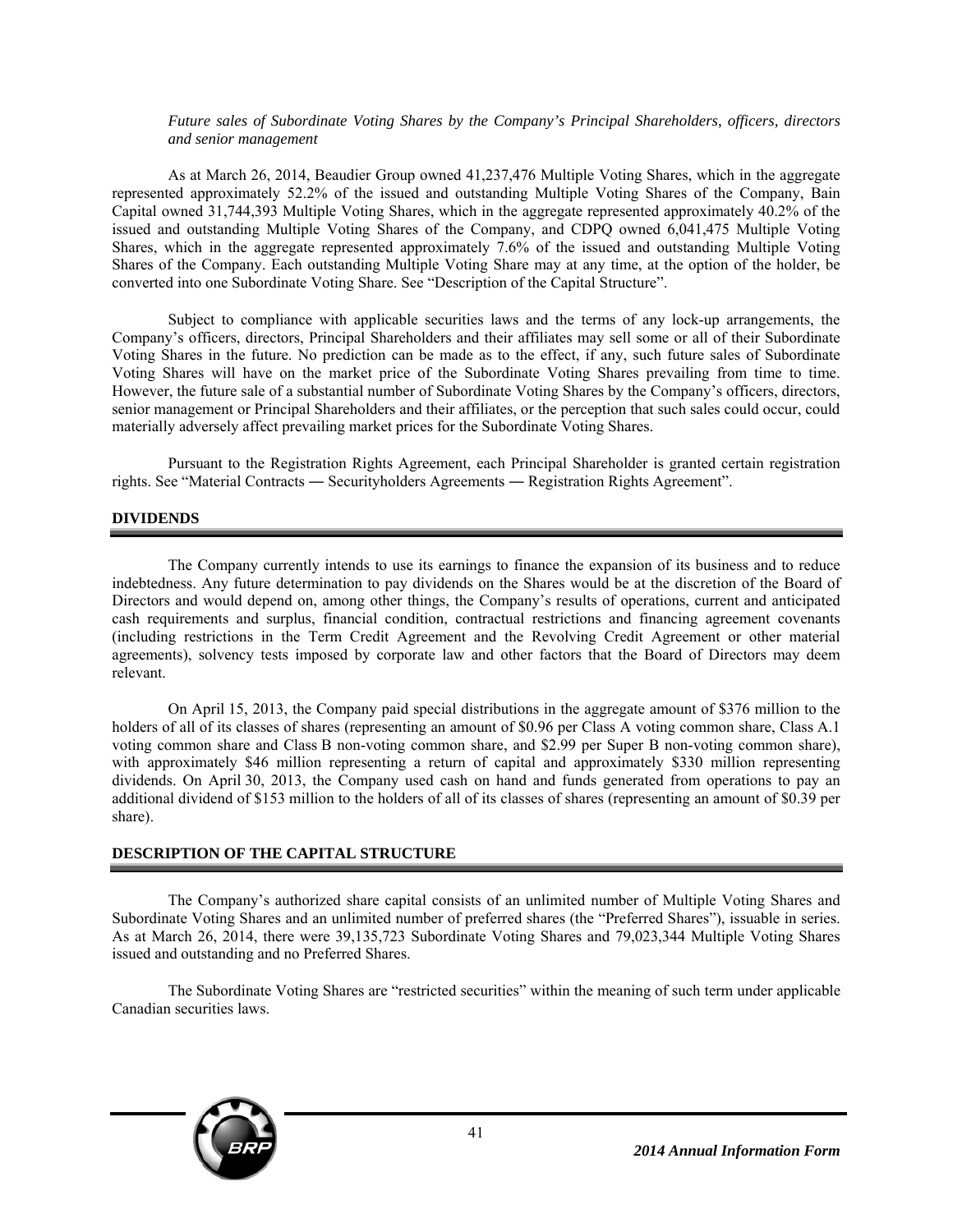#### *Future sales of Subordinate Voting Shares by the Company's Principal Shareholders, officers, directors and senior management*

As at March 26, 2014, Beaudier Group owned 41,237,476 Multiple Voting Shares, which in the aggregate represented approximately 52.2% of the issued and outstanding Multiple Voting Shares of the Company, Bain Capital owned 31,744,393 Multiple Voting Shares, which in the aggregate represented approximately 40.2% of the issued and outstanding Multiple Voting Shares of the Company, and CDPQ owned 6,041,475 Multiple Voting Shares, which in the aggregate represented approximately 7.6% of the issued and outstanding Multiple Voting Shares of the Company. Each outstanding Multiple Voting Share may at any time, at the option of the holder, be converted into one Subordinate Voting Share. See "Description of the Capital Structure".

Subject to compliance with applicable securities laws and the terms of any lock-up arrangements, the Company's officers, directors, Principal Shareholders and their affiliates may sell some or all of their Subordinate Voting Shares in the future. No prediction can be made as to the effect, if any, such future sales of Subordinate Voting Shares will have on the market price of the Subordinate Voting Shares prevailing from time to time. However, the future sale of a substantial number of Subordinate Voting Shares by the Company's officers, directors, senior management or Principal Shareholders and their affiliates, or the perception that such sales could occur, could materially adversely affect prevailing market prices for the Subordinate Voting Shares.

Pursuant to the Registration Rights Agreement, each Principal Shareholder is granted certain registration rights. See "Material Contracts ― Securityholders Agreements ― Registration Rights Agreement".

### **DIVIDENDS**

The Company currently intends to use its earnings to finance the expansion of its business and to reduce indebtedness. Any future determination to pay dividends on the Shares would be at the discretion of the Board of Directors and would depend on, among other things, the Company's results of operations, current and anticipated cash requirements and surplus, financial condition, contractual restrictions and financing agreement covenants (including restrictions in the Term Credit Agreement and the Revolving Credit Agreement or other material agreements), solvency tests imposed by corporate law and other factors that the Board of Directors may deem relevant.

On April 15, 2013, the Company paid special distributions in the aggregate amount of \$376 million to the holders of all of its classes of shares (representing an amount of \$0.96 per Class A voting common share, Class A.1 voting common share and Class B non-voting common share, and \$2.99 per Super B non-voting common share), with approximately \$46 million representing a return of capital and approximately \$330 million representing dividends. On April 30, 2013, the Company used cash on hand and funds generated from operations to pay an additional dividend of \$153 million to the holders of all of its classes of shares (representing an amount of \$0.39 per share).

### **DESCRIPTION OF THE CAPITAL STRUCTURE**

The Company's authorized share capital consists of an unlimited number of Multiple Voting Shares and Subordinate Voting Shares and an unlimited number of preferred shares (the "Preferred Shares"), issuable in series. As at March 26, 2014, there were 39,135,723 Subordinate Voting Shares and 79,023,344 Multiple Voting Shares issued and outstanding and no Preferred Shares.

The Subordinate Voting Shares are "restricted securities" within the meaning of such term under applicable Canadian securities laws.

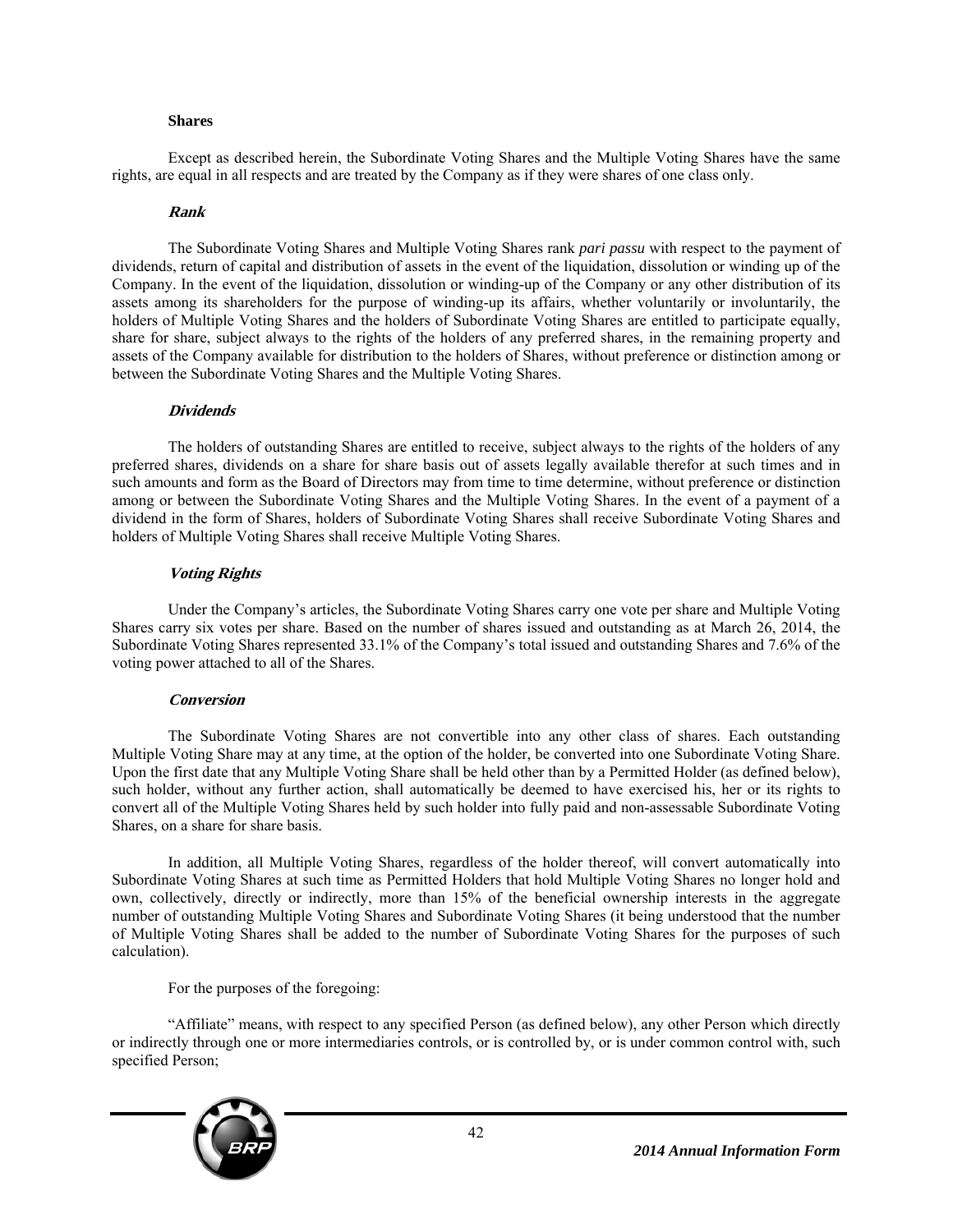#### **Shares**

Except as described herein, the Subordinate Voting Shares and the Multiple Voting Shares have the same rights, are equal in all respects and are treated by the Company as if they were shares of one class only.

#### **Rank**

The Subordinate Voting Shares and Multiple Voting Shares rank *pari passu* with respect to the payment of dividends, return of capital and distribution of assets in the event of the liquidation, dissolution or winding up of the Company. In the event of the liquidation, dissolution or winding-up of the Company or any other distribution of its assets among its shareholders for the purpose of winding-up its affairs, whether voluntarily or involuntarily, the holders of Multiple Voting Shares and the holders of Subordinate Voting Shares are entitled to participate equally, share for share, subject always to the rights of the holders of any preferred shares, in the remaining property and assets of the Company available for distribution to the holders of Shares, without preference or distinction among or between the Subordinate Voting Shares and the Multiple Voting Shares.

### **Dividends**

The holders of outstanding Shares are entitled to receive, subject always to the rights of the holders of any preferred shares, dividends on a share for share basis out of assets legally available therefor at such times and in such amounts and form as the Board of Directors may from time to time determine, without preference or distinction among or between the Subordinate Voting Shares and the Multiple Voting Shares. In the event of a payment of a dividend in the form of Shares, holders of Subordinate Voting Shares shall receive Subordinate Voting Shares and holders of Multiple Voting Shares shall receive Multiple Voting Shares.

### **Voting Rights**

Under the Company's articles, the Subordinate Voting Shares carry one vote per share and Multiple Voting Shares carry six votes per share. Based on the number of shares issued and outstanding as at March 26, 2014, the Subordinate Voting Shares represented 33.1% of the Company's total issued and outstanding Shares and 7.6% of the voting power attached to all of the Shares.

### **Conversion**

The Subordinate Voting Shares are not convertible into any other class of shares. Each outstanding Multiple Voting Share may at any time, at the option of the holder, be converted into one Subordinate Voting Share. Upon the first date that any Multiple Voting Share shall be held other than by a Permitted Holder (as defined below), such holder, without any further action, shall automatically be deemed to have exercised his, her or its rights to convert all of the Multiple Voting Shares held by such holder into fully paid and non-assessable Subordinate Voting Shares, on a share for share basis.

In addition, all Multiple Voting Shares, regardless of the holder thereof, will convert automatically into Subordinate Voting Shares at such time as Permitted Holders that hold Multiple Voting Shares no longer hold and own, collectively, directly or indirectly, more than 15% of the beneficial ownership interests in the aggregate number of outstanding Multiple Voting Shares and Subordinate Voting Shares (it being understood that the number of Multiple Voting Shares shall be added to the number of Subordinate Voting Shares for the purposes of such calculation).

For the purposes of the foregoing:

"Affiliate" means, with respect to any specified Person (as defined below), any other Person which directly or indirectly through one or more intermediaries controls, or is controlled by, or is under common control with, such specified Person;

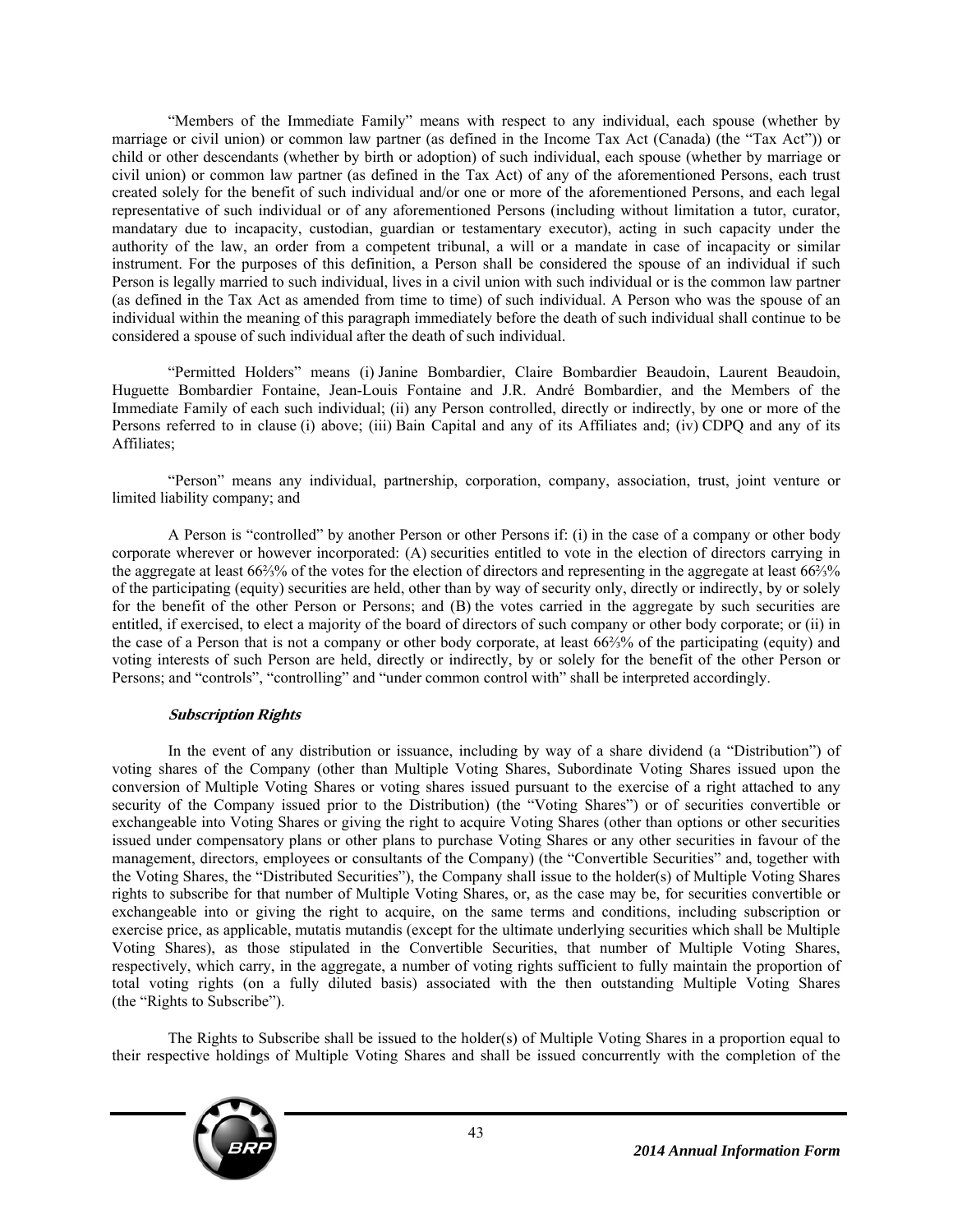"Members of the Immediate Family" means with respect to any individual, each spouse (whether by marriage or civil union) or common law partner (as defined in the Income Tax Act (Canada) (the "Tax Act")) or child or other descendants (whether by birth or adoption) of such individual, each spouse (whether by marriage or civil union) or common law partner (as defined in the Tax Act) of any of the aforementioned Persons, each trust created solely for the benefit of such individual and/or one or more of the aforementioned Persons, and each legal representative of such individual or of any aforementioned Persons (including without limitation a tutor, curator, mandatary due to incapacity, custodian, guardian or testamentary executor), acting in such capacity under the authority of the law, an order from a competent tribunal, a will or a mandate in case of incapacity or similar instrument. For the purposes of this definition, a Person shall be considered the spouse of an individual if such Person is legally married to such individual, lives in a civil union with such individual or is the common law partner (as defined in the Tax Act as amended from time to time) of such individual. A Person who was the spouse of an individual within the meaning of this paragraph immediately before the death of such individual shall continue to be considered a spouse of such individual after the death of such individual.

"Permitted Holders" means (i) Janine Bombardier, Claire Bombardier Beaudoin, Laurent Beaudoin, Huguette Bombardier Fontaine, Jean-Louis Fontaine and J.R. André Bombardier, and the Members of the Immediate Family of each such individual; (ii) any Person controlled, directly or indirectly, by one or more of the Persons referred to in clause (i) above; (iii) Bain Capital and any of its Affiliates and; (iv) CDPQ and any of its Affiliates;

"Person" means any individual, partnership, corporation, company, association, trust, joint venture or limited liability company; and

A Person is "controlled" by another Person or other Persons if: (i) in the case of a company or other body corporate wherever or however incorporated: (A) securities entitled to vote in the election of directors carrying in the aggregate at least 66⅔% of the votes for the election of directors and representing in the aggregate at least 66⅔% of the participating (equity) securities are held, other than by way of security only, directly or indirectly, by or solely for the benefit of the other Person or Persons; and (B) the votes carried in the aggregate by such securities are entitled, if exercised, to elect a majority of the board of directors of such company or other body corporate; or (ii) in the case of a Person that is not a company or other body corporate, at least 66⅔% of the participating (equity) and voting interests of such Person are held, directly or indirectly, by or solely for the benefit of the other Person or Persons; and "controls", "controlling" and "under common control with" shall be interpreted accordingly.

# **Subscription Rights**

In the event of any distribution or issuance, including by way of a share dividend (a "Distribution") of voting shares of the Company (other than Multiple Voting Shares, Subordinate Voting Shares issued upon the conversion of Multiple Voting Shares or voting shares issued pursuant to the exercise of a right attached to any security of the Company issued prior to the Distribution) (the "Voting Shares") or of securities convertible or exchangeable into Voting Shares or giving the right to acquire Voting Shares (other than options or other securities issued under compensatory plans or other plans to purchase Voting Shares or any other securities in favour of the management, directors, employees or consultants of the Company) (the "Convertible Securities" and, together with the Voting Shares, the "Distributed Securities"), the Company shall issue to the holder(s) of Multiple Voting Shares rights to subscribe for that number of Multiple Voting Shares, or, as the case may be, for securities convertible or exchangeable into or giving the right to acquire, on the same terms and conditions, including subscription or exercise price, as applicable, mutatis mutandis (except for the ultimate underlying securities which shall be Multiple Voting Shares), as those stipulated in the Convertible Securities, that number of Multiple Voting Shares, respectively, which carry, in the aggregate, a number of voting rights sufficient to fully maintain the proportion of total voting rights (on a fully diluted basis) associated with the then outstanding Multiple Voting Shares (the "Rights to Subscribe").

The Rights to Subscribe shall be issued to the holder(s) of Multiple Voting Shares in a proportion equal to their respective holdings of Multiple Voting Shares and shall be issued concurrently with the completion of the

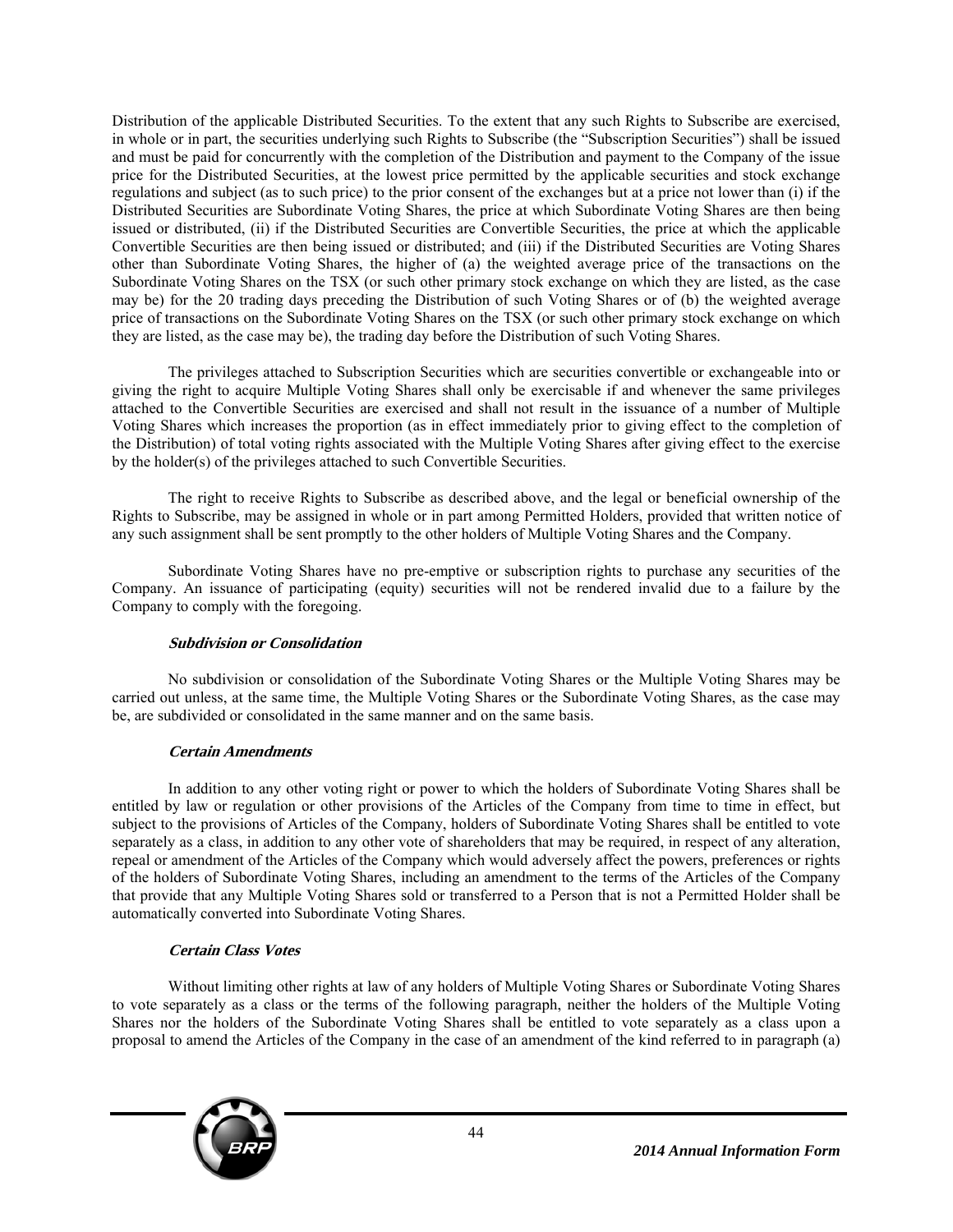Distribution of the applicable Distributed Securities. To the extent that any such Rights to Subscribe are exercised, in whole or in part, the securities underlying such Rights to Subscribe (the "Subscription Securities") shall be issued and must be paid for concurrently with the completion of the Distribution and payment to the Company of the issue price for the Distributed Securities, at the lowest price permitted by the applicable securities and stock exchange regulations and subject (as to such price) to the prior consent of the exchanges but at a price not lower than (i) if the Distributed Securities are Subordinate Voting Shares, the price at which Subordinate Voting Shares are then being issued or distributed, (ii) if the Distributed Securities are Convertible Securities, the price at which the applicable Convertible Securities are then being issued or distributed; and (iii) if the Distributed Securities are Voting Shares other than Subordinate Voting Shares, the higher of (a) the weighted average price of the transactions on the Subordinate Voting Shares on the TSX (or such other primary stock exchange on which they are listed, as the case may be) for the 20 trading days preceding the Distribution of such Voting Shares or of (b) the weighted average price of transactions on the Subordinate Voting Shares on the TSX (or such other primary stock exchange on which they are listed, as the case may be), the trading day before the Distribution of such Voting Shares.

The privileges attached to Subscription Securities which are securities convertible or exchangeable into or giving the right to acquire Multiple Voting Shares shall only be exercisable if and whenever the same privileges attached to the Convertible Securities are exercised and shall not result in the issuance of a number of Multiple Voting Shares which increases the proportion (as in effect immediately prior to giving effect to the completion of the Distribution) of total voting rights associated with the Multiple Voting Shares after giving effect to the exercise by the holder(s) of the privileges attached to such Convertible Securities.

The right to receive Rights to Subscribe as described above, and the legal or beneficial ownership of the Rights to Subscribe, may be assigned in whole or in part among Permitted Holders, provided that written notice of any such assignment shall be sent promptly to the other holders of Multiple Voting Shares and the Company.

Subordinate Voting Shares have no pre-emptive or subscription rights to purchase any securities of the Company. An issuance of participating (equity) securities will not be rendered invalid due to a failure by the Company to comply with the foregoing.

# **Subdivision or Consolidation**

No subdivision or consolidation of the Subordinate Voting Shares or the Multiple Voting Shares may be carried out unless, at the same time, the Multiple Voting Shares or the Subordinate Voting Shares, as the case may be, are subdivided or consolidated in the same manner and on the same basis.

### **Certain Amendments**

In addition to any other voting right or power to which the holders of Subordinate Voting Shares shall be entitled by law or regulation or other provisions of the Articles of the Company from time to time in effect, but subject to the provisions of Articles of the Company, holders of Subordinate Voting Shares shall be entitled to vote separately as a class, in addition to any other vote of shareholders that may be required, in respect of any alteration, repeal or amendment of the Articles of the Company which would adversely affect the powers, preferences or rights of the holders of Subordinate Voting Shares, including an amendment to the terms of the Articles of the Company that provide that any Multiple Voting Shares sold or transferred to a Person that is not a Permitted Holder shall be automatically converted into Subordinate Voting Shares.

# **Certain Class Votes**

Without limiting other rights at law of any holders of Multiple Voting Shares or Subordinate Voting Shares to vote separately as a class or the terms of the following paragraph, neither the holders of the Multiple Voting Shares nor the holders of the Subordinate Voting Shares shall be entitled to vote separately as a class upon a proposal to amend the Articles of the Company in the case of an amendment of the kind referred to in paragraph (a)

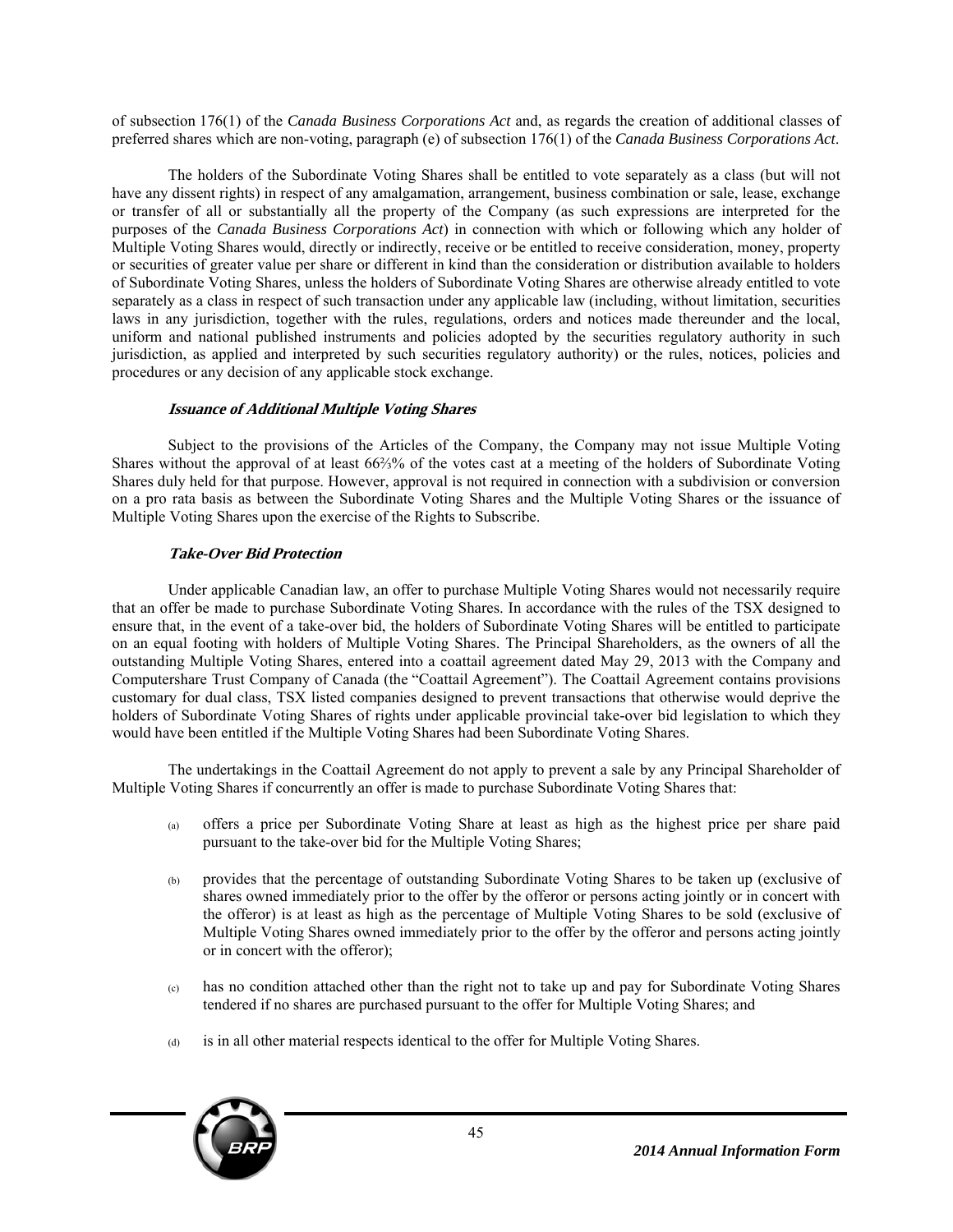of subsection 176(1) of the *Canada Business Corporations Act* and, as regards the creation of additional classes of preferred shares which are non-voting, paragraph (e) of subsection 176(1) of the *Canada Business Corporations Act*.

The holders of the Subordinate Voting Shares shall be entitled to vote separately as a class (but will not have any dissent rights) in respect of any amalgamation, arrangement, business combination or sale, lease, exchange or transfer of all or substantially all the property of the Company (as such expressions are interpreted for the purposes of the *Canada Business Corporations Act*) in connection with which or following which any holder of Multiple Voting Shares would, directly or indirectly, receive or be entitled to receive consideration, money, property or securities of greater value per share or different in kind than the consideration or distribution available to holders of Subordinate Voting Shares, unless the holders of Subordinate Voting Shares are otherwise already entitled to vote separately as a class in respect of such transaction under any applicable law (including, without limitation, securities laws in any jurisdiction, together with the rules, regulations, orders and notices made thereunder and the local, uniform and national published instruments and policies adopted by the securities regulatory authority in such jurisdiction, as applied and interpreted by such securities regulatory authority) or the rules, notices, policies and procedures or any decision of any applicable stock exchange.

# **Issuance of Additional Multiple Voting Shares**

Subject to the provisions of the Articles of the Company, the Company may not issue Multiple Voting Shares without the approval of at least 66⅔% of the votes cast at a meeting of the holders of Subordinate Voting Shares duly held for that purpose. However, approval is not required in connection with a subdivision or conversion on a pro rata basis as between the Subordinate Voting Shares and the Multiple Voting Shares or the issuance of Multiple Voting Shares upon the exercise of the Rights to Subscribe.

# **Take-Over Bid Protection**

Under applicable Canadian law, an offer to purchase Multiple Voting Shares would not necessarily require that an offer be made to purchase Subordinate Voting Shares. In accordance with the rules of the TSX designed to ensure that, in the event of a take-over bid, the holders of Subordinate Voting Shares will be entitled to participate on an equal footing with holders of Multiple Voting Shares. The Principal Shareholders, as the owners of all the outstanding Multiple Voting Shares, entered into a coattail agreement dated May 29, 2013 with the Company and Computershare Trust Company of Canada (the "Coattail Agreement"). The Coattail Agreement contains provisions customary for dual class, TSX listed companies designed to prevent transactions that otherwise would deprive the holders of Subordinate Voting Shares of rights under applicable provincial take-over bid legislation to which they would have been entitled if the Multiple Voting Shares had been Subordinate Voting Shares.

The undertakings in the Coattail Agreement do not apply to prevent a sale by any Principal Shareholder of Multiple Voting Shares if concurrently an offer is made to purchase Subordinate Voting Shares that:

- (a) offers a price per Subordinate Voting Share at least as high as the highest price per share paid pursuant to the take-over bid for the Multiple Voting Shares;
- (b) provides that the percentage of outstanding Subordinate Voting Shares to be taken up (exclusive of shares owned immediately prior to the offer by the offeror or persons acting jointly or in concert with the offeror) is at least as high as the percentage of Multiple Voting Shares to be sold (exclusive of Multiple Voting Shares owned immediately prior to the offer by the offeror and persons acting jointly or in concert with the offeror);
- (c) has no condition attached other than the right not to take up and pay for Subordinate Voting Shares tendered if no shares are purchased pursuant to the offer for Multiple Voting Shares; and
- (d) is in all other material respects identical to the offer for Multiple Voting Shares.

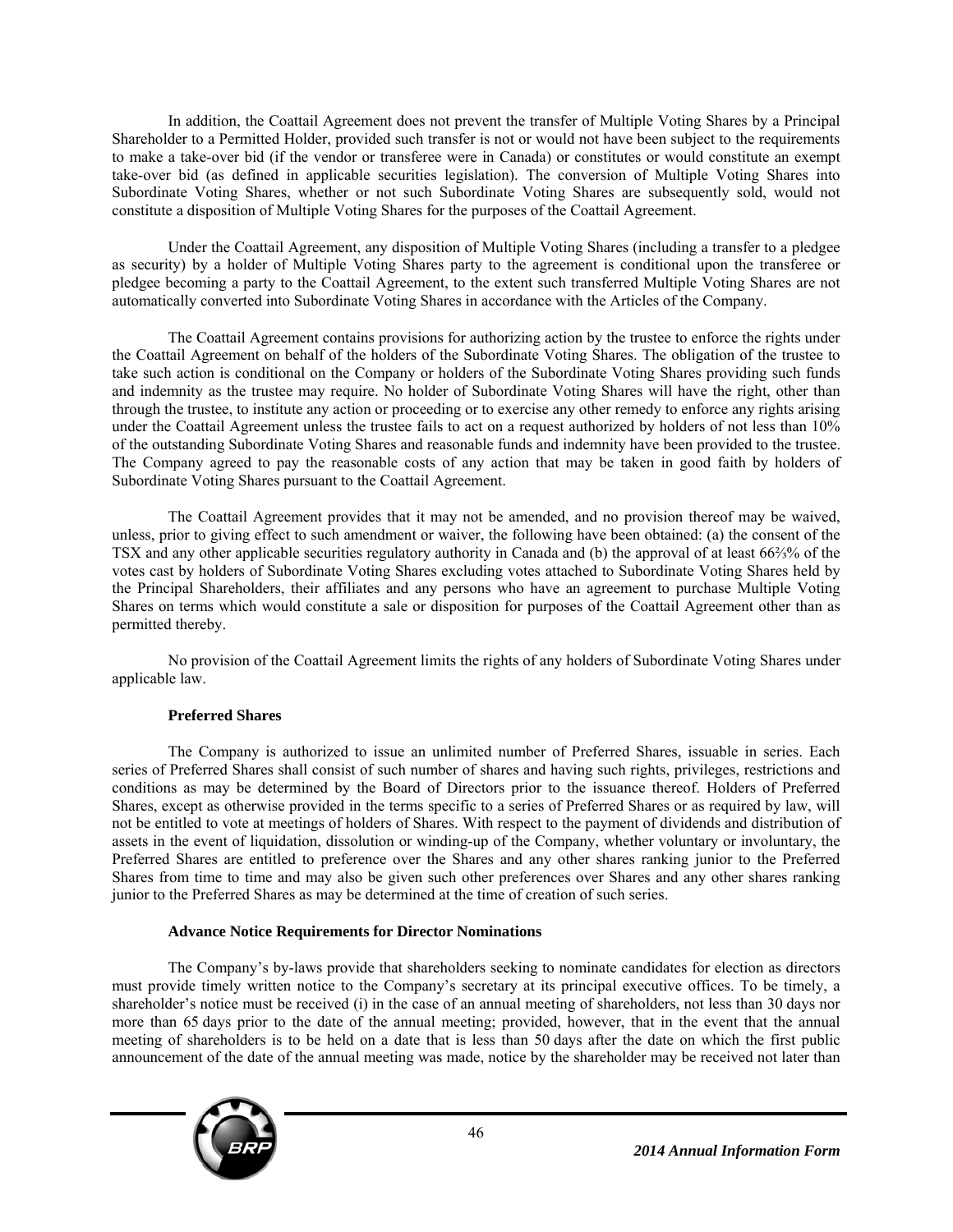In addition, the Coattail Agreement does not prevent the transfer of Multiple Voting Shares by a Principal Shareholder to a Permitted Holder, provided such transfer is not or would not have been subject to the requirements to make a take-over bid (if the vendor or transferee were in Canada) or constitutes or would constitute an exempt take-over bid (as defined in applicable securities legislation). The conversion of Multiple Voting Shares into Subordinate Voting Shares, whether or not such Subordinate Voting Shares are subsequently sold, would not constitute a disposition of Multiple Voting Shares for the purposes of the Coattail Agreement.

Under the Coattail Agreement, any disposition of Multiple Voting Shares (including a transfer to a pledgee as security) by a holder of Multiple Voting Shares party to the agreement is conditional upon the transferee or pledgee becoming a party to the Coattail Agreement, to the extent such transferred Multiple Voting Shares are not automatically converted into Subordinate Voting Shares in accordance with the Articles of the Company.

The Coattail Agreement contains provisions for authorizing action by the trustee to enforce the rights under the Coattail Agreement on behalf of the holders of the Subordinate Voting Shares. The obligation of the trustee to take such action is conditional on the Company or holders of the Subordinate Voting Shares providing such funds and indemnity as the trustee may require. No holder of Subordinate Voting Shares will have the right, other than through the trustee, to institute any action or proceeding or to exercise any other remedy to enforce any rights arising under the Coattail Agreement unless the trustee fails to act on a request authorized by holders of not less than 10% of the outstanding Subordinate Voting Shares and reasonable funds and indemnity have been provided to the trustee. The Company agreed to pay the reasonable costs of any action that may be taken in good faith by holders of Subordinate Voting Shares pursuant to the Coattail Agreement.

The Coattail Agreement provides that it may not be amended, and no provision thereof may be waived, unless, prior to giving effect to such amendment or waiver, the following have been obtained: (a) the consent of the TSX and any other applicable securities regulatory authority in Canada and (b) the approval of at least 66⅔% of the votes cast by holders of Subordinate Voting Shares excluding votes attached to Subordinate Voting Shares held by the Principal Shareholders, their affiliates and any persons who have an agreement to purchase Multiple Voting Shares on terms which would constitute a sale or disposition for purposes of the Coattail Agreement other than as permitted thereby.

No provision of the Coattail Agreement limits the rights of any holders of Subordinate Voting Shares under applicable law.

# **Preferred Shares**

The Company is authorized to issue an unlimited number of Preferred Shares, issuable in series. Each series of Preferred Shares shall consist of such number of shares and having such rights, privileges, restrictions and conditions as may be determined by the Board of Directors prior to the issuance thereof. Holders of Preferred Shares, except as otherwise provided in the terms specific to a series of Preferred Shares or as required by law, will not be entitled to vote at meetings of holders of Shares. With respect to the payment of dividends and distribution of assets in the event of liquidation, dissolution or winding-up of the Company, whether voluntary or involuntary, the Preferred Shares are entitled to preference over the Shares and any other shares ranking junior to the Preferred Shares from time to time and may also be given such other preferences over Shares and any other shares ranking junior to the Preferred Shares as may be determined at the time of creation of such series.

### **Advance Notice Requirements for Director Nominations**

The Company's by-laws provide that shareholders seeking to nominate candidates for election as directors must provide timely written notice to the Company's secretary at its principal executive offices. To be timely, a shareholder's notice must be received (i) in the case of an annual meeting of shareholders, not less than 30 days nor more than 65 days prior to the date of the annual meeting; provided, however, that in the event that the annual meeting of shareholders is to be held on a date that is less than 50 days after the date on which the first public announcement of the date of the annual meeting was made, notice by the shareholder may be received not later than

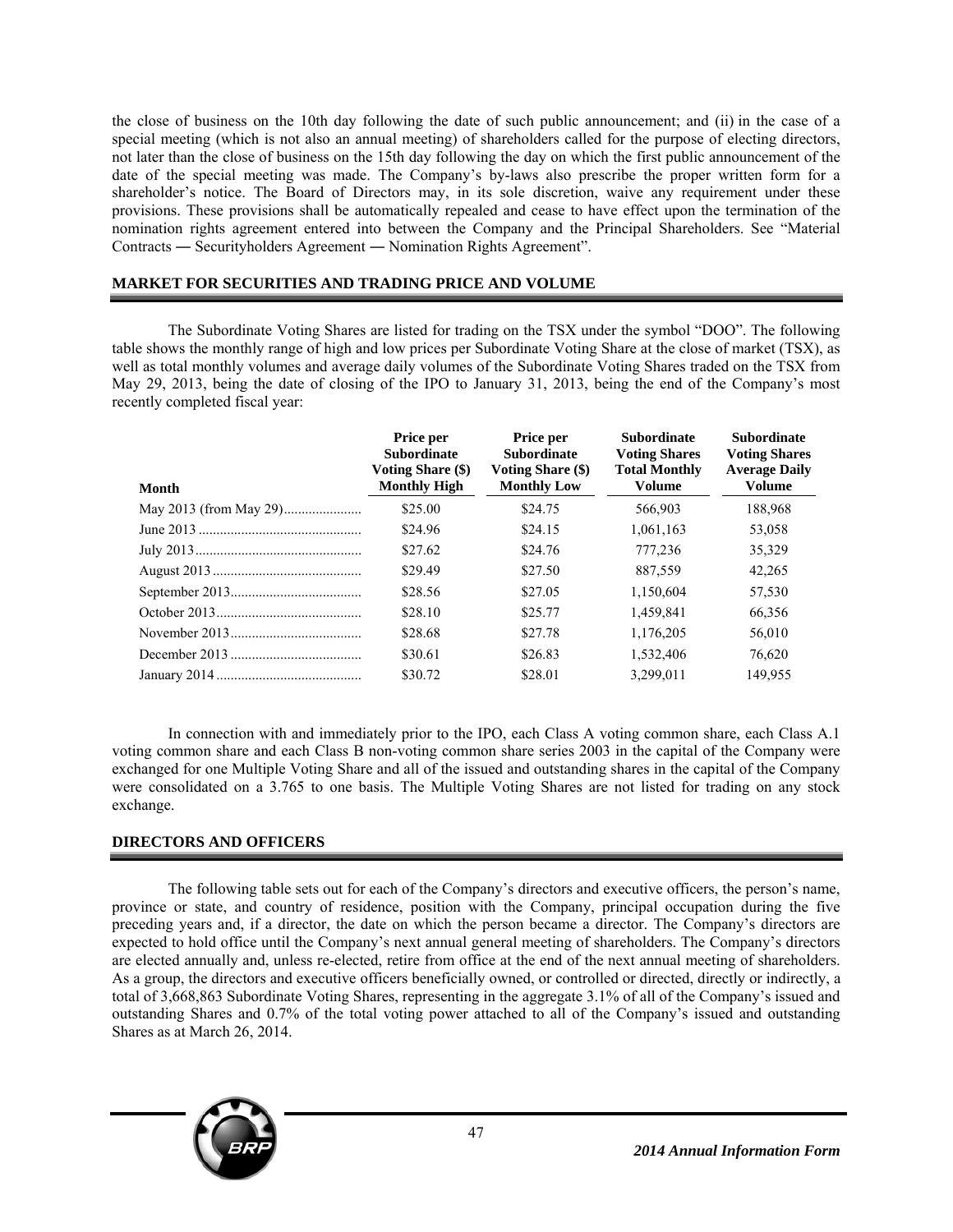the close of business on the 10th day following the date of such public announcement; and (ii) in the case of a special meeting (which is not also an annual meeting) of shareholders called for the purpose of electing directors, not later than the close of business on the 15th day following the day on which the first public announcement of the date of the special meeting was made. The Company's by-laws also prescribe the proper written form for a shareholder's notice. The Board of Directors may, in its sole discretion, waive any requirement under these provisions. These provisions shall be automatically repealed and cease to have effect upon the termination of the nomination rights agreement entered into between the Company and the Principal Shareholders. See "Material Contracts ― Securityholders Agreement ― Nomination Rights Agreement".

### **MARKET FOR SECURITIES AND TRADING PRICE AND VOLUME**

The Subordinate Voting Shares are listed for trading on the TSX under the symbol "DOO". The following table shows the monthly range of high and low prices per Subordinate Voting Share at the close of market (TSX), as well as total monthly volumes and average daily volumes of the Subordinate Voting Shares traded on the TSX from May 29, 2013, being the date of closing of the IPO to January 31, 2013, being the end of the Company's most recently completed fiscal year:

| Month | Price per<br><b>Subordinate</b><br><b>Voting Share (\$)</b><br><b>Monthly High</b> | Price per<br><b>Subordinate</b><br><b>Voting Share (\$)</b><br><b>Monthly Low</b> | <b>Subordinate</b><br><b>Voting Shares</b><br><b>Total Monthly</b><br><b>Volume</b> | <b>Subordinate</b><br><b>Voting Shares</b><br><b>Average Daily</b><br><b>Volume</b> |
|-------|------------------------------------------------------------------------------------|-----------------------------------------------------------------------------------|-------------------------------------------------------------------------------------|-------------------------------------------------------------------------------------|
|       | \$25.00                                                                            | \$24.75                                                                           | 566,903                                                                             | 188,968                                                                             |
|       | \$24.96                                                                            | \$24.15                                                                           | 1,061,163                                                                           | 53,058                                                                              |
|       | \$27.62                                                                            | \$24.76                                                                           | 777.236                                                                             | 35,329                                                                              |
|       | \$29.49                                                                            | \$27.50                                                                           | 887.559                                                                             | 42,265                                                                              |
|       | \$28.56                                                                            | \$27.05                                                                           | 1,150,604                                                                           | 57,530                                                                              |
|       | \$28.10                                                                            | \$25.77                                                                           | 1,459,841                                                                           | 66,356                                                                              |
|       | \$28.68                                                                            | \$27.78                                                                           | 1.176.205                                                                           | 56,010                                                                              |
|       | \$30.61                                                                            | \$26.83                                                                           | 1.532.406                                                                           | 76,620                                                                              |
|       | \$30.72                                                                            | \$28.01                                                                           | 3.299.011                                                                           | 149.955                                                                             |

In connection with and immediately prior to the IPO, each Class A voting common share, each Class A.1 voting common share and each Class B non-voting common share series 2003 in the capital of the Company were exchanged for one Multiple Voting Share and all of the issued and outstanding shares in the capital of the Company were consolidated on a 3.765 to one basis. The Multiple Voting Shares are not listed for trading on any stock exchange.

# **DIRECTORS AND OFFICERS**

The following table sets out for each of the Company's directors and executive officers, the person's name, province or state, and country of residence, position with the Company, principal occupation during the five preceding years and, if a director, the date on which the person became a director. The Company's directors are expected to hold office until the Company's next annual general meeting of shareholders. The Company's directors are elected annually and, unless re-elected, retire from office at the end of the next annual meeting of shareholders. As a group, the directors and executive officers beneficially owned, or controlled or directed, directly or indirectly, a total of 3,668,863 Subordinate Voting Shares, representing in the aggregate 3.1% of all of the Company's issued and outstanding Shares and 0.7% of the total voting power attached to all of the Company's issued and outstanding Shares as at March 26, 2014.

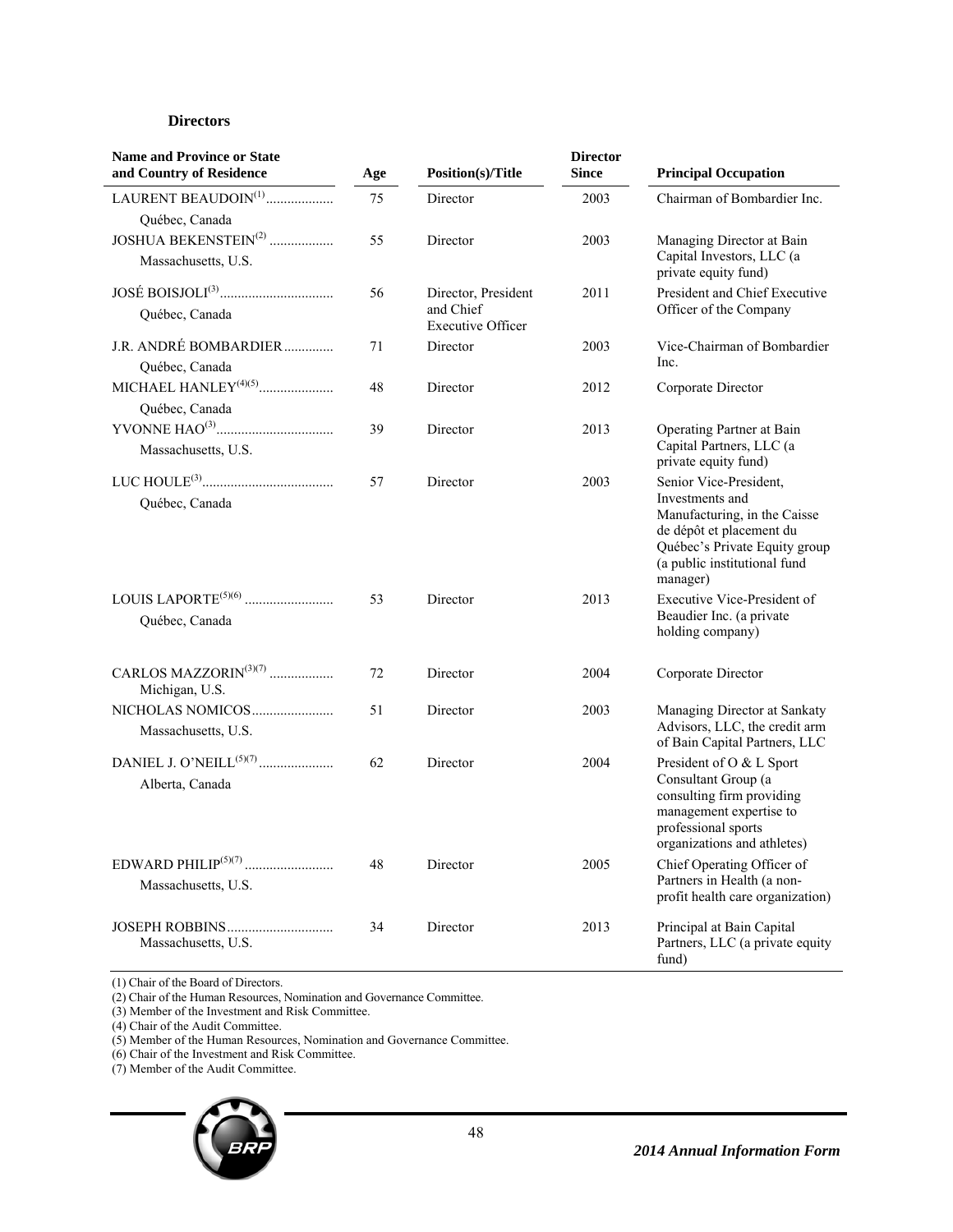### **Directors**

| <b>Name and Province or State</b><br>and Country of Residence | Age | Position(s)/Title                                            | <b>Director</b><br><b>Since</b> | <b>Principal Occupation</b>                                                                                                                                                        |
|---------------------------------------------------------------|-----|--------------------------------------------------------------|---------------------------------|------------------------------------------------------------------------------------------------------------------------------------------------------------------------------------|
| LAURENT BEAUDOIN <sup>(1)</sup><br>Québec, Canada             | 75  | Director                                                     | 2003                            | Chairman of Bombardier Inc.                                                                                                                                                        |
| JOSHUA BEKENSTEIN <sup>(2)</sup><br>Massachusetts, U.S.       | 55  | Director                                                     | 2003                            | Managing Director at Bain<br>Capital Investors, LLC (a<br>private equity fund)                                                                                                     |
| Québec, Canada                                                | 56  | Director, President<br>and Chief<br><b>Executive Officer</b> | 2011                            | President and Chief Executive<br>Officer of the Company                                                                                                                            |
| J.R. ANDRÉ BOMBARDIER<br>Québec, Canada                       | 71  | Director                                                     | 2003                            | Vice-Chairman of Bombardier<br>Inc.                                                                                                                                                |
| Québec, Canada                                                | 48  | Director                                                     | 2012                            | Corporate Director                                                                                                                                                                 |
| Massachusetts, U.S.                                           | 39  | Director                                                     | 2013                            | Operating Partner at Bain<br>Capital Partners, LLC (a<br>private equity fund)                                                                                                      |
| Québec, Canada                                                | 57  | Director                                                     | 2003                            | Senior Vice-President,<br>Investments and<br>Manufacturing, in the Caisse<br>de dépôt et placement du<br>Québec's Private Equity group<br>(a public institutional fund<br>manager) |
| Québec, Canada                                                | 53  | Director                                                     | 2013                            | Executive Vice-President of<br>Beaudier Inc. (a private<br>holding company)                                                                                                        |
| CARLOS MAZZORIN $(3)(7)$<br>Michigan, U.S.                    | 72  | Director                                                     | 2004                            | Corporate Director                                                                                                                                                                 |
| NICHOLAS NOMICOS<br>Massachusetts, U.S.                       | 51  | Director                                                     | 2003                            | Managing Director at Sankaty<br>Advisors, LLC, the credit arm<br>of Bain Capital Partners, LLC                                                                                     |
| Alberta, Canada                                               | 62  | Director                                                     | 2004                            | President of O & L Sport<br>Consultant Group (a<br>consulting firm providing<br>management expertise to<br>professional sports<br>organizations and athletes)                      |
| Massachusetts, U.S.                                           | 48  | Director                                                     | 2005                            | Chief Operating Officer of<br>Partners in Health (a non-<br>profit health care organization)                                                                                       |
| Massachusetts, U.S.                                           | 34  | Director                                                     | 2013                            | Principal at Bain Capital<br>Partners, LLC (a private equity<br>fund)                                                                                                              |

(1) Chair of the Board of Directors.

(2) Chair of the Human Resources, Nomination and Governance Committee.

(3) Member of the Investment and Risk Committee.

(4) Chair of the Audit Committee.

(5) Member of the Human Resources, Nomination and Governance Committee.

(6) Chair of the Investment and Risk Committee.

(7) Member of the Audit Committee.

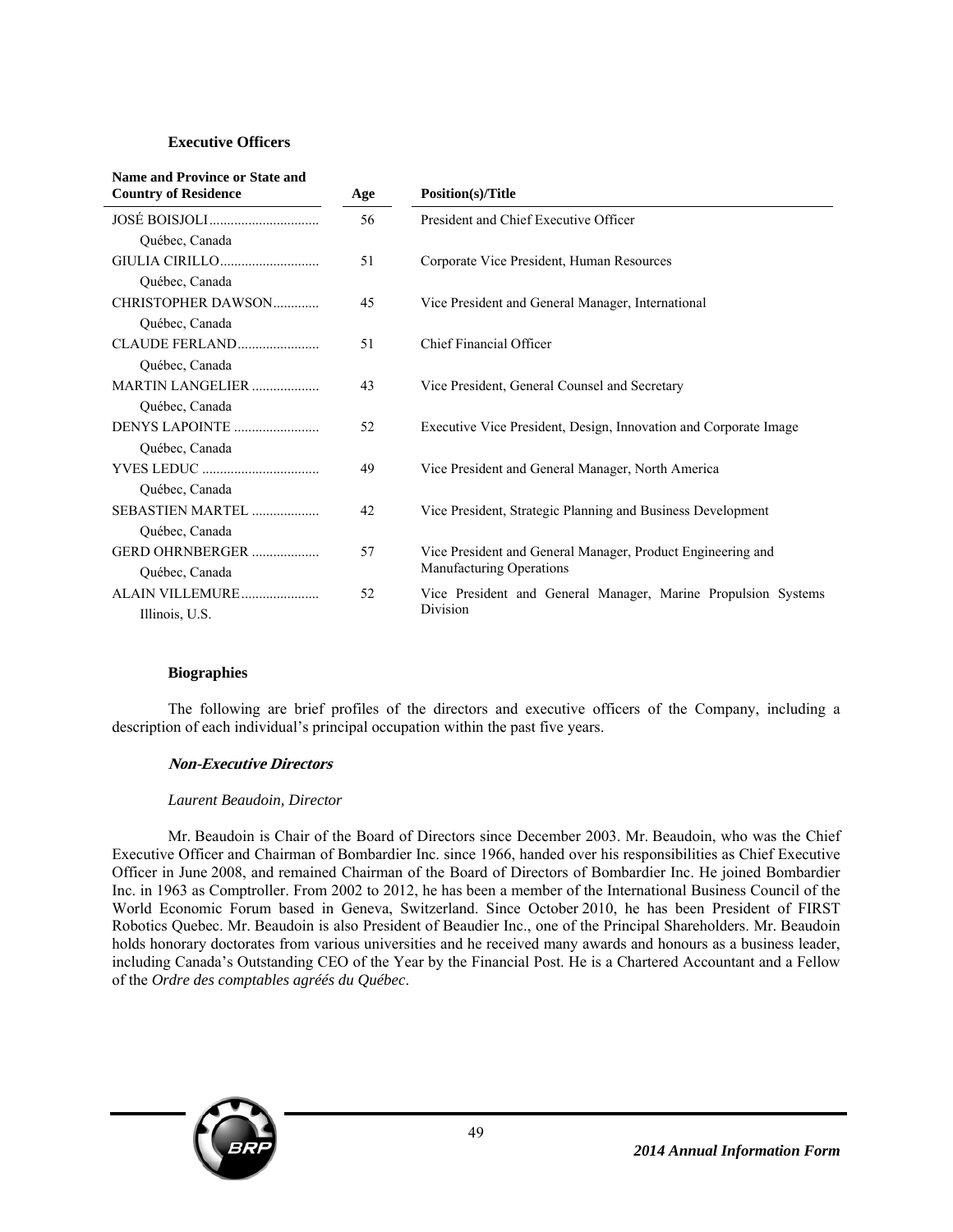### **Executive Officers**

| <b>Name and Province or State and</b><br><b>Country of Residence</b> | Age | <b>Position(s)/Title</b>                                         |
|----------------------------------------------------------------------|-----|------------------------------------------------------------------|
|                                                                      | 56  | President and Chief Executive Officer                            |
| Québec, Canada                                                       |     |                                                                  |
| GIULIA CIRILLO                                                       | 51  | Corporate Vice President, Human Resources                        |
| Québec, Canada                                                       |     |                                                                  |
| CHRISTOPHER DAWSON                                                   | 45  | Vice President and General Manager, International                |
| Québec, Canada                                                       |     |                                                                  |
| CLAUDE FERLAND                                                       | 51  | Chief Financial Officer                                          |
| Québec, Canada                                                       |     |                                                                  |
| MARTIN LANGELIER                                                     | 43  | Vice President, General Counsel and Secretary                    |
| Québec, Canada                                                       |     |                                                                  |
| DENYS LAPOINTE                                                       | 52  | Executive Vice President, Design, Innovation and Corporate Image |
| Québec, Canada                                                       |     |                                                                  |
|                                                                      | 49  | Vice President and General Manager, North America                |
| Québec, Canada                                                       |     |                                                                  |
| SEBASTIEN MARTEL                                                     | 42  | Vice President, Strategic Planning and Business Development      |
| Québec, Canada                                                       |     |                                                                  |
| GERD OHRNBERGER                                                      | 57  | Vice President and General Manager, Product Engineering and      |
| Québec, Canada                                                       |     | Manufacturing Operations                                         |
| ALAIN VILLEMURE                                                      | 52  | Vice President and General Manager, Marine Propulsion Systems    |
| Illinois, U.S.                                                       |     | Division                                                         |

### **Biographies**

The following are brief profiles of the directors and executive officers of the Company, including a description of each individual's principal occupation within the past five years.

### **Non-Executive Directors**

### *Laurent Beaudoin, Director*

Mr. Beaudoin is Chair of the Board of Directors since December 2003. Mr. Beaudoin, who was the Chief Executive Officer and Chairman of Bombardier Inc. since 1966, handed over his responsibilities as Chief Executive Officer in June 2008, and remained Chairman of the Board of Directors of Bombardier Inc. He joined Bombardier Inc. in 1963 as Comptroller. From 2002 to 2012, he has been a member of the International Business Council of the World Economic Forum based in Geneva, Switzerland. Since October 2010, he has been President of FIRST Robotics Quebec. Mr. Beaudoin is also President of Beaudier Inc., one of the Principal Shareholders. Mr. Beaudoin holds honorary doctorates from various universities and he received many awards and honours as a business leader, including Canada's Outstanding CEO of the Year by the Financial Post. He is a Chartered Accountant and a Fellow of the *Ordre des comptables agréés du Québec*.

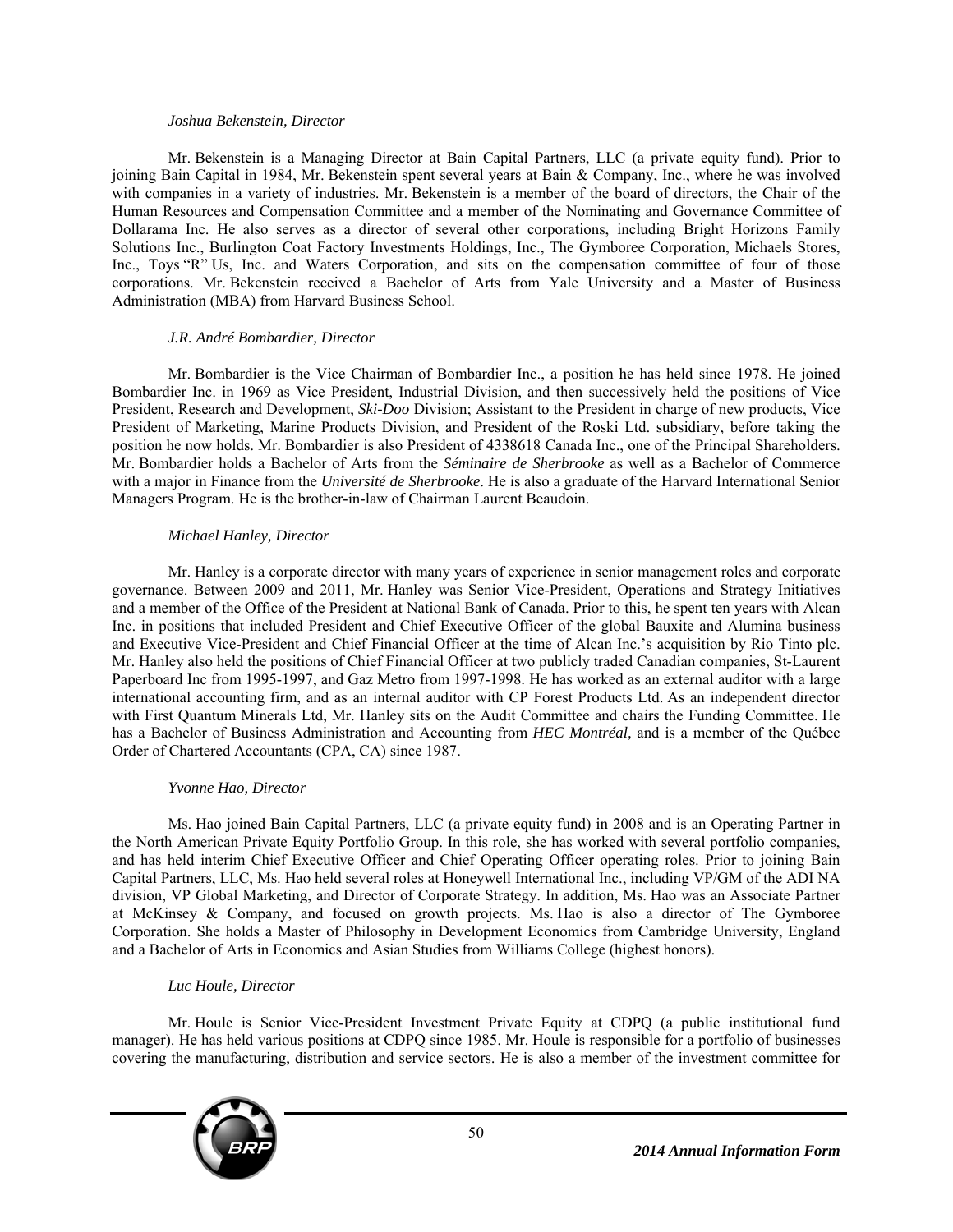#### *Joshua Bekenstein, Director*

Mr. Bekenstein is a Managing Director at Bain Capital Partners, LLC (a private equity fund). Prior to joining Bain Capital in 1984, Mr. Bekenstein spent several years at Bain & Company, Inc., where he was involved with companies in a variety of industries. Mr. Bekenstein is a member of the board of directors, the Chair of the Human Resources and Compensation Committee and a member of the Nominating and Governance Committee of Dollarama Inc. He also serves as a director of several other corporations, including Bright Horizons Family Solutions Inc., Burlington Coat Factory Investments Holdings, Inc., The Gymboree Corporation, Michaels Stores, Inc., Toys "R" Us, Inc. and Waters Corporation, and sits on the compensation committee of four of those corporations. Mr. Bekenstein received a Bachelor of Arts from Yale University and a Master of Business Administration (MBA) from Harvard Business School.

### *J.R. André Bombardier, Director*

Mr. Bombardier is the Vice Chairman of Bombardier Inc., a position he has held since 1978. He joined Bombardier Inc. in 1969 as Vice President, Industrial Division, and then successively held the positions of Vice President, Research and Development, *Ski-Doo* Division; Assistant to the President in charge of new products, Vice President of Marketing, Marine Products Division, and President of the Roski Ltd. subsidiary, before taking the position he now holds. Mr. Bombardier is also President of 4338618 Canada Inc., one of the Principal Shareholders. Mr. Bombardier holds a Bachelor of Arts from the *Séminaire de Sherbrooke* as well as a Bachelor of Commerce with a major in Finance from the *Université de Sherbrooke*. He is also a graduate of the Harvard International Senior Managers Program. He is the brother-in-law of Chairman Laurent Beaudoin.

### *Michael Hanley, Director*

Mr. Hanley is a corporate director with many years of experience in senior management roles and corporate governance. Between 2009 and 2011, Mr. Hanley was Senior Vice-President, Operations and Strategy Initiatives and a member of the Office of the President at National Bank of Canada. Prior to this, he spent ten years with Alcan Inc. in positions that included President and Chief Executive Officer of the global Bauxite and Alumina business and Executive Vice-President and Chief Financial Officer at the time of Alcan Inc.'s acquisition by Rio Tinto plc. Mr. Hanley also held the positions of Chief Financial Officer at two publicly traded Canadian companies, St-Laurent Paperboard Inc from 1995-1997, and Gaz Metro from 1997-1998. He has worked as an external auditor with a large international accounting firm, and as an internal auditor with CP Forest Products Ltd. As an independent director with First Quantum Minerals Ltd, Mr. Hanley sits on the Audit Committee and chairs the Funding Committee. He has a Bachelor of Business Administration and Accounting from *HEC Montréal,* and is a member of the Québec Order of Chartered Accountants (CPA, CA) since 1987.

### *Yvonne Hao, Director*

Ms. Hao joined Bain Capital Partners, LLC (a private equity fund) in 2008 and is an Operating Partner in the North American Private Equity Portfolio Group. In this role, she has worked with several portfolio companies, and has held interim Chief Executive Officer and Chief Operating Officer operating roles. Prior to joining Bain Capital Partners, LLC, Ms. Hao held several roles at Honeywell International Inc., including VP/GM of the ADI NA division, VP Global Marketing, and Director of Corporate Strategy. In addition, Ms. Hao was an Associate Partner at McKinsey & Company, and focused on growth projects. Ms. Hao is also a director of The Gymboree Corporation. She holds a Master of Philosophy in Development Economics from Cambridge University, England and a Bachelor of Arts in Economics and Asian Studies from Williams College (highest honors).

### *Luc Houle, Director*

Mr. Houle is Senior Vice-President Investment Private Equity at CDPQ (a public institutional fund manager). He has held various positions at CDPQ since 1985. Mr. Houle is responsible for a portfolio of businesses covering the manufacturing, distribution and service sectors. He is also a member of the investment committee for

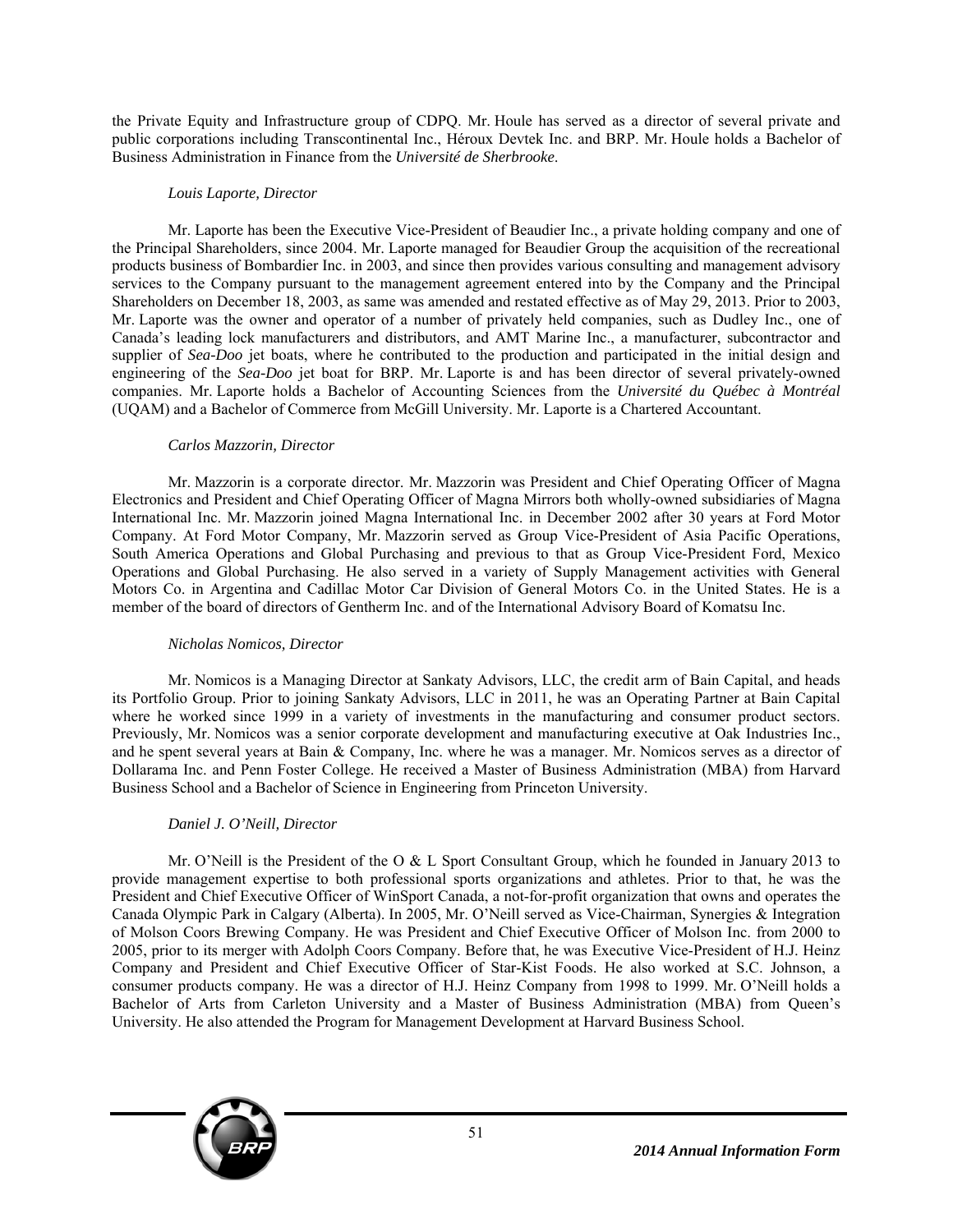the Private Equity and Infrastructure group of CDPQ. Mr. Houle has served as a director of several private and public corporations including Transcontinental Inc., Héroux Devtek Inc. and BRP. Mr. Houle holds a Bachelor of Business Administration in Finance from the *Université de Sherbrooke*.

### *Louis Laporte, Director*

Mr. Laporte has been the Executive Vice-President of Beaudier Inc., a private holding company and one of the Principal Shareholders, since 2004. Mr. Laporte managed for Beaudier Group the acquisition of the recreational products business of Bombardier Inc. in 2003, and since then provides various consulting and management advisory services to the Company pursuant to the management agreement entered into by the Company and the Principal Shareholders on December 18, 2003, as same was amended and restated effective as of May 29, 2013. Prior to 2003, Mr. Laporte was the owner and operator of a number of privately held companies, such as Dudley Inc., one of Canada's leading lock manufacturers and distributors, and AMT Marine Inc., a manufacturer, subcontractor and supplier of *Sea-Doo* jet boats, where he contributed to the production and participated in the initial design and engineering of the *Sea-Doo* jet boat for BRP. Mr. Laporte is and has been director of several privately-owned companies. Mr. Laporte holds a Bachelor of Accounting Sciences from the *Université du Québec à Montréal*  (UQAM) and a Bachelor of Commerce from McGill University. Mr. Laporte is a Chartered Accountant.

### *Carlos Mazzorin, Director*

Mr. Mazzorin is a corporate director. Mr. Mazzorin was President and Chief Operating Officer of Magna Electronics and President and Chief Operating Officer of Magna Mirrors both wholly-owned subsidiaries of Magna International Inc. Mr. Mazzorin joined Magna International Inc. in December 2002 after 30 years at Ford Motor Company. At Ford Motor Company, Mr. Mazzorin served as Group Vice-President of Asia Pacific Operations, South America Operations and Global Purchasing and previous to that as Group Vice-President Ford, Mexico Operations and Global Purchasing. He also served in a variety of Supply Management activities with General Motors Co. in Argentina and Cadillac Motor Car Division of General Motors Co. in the United States. He is a member of the board of directors of Gentherm Inc. and of the International Advisory Board of Komatsu Inc.

### *Nicholas Nomicos, Director*

Mr. Nomicos is a Managing Director at Sankaty Advisors, LLC, the credit arm of Bain Capital, and heads its Portfolio Group. Prior to joining Sankaty Advisors, LLC in 2011, he was an Operating Partner at Bain Capital where he worked since 1999 in a variety of investments in the manufacturing and consumer product sectors. Previously, Mr. Nomicos was a senior corporate development and manufacturing executive at Oak Industries Inc., and he spent several years at Bain & Company, Inc. where he was a manager. Mr. Nomicos serves as a director of Dollarama Inc. and Penn Foster College. He received a Master of Business Administration (MBA) from Harvard Business School and a Bachelor of Science in Engineering from Princeton University.

# *Daniel J. O'Neill, Director*

Mr. O'Neill is the President of the O & L Sport Consultant Group, which he founded in January 2013 to provide management expertise to both professional sports organizations and athletes. Prior to that, he was the President and Chief Executive Officer of WinSport Canada, a not-for-profit organization that owns and operates the Canada Olympic Park in Calgary (Alberta). In 2005, Mr. O'Neill served as Vice-Chairman, Synergies & Integration of Molson Coors Brewing Company. He was President and Chief Executive Officer of Molson Inc. from 2000 to 2005, prior to its merger with Adolph Coors Company. Before that, he was Executive Vice-President of H.J. Heinz Company and President and Chief Executive Officer of Star-Kist Foods. He also worked at S.C. Johnson, a consumer products company. He was a director of H.J. Heinz Company from 1998 to 1999. Mr. O'Neill holds a Bachelor of Arts from Carleton University and a Master of Business Administration (MBA) from Queen's University. He also attended the Program for Management Development at Harvard Business School.

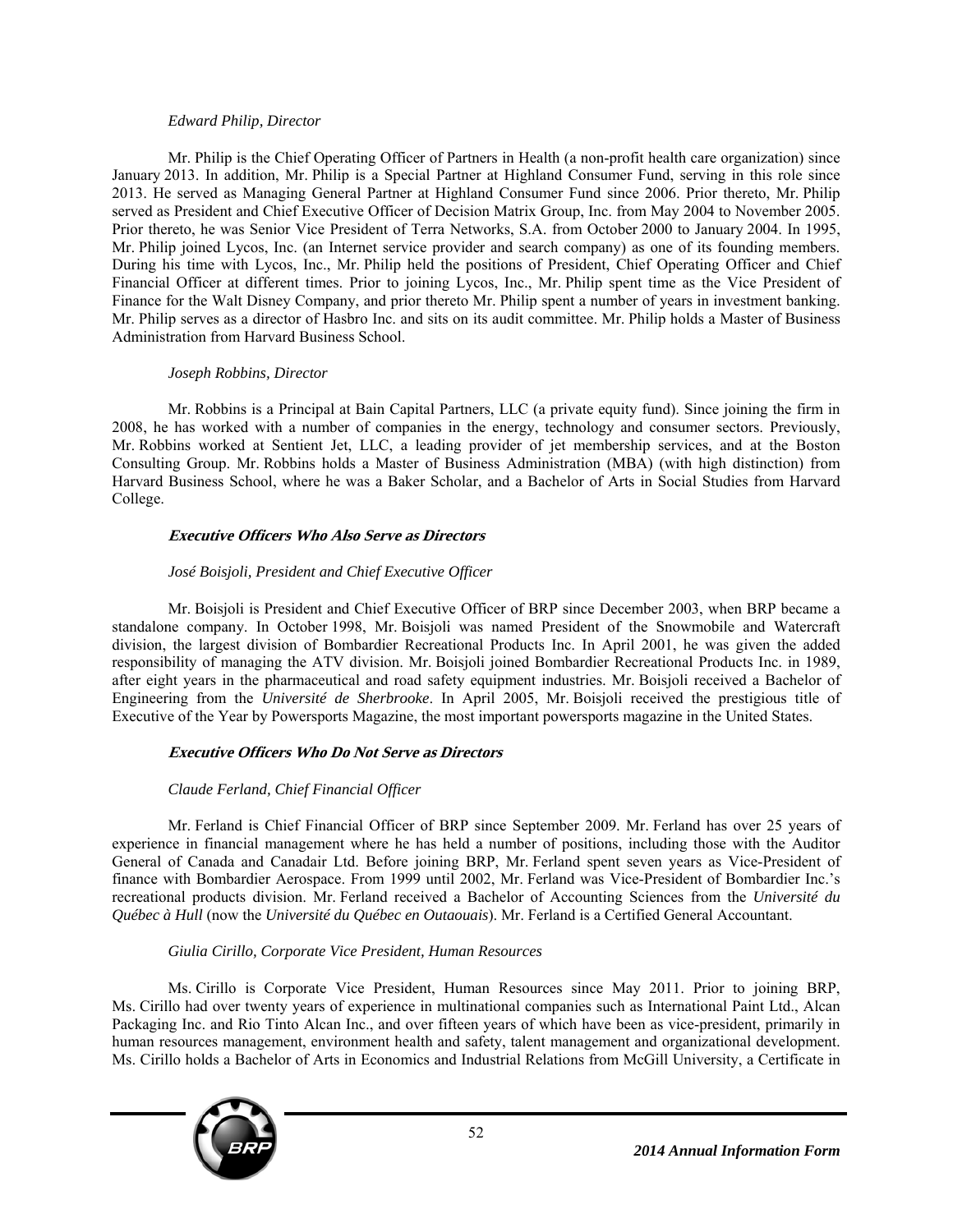### *Edward Philip, Director*

Mr. Philip is the Chief Operating Officer of Partners in Health (a non-profit health care organization) since January 2013. In addition, Mr. Philip is a Special Partner at Highland Consumer Fund, serving in this role since 2013. He served as Managing General Partner at Highland Consumer Fund since 2006. Prior thereto, Mr. Philip served as President and Chief Executive Officer of Decision Matrix Group, Inc. from May 2004 to November 2005. Prior thereto, he was Senior Vice President of Terra Networks, S.A. from October 2000 to January 2004. In 1995, Mr. Philip joined Lycos, Inc. (an Internet service provider and search company) as one of its founding members. During his time with Lycos, Inc., Mr. Philip held the positions of President, Chief Operating Officer and Chief Financial Officer at different times. Prior to joining Lycos, Inc., Mr. Philip spent time as the Vice President of Finance for the Walt Disney Company, and prior thereto Mr. Philip spent a number of years in investment banking. Mr. Philip serves as a director of Hasbro Inc. and sits on its audit committee. Mr. Philip holds a Master of Business Administration from Harvard Business School.

# *Joseph Robbins, Director*

Mr. Robbins is a Principal at Bain Capital Partners, LLC (a private equity fund). Since joining the firm in 2008, he has worked with a number of companies in the energy, technology and consumer sectors. Previously, Mr. Robbins worked at Sentient Jet, LLC, a leading provider of jet membership services, and at the Boston Consulting Group. Mr. Robbins holds a Master of Business Administration (MBA) (with high distinction) from Harvard Business School, where he was a Baker Scholar, and a Bachelor of Arts in Social Studies from Harvard College.

# **Executive Officers Who Also Serve as Directors**

### *José Boisjoli, President and Chief Executive Officer*

Mr. Boisjoli is President and Chief Executive Officer of BRP since December 2003, when BRP became a standalone company. In October 1998, Mr. Boisjoli was named President of the Snowmobile and Watercraft division, the largest division of Bombardier Recreational Products Inc. In April 2001, he was given the added responsibility of managing the ATV division. Mr. Boisjoli joined Bombardier Recreational Products Inc. in 1989, after eight years in the pharmaceutical and road safety equipment industries. Mr. Boisjoli received a Bachelor of Engineering from the *Université de Sherbrooke*. In April 2005, Mr. Boisjoli received the prestigious title of Executive of the Year by Powersports Magazine, the most important powersports magazine in the United States.

# **Executive Officers Who Do Not Serve as Directors**

# *Claude Ferland, Chief Financial Officer*

Mr. Ferland is Chief Financial Officer of BRP since September 2009. Mr. Ferland has over 25 years of experience in financial management where he has held a number of positions, including those with the Auditor General of Canada and Canadair Ltd. Before joining BRP, Mr. Ferland spent seven years as Vice-President of finance with Bombardier Aerospace. From 1999 until 2002, Mr. Ferland was Vice-President of Bombardier Inc.'s recreational products division. Mr. Ferland received a Bachelor of Accounting Sciences from the *Université du Québec à Hull* (now the *Université du Québec en Outaouais*). Mr. Ferland is a Certified General Accountant.

### *Giulia Cirillo, Corporate Vice President, Human Resources*

Ms. Cirillo is Corporate Vice President, Human Resources since May 2011. Prior to joining BRP, Ms. Cirillo had over twenty years of experience in multinational companies such as International Paint Ltd., Alcan Packaging Inc. and Rio Tinto Alcan Inc., and over fifteen years of which have been as vice-president, primarily in human resources management, environment health and safety, talent management and organizational development. Ms. Cirillo holds a Bachelor of Arts in Economics and Industrial Relations from McGill University, a Certificate in

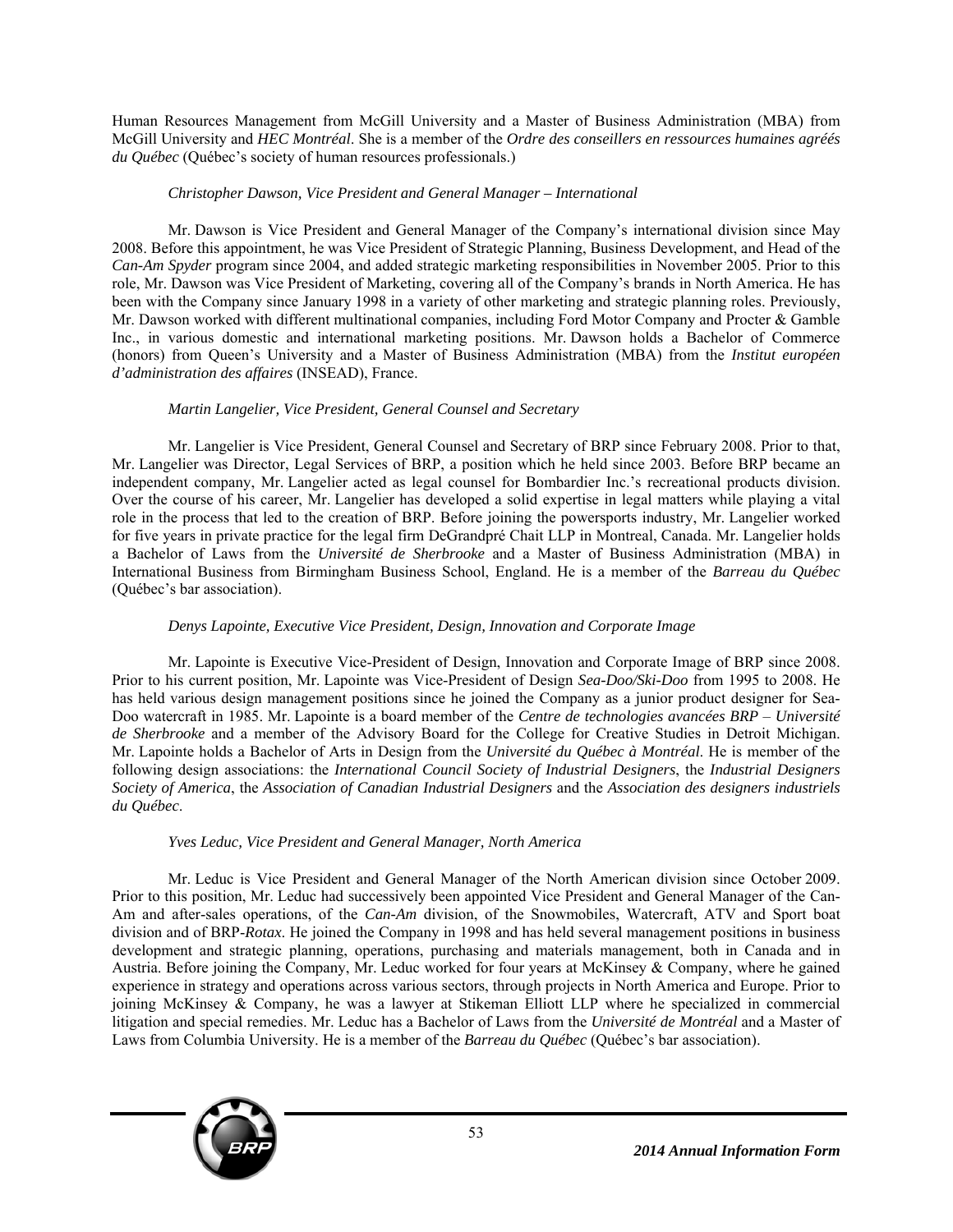Human Resources Management from McGill University and a Master of Business Administration (MBA) from McGill University and *HEC Montréal*. She is a member of the *Ordre des conseillers en ressources humaines agréés du Québec* (Québec's society of human resources professionals.)

### *Christopher Dawson, Vice President and General Manager – International*

Mr. Dawson is Vice President and General Manager of the Company's international division since May 2008. Before this appointment, he was Vice President of Strategic Planning, Business Development, and Head of the *Can-Am Spyder* program since 2004, and added strategic marketing responsibilities in November 2005. Prior to this role, Mr. Dawson was Vice President of Marketing, covering all of the Company's brands in North America. He has been with the Company since January 1998 in a variety of other marketing and strategic planning roles. Previously, Mr. Dawson worked with different multinational companies, including Ford Motor Company and Procter & Gamble Inc., in various domestic and international marketing positions. Mr. Dawson holds a Bachelor of Commerce (honors) from Queen's University and a Master of Business Administration (MBA) from the *Institut européen d'administration des affaires* (INSEAD), France.

### *Martin Langelier, Vice President, General Counsel and Secretary*

Mr. Langelier is Vice President, General Counsel and Secretary of BRP since February 2008. Prior to that, Mr. Langelier was Director, Legal Services of BRP, a position which he held since 2003. Before BRP became an independent company, Mr. Langelier acted as legal counsel for Bombardier Inc.'s recreational products division. Over the course of his career, Mr. Langelier has developed a solid expertise in legal matters while playing a vital role in the process that led to the creation of BRP. Before joining the powersports industry, Mr. Langelier worked for five years in private practice for the legal firm DeGrandpré Chait LLP in Montreal, Canada. Mr. Langelier holds a Bachelor of Laws from the *Université de Sherbrooke* and a Master of Business Administration (MBA) in International Business from Birmingham Business School, England. He is a member of the *Barreau du Québec* (Québec's bar association).

# *Denys Lapointe, Executive Vice President, Design, Innovation and Corporate Image*

Mr. Lapointe is Executive Vice-President of Design, Innovation and Corporate Image of BRP since 2008. Prior to his current position, Mr. Lapointe was Vice-President of Design *Sea-Doo/Ski-Doo* from 1995 to 2008. He has held various design management positions since he joined the Company as a junior product designer for Sea-Doo watercraft in 1985. Mr. Lapointe is a board member of the *Centre de technologies avancées BRP* – *Université de Sherbrooke* and a member of the Advisory Board for the College for Creative Studies in Detroit Michigan. Mr. Lapointe holds a Bachelor of Arts in Design from the *Université du Québec à Montréal*. He is member of the following design associations: the *International Council Society of Industrial Designers*, the *Industrial Designers Society of America*, the *Association of Canadian Industrial Designers* and the *Association des designers industriels du Québec*.

# *Yves Leduc, Vice President and General Manager, North America*

Mr. Leduc is Vice President and General Manager of the North American division since October 2009. Prior to this position, Mr. Leduc had successively been appointed Vice President and General Manager of the Can-Am and after-sales operations, of the *Can-Am* division, of the Snowmobiles, Watercraft, ATV and Sport boat division and of BRP-*Rotax*. He joined the Company in 1998 and has held several management positions in business development and strategic planning, operations, purchasing and materials management, both in Canada and in Austria. Before joining the Company, Mr. Leduc worked for four years at McKinsey & Company, where he gained experience in strategy and operations across various sectors, through projects in North America and Europe. Prior to joining McKinsey & Company, he was a lawyer at Stikeman Elliott LLP where he specialized in commercial litigation and special remedies. Mr. Leduc has a Bachelor of Laws from the *Université de Montréal* and a Master of Laws from Columbia University. He is a member of the *Barreau du Québec* (Québec's bar association).

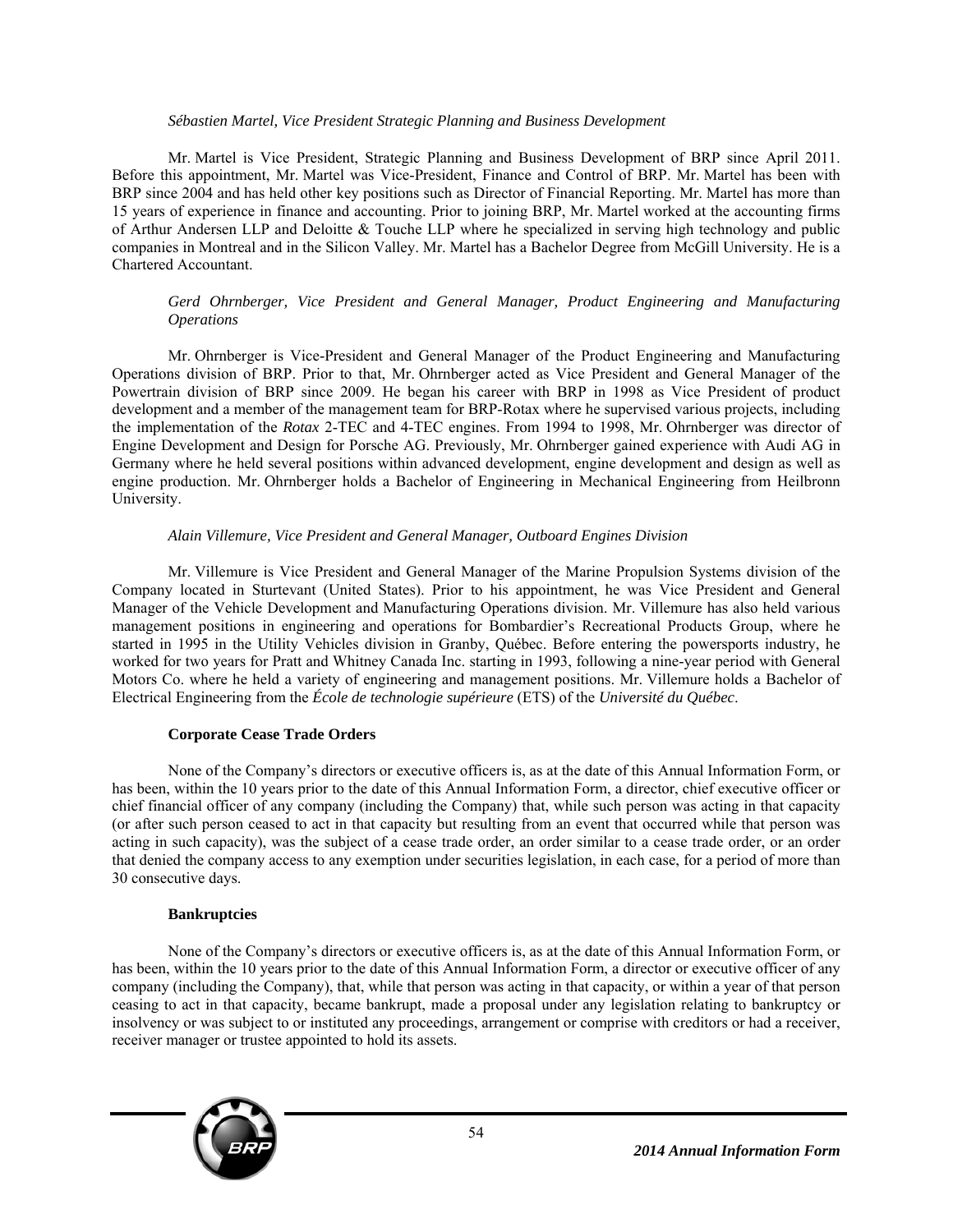#### *Sébastien Martel, Vice President Strategic Planning and Business Development*

Mr. Martel is Vice President, Strategic Planning and Business Development of BRP since April 2011. Before this appointment, Mr. Martel was Vice-President, Finance and Control of BRP. Mr. Martel has been with BRP since 2004 and has held other key positions such as Director of Financial Reporting. Mr. Martel has more than 15 years of experience in finance and accounting. Prior to joining BRP, Mr. Martel worked at the accounting firms of Arthur Andersen LLP and Deloitte & Touche LLP where he specialized in serving high technology and public companies in Montreal and in the Silicon Valley. Mr. Martel has a Bachelor Degree from McGill University. He is a Chartered Accountant.

### *Gerd Ohrnberger, Vice President and General Manager, Product Engineering and Manufacturing Operations*

Mr. Ohrnberger is Vice-President and General Manager of the Product Engineering and Manufacturing Operations division of BRP. Prior to that, Mr. Ohrnberger acted as Vice President and General Manager of the Powertrain division of BRP since 2009. He began his career with BRP in 1998 as Vice President of product development and a member of the management team for BRP-Rotax where he supervised various projects, including the implementation of the *Rotax* 2-TEC and 4-TEC engines. From 1994 to 1998, Mr. Ohrnberger was director of Engine Development and Design for Porsche AG. Previously, Mr. Ohrnberger gained experience with Audi AG in Germany where he held several positions within advanced development, engine development and design as well as engine production. Mr. Ohrnberger holds a Bachelor of Engineering in Mechanical Engineering from Heilbronn University.

### *Alain Villemure, Vice President and General Manager, Outboard Engines Division*

Mr. Villemure is Vice President and General Manager of the Marine Propulsion Systems division of the Company located in Sturtevant (United States). Prior to his appointment, he was Vice President and General Manager of the Vehicle Development and Manufacturing Operations division. Mr. Villemure has also held various management positions in engineering and operations for Bombardier's Recreational Products Group, where he started in 1995 in the Utility Vehicles division in Granby, Québec. Before entering the powersports industry, he worked for two years for Pratt and Whitney Canada Inc. starting in 1993, following a nine-year period with General Motors Co. where he held a variety of engineering and management positions. Mr. Villemure holds a Bachelor of Electrical Engineering from the *École de technologie supérieure* (ETS) of the *Université du Québec*.

### **Corporate Cease Trade Orders**

None of the Company's directors or executive officers is, as at the date of this Annual Information Form, or has been, within the 10 years prior to the date of this Annual Information Form, a director, chief executive officer or chief financial officer of any company (including the Company) that, while such person was acting in that capacity (or after such person ceased to act in that capacity but resulting from an event that occurred while that person was acting in such capacity), was the subject of a cease trade order, an order similar to a cease trade order, or an order that denied the company access to any exemption under securities legislation, in each case, for a period of more than 30 consecutive days.

#### **Bankruptcies**

None of the Company's directors or executive officers is, as at the date of this Annual Information Form, or has been, within the 10 years prior to the date of this Annual Information Form, a director or executive officer of any company (including the Company), that, while that person was acting in that capacity, or within a year of that person ceasing to act in that capacity, became bankrupt, made a proposal under any legislation relating to bankruptcy or insolvency or was subject to or instituted any proceedings, arrangement or comprise with creditors or had a receiver, receiver manager or trustee appointed to hold its assets.

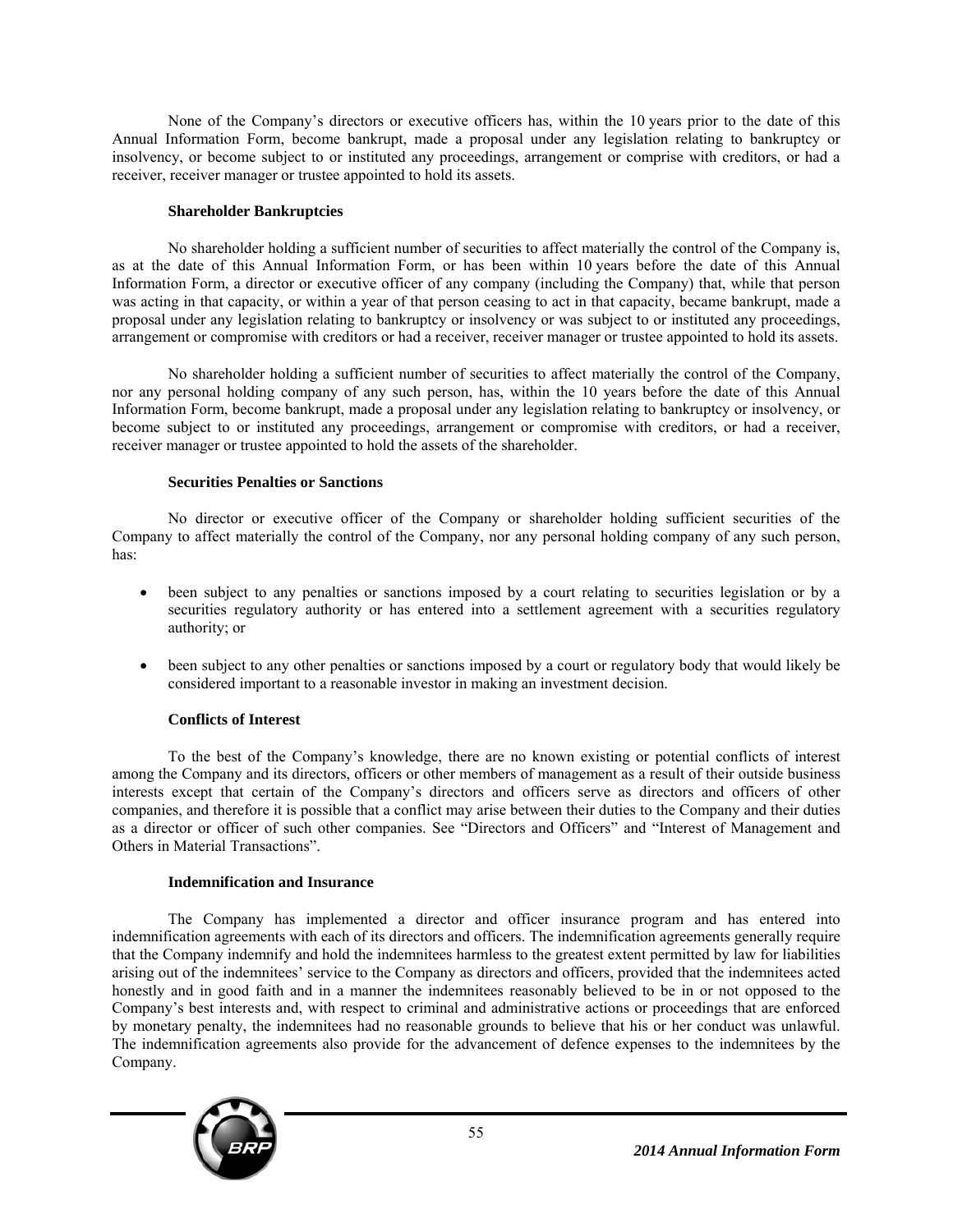None of the Company's directors or executive officers has, within the 10 years prior to the date of this Annual Information Form, become bankrupt, made a proposal under any legislation relating to bankruptcy or insolvency, or become subject to or instituted any proceedings, arrangement or comprise with creditors, or had a receiver, receiver manager or trustee appointed to hold its assets.

### **Shareholder Bankruptcies**

No shareholder holding a sufficient number of securities to affect materially the control of the Company is, as at the date of this Annual Information Form, or has been within 10 years before the date of this Annual Information Form, a director or executive officer of any company (including the Company) that, while that person was acting in that capacity, or within a year of that person ceasing to act in that capacity, became bankrupt, made a proposal under any legislation relating to bankruptcy or insolvency or was subject to or instituted any proceedings, arrangement or compromise with creditors or had a receiver, receiver manager or trustee appointed to hold its assets.

No shareholder holding a sufficient number of securities to affect materially the control of the Company, nor any personal holding company of any such person, has, within the 10 years before the date of this Annual Information Form, become bankrupt, made a proposal under any legislation relating to bankruptcy or insolvency, or become subject to or instituted any proceedings, arrangement or compromise with creditors, or had a receiver, receiver manager or trustee appointed to hold the assets of the shareholder.

# **Securities Penalties or Sanctions**

No director or executive officer of the Company or shareholder holding sufficient securities of the Company to affect materially the control of the Company, nor any personal holding company of any such person, has:

- been subject to any penalties or sanctions imposed by a court relating to securities legislation or by a securities regulatory authority or has entered into a settlement agreement with a securities regulatory authority; or
- been subject to any other penalties or sanctions imposed by a court or regulatory body that would likely be considered important to a reasonable investor in making an investment decision.

# **Conflicts of Interest**

To the best of the Company's knowledge, there are no known existing or potential conflicts of interest among the Company and its directors, officers or other members of management as a result of their outside business interests except that certain of the Company's directors and officers serve as directors and officers of other companies, and therefore it is possible that a conflict may arise between their duties to the Company and their duties as a director or officer of such other companies. See "Directors and Officers" and "Interest of Management and Others in Material Transactions".

### **Indemnification and Insurance**

The Company has implemented a director and officer insurance program and has entered into indemnification agreements with each of its directors and officers. The indemnification agreements generally require that the Company indemnify and hold the indemnitees harmless to the greatest extent permitted by law for liabilities arising out of the indemnitees' service to the Company as directors and officers, provided that the indemnitees acted honestly and in good faith and in a manner the indemnitees reasonably believed to be in or not opposed to the Company's best interests and, with respect to criminal and administrative actions or proceedings that are enforced by monetary penalty, the indemnitees had no reasonable grounds to believe that his or her conduct was unlawful. The indemnification agreements also provide for the advancement of defence expenses to the indemnitees by the Company.

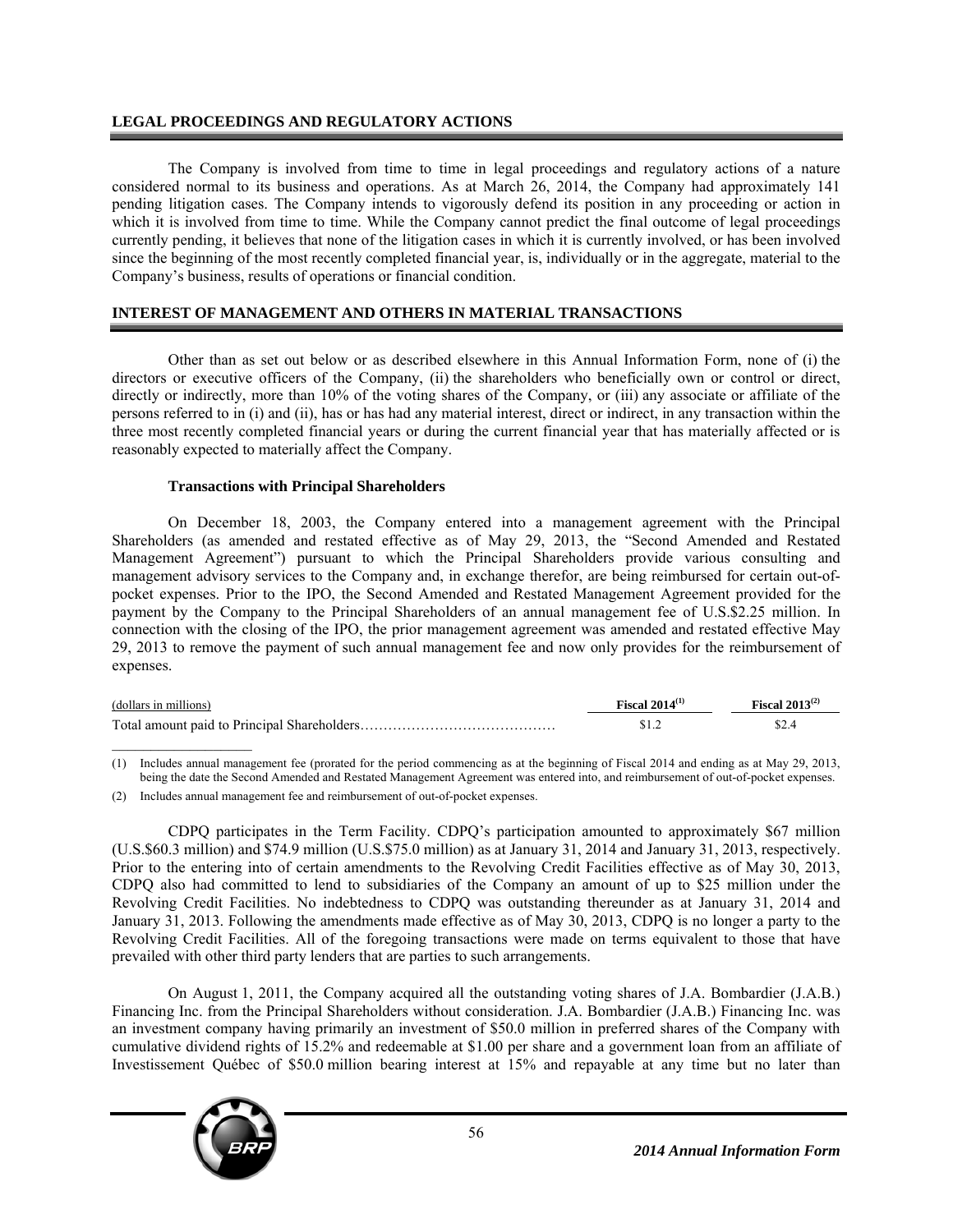### **LEGAL PROCEEDINGS AND REGULATORY ACTIONS**

The Company is involved from time to time in legal proceedings and regulatory actions of a nature considered normal to its business and operations. As at March 26, 2014, the Company had approximately 141 pending litigation cases. The Company intends to vigorously defend its position in any proceeding or action in which it is involved from time to time. While the Company cannot predict the final outcome of legal proceedings currently pending, it believes that none of the litigation cases in which it is currently involved, or has been involved since the beginning of the most recently completed financial year, is, individually or in the aggregate, material to the Company's business, results of operations or financial condition.

### **INTEREST OF MANAGEMENT AND OTHERS IN MATERIAL TRANSACTIONS**

Other than as set out below or as described elsewhere in this Annual Information Form, none of (i) the directors or executive officers of the Company, (ii) the shareholders who beneficially own or control or direct, directly or indirectly, more than 10% of the voting shares of the Company, or (iii) any associate or affiliate of the persons referred to in (i) and (ii), has or has had any material interest, direct or indirect, in any transaction within the three most recently completed financial years or during the current financial year that has materially affected or is reasonably expected to materially affect the Company.

#### **Transactions with Principal Shareholders**

On December 18, 2003, the Company entered into a management agreement with the Principal Shareholders (as amended and restated effective as of May 29, 2013, the "Second Amended and Restated Management Agreement") pursuant to which the Principal Shareholders provide various consulting and management advisory services to the Company and, in exchange therefor, are being reimbursed for certain out-ofpocket expenses. Prior to the IPO, the Second Amended and Restated Management Agreement provided for the payment by the Company to the Principal Shareholders of an annual management fee of U.S.\$2.25 million. In connection with the closing of the IPO, the prior management agreement was amended and restated effective May 29, 2013 to remove the payment of such annual management fee and now only provides for the reimbursement of expenses.

| (dollars in millions) | <b>Fiscal</b> $2014^{(1)}$ | <b>Fiscal</b> 2013 <sup>(2)</sup> |
|-----------------------|----------------------------|-----------------------------------|
|                       |                            |                                   |

(1) Includes annual management fee (prorated for the period commencing as at the beginning of Fiscal 2014 and ending as at May 29, 2013, being the date the Second Amended and Restated Management Agreement was entered into, and reimbursement of out-of-pocket expenses.

(2) Includes annual management fee and reimbursement of out-of-pocket expenses.

CDPQ participates in the Term Facility. CDPQ's participation amounted to approximately \$67 million  $(U.S. $60.3$  million) and \$74.9 million (U.S.\$75.0 million) as at January 31, 2014 and January 31, 2013, respectively. Prior to the entering into of certain amendments to the Revolving Credit Facilities effective as of May 30, 2013, CDPQ also had committed to lend to subsidiaries of the Company an amount of up to \$25 million under the Revolving Credit Facilities. No indebtedness to CDPQ was outstanding thereunder as at January 31, 2014 and January 31, 2013. Following the amendments made effective as of May 30, 2013, CDPQ is no longer a party to the Revolving Credit Facilities. All of the foregoing transactions were made on terms equivalent to those that have prevailed with other third party lenders that are parties to such arrangements.

On August 1, 2011, the Company acquired all the outstanding voting shares of J.A. Bombardier (J.A.B.) Financing Inc. from the Principal Shareholders without consideration. J.A. Bombardier (J.A.B.) Financing Inc. was an investment company having primarily an investment of \$50.0 million in preferred shares of the Company with cumulative dividend rights of 15.2% and redeemable at \$1.00 per share and a government loan from an affiliate of Investissement Québec of \$50.0 million bearing interest at 15% and repayable at any time but no later than

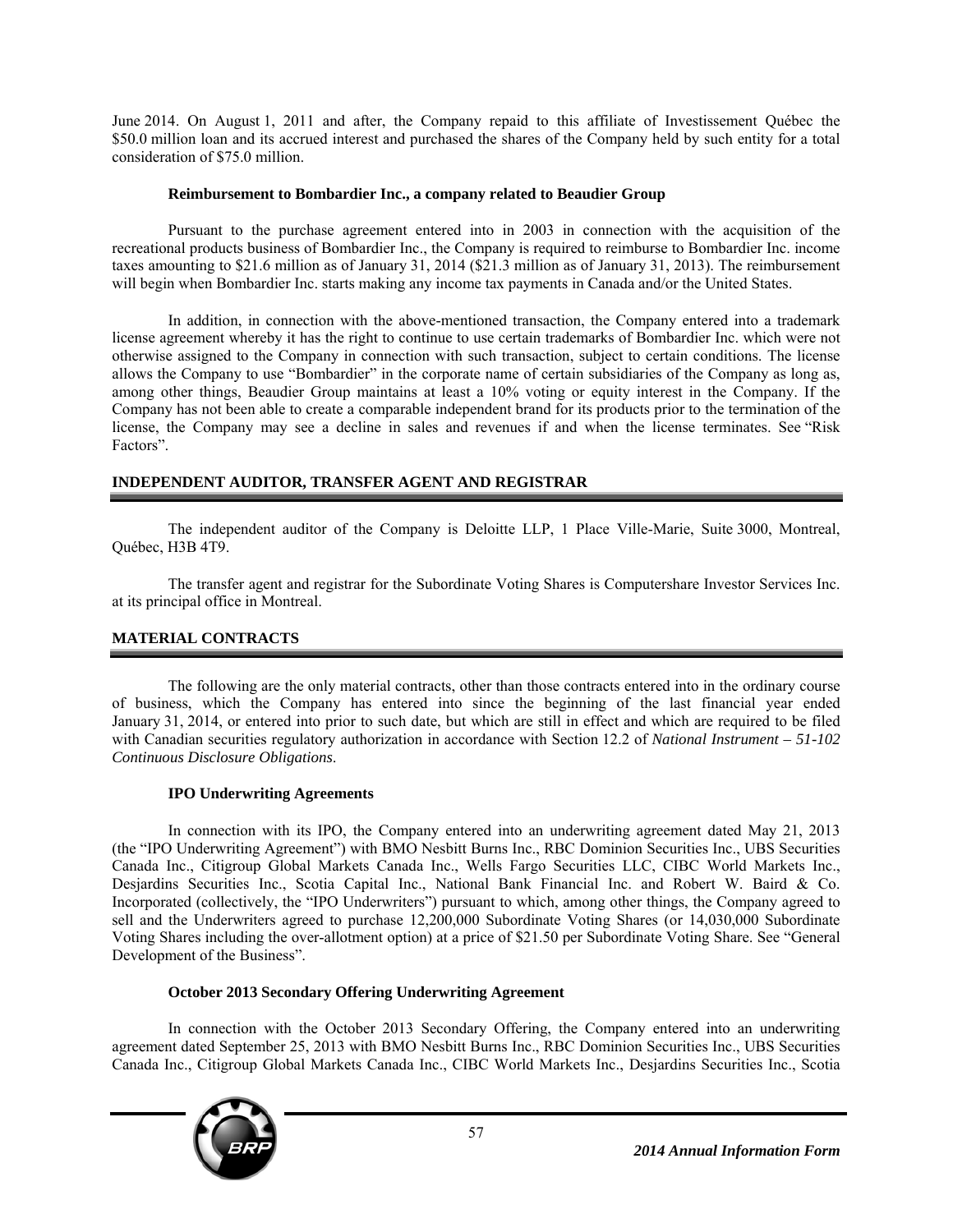June 2014. On August 1, 2011 and after, the Company repaid to this affiliate of Investissement Québec the \$50.0 million loan and its accrued interest and purchased the shares of the Company held by such entity for a total consideration of \$75.0 million.

### **Reimbursement to Bombardier Inc., a company related to Beaudier Group**

Pursuant to the purchase agreement entered into in 2003 in connection with the acquisition of the recreational products business of Bombardier Inc., the Company is required to reimburse to Bombardier Inc. income taxes amounting to \$21.6 million as of January 31, 2014 (\$21.3 million as of January 31, 2013). The reimbursement will begin when Bombardier Inc. starts making any income tax payments in Canada and/or the United States.

In addition, in connection with the above-mentioned transaction, the Company entered into a trademark license agreement whereby it has the right to continue to use certain trademarks of Bombardier Inc. which were not otherwise assigned to the Company in connection with such transaction, subject to certain conditions. The license allows the Company to use "Bombardier" in the corporate name of certain subsidiaries of the Company as long as, among other things, Beaudier Group maintains at least a 10% voting or equity interest in the Company. If the Company has not been able to create a comparable independent brand for its products prior to the termination of the license, the Company may see a decline in sales and revenues if and when the license terminates. See "Risk Factors".

# **INDEPENDENT AUDITOR, TRANSFER AGENT AND REGISTRAR**

The independent auditor of the Company is Deloitte LLP, 1 Place Ville-Marie, Suite 3000, Montreal, Québec, H3B 4T9.

The transfer agent and registrar for the Subordinate Voting Shares is Computershare Investor Services Inc. at its principal office in Montreal.

# **MATERIAL CONTRACTS**

The following are the only material contracts, other than those contracts entered into in the ordinary course of business, which the Company has entered into since the beginning of the last financial year ended January 31, 2014, or entered into prior to such date, but which are still in effect and which are required to be filed with Canadian securities regulatory authorization in accordance with Section 12.2 of *National Instrument – 51-102 Continuous Disclosure Obligations*.

# **IPO Underwriting Agreements**

In connection with its IPO, the Company entered into an underwriting agreement dated May 21, 2013 (the "IPO Underwriting Agreement") with BMO Nesbitt Burns Inc., RBC Dominion Securities Inc., UBS Securities Canada Inc., Citigroup Global Markets Canada Inc., Wells Fargo Securities LLC, CIBC World Markets Inc., Desjardins Securities Inc., Scotia Capital Inc., National Bank Financial Inc. and Robert W. Baird & Co. Incorporated (collectively, the "IPO Underwriters") pursuant to which, among other things, the Company agreed to sell and the Underwriters agreed to purchase 12,200,000 Subordinate Voting Shares (or 14,030,000 Subordinate Voting Shares including the over-allotment option) at a price of \$21.50 per Subordinate Voting Share. See "General Development of the Business".

# **October 2013 Secondary Offering Underwriting Agreement**

In connection with the October 2013 Secondary Offering, the Company entered into an underwriting agreement dated September 25, 2013 with BMO Nesbitt Burns Inc., RBC Dominion Securities Inc., UBS Securities Canada Inc., Citigroup Global Markets Canada Inc., CIBC World Markets Inc., Desjardins Securities Inc., Scotia

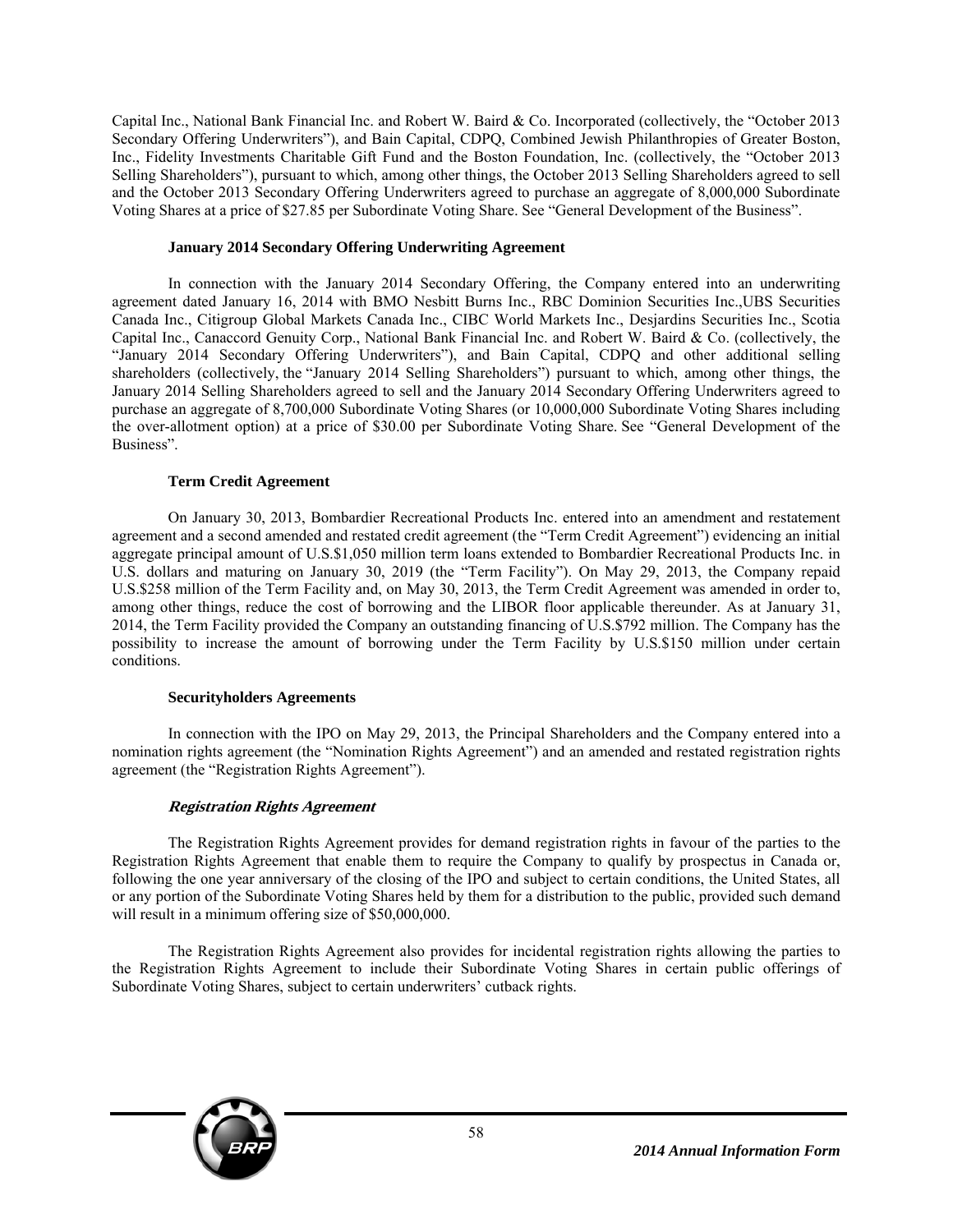Capital Inc., National Bank Financial Inc. and Robert W. Baird & Co. Incorporated (collectively, the "October 2013 Secondary Offering Underwriters"), and Bain Capital, CDPQ, Combined Jewish Philanthropies of Greater Boston, Inc., Fidelity Investments Charitable Gift Fund and the Boston Foundation, Inc. (collectively, the "October 2013 Selling Shareholders"), pursuant to which, among other things, the October 2013 Selling Shareholders agreed to sell and the October 2013 Secondary Offering Underwriters agreed to purchase an aggregate of 8,000,000 Subordinate Voting Shares at a price of \$27.85 per Subordinate Voting Share. See "General Development of the Business".

### **January 2014 Secondary Offering Underwriting Agreement**

In connection with the January 2014 Secondary Offering, the Company entered into an underwriting agreement dated January 16, 2014 with BMO Nesbitt Burns Inc., RBC Dominion Securities Inc.,UBS Securities Canada Inc., Citigroup Global Markets Canada Inc., CIBC World Markets Inc., Desjardins Securities Inc., Scotia Capital Inc., Canaccord Genuity Corp., National Bank Financial Inc. and Robert W. Baird & Co. (collectively, the "January 2014 Secondary Offering Underwriters"), and Bain Capital, CDPQ and other additional selling shareholders (collectively, the "January 2014 Selling Shareholders") pursuant to which, among other things, the January 2014 Selling Shareholders agreed to sell and the January 2014 Secondary Offering Underwriters agreed to purchase an aggregate of 8,700,000 Subordinate Voting Shares (or 10,000,000 Subordinate Voting Shares including the over-allotment option) at a price of \$30.00 per Subordinate Voting Share. See "General Development of the Business".

### **Term Credit Agreement**

On January 30, 2013, Bombardier Recreational Products Inc. entered into an amendment and restatement agreement and a second amended and restated credit agreement (the "Term Credit Agreement") evidencing an initial aggregate principal amount of U.S.\$1,050 million term loans extended to Bombardier Recreational Products Inc. in U.S. dollars and maturing on January 30, 2019 (the "Term Facility"). On May 29, 2013, the Company repaid U.S.\$258 million of the Term Facility and, on May 30, 2013, the Term Credit Agreement was amended in order to, among other things, reduce the cost of borrowing and the LIBOR floor applicable thereunder. As at January 31, 2014, the Term Facility provided the Company an outstanding financing of U.S.\$792 million. The Company has the possibility to increase the amount of borrowing under the Term Facility by U.S.\$150 million under certain conditions.

# **Securityholders Agreements**

In connection with the IPO on May 29, 2013, the Principal Shareholders and the Company entered into a nomination rights agreement (the "Nomination Rights Agreement") and an amended and restated registration rights agreement (the "Registration Rights Agreement").

# **Registration Rights Agreement**

The Registration Rights Agreement provides for demand registration rights in favour of the parties to the Registration Rights Agreement that enable them to require the Company to qualify by prospectus in Canada or, following the one year anniversary of the closing of the IPO and subject to certain conditions, the United States, all or any portion of the Subordinate Voting Shares held by them for a distribution to the public, provided such demand will result in a minimum offering size of \$50,000,000.

The Registration Rights Agreement also provides for incidental registration rights allowing the parties to the Registration Rights Agreement to include their Subordinate Voting Shares in certain public offerings of Subordinate Voting Shares, subject to certain underwriters' cutback rights.

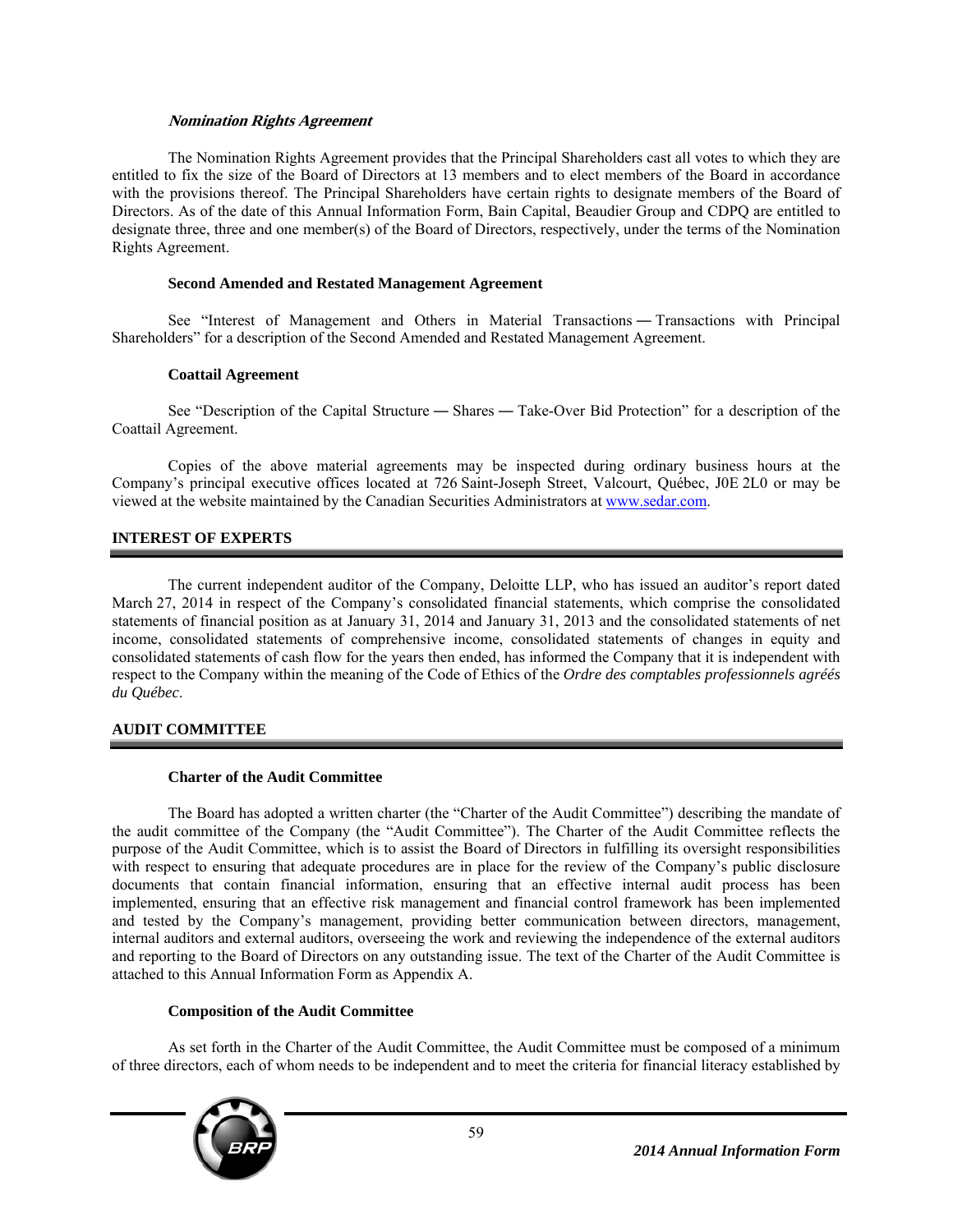### **Nomination Rights Agreement**

The Nomination Rights Agreement provides that the Principal Shareholders cast all votes to which they are entitled to fix the size of the Board of Directors at 13 members and to elect members of the Board in accordance with the provisions thereof. The Principal Shareholders have certain rights to designate members of the Board of Directors. As of the date of this Annual Information Form, Bain Capital, Beaudier Group and CDPQ are entitled to designate three, three and one member(s) of the Board of Directors, respectively, under the terms of the Nomination Rights Agreement.

# **Second Amended and Restated Management Agreement**

See "Interest of Management and Others in Material Transactions ― Transactions with Principal Shareholders" for a description of the Second Amended and Restated Management Agreement.

### **Coattail Agreement**

See "Description of the Capital Structure ― Shares ― Take-Over Bid Protection" for a description of the Coattail Agreement.

Copies of the above material agreements may be inspected during ordinary business hours at the Company's principal executive offices located at 726 Saint-Joseph Street, Valcourt, Québec, J0E 2L0 or may be viewed at the website maintained by the Canadian Securities Administrators at www.sedar.com.

# **INTEREST OF EXPERTS**

The current independent auditor of the Company, Deloitte LLP, who has issued an auditor's report dated March 27, 2014 in respect of the Company's consolidated financial statements, which comprise the consolidated statements of financial position as at January 31, 2014 and January 31, 2013 and the consolidated statements of net income, consolidated statements of comprehensive income, consolidated statements of changes in equity and consolidated statements of cash flow for the years then ended, has informed the Company that it is independent with respect to the Company within the meaning of the Code of Ethics of the *Ordre des comptables professionnels agréés du Québec*.

# **AUDIT COMMITTEE**

# **Charter of the Audit Committee**

The Board has adopted a written charter (the "Charter of the Audit Committee") describing the mandate of the audit committee of the Company (the "Audit Committee"). The Charter of the Audit Committee reflects the purpose of the Audit Committee, which is to assist the Board of Directors in fulfilling its oversight responsibilities with respect to ensuring that adequate procedures are in place for the review of the Company's public disclosure documents that contain financial information, ensuring that an effective internal audit process has been implemented, ensuring that an effective risk management and financial control framework has been implemented and tested by the Company's management, providing better communication between directors, management, internal auditors and external auditors, overseeing the work and reviewing the independence of the external auditors and reporting to the Board of Directors on any outstanding issue. The text of the Charter of the Audit Committee is attached to this Annual Information Form as Appendix A.

# **Composition of the Audit Committee**

As set forth in the Charter of the Audit Committee, the Audit Committee must be composed of a minimum of three directors, each of whom needs to be independent and to meet the criteria for financial literacy established by

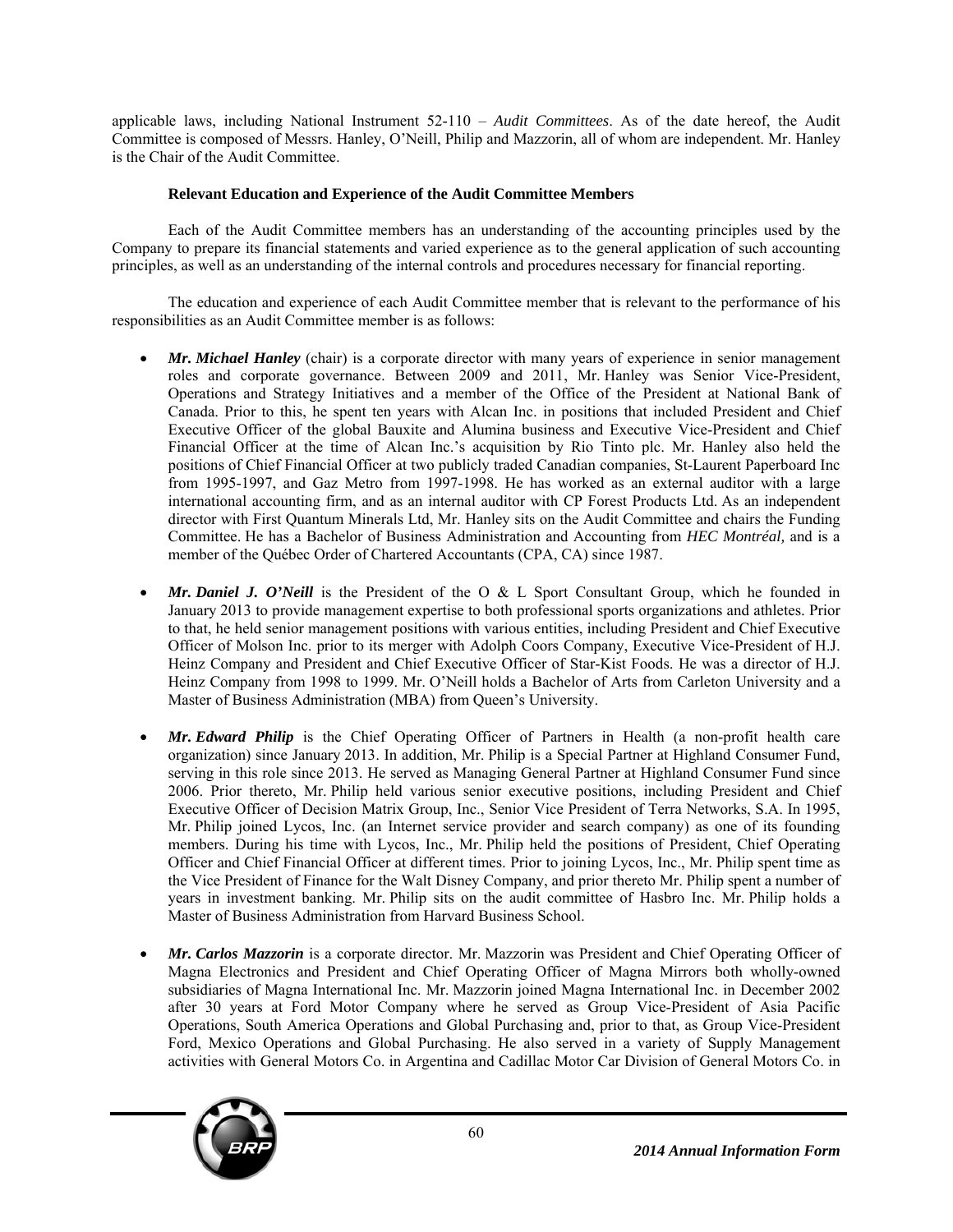applicable laws, including National Instrument 52-110 – *Audit Committees*. As of the date hereof, the Audit Committee is composed of Messrs. Hanley, O'Neill, Philip and Mazzorin, all of whom are independent. Mr. Hanley is the Chair of the Audit Committee.

# **Relevant Education and Experience of the Audit Committee Members**

Each of the Audit Committee members has an understanding of the accounting principles used by the Company to prepare its financial statements and varied experience as to the general application of such accounting principles, as well as an understanding of the internal controls and procedures necessary for financial reporting.

The education and experience of each Audit Committee member that is relevant to the performance of his responsibilities as an Audit Committee member is as follows:

- *Mr. Michael Hanley* (chair) is a corporate director with many years of experience in senior management roles and corporate governance. Between 2009 and 2011, Mr. Hanley was Senior Vice-President, Operations and Strategy Initiatives and a member of the Office of the President at National Bank of Canada. Prior to this, he spent ten years with Alcan Inc. in positions that included President and Chief Executive Officer of the global Bauxite and Alumina business and Executive Vice-President and Chief Financial Officer at the time of Alcan Inc.'s acquisition by Rio Tinto plc. Mr. Hanley also held the positions of Chief Financial Officer at two publicly traded Canadian companies, St-Laurent Paperboard Inc from 1995-1997, and Gaz Metro from 1997-1998. He has worked as an external auditor with a large international accounting firm, and as an internal auditor with CP Forest Products Ltd. As an independent director with First Quantum Minerals Ltd, Mr. Hanley sits on the Audit Committee and chairs the Funding Committee. He has a Bachelor of Business Administration and Accounting from *HEC Montréal,* and is a member of the Québec Order of Chartered Accountants (CPA, CA) since 1987.
- *Mr. Daniel J. O'Neill* is the President of the O & L Sport Consultant Group, which he founded in January 2013 to provide management expertise to both professional sports organizations and athletes. Prior to that, he held senior management positions with various entities, including President and Chief Executive Officer of Molson Inc. prior to its merger with Adolph Coors Company, Executive Vice-President of H.J. Heinz Company and President and Chief Executive Officer of Star-Kist Foods. He was a director of H.J. Heinz Company from 1998 to 1999. Mr. O'Neill holds a Bachelor of Arts from Carleton University and a Master of Business Administration (MBA) from Queen's University.
- *Mr. Edward Philip* is the Chief Operating Officer of Partners in Health (a non-profit health care organization) since January 2013. In addition, Mr. Philip is a Special Partner at Highland Consumer Fund, serving in this role since 2013. He served as Managing General Partner at Highland Consumer Fund since 2006. Prior thereto, Mr. Philip held various senior executive positions, including President and Chief Executive Officer of Decision Matrix Group, Inc., Senior Vice President of Terra Networks, S.A. In 1995, Mr. Philip joined Lycos, Inc. (an Internet service provider and search company) as one of its founding members. During his time with Lycos, Inc., Mr. Philip held the positions of President, Chief Operating Officer and Chief Financial Officer at different times. Prior to joining Lycos, Inc., Mr. Philip spent time as the Vice President of Finance for the Walt Disney Company, and prior thereto Mr. Philip spent a number of years in investment banking. Mr. Philip sits on the audit committee of Hasbro Inc. Mr. Philip holds a Master of Business Administration from Harvard Business School.
- *Mr. Carlos Mazzorin* is a corporate director. Mr. Mazzorin was President and Chief Operating Officer of Magna Electronics and President and Chief Operating Officer of Magna Mirrors both wholly-owned subsidiaries of Magna International Inc. Mr. Mazzorin joined Magna International Inc. in December 2002 after 30 years at Ford Motor Company where he served as Group Vice-President of Asia Pacific Operations, South America Operations and Global Purchasing and, prior to that, as Group Vice-President Ford, Mexico Operations and Global Purchasing. He also served in a variety of Supply Management activities with General Motors Co. in Argentina and Cadillac Motor Car Division of General Motors Co. in

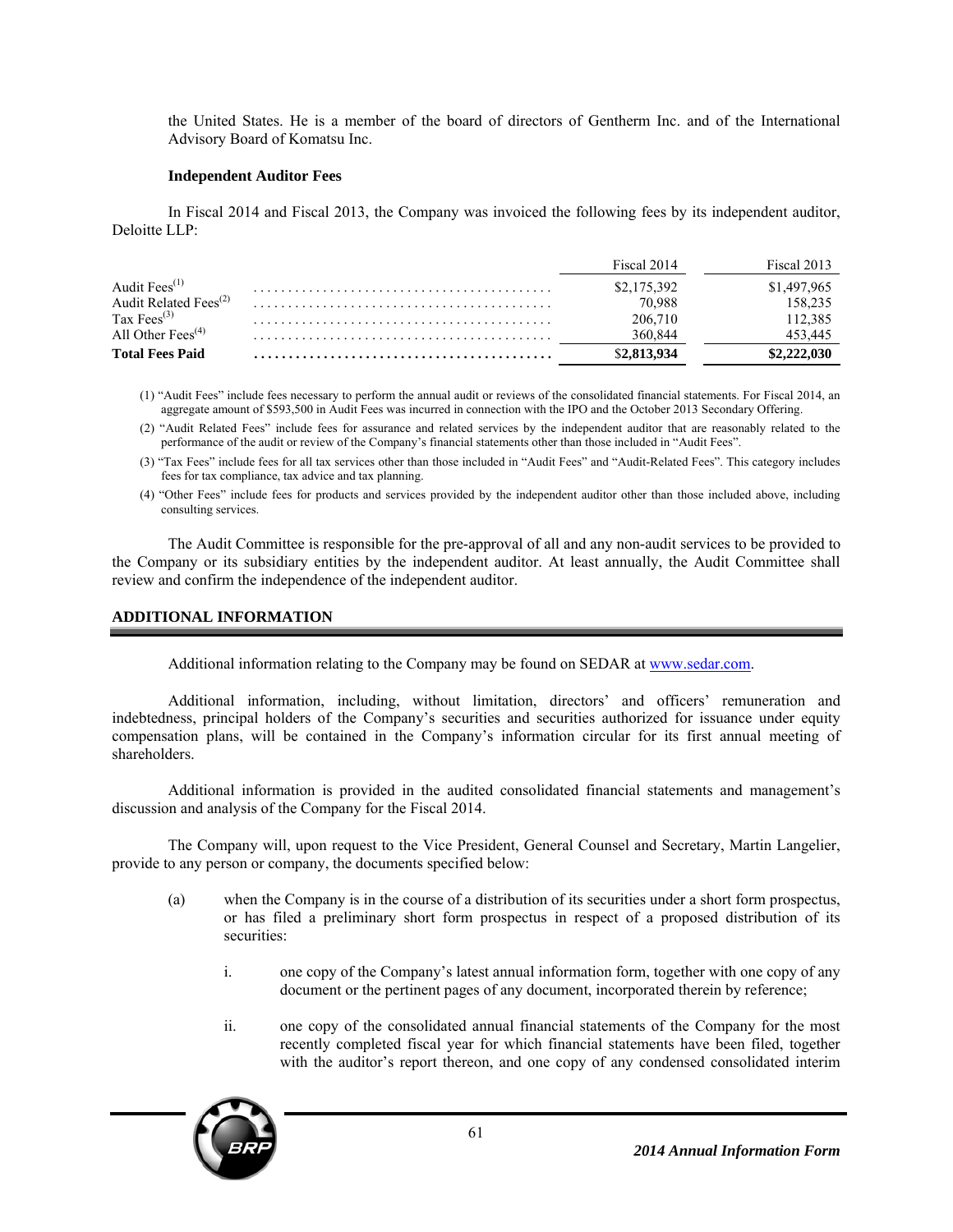the United States. He is a member of the board of directors of Gentherm Inc. and of the International Advisory Board of Komatsu Inc.

### **Independent Auditor Fees**

In Fiscal 2014 and Fiscal 2013, the Company was invoiced the following fees by its independent auditor, Deloitte LLP:

|                                            | Fiscal 2014 | Fiscal 2013 |
|--------------------------------------------|-------------|-------------|
| Audit Fees <sup>(1)</sup>                  | \$2,175,392 | \$1,497,965 |
| Audit Related Fees <sup>(2)</sup>          | 70.988      | 158,235     |
| Tax Fees $^{(3)}$                          | 206,710     | 112,385     |
| All Other Fees <sup><math>(4)</math></sup> | 360.844     | 453.445     |
| <b>Total Fees Paid</b>                     |             |             |

- (1) "Audit Fees" include fees necessary to perform the annual audit or reviews of the consolidated financial statements. For Fiscal 2014, an aggregate amount of \$593,500 in Audit Fees was incurred in connection with the IPO and the October 2013 Secondary Offering.
- (2) "Audit Related Fees" include fees for assurance and related services by the independent auditor that are reasonably related to the performance of the audit or review of the Company's financial statements other than those included in "Audit Fees".
- (3) "Tax Fees" include fees for all tax services other than those included in "Audit Fees" and "Audit-Related Fees". This category includes fees for tax compliance, tax advice and tax planning.
- (4) "Other Fees" include fees for products and services provided by the independent auditor other than those included above, including consulting services.

The Audit Committee is responsible for the pre-approval of all and any non-audit services to be provided to the Company or its subsidiary entities by the independent auditor. At least annually, the Audit Committee shall review and confirm the independence of the independent auditor.

### **ADDITIONAL INFORMATION**

Additional information relating to the Company may be found on SEDAR at www.sedar.com.

Additional information, including, without limitation, directors' and officers' remuneration and indebtedness, principal holders of the Company's securities and securities authorized for issuance under equity compensation plans, will be contained in the Company's information circular for its first annual meeting of shareholders.

Additional information is provided in the audited consolidated financial statements and management's discussion and analysis of the Company for the Fiscal 2014.

The Company will, upon request to the Vice President, General Counsel and Secretary, Martin Langelier, provide to any person or company, the documents specified below:

- (a) when the Company is in the course of a distribution of its securities under a short form prospectus, or has filed a preliminary short form prospectus in respect of a proposed distribution of its securities:
	- i. one copy of the Company's latest annual information form, together with one copy of any document or the pertinent pages of any document, incorporated therein by reference;
	- ii. one copy of the consolidated annual financial statements of the Company for the most recently completed fiscal year for which financial statements have been filed, together with the auditor's report thereon, and one copy of any condensed consolidated interim

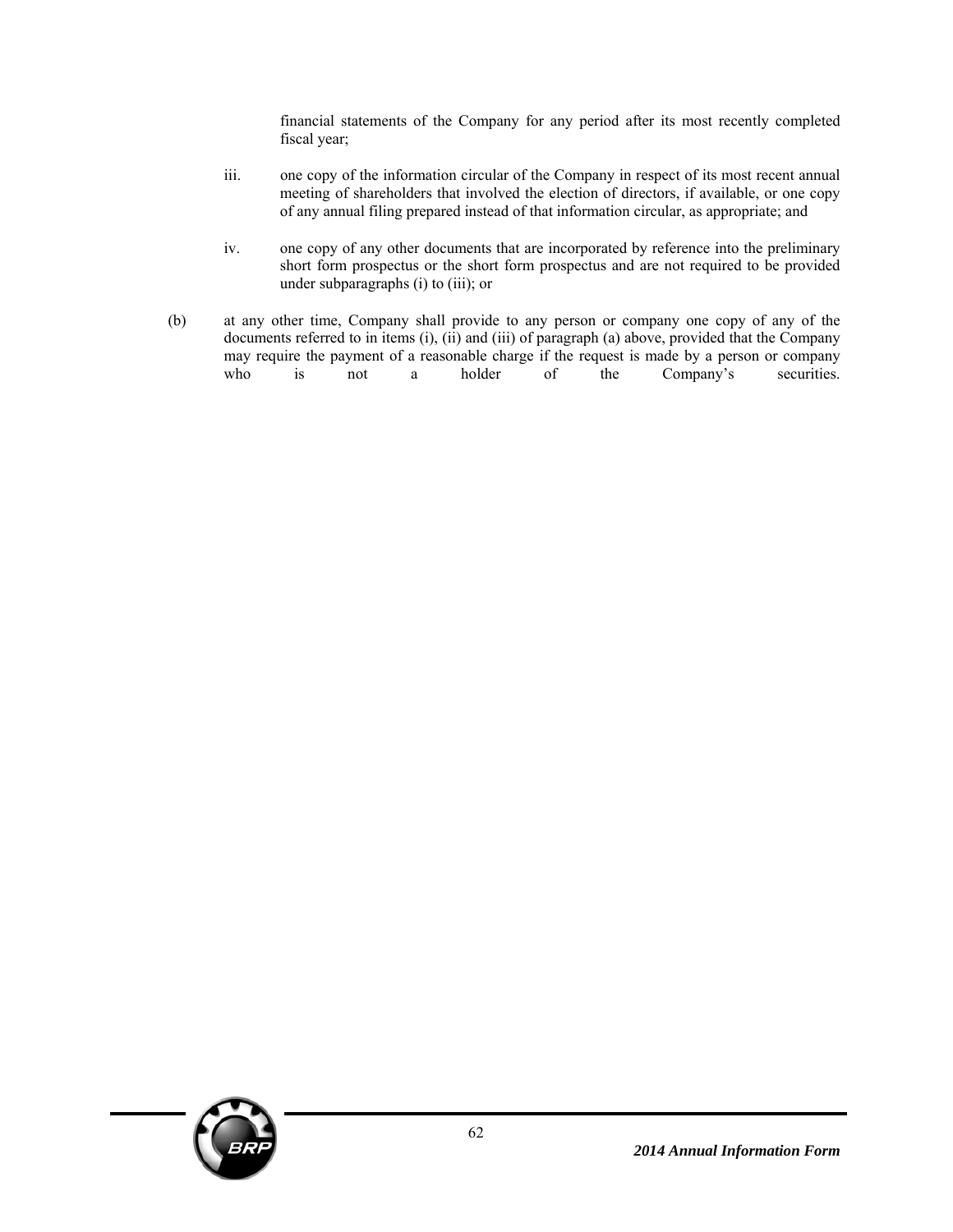financial statements of the Company for any period after its most recently completed fiscal year;

- iii. one copy of the information circular of the Company in respect of its most recent annual meeting of shareholders that involved the election of directors, if available, or one copy of any annual filing prepared instead of that information circular, as appropriate; and
- iv. one copy of any other documents that are incorporated by reference into the preliminary short form prospectus or the short form prospectus and are not required to be provided under subparagraphs (i) to (iii); or
- (b) at any other time, Company shall provide to any person or company one copy of any of the documents referred to in items (i), (ii) and (iii) of paragraph (a) above, provided that the Company may require the payment of a reasonable charge if the request is made by a person or company who is not a holder of the Company's securities.

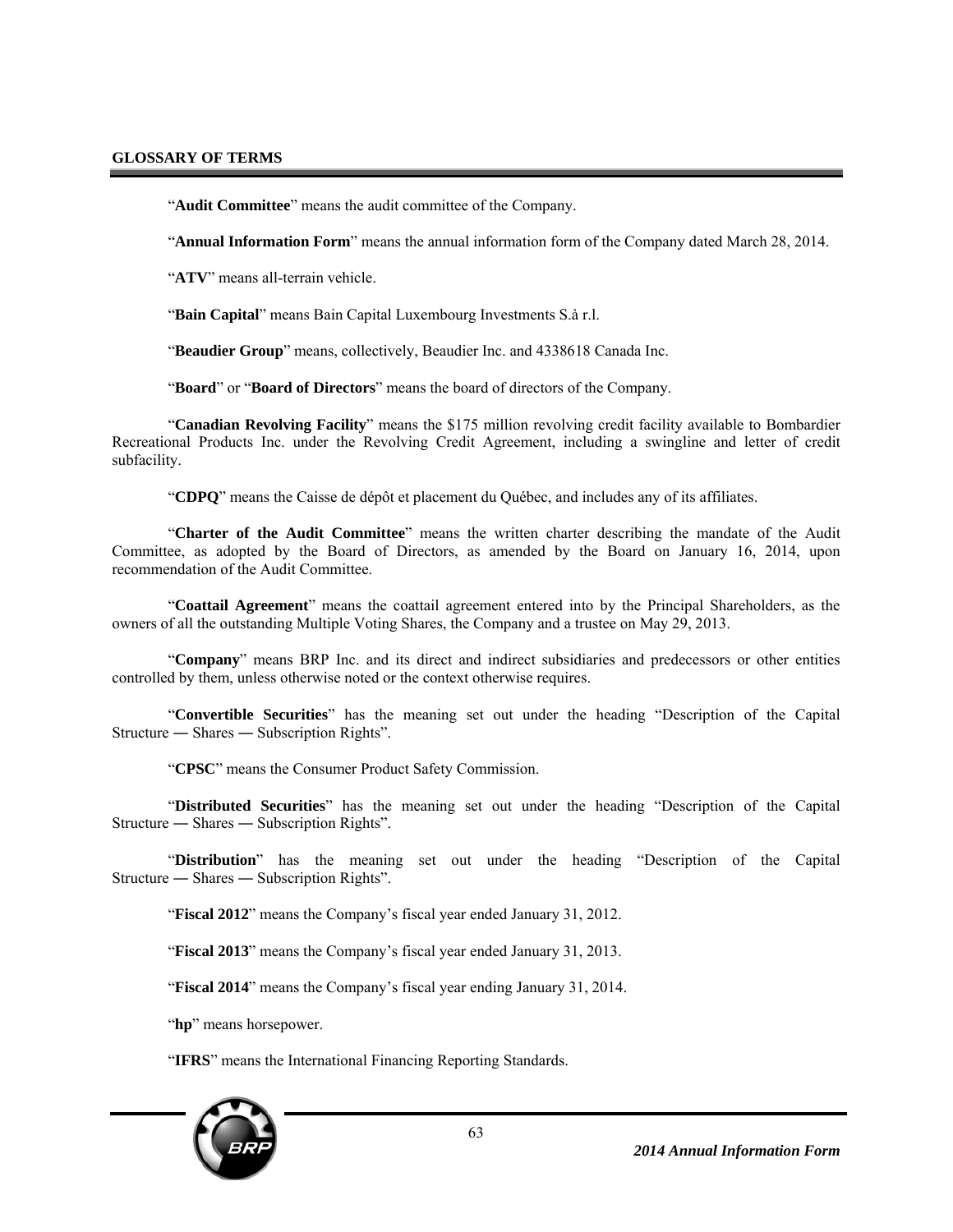### **GLOSSARY OF TERMS**

"**Audit Committee**" means the audit committee of the Company.

"**Annual Information Form**" means the annual information form of the Company dated March 28, 2014.

"**ATV**" means all-terrain vehicle.

"**Bain Capital**" means Bain Capital Luxembourg Investments S.à r.l.

"**Beaudier Group**" means, collectively, Beaudier Inc. and 4338618 Canada Inc.

"**Board**" or "**Board of Directors**" means the board of directors of the Company.

"**Canadian Revolving Facility**" means the \$175 million revolving credit facility available to Bombardier Recreational Products Inc. under the Revolving Credit Agreement, including a swingline and letter of credit subfacility.

"**CDPQ**" means the Caisse de dépôt et placement du Québec, and includes any of its affiliates.

"**Charter of the Audit Committee**" means the written charter describing the mandate of the Audit Committee, as adopted by the Board of Directors, as amended by the Board on January 16, 2014, upon recommendation of the Audit Committee.

"**Coattail Agreement**" means the coattail agreement entered into by the Principal Shareholders, as the owners of all the outstanding Multiple Voting Shares, the Company and a trustee on May 29, 2013.

"**Company**" means BRP Inc. and its direct and indirect subsidiaries and predecessors or other entities controlled by them, unless otherwise noted or the context otherwise requires.

"**Convertible Securities**" has the meaning set out under the heading "Description of the Capital Structure ― Shares ― Subscription Rights".

"**CPSC**" means the Consumer Product Safety Commission.

"**Distributed Securities**" has the meaning set out under the heading "Description of the Capital Structure ― Shares ― Subscription Rights".

"**Distribution**" has the meaning set out under the heading "Description of the Capital Structure ― Shares ― Subscription Rights".

"**Fiscal 2012**" means the Company's fiscal year ended January 31, 2012.

"**Fiscal 2013**" means the Company's fiscal year ended January 31, 2013.

"**Fiscal 2014**" means the Company's fiscal year ending January 31, 2014.

"**hp**" means horsepower.

"**IFRS**" means the International Financing Reporting Standards.

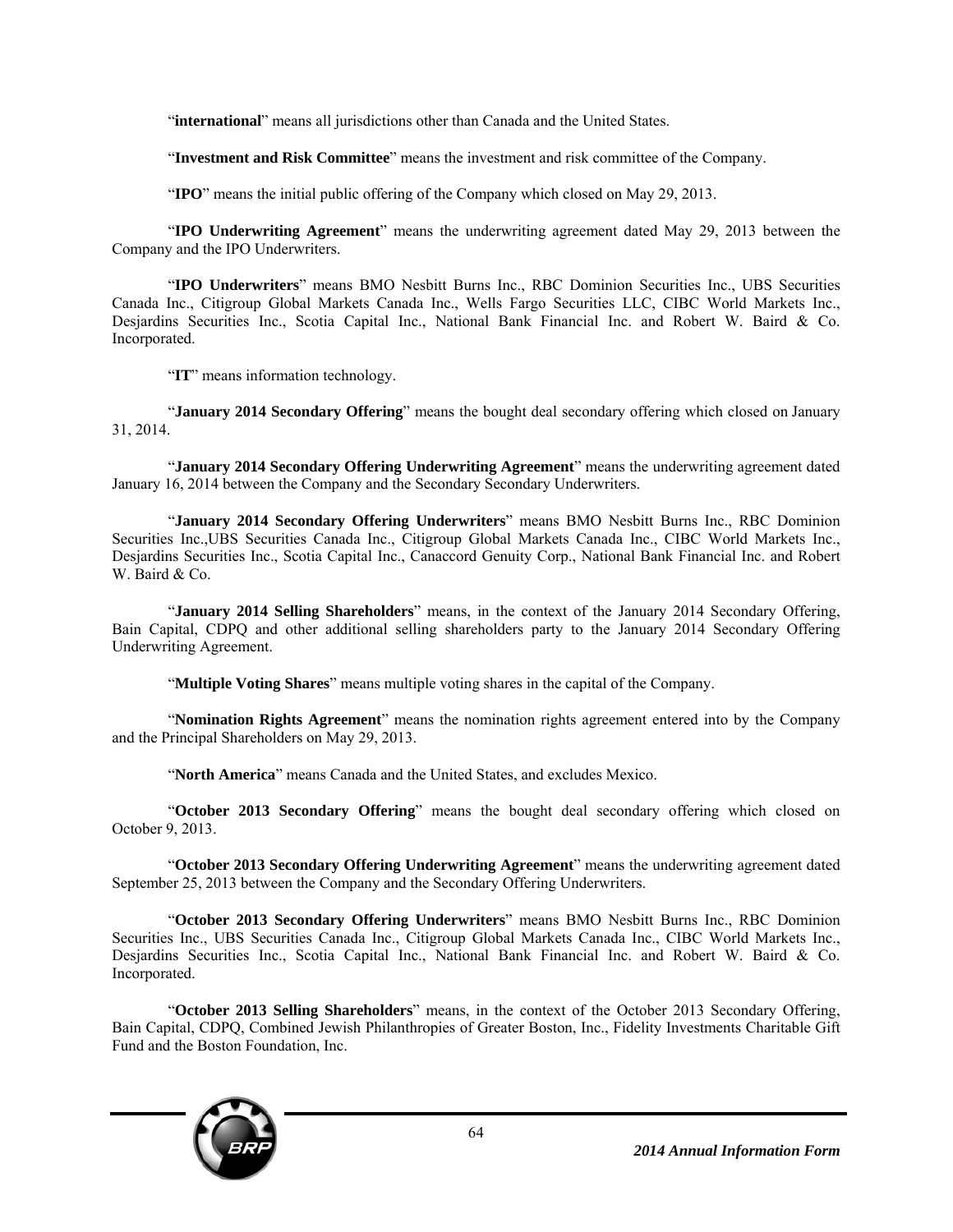"international" means all jurisdictions other than Canada and the United States.

"**Investment and Risk Committee**" means the investment and risk committee of the Company.

"**IPO**" means the initial public offering of the Company which closed on May 29, 2013.

"**IPO Underwriting Agreement**" means the underwriting agreement dated May 29, 2013 between the Company and the IPO Underwriters.

"**IPO Underwriters**" means BMO Nesbitt Burns Inc., RBC Dominion Securities Inc., UBS Securities Canada Inc., Citigroup Global Markets Canada Inc., Wells Fargo Securities LLC, CIBC World Markets Inc., Desjardins Securities Inc., Scotia Capital Inc., National Bank Financial Inc. and Robert W. Baird & Co. Incorporated.

"**IT**" means information technology.

"**January 2014 Secondary Offering**" means the bought deal secondary offering which closed on January 31, 2014.

"**January 2014 Secondary Offering Underwriting Agreement**" means the underwriting agreement dated January 16, 2014 between the Company and the Secondary Secondary Underwriters.

"**January 2014 Secondary Offering Underwriters**" means BMO Nesbitt Burns Inc., RBC Dominion Securities Inc.,UBS Securities Canada Inc., Citigroup Global Markets Canada Inc., CIBC World Markets Inc., Desjardins Securities Inc., Scotia Capital Inc., Canaccord Genuity Corp., National Bank Financial Inc. and Robert W. Baird & Co.

"**January 2014 Selling Shareholders**" means, in the context of the January 2014 Secondary Offering, Bain Capital, CDPQ and other additional selling shareholders party to the January 2014 Secondary Offering Underwriting Agreement.

"**Multiple Voting Shares**" means multiple voting shares in the capital of the Company.

"**Nomination Rights Agreement**" means the nomination rights agreement entered into by the Company and the Principal Shareholders on May 29, 2013.

"**North America**" means Canada and the United States, and excludes Mexico.

"**October 2013 Secondary Offering**" means the bought deal secondary offering which closed on October 9, 2013.

"**October 2013 Secondary Offering Underwriting Agreement**" means the underwriting agreement dated September 25, 2013 between the Company and the Secondary Offering Underwriters.

"**October 2013 Secondary Offering Underwriters**" means BMO Nesbitt Burns Inc., RBC Dominion Securities Inc., UBS Securities Canada Inc., Citigroup Global Markets Canada Inc., CIBC World Markets Inc., Desjardins Securities Inc., Scotia Capital Inc., National Bank Financial Inc. and Robert W. Baird & Co. Incorporated.

"**October 2013 Selling Shareholders**" means, in the context of the October 2013 Secondary Offering, Bain Capital, CDPQ, Combined Jewish Philanthropies of Greater Boston, Inc., Fidelity Investments Charitable Gift Fund and the Boston Foundation, Inc.

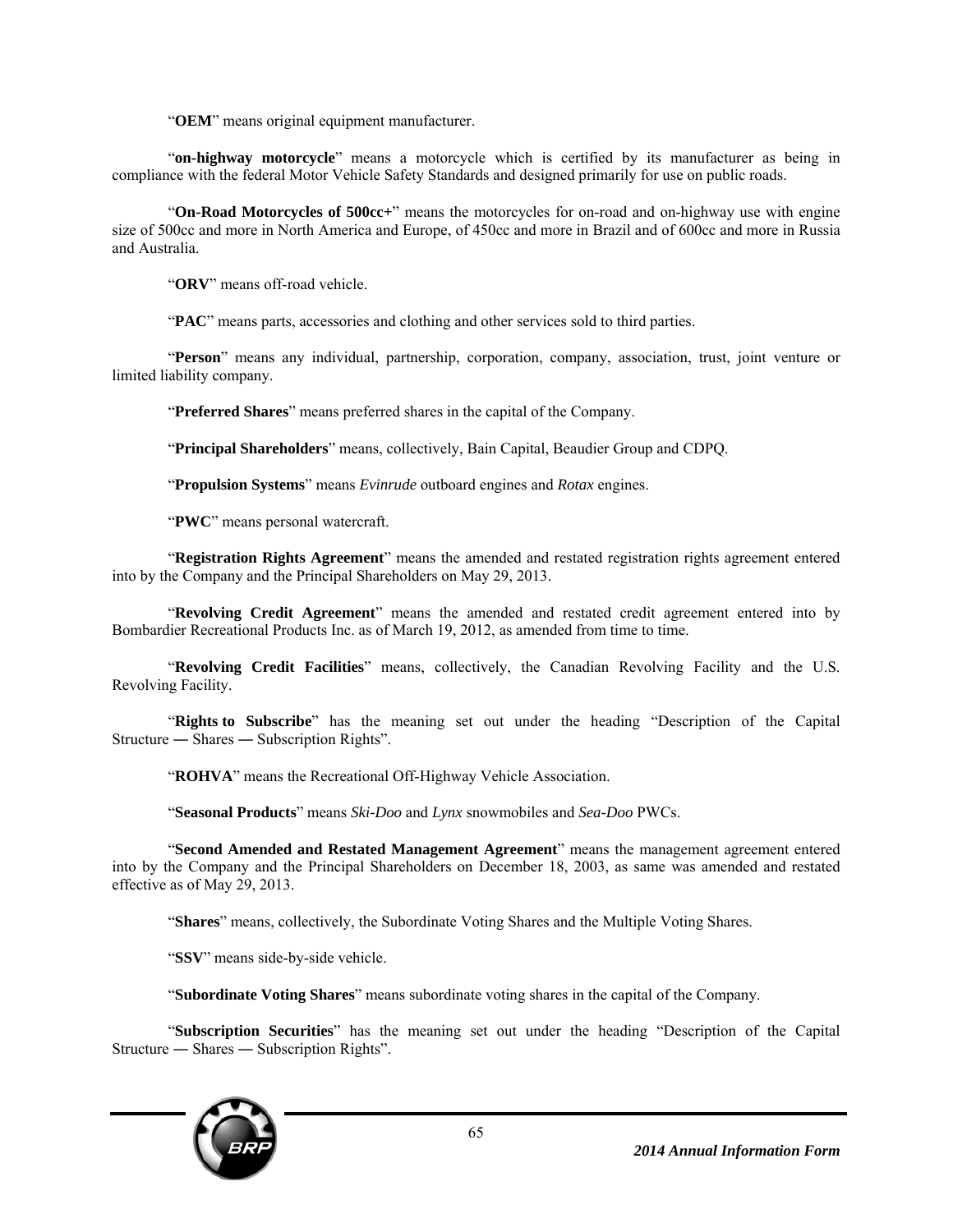"**OEM**" means original equipment manufacturer.

"**on-highway motorcycle**" means a motorcycle which is certified by its manufacturer as being in compliance with the federal Motor Vehicle Safety Standards and designed primarily for use on public roads.

"**On-Road Motorcycles of 500cc+**" means the motorcycles for on-road and on-highway use with engine size of 500cc and more in North America and Europe, of 450cc and more in Brazil and of 600cc and more in Russia and Australia.

"**ORV**" means off-road vehicle.

"**PAC**" means parts, accessories and clothing and other services sold to third parties.

"**Person**" means any individual, partnership, corporation, company, association, trust, joint venture or limited liability company.

"**Preferred Shares**" means preferred shares in the capital of the Company.

"**Principal Shareholders**" means, collectively, Bain Capital, Beaudier Group and CDPQ.

"**Propulsion Systems**" means *Evinrude* outboard engines and *Rotax* engines.

"**PWC**" means personal watercraft.

"**Registration Rights Agreement**" means the amended and restated registration rights agreement entered into by the Company and the Principal Shareholders on May 29, 2013.

"**Revolving Credit Agreement**" means the amended and restated credit agreement entered into by Bombardier Recreational Products Inc. as of March 19, 2012, as amended from time to time.

"**Revolving Credit Facilities**" means, collectively, the Canadian Revolving Facility and the U.S. Revolving Facility.

"**Rights to Subscribe**" has the meaning set out under the heading "Description of the Capital Structure ― Shares ― Subscription Rights".

"**ROHVA**" means the Recreational Off-Highway Vehicle Association.

"**Seasonal Products**" means *Ski-Doo* and *Lynx* snowmobiles and *Sea-Doo* PWCs.

"**Second Amended and Restated Management Agreement**" means the management agreement entered into by the Company and the Principal Shareholders on December 18, 2003, as same was amended and restated effective as of May 29, 2013.

"**Shares**" means, collectively, the Subordinate Voting Shares and the Multiple Voting Shares.

"**SSV**" means side-by-side vehicle.

"**Subordinate Voting Shares**" means subordinate voting shares in the capital of the Company.

"**Subscription Securities**" has the meaning set out under the heading "Description of the Capital Structure ― Shares ― Subscription Rights".

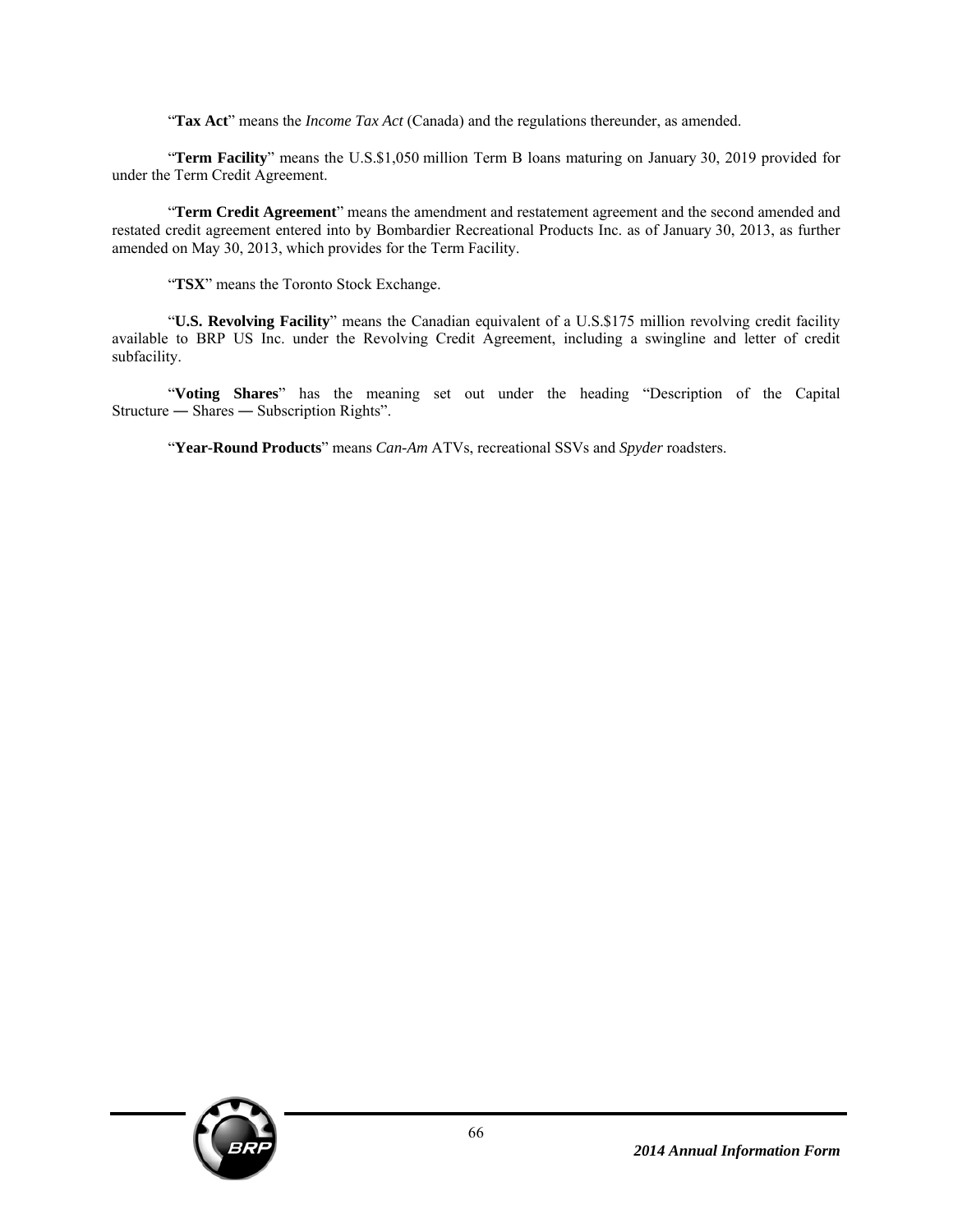"**Tax Act**" means the *Income Tax Act* (Canada) and the regulations thereunder, as amended.

"**Term Facility**" means the U.S.\$1,050 million Term B loans maturing on January 30, 2019 provided for under the Term Credit Agreement.

"**Term Credit Agreement**" means the amendment and restatement agreement and the second amended and restated credit agreement entered into by Bombardier Recreational Products Inc. as of January 30, 2013, as further amended on May 30, 2013, which provides for the Term Facility.

"**TSX**" means the Toronto Stock Exchange.

"**U.S. Revolving Facility**" means the Canadian equivalent of a U.S.\$175 million revolving credit facility available to BRP US Inc. under the Revolving Credit Agreement, including a swingline and letter of credit subfacility.

"**Voting Shares**" has the meaning set out under the heading "Description of the Capital Structure ― Shares ― Subscription Rights".

"**Year-Round Products**" means *Can-Am* ATVs, recreational SSVs and *Spyder* roadsters.

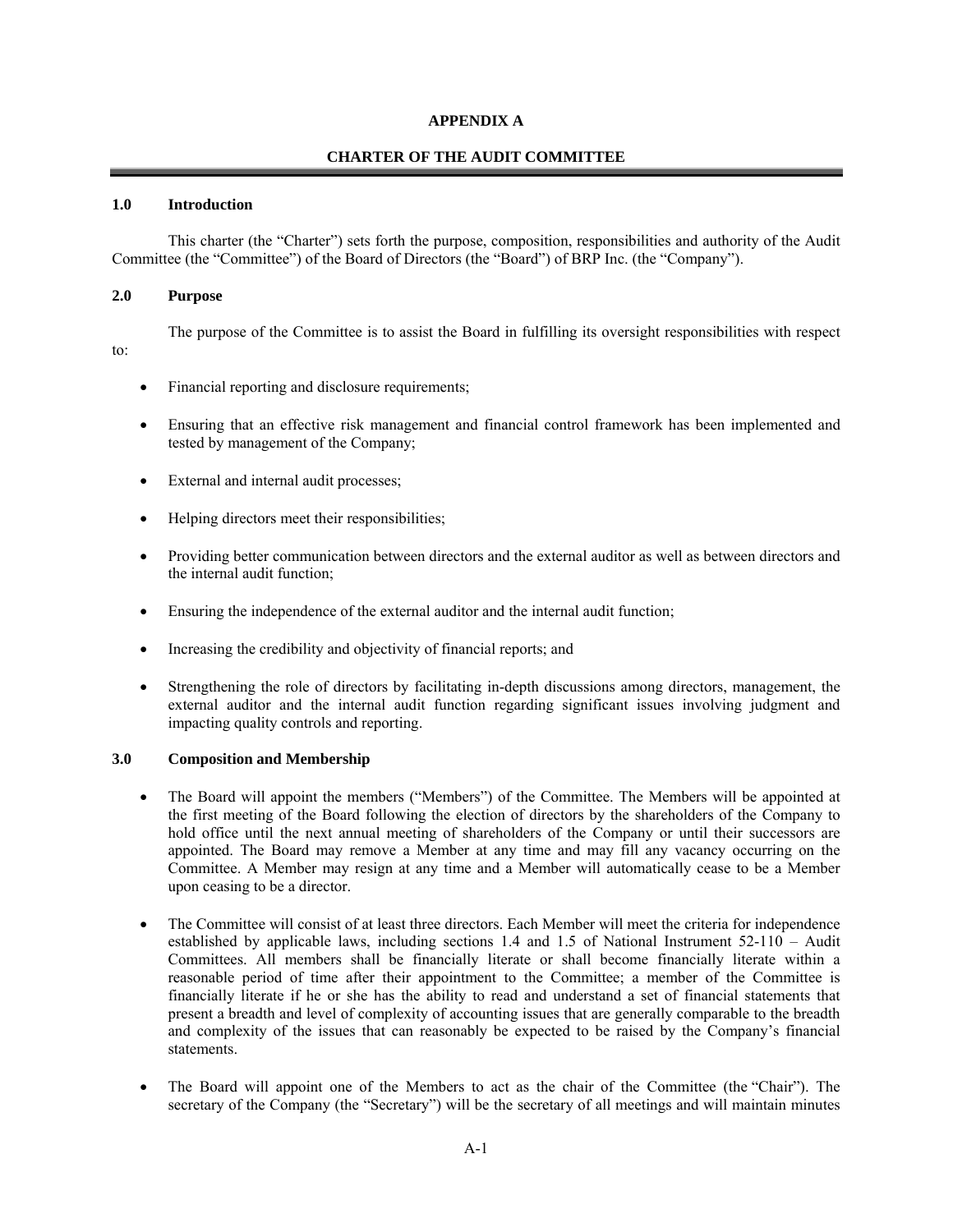#### **APPENDIX A**

#### **CHARTER OF THE AUDIT COMMITTEE**

#### **1.0 Introduction**

This charter (the "Charter") sets forth the purpose, composition, responsibilities and authority of the Audit Committee (the "Committee") of the Board of Directors (the "Board") of BRP Inc. (the "Company").

#### **2.0 Purpose**

The purpose of the Committee is to assist the Board in fulfilling its oversight responsibilities with respect to:

- Financial reporting and disclosure requirements;
- Ensuring that an effective risk management and financial control framework has been implemented and tested by management of the Company;
- External and internal audit processes;
- Helping directors meet their responsibilities;
- Providing better communication between directors and the external auditor as well as between directors and the internal audit function;
- Ensuring the independence of the external auditor and the internal audit function;
- Increasing the credibility and objectivity of financial reports; and
- Strengthening the role of directors by facilitating in-depth discussions among directors, management, the external auditor and the internal audit function regarding significant issues involving judgment and impacting quality controls and reporting.

#### **3.0 Composition and Membership**

- The Board will appoint the members ("Members") of the Committee. The Members will be appointed at the first meeting of the Board following the election of directors by the shareholders of the Company to hold office until the next annual meeting of shareholders of the Company or until their successors are appointed. The Board may remove a Member at any time and may fill any vacancy occurring on the Committee. A Member may resign at any time and a Member will automatically cease to be a Member upon ceasing to be a director.
- The Committee will consist of at least three directors. Each Member will meet the criteria for independence established by applicable laws, including sections 1.4 and 1.5 of National Instrument 52-110 – Audit Committees. All members shall be financially literate or shall become financially literate within a reasonable period of time after their appointment to the Committee; a member of the Committee is financially literate if he or she has the ability to read and understand a set of financial statements that present a breadth and level of complexity of accounting issues that are generally comparable to the breadth and complexity of the issues that can reasonably be expected to be raised by the Company's financial statements.
- The Board will appoint one of the Members to act as the chair of the Committee (the "Chair"). The secretary of the Company (the "Secretary") will be the secretary of all meetings and will maintain minutes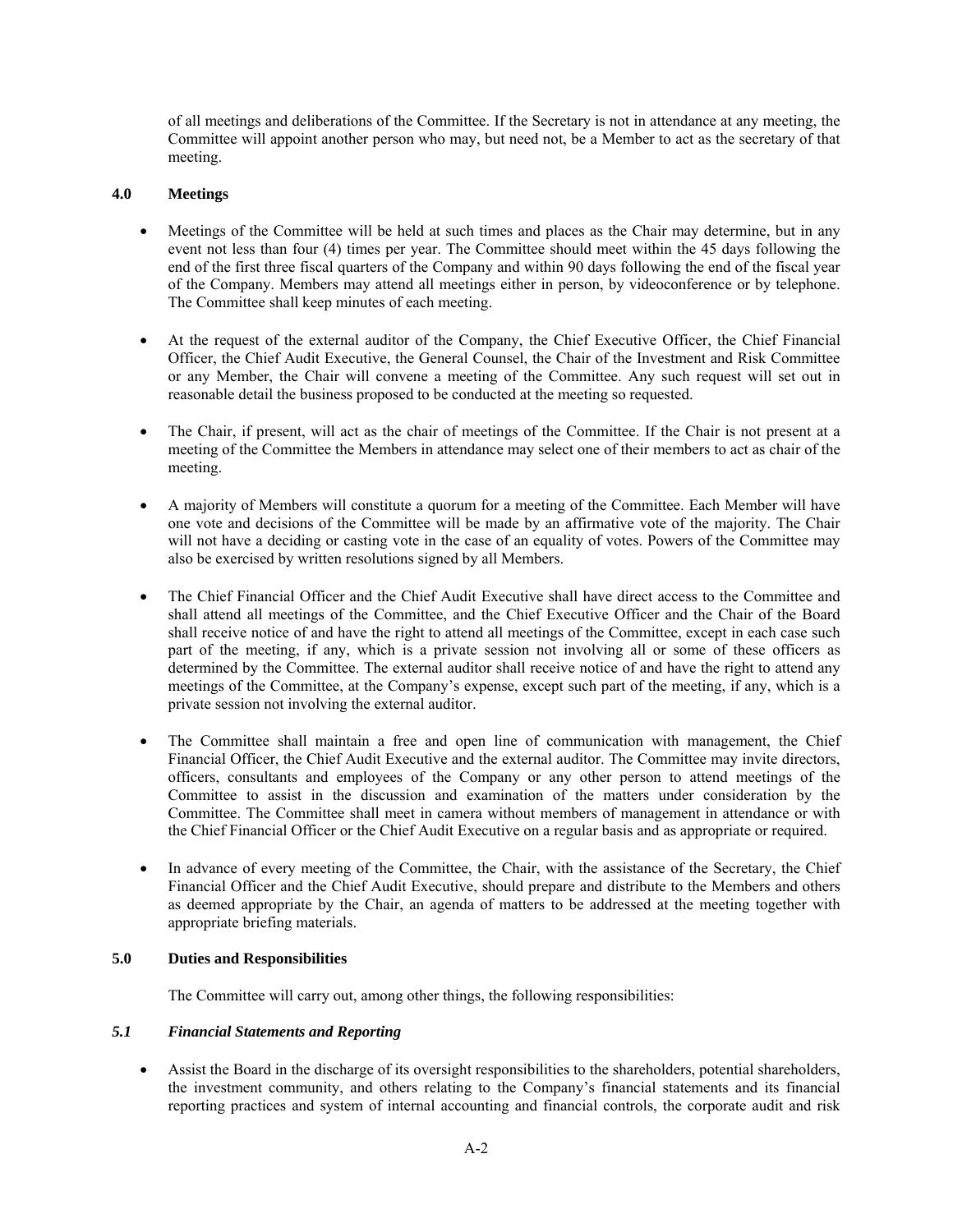of all meetings and deliberations of the Committee. If the Secretary is not in attendance at any meeting, the Committee will appoint another person who may, but need not, be a Member to act as the secretary of that meeting.

### **4.0 Meetings**

- Meetings of the Committee will be held at such times and places as the Chair may determine, but in any event not less than four (4) times per year. The Committee should meet within the 45 days following the end of the first three fiscal quarters of the Company and within 90 days following the end of the fiscal year of the Company. Members may attend all meetings either in person, by videoconference or by telephone. The Committee shall keep minutes of each meeting.
- At the request of the external auditor of the Company, the Chief Executive Officer, the Chief Financial Officer, the Chief Audit Executive, the General Counsel, the Chair of the Investment and Risk Committee or any Member, the Chair will convene a meeting of the Committee. Any such request will set out in reasonable detail the business proposed to be conducted at the meeting so requested.
- The Chair, if present, will act as the chair of meetings of the Committee. If the Chair is not present at a meeting of the Committee the Members in attendance may select one of their members to act as chair of the meeting.
- A majority of Members will constitute a quorum for a meeting of the Committee. Each Member will have one vote and decisions of the Committee will be made by an affirmative vote of the majority. The Chair will not have a deciding or casting vote in the case of an equality of votes. Powers of the Committee may also be exercised by written resolutions signed by all Members.
- The Chief Financial Officer and the Chief Audit Executive shall have direct access to the Committee and shall attend all meetings of the Committee, and the Chief Executive Officer and the Chair of the Board shall receive notice of and have the right to attend all meetings of the Committee, except in each case such part of the meeting, if any, which is a private session not involving all or some of these officers as determined by the Committee. The external auditor shall receive notice of and have the right to attend any meetings of the Committee, at the Company's expense, except such part of the meeting, if any, which is a private session not involving the external auditor.
- The Committee shall maintain a free and open line of communication with management, the Chief Financial Officer, the Chief Audit Executive and the external auditor. The Committee may invite directors, officers, consultants and employees of the Company or any other person to attend meetings of the Committee to assist in the discussion and examination of the matters under consideration by the Committee. The Committee shall meet in camera without members of management in attendance or with the Chief Financial Officer or the Chief Audit Executive on a regular basis and as appropriate or required.
- In advance of every meeting of the Committee, the Chair, with the assistance of the Secretary, the Chief Financial Officer and the Chief Audit Executive, should prepare and distribute to the Members and others as deemed appropriate by the Chair, an agenda of matters to be addressed at the meeting together with appropriate briefing materials.

### **5.0 Duties and Responsibilities**

The Committee will carry out, among other things, the following responsibilities:

#### *5.1 Financial Statements and Reporting*

 Assist the Board in the discharge of its oversight responsibilities to the shareholders, potential shareholders, the investment community, and others relating to the Company's financial statements and its financial reporting practices and system of internal accounting and financial controls, the corporate audit and risk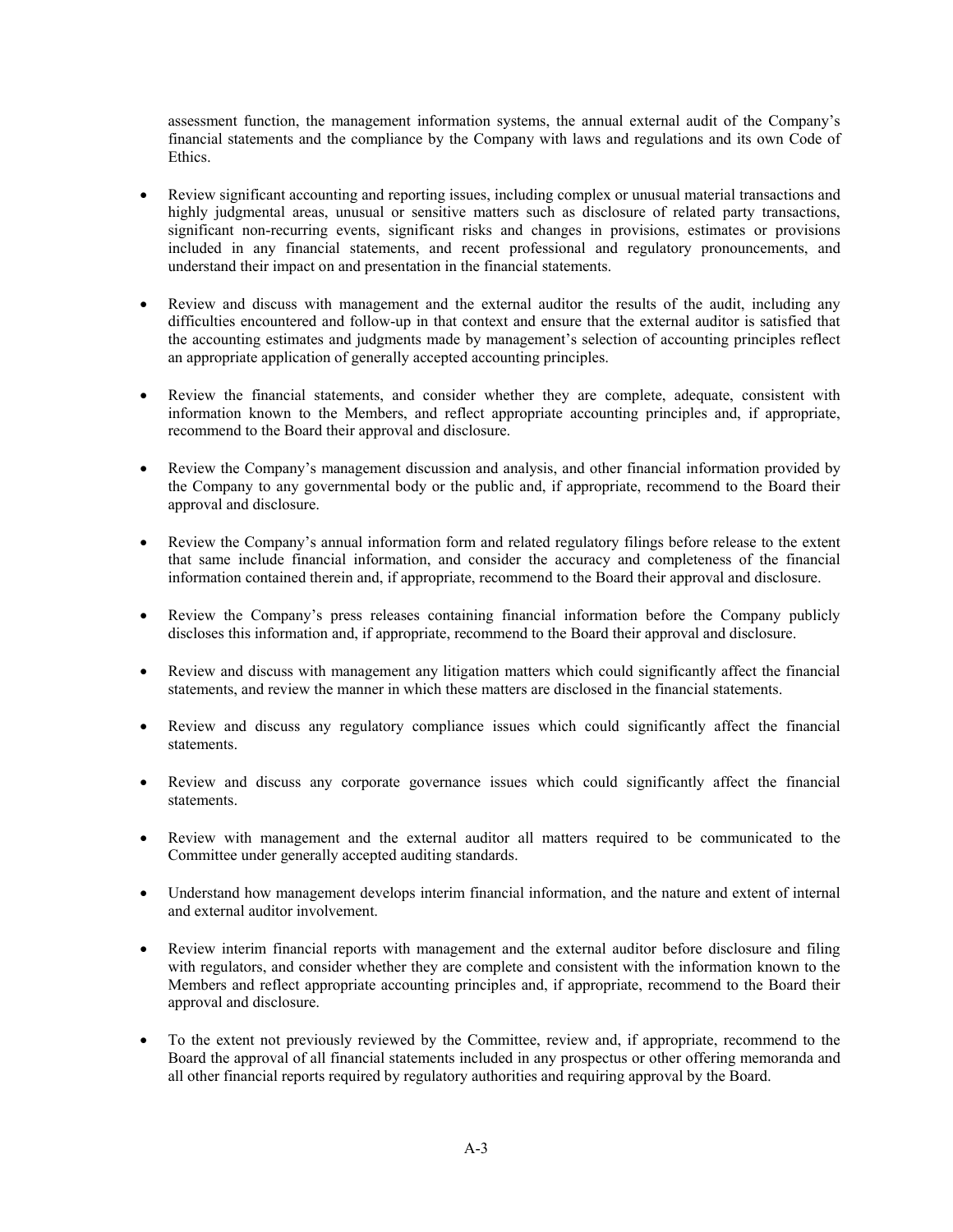assessment function, the management information systems, the annual external audit of the Company's financial statements and the compliance by the Company with laws and regulations and its own Code of Ethics.

- Review significant accounting and reporting issues, including complex or unusual material transactions and highly judgmental areas, unusual or sensitive matters such as disclosure of related party transactions, significant non-recurring events, significant risks and changes in provisions, estimates or provisions included in any financial statements, and recent professional and regulatory pronouncements, and understand their impact on and presentation in the financial statements.
- Review and discuss with management and the external auditor the results of the audit, including any difficulties encountered and follow-up in that context and ensure that the external auditor is satisfied that the accounting estimates and judgments made by management's selection of accounting principles reflect an appropriate application of generally accepted accounting principles.
- Review the financial statements, and consider whether they are complete, adequate, consistent with information known to the Members, and reflect appropriate accounting principles and, if appropriate, recommend to the Board their approval and disclosure.
- Review the Company's management discussion and analysis, and other financial information provided by the Company to any governmental body or the public and, if appropriate, recommend to the Board their approval and disclosure.
- Review the Company's annual information form and related regulatory filings before release to the extent that same include financial information, and consider the accuracy and completeness of the financial information contained therein and, if appropriate, recommend to the Board their approval and disclosure.
- Review the Company's press releases containing financial information before the Company publicly discloses this information and, if appropriate, recommend to the Board their approval and disclosure.
- Review and discuss with management any litigation matters which could significantly affect the financial statements, and review the manner in which these matters are disclosed in the financial statements.
- Review and discuss any regulatory compliance issues which could significantly affect the financial statements.
- Review and discuss any corporate governance issues which could significantly affect the financial statements.
- Review with management and the external auditor all matters required to be communicated to the Committee under generally accepted auditing standards.
- Understand how management develops interim financial information, and the nature and extent of internal and external auditor involvement.
- Review interim financial reports with management and the external auditor before disclosure and filing with regulators, and consider whether they are complete and consistent with the information known to the Members and reflect appropriate accounting principles and, if appropriate, recommend to the Board their approval and disclosure.
- To the extent not previously reviewed by the Committee, review and, if appropriate, recommend to the Board the approval of all financial statements included in any prospectus or other offering memoranda and all other financial reports required by regulatory authorities and requiring approval by the Board.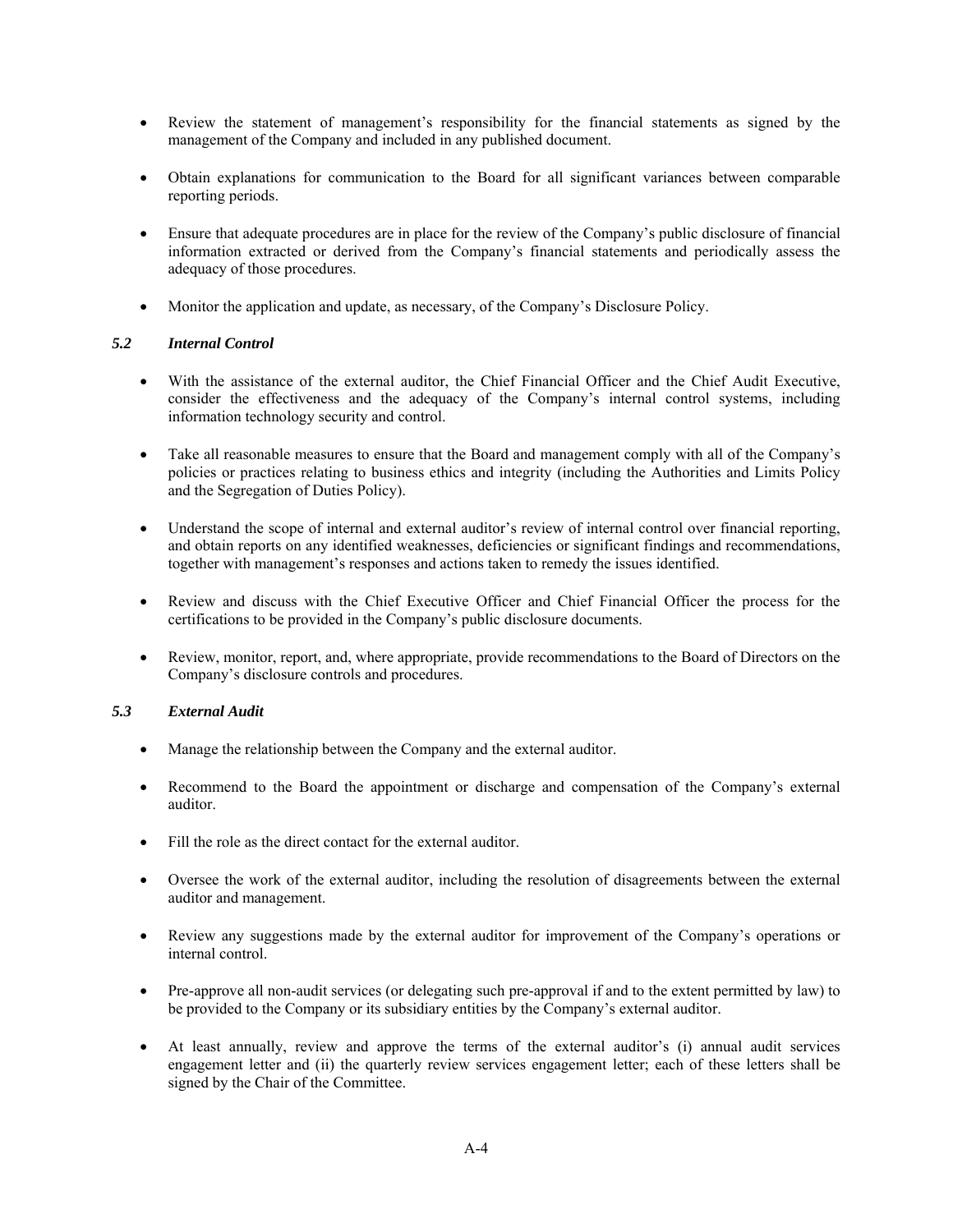- Review the statement of management's responsibility for the financial statements as signed by the management of the Company and included in any published document.
- Obtain explanations for communication to the Board for all significant variances between comparable reporting periods.
- Ensure that adequate procedures are in place for the review of the Company's public disclosure of financial information extracted or derived from the Company's financial statements and periodically assess the adequacy of those procedures.
- Monitor the application and update, as necessary, of the Company's Disclosure Policy.

## *5.2 Internal Control*

- With the assistance of the external auditor, the Chief Financial Officer and the Chief Audit Executive, consider the effectiveness and the adequacy of the Company's internal control systems, including information technology security and control.
- Take all reasonable measures to ensure that the Board and management comply with all of the Company's policies or practices relating to business ethics and integrity (including the Authorities and Limits Policy and the Segregation of Duties Policy).
- Understand the scope of internal and external auditor's review of internal control over financial reporting, and obtain reports on any identified weaknesses, deficiencies or significant findings and recommendations, together with management's responses and actions taken to remedy the issues identified.
- Review and discuss with the Chief Executive Officer and Chief Financial Officer the process for the certifications to be provided in the Company's public disclosure documents.
- Review, monitor, report, and, where appropriate, provide recommendations to the Board of Directors on the Company's disclosure controls and procedures.

### *5.3 External Audit*

- Manage the relationship between the Company and the external auditor.
- Recommend to the Board the appointment or discharge and compensation of the Company's external auditor.
- Fill the role as the direct contact for the external auditor.
- Oversee the work of the external auditor, including the resolution of disagreements between the external auditor and management.
- Review any suggestions made by the external auditor for improvement of the Company's operations or internal control.
- Pre-approve all non-audit services (or delegating such pre-approval if and to the extent permitted by law) to be provided to the Company or its subsidiary entities by the Company's external auditor.
- At least annually, review and approve the terms of the external auditor's (i) annual audit services engagement letter and (ii) the quarterly review services engagement letter; each of these letters shall be signed by the Chair of the Committee.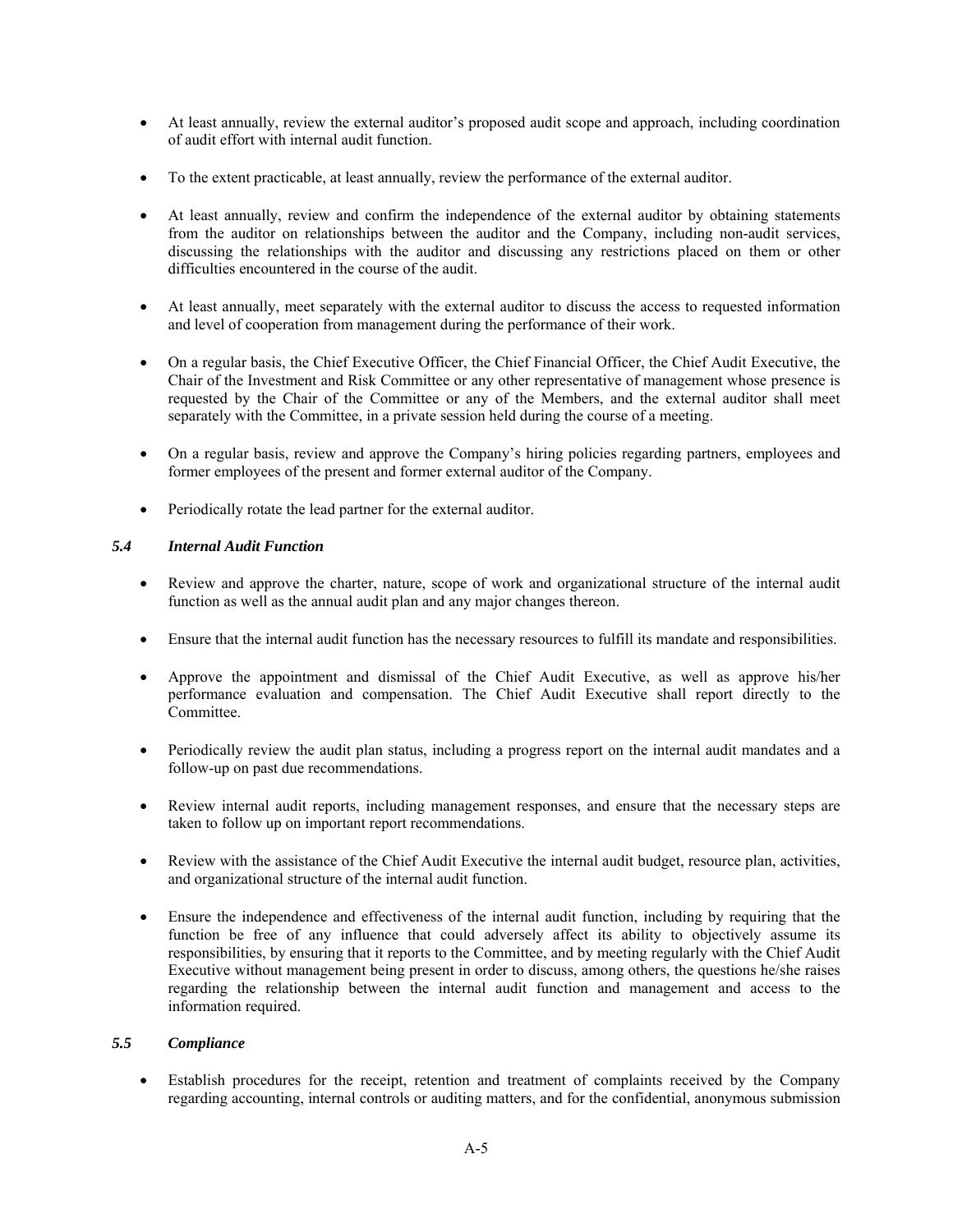- At least annually, review the external auditor's proposed audit scope and approach, including coordination of audit effort with internal audit function.
- To the extent practicable, at least annually, review the performance of the external auditor.
- At least annually, review and confirm the independence of the external auditor by obtaining statements from the auditor on relationships between the auditor and the Company, including non-audit services, discussing the relationships with the auditor and discussing any restrictions placed on them or other difficulties encountered in the course of the audit.
- At least annually, meet separately with the external auditor to discuss the access to requested information and level of cooperation from management during the performance of their work.
- On a regular basis, the Chief Executive Officer, the Chief Financial Officer, the Chief Audit Executive, the Chair of the Investment and Risk Committee or any other representative of management whose presence is requested by the Chair of the Committee or any of the Members, and the external auditor shall meet separately with the Committee, in a private session held during the course of a meeting.
- On a regular basis, review and approve the Company's hiring policies regarding partners, employees and former employees of the present and former external auditor of the Company.
- Periodically rotate the lead partner for the external auditor.

## *5.4 Internal Audit Function*

- Review and approve the charter, nature, scope of work and organizational structure of the internal audit function as well as the annual audit plan and any major changes thereon.
- Ensure that the internal audit function has the necessary resources to fulfill its mandate and responsibilities.
- Approve the appointment and dismissal of the Chief Audit Executive, as well as approve his/her performance evaluation and compensation. The Chief Audit Executive shall report directly to the Committee.
- Periodically review the audit plan status, including a progress report on the internal audit mandates and a follow-up on past due recommendations.
- Review internal audit reports, including management responses, and ensure that the necessary steps are taken to follow up on important report recommendations.
- Review with the assistance of the Chief Audit Executive the internal audit budget, resource plan, activities, and organizational structure of the internal audit function.
- Ensure the independence and effectiveness of the internal audit function, including by requiring that the function be free of any influence that could adversely affect its ability to objectively assume its responsibilities, by ensuring that it reports to the Committee, and by meeting regularly with the Chief Audit Executive without management being present in order to discuss, among others, the questions he/she raises regarding the relationship between the internal audit function and management and access to the information required.

## *5.5 Compliance*

 Establish procedures for the receipt, retention and treatment of complaints received by the Company regarding accounting, internal controls or auditing matters, and for the confidential, anonymous submission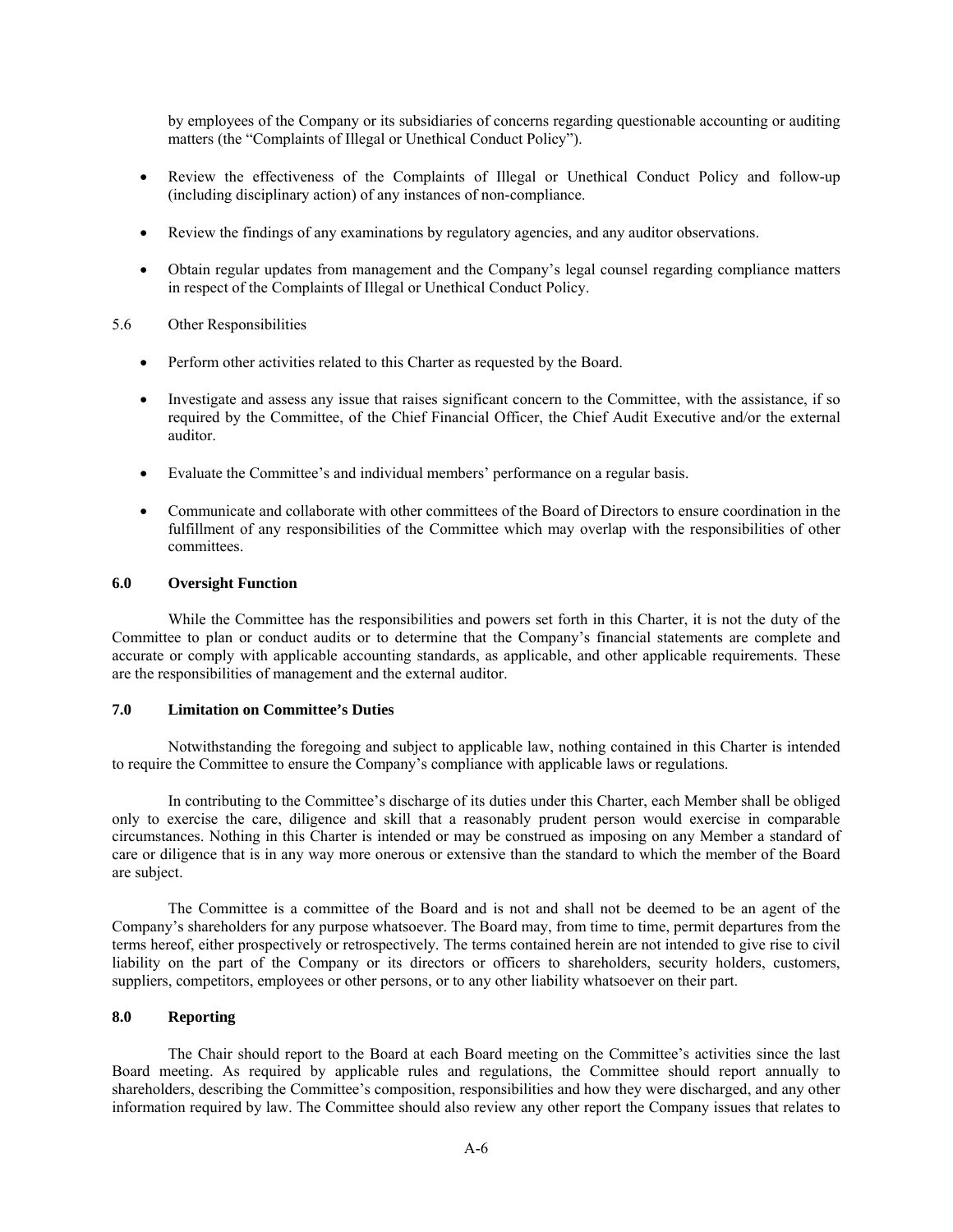by employees of the Company or its subsidiaries of concerns regarding questionable accounting or auditing matters (the "Complaints of Illegal or Unethical Conduct Policy").

- Review the effectiveness of the Complaints of Illegal or Unethical Conduct Policy and follow-up (including disciplinary action) of any instances of non-compliance.
- Review the findings of any examinations by regulatory agencies, and any auditor observations.
- Obtain regular updates from management and the Company's legal counsel regarding compliance matters in respect of the Complaints of Illegal or Unethical Conduct Policy.
- 5.6 Other Responsibilities
	- Perform other activities related to this Charter as requested by the Board.
	- Investigate and assess any issue that raises significant concern to the Committee, with the assistance, if so required by the Committee, of the Chief Financial Officer, the Chief Audit Executive and/or the external auditor.
	- Evaluate the Committee's and individual members' performance on a regular basis.
	- Communicate and collaborate with other committees of the Board of Directors to ensure coordination in the fulfillment of any responsibilities of the Committee which may overlap with the responsibilities of other committees.

#### **6.0 Oversight Function**

While the Committee has the responsibilities and powers set forth in this Charter, it is not the duty of the Committee to plan or conduct audits or to determine that the Company's financial statements are complete and accurate or comply with applicable accounting standards, as applicable, and other applicable requirements. These are the responsibilities of management and the external auditor.

#### **7.0 Limitation on Committee's Duties**

Notwithstanding the foregoing and subject to applicable law, nothing contained in this Charter is intended to require the Committee to ensure the Company's compliance with applicable laws or regulations.

In contributing to the Committee's discharge of its duties under this Charter, each Member shall be obliged only to exercise the care, diligence and skill that a reasonably prudent person would exercise in comparable circumstances. Nothing in this Charter is intended or may be construed as imposing on any Member a standard of care or diligence that is in any way more onerous or extensive than the standard to which the member of the Board are subject.

The Committee is a committee of the Board and is not and shall not be deemed to be an agent of the Company's shareholders for any purpose whatsoever. The Board may, from time to time, permit departures from the terms hereof, either prospectively or retrospectively. The terms contained herein are not intended to give rise to civil liability on the part of the Company or its directors or officers to shareholders, security holders, customers, suppliers, competitors, employees or other persons, or to any other liability whatsoever on their part.

#### **8.0 Reporting**

The Chair should report to the Board at each Board meeting on the Committee's activities since the last Board meeting. As required by applicable rules and regulations, the Committee should report annually to shareholders, describing the Committee's composition, responsibilities and how they were discharged, and any other information required by law. The Committee should also review any other report the Company issues that relates to